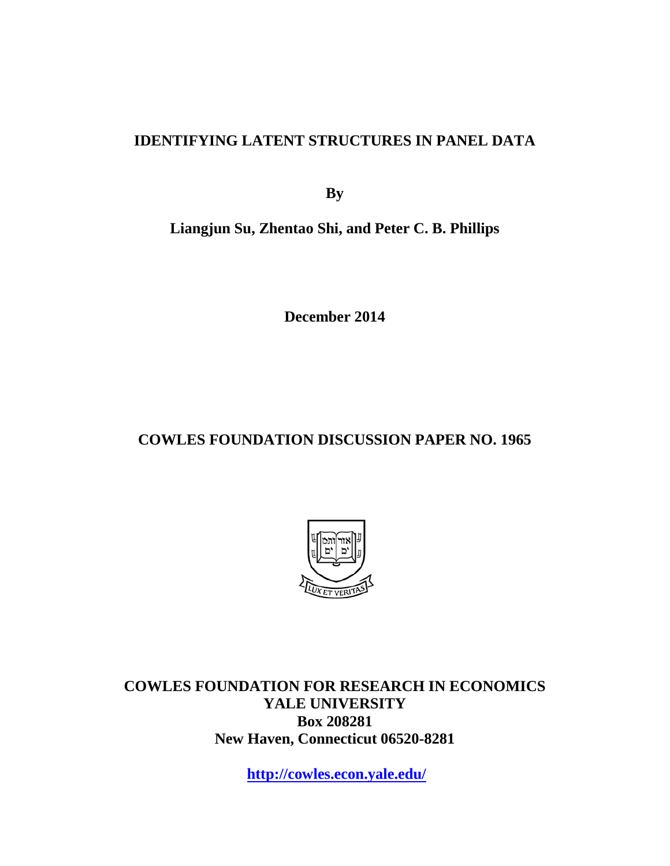# **IDENTIFYING LATENT STRUCTURES IN PANEL DATA**

**By**

**Liangjun Su, Zhentao Shi, and Peter C. B. Phillips**

**December 2014**

# **COWLES FOUNDATION DISCUSSION PAPER NO. 1965**



**COWLES FOUNDATION FOR RESEARCH IN ECONOMICS YALE UNIVERSITY Box 208281 New Haven, Connecticut 06520-8281**

**<http://cowles.econ.yale.edu/>**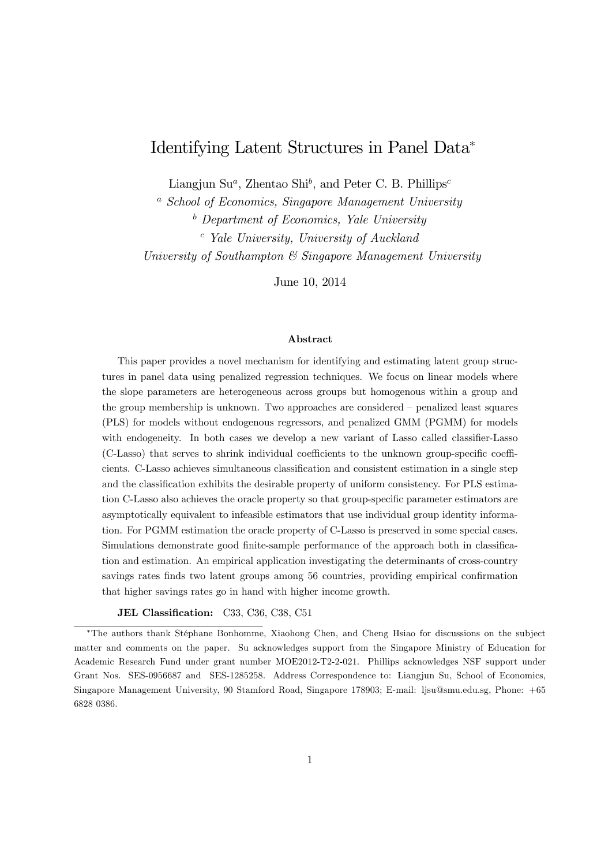# Identifying Latent Structures in Panel Data<sup>∗</sup>

Liangjun Su<sup>a</sup>, Zhentao Shi<sup>b</sup>, and Peter C. B. Phillips<sup>c</sup>

<sup>a</sup> School of Economics, Singapore Management University

 $b$  Department of Economics, Yale University

Yale University, University of Auckland

University of Southampton & Singapore Management University

June 10, 2014

#### Abstract

This paper provides a novel mechanism for identifying and estimating latent group structures in panel data using penalized regression techniques. We focus on linear models where the slope parameters are heterogeneous across groups but homogenous within a group and the group membership is unknown. Two approaches are considered — penalized least squares (PLS) for models without endogenous regressors, and penalized GMM (PGMM) for models with endogeneity. In both cases we develop a new variant of Lasso called classifier-Lasso (C-Lasso) that serves to shrink individual coefficients to the unknown group-specific coefficients. C-Lasso achieves simultaneous classification and consistent estimation in a single step and the classification exhibits the desirable property of uniform consistency. For PLS estimation C-Lasso also achieves the oracle property so that group-specific parameter estimators are asymptotically equivalent to infeasible estimators that use individual group identity information. For PGMM estimation the oracle property of C-Lasso is preserved in some special cases. Simulations demonstrate good finite-sample performance of the approach both in classification and estimation. An empirical application investigating the determinants of cross-country savings rates finds two latent groups among 56 countries, providing empirical confirmation that higher savings rates go in hand with higher income growth.

JEL Classification: C33, C36, C38, C51

<sup>∗</sup>The authors thank Stéphane Bonhomme, Xiaohong Chen, and Cheng Hsiao for discussions on the subject matter and comments on the paper. Su acknowledges support from the Singapore Ministry of Education for Academic Research Fund under grant number MOE2012-T2-2-021. Phillips acknowledges NSF support under Grant Nos. SES-0956687 and SES-1285258. Address Correspondence to: Liangjun Su, School of Economics, Singapore Management University, 90 Stamford Road, Singapore 178903; E-mail: ljsu@smu.edu.sg, Phone: +65 6828 0386.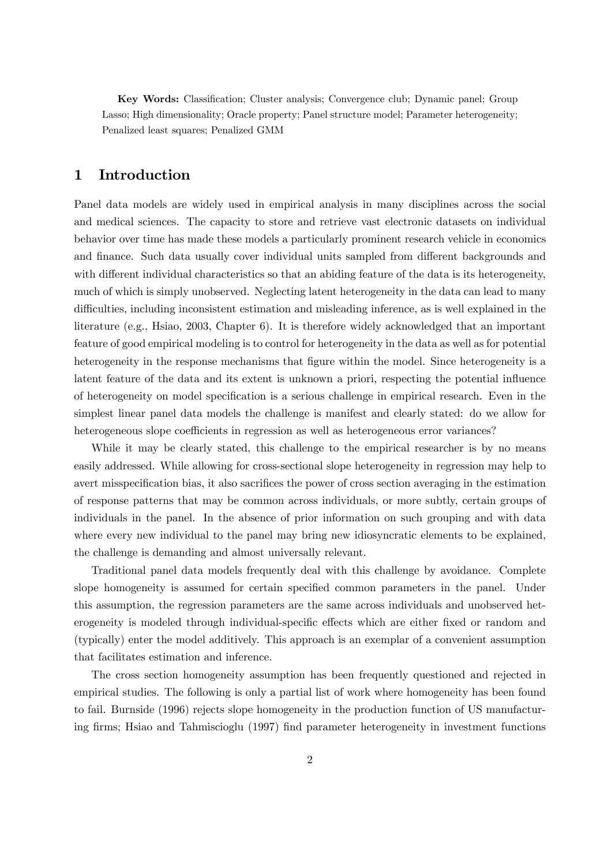Key Words: Classification; Cluster analysis; Convergence club; Dynamic panel; Group Lasso; High dimensionality; Oracle property; Panel structure model; Parameter heterogeneity; Penalized least squares; Penalized GMM

# 1 Introduction

Panel data models are widely used in empirical analysis in many disciplines across the social and medical sciences. The capacity to store and retrieve vast electronic datasets on individual behavior over time has made these models a particularly prominent research vehicle in economics and finance. Such data usually cover individual units sampled from different backgrounds and with different individual characteristics so that an abiding feature of the data is its heterogeneity, much of which is simply unobserved. Neglecting latent heterogeneity in the data can lead to many difficulties, including inconsistent estimation and misleading inference, as is well explained in the literature (e.g., Hsiao, 2003, Chapter 6). It is therefore widely acknowledged that an important feature of good empirical modeling is to control for heterogeneity in the data as well as for potential heterogeneity in the response mechanisms that figure within the model. Since heterogeneity is a latent feature of the data and its extent is unknown a priori, respecting the potential influence of heterogeneity on model specification is a serious challenge in empirical research. Even in the simplest linear panel data models the challenge is manifest and clearly stated: do we allow for heterogeneous slope coefficients in regression as well as heterogeneous error variances?

While it may be clearly stated, this challenge to the empirical researcher is by no means easily addressed. While allowing for cross-sectional slope heterogeneity in regression may help to avert misspecification bias, it also sacrifices the power of cross section averaging in the estimation of response patterns that may be common across individuals, or more subtly, certain groups of individuals in the panel. In the absence of prior information on such grouping and with data where every new individual to the panel may bring new idiosyncratic elements to be explained, the challenge is demanding and almost universally relevant.

Traditional panel data models frequently deal with this challenge by avoidance. Complete slope homogeneity is assumed for certain specified common parameters in the panel. Under this assumption, the regression parameters are the same across individuals and unobserved heterogeneity is modeled through individual-specific effects which are either fixed or random and (typically) enter the model additively. This approach is an exemplar of a convenient assumption that facilitates estimation and inference.

The cross section homogeneity assumption has been frequently questioned and rejected in empirical studies. The following is only a partial list of work where homogeneity has been found to fail. Burnside (1996) rejects slope homogeneity in the production function of US manufacturing firms; Hsiao and Tahmiscioglu (1997) find parameter heterogeneity in investment functions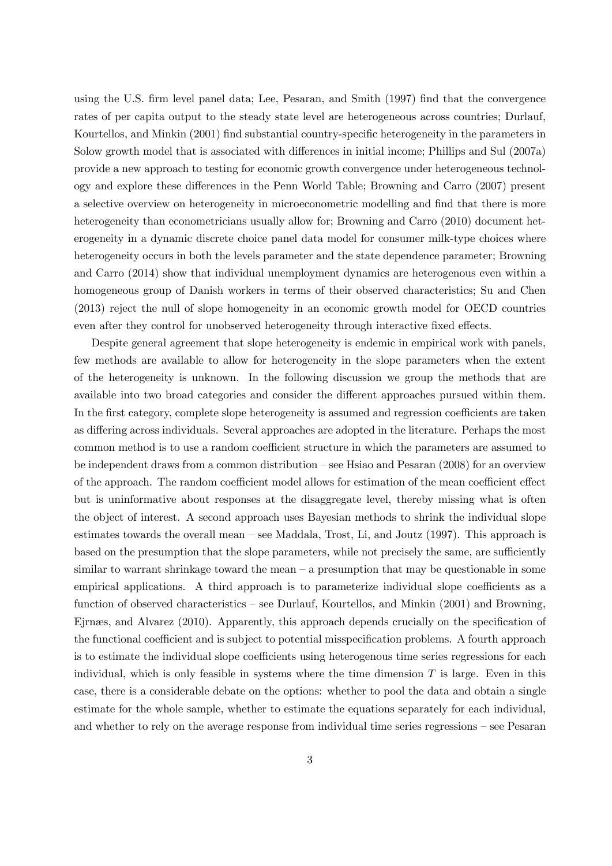using the U.S. firm level panel data; Lee, Pesaran, and Smith (1997) find that the convergence rates of per capita output to the steady state level are heterogeneous across countries; Durlauf, Kourtellos, and Minkin (2001) find substantial country-specific heterogeneity in the parameters in Solow growth model that is associated with differences in initial income; Phillips and Sul (2007a) provide a new approach to testing for economic growth convergence under heterogeneous technology and explore these differences in the Penn World Table; Browning and Carro (2007) present a selective overview on heterogeneity in microeconometric modelling and find that there is more heterogeneity than econometricians usually allow for; Browning and Carro (2010) document heterogeneity in a dynamic discrete choice panel data model for consumer milk-type choices where heterogeneity occurs in both the levels parameter and the state dependence parameter; Browning and Carro (2014) show that individual unemployment dynamics are heterogenous even within a homogeneous group of Danish workers in terms of their observed characteristics; Su and Chen (2013) reject the null of slope homogeneity in an economic growth model for OECD countries even after they control for unobserved heterogeneity through interactive fixed effects.

Despite general agreement that slope heterogeneity is endemic in empirical work with panels, few methods are available to allow for heterogeneity in the slope parameters when the extent of the heterogeneity is unknown. In the following discussion we group the methods that are available into two broad categories and consider the different approaches pursued within them. In the first category, complete slope heterogeneity is assumed and regression coefficients are taken as differing across individuals. Several approaches are adopted in the literature. Perhaps the most common method is to use a random coefficient structure in which the parameters are assumed to be independent draws from a common distribution — see Hsiao and Pesaran (2008) for an overview of the approach. The random coefficient model allows for estimation of the mean coefficient effect but is uninformative about responses at the disaggregate level, thereby missing what is often the object of interest. A second approach uses Bayesian methods to shrink the individual slope estimates towards the overall mean — see Maddala, Trost, Li, and Joutz (1997). This approach is based on the presumption that the slope parameters, while not precisely the same, are sufficiently similar to warrant shrinkage toward the mean  $-$  a presumption that may be questionable in some empirical applications. A third approach is to parameterize individual slope coefficients as a function of observed characteristics — see Durlauf, Kourtellos, and Minkin (2001) and Browning, Ejrnæs, and Alvarez (2010). Apparently, this approach depends crucially on the specification of the functional coefficient and is subject to potential misspecification problems. A fourth approach is to estimate the individual slope coefficients using heterogenous time series regressions for each individual, which is only feasible in systems where the time dimension  $T$  is large. Even in this case, there is a considerable debate on the options: whether to pool the data and obtain a single estimate for the whole sample, whether to estimate the equations separately for each individual, and whether to rely on the average response from individual time series regressions — see Pesaran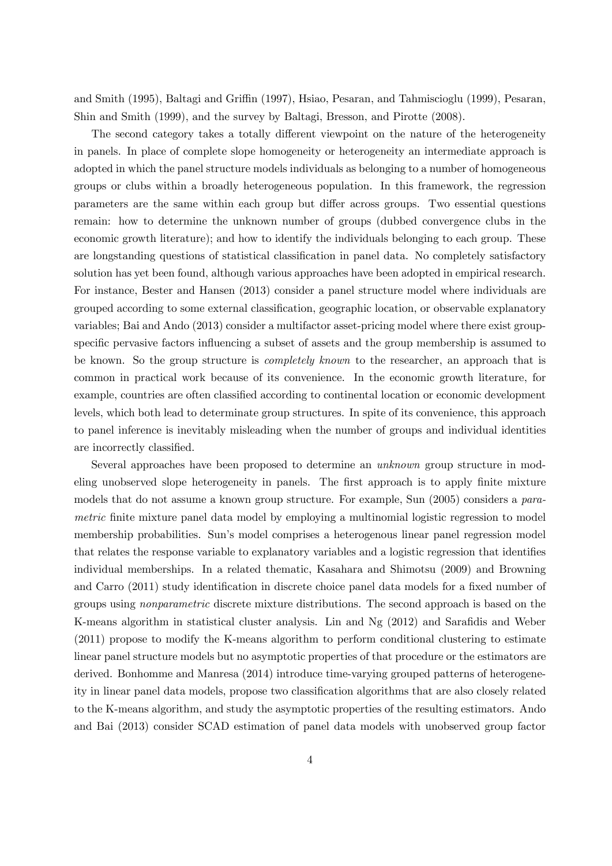and Smith (1995), Baltagi and Griffin (1997), Hsiao, Pesaran, and Tahmiscioglu (1999), Pesaran, Shin and Smith (1999), and the survey by Baltagi, Bresson, and Pirotte (2008).

The second category takes a totally different viewpoint on the nature of the heterogeneity in panels. In place of complete slope homogeneity or heterogeneity an intermediate approach is adopted in which the panel structure models individuals as belonging to a number of homogeneous groups or clubs within a broadly heterogeneous population. In this framework, the regression parameters are the same within each group but differ across groups. Two essential questions remain: how to determine the unknown number of groups (dubbed convergence clubs in the economic growth literature); and how to identify the individuals belonging to each group. These are longstanding questions of statistical classification in panel data. No completely satisfactory solution has yet been found, although various approaches have been adopted in empirical research. For instance, Bester and Hansen (2013) consider a panel structure model where individuals are grouped according to some external classification, geographic location, or observable explanatory variables; Bai and Ando (2013) consider a multifactor asset-pricing model where there exist groupspecific pervasive factors influencing a subset of assets and the group membership is assumed to be known. So the group structure is completely known to the researcher, an approach that is common in practical work because of its convenience. In the economic growth literature, for example, countries are often classified according to continental location or economic development levels, which both lead to determinate group structures. In spite of its convenience, this approach to panel inference is inevitably misleading when the number of groups and individual identities are incorrectly classified.

Several approaches have been proposed to determine an *unknown* group structure in modeling unobserved slope heterogeneity in panels. The first approach is to apply finite mixture models that do not assume a known group structure. For example, Sun (2005) considers a parametric finite mixture panel data model by employing a multinomial logistic regression to model membership probabilities. Sun's model comprises a heterogenous linear panel regression model that relates the response variable to explanatory variables and a logistic regression that identifies individual memberships. In a related thematic, Kasahara and Shimotsu (2009) and Browning and Carro (2011) study identification in discrete choice panel data models for a fixed number of groups using nonparametric discrete mixture distributions. The second approach is based on the K-means algorithm in statistical cluster analysis. Lin and Ng (2012) and Sarafidis and Weber (2011) propose to modify the K-means algorithm to perform conditional clustering to estimate linear panel structure models but no asymptotic properties of that procedure or the estimators are derived. Bonhomme and Manresa (2014) introduce time-varying grouped patterns of heterogeneity in linear panel data models, propose two classification algorithms that are also closely related to the K-means algorithm, and study the asymptotic properties of the resulting estimators. Ando and Bai (2013) consider SCAD estimation of panel data models with unobserved group factor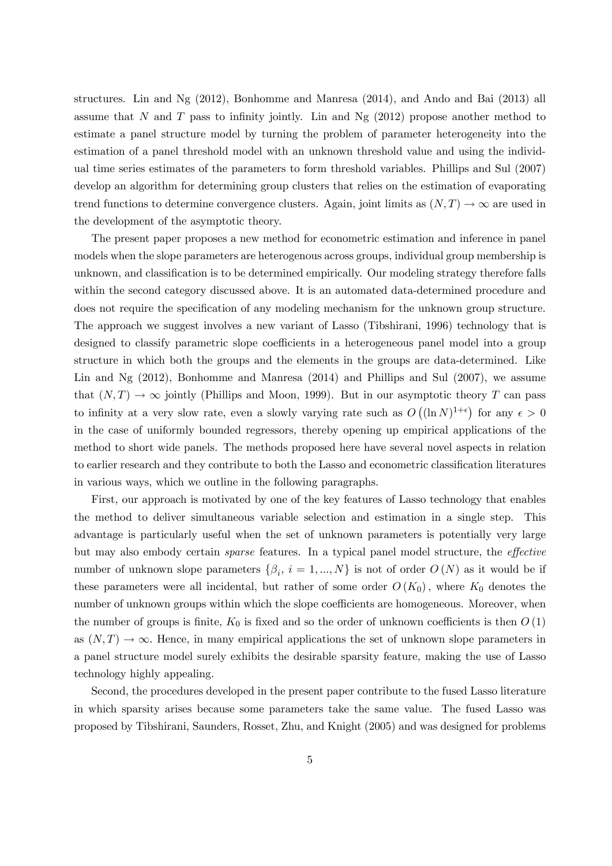structures. Lin and Ng (2012), Bonhomme and Manresa (2014), and Ando and Bai (2013) all assume that N and T pass to infinity jointly. Lin and  $Ng(2012)$  propose another method to estimate a panel structure model by turning the problem of parameter heterogeneity into the estimation of a panel threshold model with an unknown threshold value and using the individual time series estimates of the parameters to form threshold variables. Phillips and Sul (2007) develop an algorithm for determining group clusters that relies on the estimation of evaporating trend functions to determine convergence clusters. Again, joint limits as  $(N, T) \rightarrow \infty$  are used in the development of the asymptotic theory.

The present paper proposes a new method for econometric estimation and inference in panel models when the slope parameters are heterogenous across groups, individual group membership is unknown, and classification is to be determined empirically. Our modeling strategy therefore falls within the second category discussed above. It is an automated data-determined procedure and does not require the specification of any modeling mechanism for the unknown group structure. The approach we suggest involves a new variant of Lasso (Tibshirani, 1996) technology that is designed to classify parametric slope coefficients in a heterogeneous panel model into a group structure in which both the groups and the elements in the groups are data-determined. Like Lin and Ng (2012), Bonhomme and Manresa (2014) and Phillips and Sul (2007), we assume that  $(N, T) \rightarrow \infty$  jointly (Phillips and Moon, 1999). But in our asymptotic theory T can pass to infinity at a very slow rate, even a slowly varying rate such as  $O((\ln N)^{1+\epsilon})$  for any  $\epsilon > 0$ in the case of uniformly bounded regressors, thereby opening up empirical applications of the method to short wide panels. The methods proposed here have several novel aspects in relation to earlier research and they contribute to both the Lasso and econometric classification literatures in various ways, which we outline in the following paragraphs.

First, our approach is motivated by one of the key features of Lasso technology that enables the method to deliver simultaneous variable selection and estimation in a single step. This advantage is particularly useful when the set of unknown parameters is potentially very large but may also embody certain sparse features. In a typical panel model structure, the effective number of unknown slope parameters  $\{\beta_i, i = 1, ..., N\}$  is not of order  $O(N)$  as it would be if these parameters were all incidental, but rather of some order  $O(K_0)$ , where  $K_0$  denotes the number of unknown groups within which the slope coefficients are homogeneous. Moreover, when the number of groups is finite,  $K_0$  is fixed and so the order of unknown coefficients is then  $O(1)$ as  $(N, T) \rightarrow \infty$ . Hence, in many empirical applications the set of unknown slope parameters in a panel structure model surely exhibits the desirable sparsity feature, making the use of Lasso technology highly appealing.

Second, the procedures developed in the present paper contribute to the fused Lasso literature in which sparsity arises because some parameters take the same value. The fused Lasso was proposed by Tibshirani, Saunders, Rosset, Zhu, and Knight (2005) and was designed for problems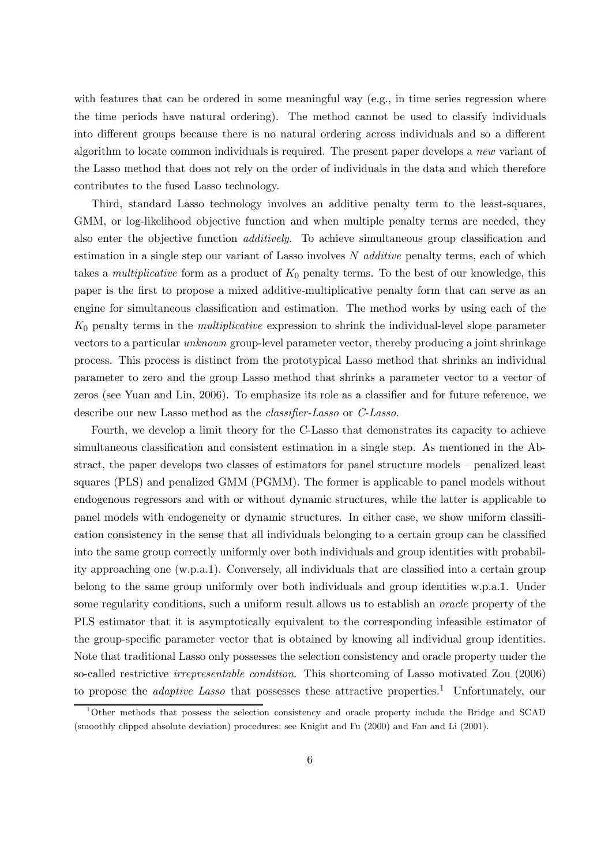with features that can be ordered in some meaningful way  $(e.g., in time series regression where$ the time periods have natural ordering). The method cannot be used to classify individuals into different groups because there is no natural ordering across individuals and so a different algorithm to locate common individuals is required. The present paper develops a new variant of the Lasso method that does not rely on the order of individuals in the data and which therefore contributes to the fused Lasso technology.

Third, standard Lasso technology involves an additive penalty term to the least-squares, GMM, or log-likelihood objective function and when multiple penalty terms are needed, they also enter the objective function additively. To achieve simultaneous group classification and estimation in a single step our variant of Lasso involves  $N$  *additive* penalty terms, each of which takes a multiplicative form as a product of  $K_0$  penalty terms. To the best of our knowledge, this paper is the first to propose a mixed additive-multiplicative penalty form that can serve as an engine for simultaneous classification and estimation. The method works by using each of the  $K_0$  penalty terms in the *multiplicative* expression to shrink the individual-level slope parameter vectors to a particular unknown group-level parameter vector, thereby producing a joint shrinkage process. This process is distinct from the prototypical Lasso method that shrinks an individual parameter to zero and the group Lasso method that shrinks a parameter vector to a vector of zeros (see Yuan and Lin, 2006). To emphasize its role as a classifier and for future reference, we describe our new Lasso method as the classifier-Lasso or C-Lasso.

Fourth, we develop a limit theory for the C-Lasso that demonstrates its capacity to achieve simultaneous classification and consistent estimation in a single step. As mentioned in the Abstract, the paper develops two classes of estimators for panel structure models — penalized least squares (PLS) and penalized GMM (PGMM). The former is applicable to panel models without endogenous regressors and with or without dynamic structures, while the latter is applicable to panel models with endogeneity or dynamic structures. In either case, we show uniform classification consistency in the sense that all individuals belonging to a certain group can be classified into the same group correctly uniformly over both individuals and group identities with probability approaching one (w.p.a.1). Conversely, all individuals that are classified into a certain group belong to the same group uniformly over both individuals and group identities w.p.a.1. Under some regularity conditions, such a uniform result allows us to establish an *oracle* property of the PLS estimator that it is asymptotically equivalent to the corresponding infeasible estimator of the group-specific parameter vector that is obtained by knowing all individual group identities. Note that traditional Lasso only possesses the selection consistency and oracle property under the so-called restrictive irrepresentable condition. This shortcoming of Lasso motivated Zou (2006) to propose the *adaptive Lasso* that possesses these attractive properties.<sup>1</sup> Unfortunately, our

<sup>1</sup>Other methods that possess the selection consistency and oracle property include the Bridge and SCAD (smoothly clipped absolute deviation) procedures; see Knight and Fu (2000) and Fan and Li (2001).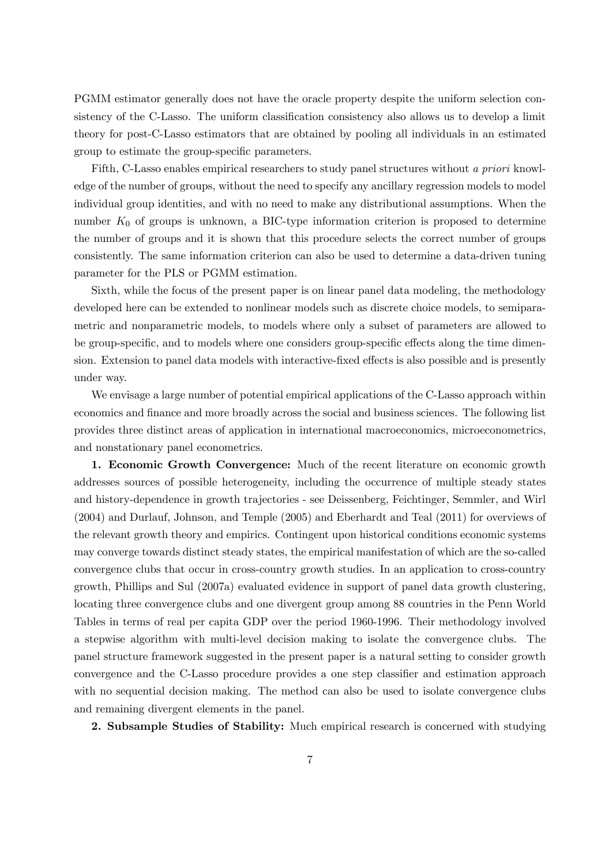PGMM estimator generally does not have the oracle property despite the uniform selection consistency of the C-Lasso. The uniform classification consistency also allows us to develop a limit theory for post-C-Lasso estimators that are obtained by pooling all individuals in an estimated group to estimate the group-specific parameters.

Fifth, C-Lasso enables empirical researchers to study panel structures without a priori knowledge of the number of groups, without the need to specify any ancillary regression models to model individual group identities, and with no need to make any distributional assumptions. When the number  $K_0$  of groups is unknown, a BIC-type information criterion is proposed to determine the number of groups and it is shown that this procedure selects the correct number of groups consistently. The same information criterion can also be used to determine a data-driven tuning parameter for the PLS or PGMM estimation.

Sixth, while the focus of the present paper is on linear panel data modeling, the methodology developed here can be extended to nonlinear models such as discrete choice models, to semiparametric and nonparametric models, to models where only a subset of parameters are allowed to be group-specific, and to models where one considers group-specific effects along the time dimension. Extension to panel data models with interactive-fixed effects is also possible and is presently under way.

We envisage a large number of potential empirical applications of the C-Lasso approach within economics and finance and more broadly across the social and business sciences. The following list provides three distinct areas of application in international macroeconomics, microeconometrics, and nonstationary panel econometrics.

1. Economic Growth Convergence: Much of the recent literature on economic growth addresses sources of possible heterogeneity, including the occurrence of multiple steady states and history-dependence in growth trajectories - see Deissenberg, Feichtinger, Semmler, and Wirl (2004) and Durlauf, Johnson, and Temple (2005) and Eberhardt and Teal (2011) for overviews of the relevant growth theory and empirics. Contingent upon historical conditions economic systems may converge towards distinct steady states, the empirical manifestation of which are the so-called convergence clubs that occur in cross-country growth studies. In an application to cross-country growth, Phillips and Sul (2007a) evaluated evidence in support of panel data growth clustering, locating three convergence clubs and one divergent group among 88 countries in the Penn World Tables in terms of real per capita GDP over the period 1960-1996. Their methodology involved a stepwise algorithm with multi-level decision making to isolate the convergence clubs. The panel structure framework suggested in the present paper is a natural setting to consider growth convergence and the C-Lasso procedure provides a one step classifier and estimation approach with no sequential decision making. The method can also be used to isolate convergence clubs and remaining divergent elements in the panel.

2. Subsample Studies of Stability: Much empirical research is concerned with studying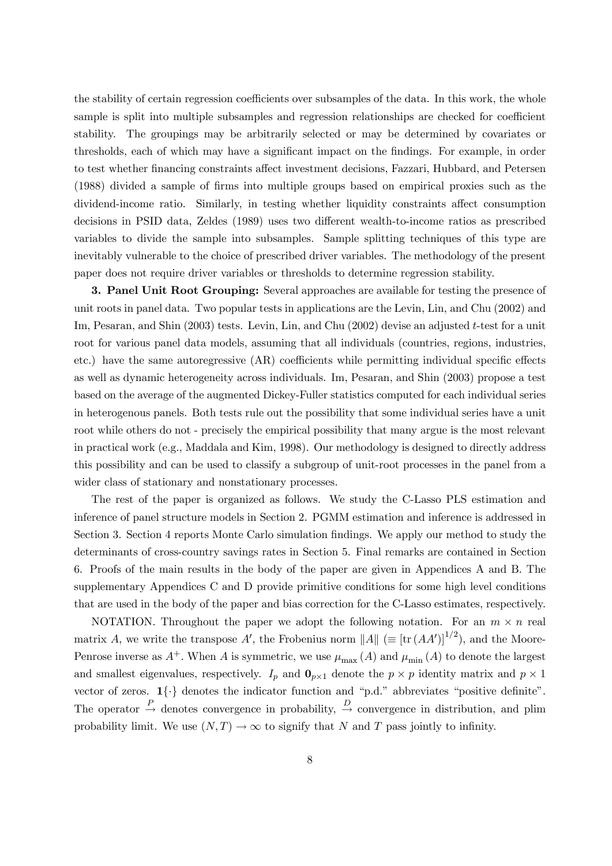the stability of certain regression coefficients over subsamples of the data. In this work, the whole sample is split into multiple subsamples and regression relationships are checked for coefficient stability. The groupings may be arbitrarily selected or may be determined by covariates or thresholds, each of which may have a significant impact on the findings. For example, in order to test whether financing constraints affect investment decisions, Fazzari, Hubbard, and Petersen (1988) divided a sample of firms into multiple groups based on empirical proxies such as the dividend-income ratio. Similarly, in testing whether liquidity constraints affect consumption decisions in PSID data, Zeldes (1989) uses two different wealth-to-income ratios as prescribed variables to divide the sample into subsamples. Sample splitting techniques of this type are inevitably vulnerable to the choice of prescribed driver variables. The methodology of the present paper does not require driver variables or thresholds to determine regression stability.

**3. Panel Unit Root Grouping:** Several approaches are available for testing the presence of unit roots in panel data. Two popular tests in applications are the Levin, Lin, and Chu (2002) and Im, Pesaran, and Shin  $(2003)$  tests. Levin, Lin, and Chu  $(2002)$  devise an adjusted t-test for a unit root for various panel data models, assuming that all individuals (countries, regions, industries, etc.) have the same autoregressive (AR) coefficients while permitting individual specific effects as well as dynamic heterogeneity across individuals. Im, Pesaran, and Shin (2003) propose a test based on the average of the augmented Dickey-Fuller statistics computed for each individual series in heterogenous panels. Both tests rule out the possibility that some individual series have a unit root while others do not - precisely the empirical possibility that many argue is the most relevant in practical work (e.g., Maddala and Kim, 1998). Our methodology is designed to directly address this possibility and can be used to classify a subgroup of unit-root processes in the panel from a wider class of stationary and nonstationary processes.

The rest of the paper is organized as follows. We study the C-Lasso PLS estimation and inference of panel structure models in Section 2. PGMM estimation and inference is addressed in Section 3. Section 4 reports Monte Carlo simulation findings. We apply our method to study the determinants of cross-country savings rates in Section 5. Final remarks are contained in Section 6. Proofs of the main results in the body of the paper are given in Appendices A and B. The supplementary Appendices C and D provide primitive conditions for some high level conditions that are used in the body of the paper and bias correction for the C-Lasso estimates, respectively.

NOTATION. Throughout the paper we adopt the following notation. For an  $m \times n$  real matrix A, we write the transpose A', the Frobenius norm  $||A|| \equiv [\text{tr} (AA')]^{1/2}$ , and the Moore-Penrose inverse as  $A^+$ . When A is symmetric, we use  $\mu_{\max}(A)$  and  $\mu_{\min}(A)$  to denote the largest and smallest eigenvalues, respectively.  $I_p$  and  $\mathbf{0}_{p\times 1}$  denote the  $p \times p$  identity matrix and  $p \times 1$ vector of zeros.  $1\{\cdot\}$  denotes the indicator function and "p.d." abbreviates "positive definite". The operator  $\stackrel{P}{\rightarrow}$  denotes convergence in probability,  $\stackrel{D}{\rightarrow}$  convergence in distribution, and plim probability limit. We use  $(N, T) \to \infty$  to signify that N and T pass jointly to infinity.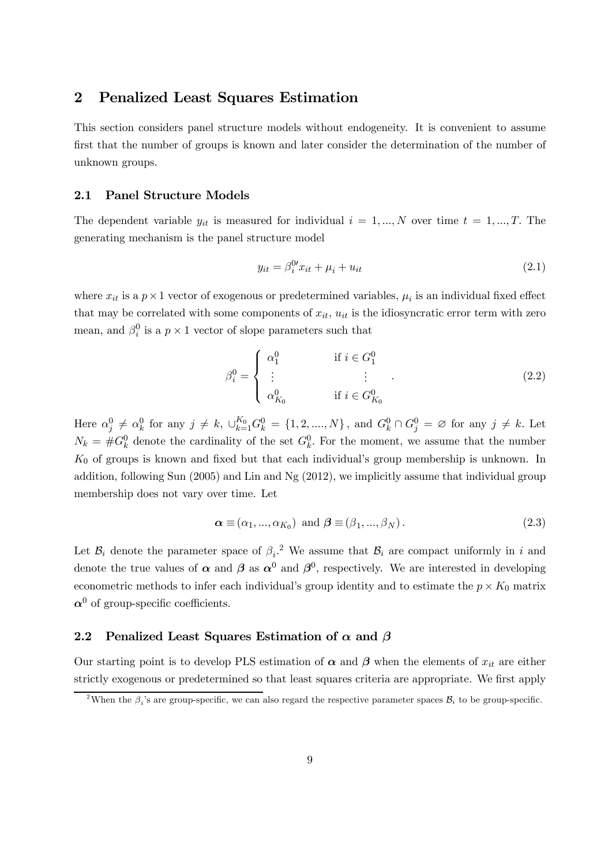## 2 Penalized Least Squares Estimation

This section considers panel structure models without endogeneity. It is convenient to assume first that the number of groups is known and later consider the determination of the number of unknown groups.

### 2.1 Panel Structure Models

The dependent variable  $y_{it}$  is measured for individual  $i = 1, ..., N$  over time  $t = 1, ..., T$ . The generating mechanism is the panel structure model

$$
y_{it} = \beta_i^0 x_{it} + \mu_i + u_{it} \tag{2.1}
$$

where  $x_{it}$  is a  $p \times 1$  vector of exogenous or predetermined variables,  $\mu_i$  is an individual fixed effect that may be correlated with some components of  $x_{it}$ ,  $u_{it}$  is the idiosyncratic error term with zero mean, and  $\beta_i^0$  is a  $p \times 1$  vector of slope parameters such that

$$
\beta_i^0 = \begin{cases}\n\alpha_1^0 & \text{if } i \in G_1^0 \\
\vdots & \vdots \\
\alpha_{K_0}^0 & \text{if } i \in G_{K_0}^0\n\end{cases}
$$
\n(2.2)

Here  $\alpha_j^0 \neq \alpha_k^0$  for any  $j \neq k$ ,  $\bigcup_{k=1}^{K_0} G_k^0 = \{1, 2, ..., N\}$ , and  $G_k^0 \cap G_j^0 = \emptyset$  for any  $j \neq k$ . Let  $N_k = \#G_k^0$  denote the cardinality of the set  $G_k^0$ . For the moment, we assume that the number  $K_0$  of groups is known and fixed but that each individual's group membership is unknown. In addition, following Sun (2005) and Lin and Ng (2012), we implicitly assume that individual group membership does not vary over time. Let

$$
\boldsymbol{\alpha} \equiv (\alpha_1, ..., \alpha_{K_0}) \text{ and } \boldsymbol{\beta} \equiv (\beta_1, ..., \beta_N). \tag{2.3}
$$

Let  $\mathcal{B}_i$  denote the parameter space of  $\beta_i$ .<sup>2</sup> We assume that  $\mathcal{B}_i$  are compact uniformly in i and denote the true values of  $\alpha$  and  $\beta$  as  $\alpha^0$  and  $\beta^0$ , respectively. We are interested in developing econometric methods to infer each individual's group identity and to estimate the  $p \times K_0$  matrix  $\alpha^0$  of group-specific coefficients.

## 2.2 Penalized Least Squares Estimation of  $\alpha$  and  $\beta$

Our starting point is to develop PLS estimation of  $\alpha$  and  $\beta$  when the elements of  $x_{it}$  are either strictly exogenous or predetermined so that least squares criteria are appropriate. We first apply

<sup>&</sup>lt;sup>2</sup>When the  $\beta_i$ 's are group-specific, we can also regard the respective parameter spaces  $\beta_i$  to be group-specific.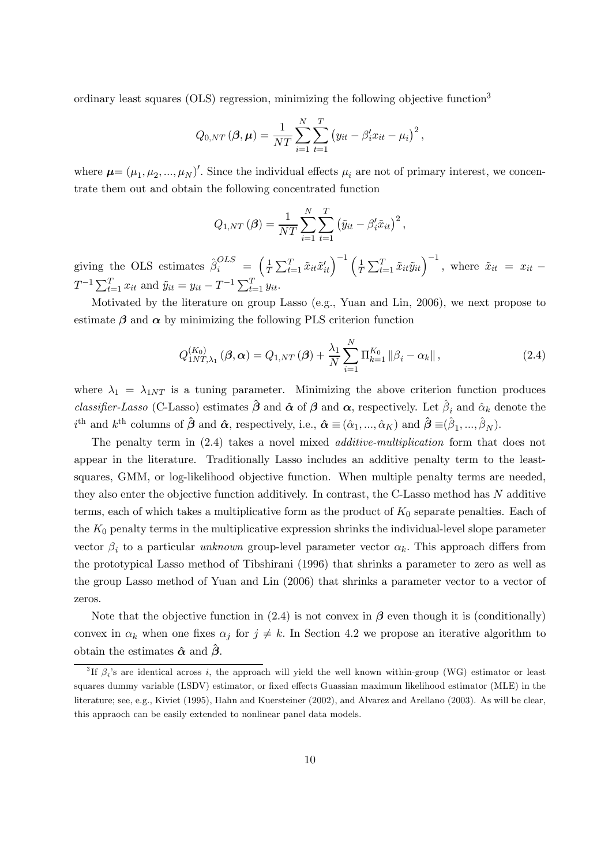ordinary least squares (OLS) regression, minimizing the following objective function3

$$
Q_{0,NT}(\beta, \mu) = \frac{1}{NT} \sum_{i=1}^{N} \sum_{t=1}^{T} (y_{it} - \beta'_i x_{it} - \mu_i)^2,
$$

where  $\mu = (\mu_1, \mu_2, ..., \mu_N)'$ . Since the individual effects  $\mu_i$  are not of primary interest, we concentrate them out and obtain the following concentrated function

$$
Q_{1,NT}(\beta) = \frac{1}{NT} \sum_{i=1}^{N} \sum_{t=1}^{T} (\tilde{y}_{it} - \beta'_i \tilde{x}_{it})^2,
$$

giving the OLS estimates  $\hat{\beta}_i^{OLS} = \left(\frac{1}{T}\right)$  $\frac{1}{T} \sum_{t=1}^T \tilde{x}_{it} \tilde{x}'_{it} \bigg)^{-1} \left( \frac{1}{T} \sum_{t=1}^T \tilde{x}_{it} \tilde{y}_{it} \right)^{-1}$ , where  $\tilde{x}_{it} = x_{it}$  $T^{-1} \sum_{t=1}^{T} x_{it}$  and  $\tilde{y}_{it} = y_{it} - T^{-1} \sum_{t=1}^{T} y_{it}$ .

Motivated by the literature on group Lasso (e.g., Yuan and Lin, 2006), we next propose to estimate  $\beta$  and  $\alpha$  by minimizing the following PLS criterion function

$$
Q_{1NT,\lambda_1}^{(K_0)}(\boldsymbol{\beta}, \boldsymbol{\alpha}) = Q_{1,NT}(\boldsymbol{\beta}) + \frac{\lambda_1}{N} \sum_{i=1}^N \Pi_{k=1}^{K_0} \|\beta_i - \alpha_k\|,
$$
\n(2.4)

where  $\lambda_1 = \lambda_{1NT}$  is a tuning parameter. Minimizing the above criterion function produces classifier-Lasso (C-Lasso) estimates  $\hat{\boldsymbol{\beta}}$  and  $\hat{\boldsymbol{\alpha}}$  of  $\boldsymbol{\beta}$  and  $\boldsymbol{\alpha}$ , respectively. Let  $\hat{\beta}_i$  and  $\hat{\alpha}_k$  denote the  $i^{\text{th}}$  and  $k^{\text{th}}$  columns of  $\hat{\boldsymbol{\beta}}$  and  $\hat{\boldsymbol{\alpha}}$ , respectively, i.e.,  $\hat{\boldsymbol{\alpha}} \equiv (\hat{\alpha}_1, ..., \hat{\alpha}_K)$  and  $\hat{\boldsymbol{\beta}} \equiv (\hat{\beta}_1, ..., \hat{\beta}_N)$ .

The penalty term in  $(2.4)$  takes a novel mixed *additive-multiplication* form that does not appear in the literature. Traditionally Lasso includes an additive penalty term to the leastsquares, GMM, or log-likelihood objective function. When multiple penalty terms are needed, they also enter the objective function additively. In contrast, the C-Lasso method has  $N$  additive terms, each of which takes a multiplicative form as the product of  $K_0$  separate penalties. Each of the  $K_0$  penalty terms in the multiplicative expression shrinks the individual-level slope parameter vector  $\beta_i$  to a particular unknown group-level parameter vector  $\alpha_k$ . This approach differs from the prototypical Lasso method of Tibshirani (1996) that shrinks a parameter to zero as well as the group Lasso method of Yuan and Lin (2006) that shrinks a parameter vector to a vector of zeros.

Note that the objective function in  $(2.4)$  is not convex in  $\beta$  even though it is (conditionally) convex in  $\alpha_k$  when one fixes  $\alpha_j$  for  $j \neq k$ . In Section 4.2 we propose an iterative algorithm to obtain the estimates  $\hat{\boldsymbol{\alpha}}$  and  $\hat{\boldsymbol{\beta}}$ .

<sup>&</sup>lt;sup>3</sup>If  $\beta$ ,'s are identical across *i*, the approach will yield the well known within-group (WG) estimator or least squares dummy variable (LSDV) estimator, or fixed effects Guassian maximum likelihood estimator (MLE) in the literature; see, e.g., Kiviet (1995), Hahn and Kuersteiner (2002), and Alvarez and Arellano (2003). As will be clear, this appraoch can be easily extended to nonlinear panel data models.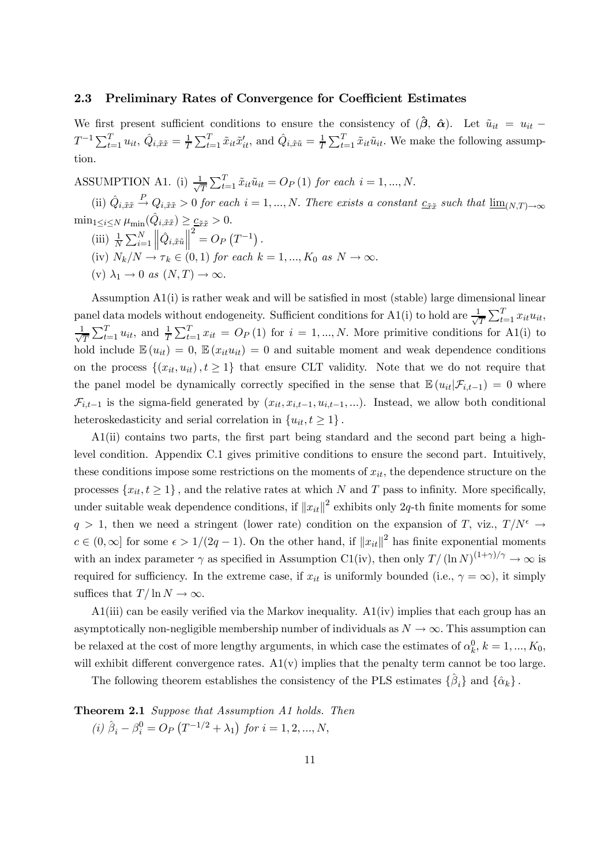### 2.3 Preliminary Rates of Convergence for Coefficient Estimates

We first present sufficient conditions to ensure the consistency of  $(\hat{\beta}, \hat{\alpha})$ . Let  $\tilde{u}_{it} = u_{it}$  $T^{-1} \sum_{t=1}^{T} u_{it}, \hat{Q}_{i, \tilde{x}\tilde{x}} = \frac{1}{T} \sum_{t=1}^{T} \tilde{x}_{it} \tilde{x}'_{it},$  and  $\hat{Q}_{i, \tilde{x}\tilde{u}} = \frac{1}{T} \sum_{t=1}^{T} \tilde{x}_{it} \tilde{u}_{it}.$  We make the following assumption.

ASSUMPTION A1. (i)  $\frac{1}{\sqrt{2}}$  $\frac{1}{T} \sum_{t=1}^{T} \tilde{x}_{it} \tilde{u}_{it} = O_P(1)$  for each  $i = 1, ..., N$ .

(ii)  $\hat{Q}_{i,\tilde{x}\tilde{x}} \stackrel{P}{\rightarrow} Q_{i,\tilde{x}\tilde{x}} > 0$  for each  $i = 1, ..., N$ . There exists a constant  $\underline{c}_{\tilde{x}\tilde{x}}$  such that  $\underline{\lim}_{(N,T)\to\infty}$  $\label{eq:optimal} \min_{1\leq i\leq N} \mu_{\min}(\hat{Q}_{i,\tilde{x}\tilde{x}})\geq \underline{c}_{\tilde{x}\tilde{x}}>0.$ (iii)  $\frac{1}{N} \sum_{i=1}^{N}$  $\left\| \hat{Q}_{i,\tilde{x}\tilde{u}} \right\|$  $2^{2} = O_{P} (T^{-1}).$ 

- (iv)  $N_k/N \rightarrow \tau_k \in (0,1)$  for each  $k = 1, ..., K_0$  as  $N \rightarrow \infty$ .
- (v)  $\lambda_1 \rightarrow 0$  as  $(N, T) \rightarrow \infty$ .

Assumption A1(i) is rather weak and will be satisfied in most (stable) large dimensional linear panel data models without endogeneity. Sufficient conditions for A1(i) to hold are  $\frac{1}{\sqrt{6}}$  $\frac{1}{T} \sum_{t=1}^{T} x_{it} u_{it},$  $\frac{1}{\sqrt{2}}$  $\frac{1}{T} \sum_{t=1}^{T} u_{it}$ , and  $\frac{1}{T} \sum_{t=1}^{T} x_{it} = O_P(1)$  for  $i = 1, ..., N$ . More primitive conditions for A1(i) to hold include  $\mathbb{E}(u_{it})=0$ ,  $\mathbb{E}(x_{it}u_{it})=0$  and suitable moment and weak dependence conditions on the process  $\{(x_{it}, u_{it}), t \geq 1\}$  that ensure CLT validity. Note that we do not require that the panel model be dynamically correctly specified in the sense that  $\mathbb{E}(u_{it}|\mathcal{F}_{i,t-1})=0$  where  $\mathcal{F}_{i,t-1}$  is the sigma-field generated by  $(x_{it}, x_{i,t-1}, u_{i,t-1}, ...)$ . Instead, we allow both conditional heteroskedasticity and serial correlation in  $\{u_{it}, t \geq 1\}$ .

A1(ii) contains two parts, the first part being standard and the second part being a highlevel condition. Appendix C.1 gives primitive conditions to ensure the second part. Intuitively, these conditions impose some restrictions on the moments of  $x_{it}$ , the dependence structure on the processes  $\{x_{it}, t \geq 1\}$ , and the relative rates at which N and T pass to infinity. More specifically, under suitable weak dependence conditions, if  $||x_{it}||^2$  exhibits only 2q-th finite moments for some  $q > 1$ , then we need a stringent (lower rate) condition on the expansion of T, viz.,  $T/N^{\epsilon} \rightarrow$  $c \in (0,\infty]$  for some  $\epsilon > 1/(2q-1)$ . On the other hand, if  $||x_{it}||^2$  has finite exponential moments with an index parameter  $\gamma$  as specified in Assumption C1(iv), then only  $T/(\ln N)^{(1+\gamma)/\gamma} \to \infty$  is required for sufficiency. In the extreme case, if  $x_{it}$  is uniformly bounded (i.e.,  $\gamma = \infty$ ), it simply suffices that  $T/\ln N \to \infty$ .

 $A1(iii)$  can be easily verified via the Markov inequality.  $A1(iv)$  implies that each group has an asymptotically non-negligible membership number of individuals as  $N \to \infty$ . This assumption can be relaxed at the cost of more lengthy arguments, in which case the estimates of  $\alpha_k^0$ ,  $k = 1, ..., K_0$ , will exhibit different convergence rates.  $A1(v)$  implies that the penalty term cannot be too large.

The following theorem establishes the consistency of the PLS estimates  $\{\hat{\beta}_i\}$  and  $\{\hat{\alpha}_k\}$ .

Theorem 2.1 Suppose that Assumption A1 holds. Then (i)  $\hat{\beta}_i - \beta_i^0 = O_P(T^{-1/2} + \lambda_1)$  for  $i = 1, 2, ..., N$ ,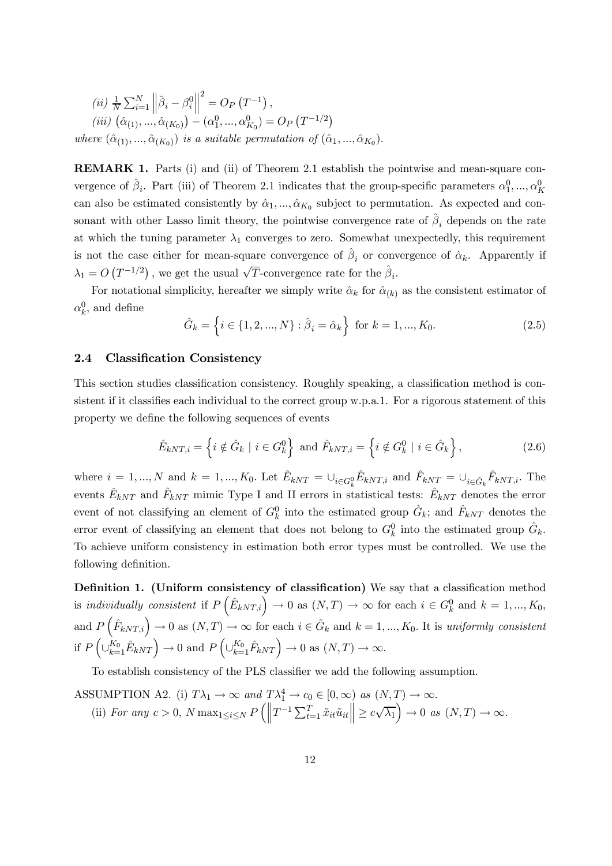(*ii*) 
$$
\frac{1}{N} \sum_{i=1}^{N} ||\hat{\beta}_i - \beta_i^0||^2 = O_P(T^{-1}),
$$
  
\n(*iii*)  $(\hat{\alpha}_{(1)}, ..., \hat{\alpha}_{(K_0)}) - (\alpha_1^0, ..., \alpha_{K_0}^0) = O_P(T^{-1/2})$   
\n*where*  $(\hat{\alpha}_{(1)}, ..., \hat{\alpha}_{(K_0)})$  *is a suitable permutation of*  $(\hat{\alpha}_1, ..., \hat{\alpha}_{K_0})$ .

REMARK 1. Parts (i) and (ii) of Theorem 2.1 establish the pointwise and mean-square convergence of  $\hat{\beta}_i$ . Part (iii) of Theorem 2.1 indicates that the group-specific parameters  $\alpha_1^0, ..., \alpha_K^0$ can also be estimated consistently by  $\hat{\alpha}_1, ..., \hat{\alpha}_{K_0}$  subject to permutation. As expected and consonant with other Lasso limit theory, the pointwise convergence rate of  $\beta_i$  depends on the rate at which the tuning parameter  $\lambda_1$  converges to zero. Somewhat unexpectedly, this requirement is not the case either for mean-square convergence of  $\hat{\beta}_i$  or convergence of  $\hat{\alpha}_k$ . Apparently if  $\lambda_1 = O\left(T^{-1/2}\right)$ , we get the usual  $\sqrt{T}$ -convergence rate for the  $\hat{\beta}_i$ .

For notational simplicity, hereafter we simply write  $\hat{\alpha}_k$  for  $\hat{\alpha}_{(k)}$  as the consistent estimator of  $\alpha_k^0$ , and define

$$
\hat{G}_k = \left\{ i \in \{1, 2, ..., N\} : \hat{\beta}_i = \hat{\alpha}_k \right\} \text{ for } k = 1, ..., K_0.
$$
\n(2.5)

### 2.4 Classification Consistency

This section studies classification consistency. Roughly speaking, a classification method is consistent if it classifies each individual to the correct group w.p.a.1. For a rigorous statement of this property we define the following sequences of events

$$
\hat{E}_{kNT,i} = \left\{ i \notin \hat{G}_k \mid i \in G_k^0 \right\} \text{ and } \hat{F}_{kNT,i} = \left\{ i \notin G_k^0 \mid i \in \hat{G}_k \right\},\tag{2.6}
$$

where  $i = 1, ..., N$  and  $k = 1, ..., K_0$ . Let  $\hat{E}_{kNT} = \bigcup_{i \in G_k} \hat{E}_{kNT,i}$  and  $\hat{F}_{kNT} = \bigcup_{i \in \hat{G}_k} \hat{F}_{kNT,i}$ . The events  $\hat{E}_{kNT}$  and  $\hat{F}_{kNT}$  mimic Type I and II errors in statistical tests:  $\hat{E}_{kNT}$  denotes the error event of not classifying an element of  $G_k^0$  into the estimated group  $\hat{G}_k$ ; and  $\hat{F}_{kNT}$  denotes the error event of classifying an element that does not belong to  $G_k^0$  into the estimated group  $\hat{G}_k$ . To achieve uniform consistency in estimation both error types must be controlled. We use the following definition.

Definition 1. (Uniform consistency of classification) We say that a classification method is individually consistent if  $P(\hat{E}_{kNT,i}) \to 0$  as  $(N,T) \to \infty$  for each  $i \in G_k^0$  and  $k = 1, ..., K_0$ , and  $P\left(\hat{F}_{kNT,i}\right) \to 0$  as  $(N,T) \to \infty$  for each  $i \in \hat{G}_k$  and  $k = 1, ..., K_0$ . It is uniformly consistent if  $P\left(\cup_{k=1}^{K_0} \hat{E}_{kNT}\right) \to 0$  and  $P\left(\cup_{k=1}^{K_0} \hat{F}_{kNT}\right) \to 0$  as  $(N,T) \to \infty$ .

To establish consistency of the PLS classifier we add the following assumption.

ASSUMPTION A2. (i) 
$$
T\lambda_1 \to \infty
$$
 and  $T\lambda_1^4 \to c_0 \in [0, \infty)$  as  $(N, T) \to \infty$ .  
\n(ii) For any  $c > 0$ ,  $N \max_{1 \le i \le N} P\left(\left\|T^{-1} \sum_{t=1}^T \tilde{x}_{it} \tilde{u}_{it}\right\| \ge c\sqrt{\lambda_1}\right) \to 0$  as  $(N, T) \to \infty$ .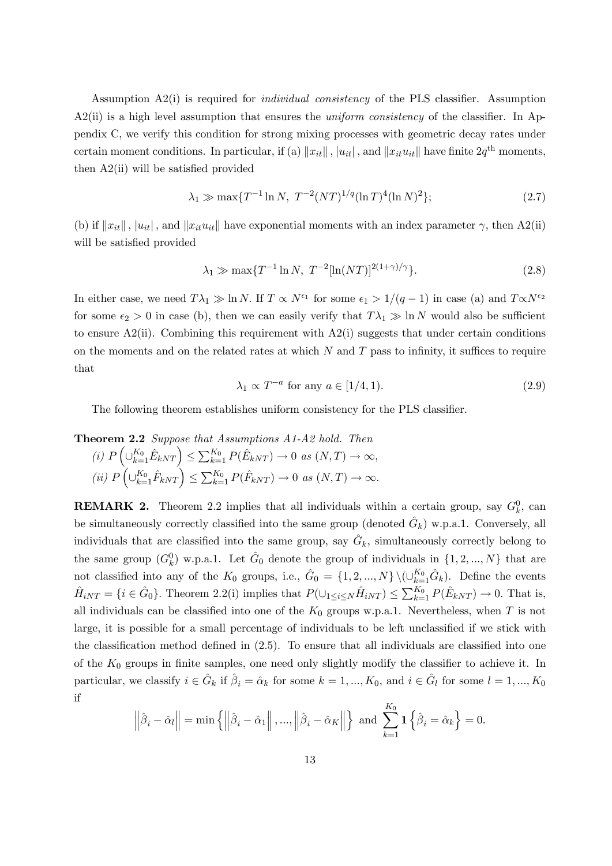Assumption A2(i) is required for individual consistency of the PLS classifier. Assumption  $A2(i)$  is a high level assumption that ensures the *uniform consistency* of the classifier. In Appendix C, we verify this condition for strong mixing processes with geometric decay rates under certain moment conditions. In particular, if (a)  $||x_{it}||$ ,  $|u_{it}|$ , and  $||x_{it}u_{it}||$  have finite  $2q^{th}$  moments, then A2(ii) will be satisfied provided

$$
\lambda_1 \gg \max\{T^{-1}\ln N, \ T^{-2}(NT)^{1/q}(\ln T)^4(\ln N)^2\};\tag{2.7}
$$

(b) if  $||x_{it}||$ ,  $|u_{it}|$ , and  $||x_{it}u_{it}||$  have exponential moments with an index parameter  $\gamma$ , then A2(ii) will be satisfied provided

$$
\lambda_1 \gg \max\{T^{-1}\ln N, T^{-2}[\ln(NT)]^{2(1+\gamma)/\gamma}\}.
$$
\n(2.8)

In either case, we need  $T\lambda_1 \gg \ln N$ . If  $T \propto N^{\epsilon_1}$  for some  $\epsilon_1 > 1/(q-1)$  in case (a) and  $T \propto N^{\epsilon_2}$ for some  $\epsilon_2 > 0$  in case (b), then we can easily verify that  $T\lambda_1 \gg \ln N$  would also be sufficient to ensure  $A2(ii)$ . Combining this requirement with  $A2(i)$  suggests that under certain conditions on the moments and on the related rates at which  $N$  and  $T$  pass to infinity, it suffices to require that

$$
\lambda_1 \propto T^{-a} \text{ for any } a \in [1/4, 1). \tag{2.9}
$$

The following theorem establishes uniform consistency for the PLS classifier.

**Theorem 2.2** Suppose that Assumptions A1-A2 hold. Then  
\n(i) 
$$
P\left(\bigcup_{k=1}^{K_0} \hat{E}_{kNT}\right) \le \sum_{k=1}^{K_0} P(\hat{E}_{kNT}) \to 0
$$
 as  $(N,T) \to \infty$ ,  
\n(ii)  $P\left(\bigcup_{k=1}^{K_0} \hat{F}_{kNT}\right) \le \sum_{k=1}^{K_0} P(\hat{F}_{kNT}) \to 0$  as  $(N,T) \to \infty$ .

**REMARK 2.** Theorem 2.2 implies that all individuals within a certain group, say  $G_k^0$ , can be simultaneously correctly classified into the same group (denoted  $\tilde{G}_k$ ) w.p.a.1. Conversely, all individuals that are classified into the same group, say  $G_k$ , simultaneously correctly belong to the same group  $(G_k^0)$  w.p.a.1. Let  $\hat{G}_0$  denote the group of individuals in  $\{1, 2, ..., N\}$  that are not classified into any of the  $K_0$  groups, i.e.,  $\hat{G}_0 = \{1, 2, ..., N\} \setminus (\cup_{k=1}^{K_0} \hat{G}_k)$ . Define the events  $\hat{H}_{iNT} = \{i \in \hat{G}_0\}$ . Theorem 2.2(i) implies that  $P(\cup_{1 \leq i \leq N} \hat{H}_{iNT}) \leq \sum_{k=1}^{K_0} P(\hat{E}_{kNT}) \to 0$ . That is, all individuals can be classified into one of the  $K_0$  groups w.p.a.1. Nevertheless, when T is not large, it is possible for a small percentage of individuals to be left unclassified if we stick with the classification method defined in (2.5). To ensure that all individuals are classified into one of the  $K_0$  groups in finite samples, one need only slightly modify the classifier to achieve it. In particular, we classify  $i \in \hat{G}_k$  if  $\hat{\beta}_i = \hat{\alpha}_k$  for some  $k = 1, ..., K_0$ , and  $i \in \hat{G}_l$  for some  $l = 1, ..., K_0$ if

$$
\left\|\hat{\beta}_i - \hat{\alpha}_l\right\| = \min\left\{\left\|\hat{\beta}_i - \hat{\alpha}_1\right\|, ..., \left\|\hat{\beta}_i - \hat{\alpha}_K\right\|\right\} \text{ and } \sum_{k=1}^{K_0} \mathbf{1} \left\{\hat{\beta}_i = \hat{\alpha}_k\right\} = 0.
$$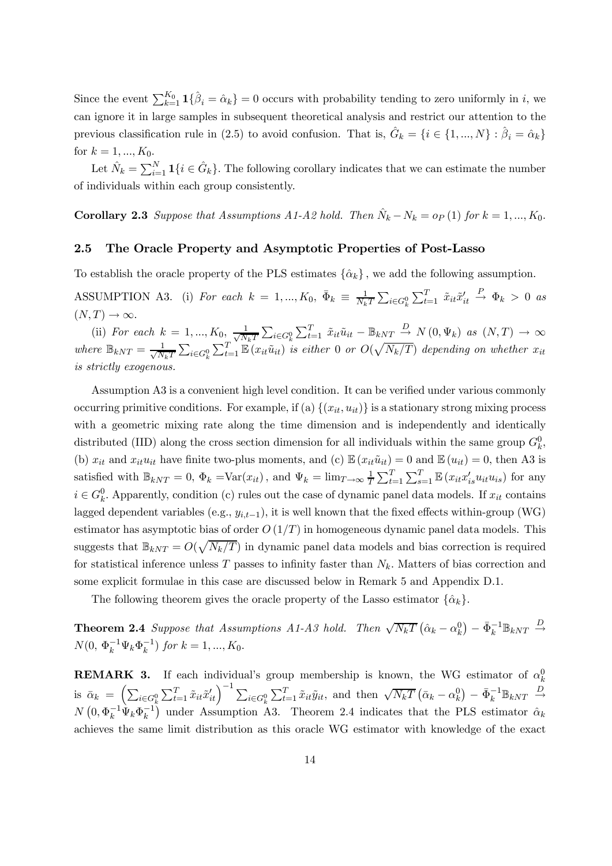Since the event  $\sum_{k=1}^{K_0} 1\{\hat{\beta}_i = \hat{\alpha}_k\} = 0$  occurs with probability tending to zero uniformly in *i*, we can ignore it in large samples in subsequent theoretical analysis and restrict our attention to the previous classification rule in (2.5) to avoid confusion. That is,  $\hat{G}_k = \{i \in \{1, ..., N\} : \hat{\beta}_i = \hat{\alpha}_k\}$ for  $k = 1, ..., K_0$ .

Let  $\hat{N}_k = \sum_{i=1}^N \mathbf{1}\{i \in \hat{G}_k\}$ . The following corollary indicates that we can estimate the number of individuals within each group consistently.

Corollary 2.3 Suppose that Assumptions A1-A2 hold. Then  $\hat{N}_k - N_k = o_P(1)$  for  $k = 1, ..., K_0$ .

### 2.5 The Oracle Property and Asymptotic Properties of Post-Lasso

To establish the oracle property of the PLS estimates  $\{\hat{\alpha}_k\}$ , we add the following assumption.

ASSUMPTION A3. (i) For each  $k = 1, ..., K_0$ ,  $\bar{\Phi}_k \equiv \frac{1}{N_k T} \sum_{i \in G_k^0} \sum_{t=1}^T \tilde{x}_{it} \tilde{x}'_{it}$  $\stackrel{P}{\rightarrow} \Phi_k > 0$  as  $(N, T) \rightarrow \infty$ .

(ii) For each  $k = 1, ..., K_0, \frac{1}{\sqrt{N}}$  $\frac{1}{N_kT} \sum_{i \in G_k^0} \sum_{t=1}^T \tilde{x}_{it} \tilde{u}_{it} - \mathbb{B}_{k} \underline{N} \underline{T} \stackrel{D}{\longrightarrow} N(0, \Psi_k) \text{ as } (N, T) \longrightarrow \infty$ where  $\mathbb{B}_{kNT} = \frac{1}{\sqrt{N}}$  $\frac{1}{N_kT}\sum_{i\in G_k^0}\sum_{t=1}^T \mathbb{E}(x_{it}\tilde{u}_{it})$  is either 0 or  $O(\sqrt{N_k/T})$  depending on whether  $x_{it}$ is strictly exogenous.

Assumption A3 is a convenient high level condition. It can be verified under various commonly occurring primitive conditions. For example, if (a)  $\{(x_{it}, u_{it})\}$  is a stationary strong mixing process with a geometric mixing rate along the time dimension and is independently and identically distributed (IID) along the cross section dimension for all individuals within the same group  $G_k^0$ , (b)  $x_{it}$  and  $x_{it}u_{it}$  have finite two-plus moments, and (c)  $\mathbb{E}(x_{it}\tilde{u}_{it})=0$  and  $\mathbb{E}(u_{it})=0$ , then A3 is satisfied with  $\mathbb{B}_{kNT} = 0$ ,  $\Phi_k = \text{Var}(x_{it})$ , and  $\Psi_k = \lim_{T \to \infty} \frac{1}{T} \sum_{t=1}^T \sum_{s=1}^T \mathbb{E}(x_{it}x_{is}^t u_{it}u_{is})$  for any  $i \in G_k^0$ . Apparently, condition (c) rules out the case of dynamic panel data models. If  $x_{it}$  contains lagged dependent variables (e.g.,  $y_{i,t-1}$ ), it is well known that the fixed effects within-group (WG) estimator has asymptotic bias of order  $O(1/T)$  in homogeneous dynamic panel data models. This suggests that  $\mathbb{B}_{kNT} = O(\sqrt{N_k/T})$  in dynamic panel data models and bias correction is required for statistical inference unless  $T$  passes to infinity faster than  $N_k$ . Matters of bias correction and some explicit formulae in this case are discussed below in Remark 5 and Appendix D.1.

The following theorem gives the oracle property of the Lasso estimator  $\{\hat{\alpha}_k\}$ .

**Theorem 2.4** Suppose that Assumptions A1-A3 hold. Then  $\sqrt{N_kT} (\hat{\alpha}_k - \alpha_k^0) - \bar{\Phi}_k^{-1} \mathbb{B}_{kNT} \stackrel{D}{\rightarrow}$  $N(0, \Phi_k^{-1} \Psi_k \Phi_k^{-1})$  for  $k = 1, ..., K_0$ .

**REMARK 3.** If each individual's group membership is known, the WG estimator of  $\alpha_k^0$ is  $\bar{\alpha}_k = \left( \sum_{i \in G_k^0} \sum_{t=1}^T \tilde{x}_{it} \tilde{x}'_{it} \right)^{-1} \sum_{i \in G_k^0} \sum_{t=1}^T \tilde{x}_{it} \tilde{y}_{it}$ , and then  $\sqrt{N_k T} (\bar{\alpha}_k - \alpha_k^0) - \bar{\Phi}_k^{-1} \mathbb{B}_{kNT} \stackrel{D}{\rightarrow}$  $N(0, \Phi_k^{-1} \Psi_k \Phi_k^{-1})$  under Assumption A3. Theorem 2.4 indicates that the PLS estimator  $\hat{\alpha}_k$ achieves the same limit distribution as this oracle WG estimator with knowledge of the exact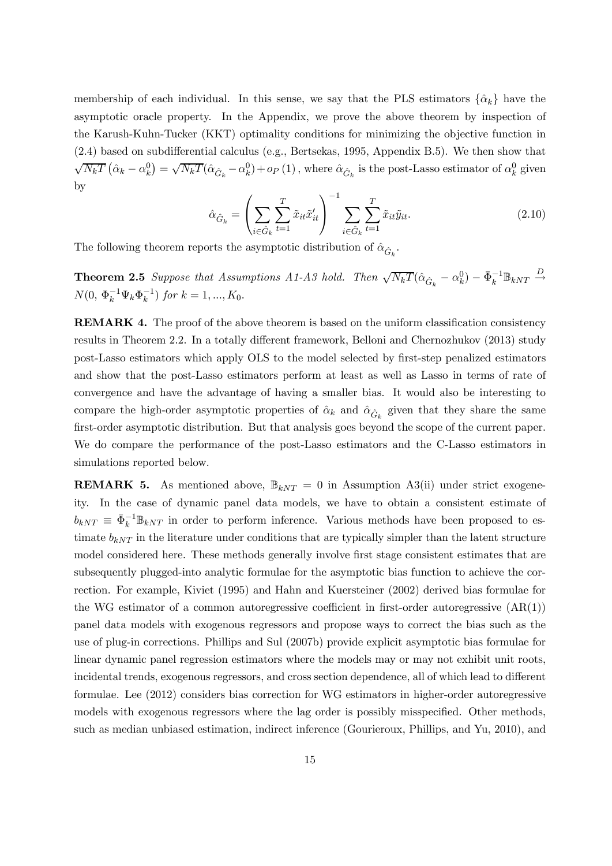membership of each individual. In this sense, we say that the PLS estimators  $\{\hat{\alpha}_k\}$  have the asymptotic oracle property. In the Appendix, we prove the above theorem by inspection of the Karush-Kuhn-Tucker (KKT) optimality conditions for minimizing the objective function in (2.4) based on subdifferential calculus (e.g., Bertsekas, 1995, Appendix B.5). We then show that  $\sqrt{N_kT} (\hat{\alpha}_k - \alpha_k^0) = \sqrt{N_kT} (\hat{\alpha}_{\hat{G}_k} - \alpha_k^0) + o_P(1)$ , where  $\hat{\alpha}_{\hat{G}_k}$  is the post-Lasso estimator of  $\alpha_k^0$  given by

$$
\hat{\alpha}_{\hat{G}_k} = \left(\sum_{i \in \hat{G}_k} \sum_{t=1}^T \tilde{x}_{it} \tilde{x}'_{it}\right)^{-1} \sum_{i \in \hat{G}_k} \sum_{t=1}^T \tilde{x}_{it} \tilde{y}_{it}.
$$
\n(2.10)

The following theorem reports the asymptotic distribution of  $\hat{\alpha}_{\hat{G}_k}$ .

**Theorem 2.5** Suppose that Assumptions A1-A3 hold. Then  $\sqrt{N_kT}(\hat{\alpha}_{\hat{G}_k} - \alpha_k^0) - \bar{\Phi}_k^{-1} \mathbb{B}_{kNT} \stackrel{D}{\rightarrow}$  $N(0, \Phi_k^{-1} \Psi_k \Phi_k^{-1})$  for  $k = 1, ..., K_0$ .

REMARK 4. The proof of the above theorem is based on the uniform classification consistency results in Theorem 2.2. In a totally different framework, Belloni and Chernozhukov (2013) study post-Lasso estimators which apply OLS to the model selected by first-step penalized estimators and show that the post-Lasso estimators perform at least as well as Lasso in terms of rate of convergence and have the advantage of having a smaller bias. It would also be interesting to compare the high-order asymptotic properties of  $\hat{\alpha}_k$  and  $\hat{\alpha}_{\hat{G}_k}$  given that they share the same first-order asymptotic distribution. But that analysis goes beyond the scope of the current paper. We do compare the performance of the post-Lasso estimators and the C-Lasso estimators in simulations reported below.

**REMARK 5.** As mentioned above,  $\mathbb{B}_{kNT} = 0$  in Assumption A3(ii) under strict exogeneity. In the case of dynamic panel data models, we have to obtain a consistent estimate of  $b_{kNT} \equiv \bar{\Phi}_k^{-1} \mathbb{B}_{kNT}$  in order to perform inference. Various methods have been proposed to estimate  $b_{kNT}$  in the literature under conditions that are typically simpler than the latent structure model considered here. These methods generally involve first stage consistent estimates that are subsequently plugged-into analytic formulae for the asymptotic bias function to achieve the correction. For example, Kiviet (1995) and Hahn and Kuersteiner (2002) derived bias formulae for the WG estimator of a common autoregressive coefficient in first-order autoregressive  $(AR(1))$ panel data models with exogenous regressors and propose ways to correct the bias such as the use of plug-in corrections. Phillips and Sul (2007b) provide explicit asymptotic bias formulae for linear dynamic panel regression estimators where the models may or may not exhibit unit roots, incidental trends, exogenous regressors, and cross section dependence, all of which lead to different formulae. Lee (2012) considers bias correction for WG estimators in higher-order autoregressive models with exogenous regressors where the lag order is possibly misspecified. Other methods, such as median unbiased estimation, indirect inference (Gourieroux, Phillips, and Yu, 2010), and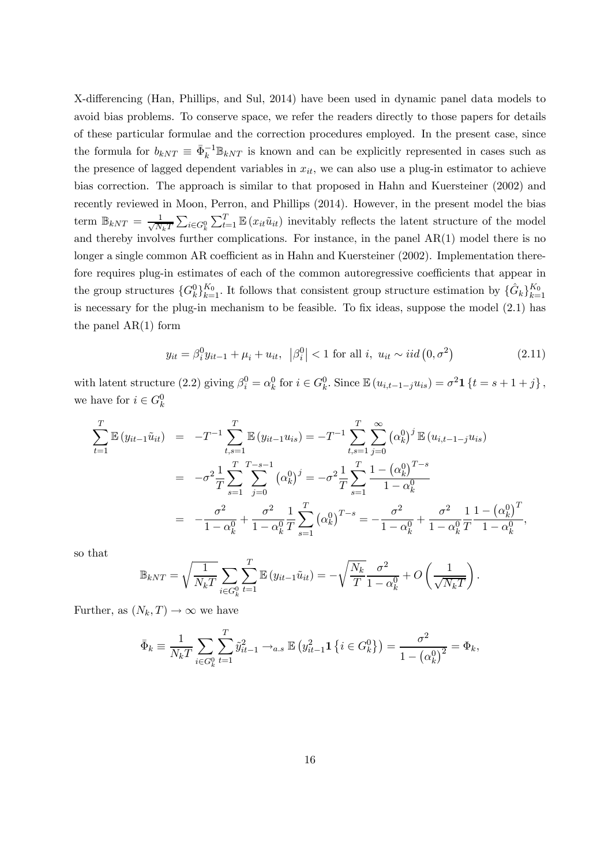X-differencing (Han, Phillips, and Sul, 2014) have been used in dynamic panel data models to avoid bias problems. To conserve space, we refer the readers directly to those papers for details of these particular formulae and the correction procedures employed. In the present case, since the formula for  $b_{kNT} \equiv \bar{\Phi}_k^{-1} \mathbb{B}_{kNT}$  is known and can be explicitly represented in cases such as the presence of lagged dependent variables in  $x_{it}$ , we can also use a plug-in estimator to achieve bias correction. The approach is similar to that proposed in Hahn and Kuersteiner (2002) and recently reviewed in Moon, Perron, and Phillips (2014). However, in the present model the bias term  $\mathbb{B}_{kNT} = \frac{1}{\sqrt{N}}$  $\frac{1}{N_k T} \sum_{i \in G_k^0} \sum_{t=1}^T \mathbb{E}(x_{it} \tilde{u}_{it})$  inevitably reflects the latent structure of the model and thereby involves further complications. For instance, in the panel  $AR(1)$  model there is no longer a single common AR coefficient as in Hahn and Kuersteiner (2002). Implementation therefore requires plug-in estimates of each of the common autoregressive coefficients that appear in the group structures  ${G_k^0}_{k=1}^{K_0}$ . It follows that consistent group structure estimation by  ${\{\hat{G}_k\}}_{k=1}^{K_0}$ is necessary for the plug-in mechanism to be feasible. To fix ideas, suppose the model (2.1) has the panel  $AR(1)$  form

$$
y_{it} = \beta_i^0 y_{it-1} + \mu_i + u_{it}, \ \ |\beta_i^0| < 1 \text{ for all } i, \ u_{it} \sim \text{iid } (0, \sigma^2) \tag{2.11}
$$

with latent structure (2.2) giving  $\beta_i^0 = \alpha_k^0$  for  $i \in G_k^0$ . Since  $\mathbb{E}(u_{i,t-1-j}u_{is}) = \sigma^2 \mathbf{1} \{t = s+1+j\}$ , we have for  $i \in G_k^0$ 

$$
\sum_{t=1}^{T} \mathbb{E} (y_{it-1}\tilde{u}_{it}) = -T^{-1} \sum_{t,s=1}^{T} \mathbb{E} (y_{it-1}u_{is}) = -T^{-1} \sum_{t,s=1}^{T} \sum_{j=0}^{\infty} (\alpha_k^0)^j \mathbb{E} (u_{i,t-1-j}u_{is})
$$
  
\n
$$
= -\sigma^2 \frac{1}{T} \sum_{s=1}^{T} \sum_{j=0}^{T-s-1} (\alpha_k^0)^j = -\sigma^2 \frac{1}{T} \sum_{s=1}^{T} \frac{1 - (\alpha_k^0)^{T-s}}{1 - \alpha_k^0}
$$
  
\n
$$
= -\frac{\sigma^2}{1 - \alpha_k^0} + \frac{\sigma^2}{1 - \alpha_k^0} \frac{1}{T} \sum_{s=1}^{T} (\alpha_k^0)^{T-s} = -\frac{\sigma^2}{1 - \alpha_k^0} + \frac{\sigma^2}{1 - \alpha_k^0} \frac{1}{T} \frac{1 - (\alpha_k^0)^T}{1 - \alpha_k^0},
$$

so that

$$
\mathbb{B}_{kNT} = \sqrt{\frac{1}{N_kT}} \sum_{i \in G_k^0} \sum_{t=1}^T \mathbb{E} \left( y_{it-1} \tilde{u}_{it} \right) = -\sqrt{\frac{N_k}{T}} \frac{\sigma^2}{1 - \alpha_k^0} + O\left( \frac{1}{\sqrt{N_kT}} \right).
$$

Further, as  $(N_k, T) \to \infty$  we have

$$
\bar{\Phi}_k \equiv \frac{1}{N_k T} \sum_{i \in G_k^0} \sum_{t=1}^T \tilde{y}_{it-1}^2 \to_{a.s} \mathbb{E} \left( y_{it-1}^2 \mathbf{1} \left\{ i \in G_k^0 \right\} \right) = \frac{\sigma^2}{1 - \left( \alpha_k^0 \right)^2} = \Phi_k,
$$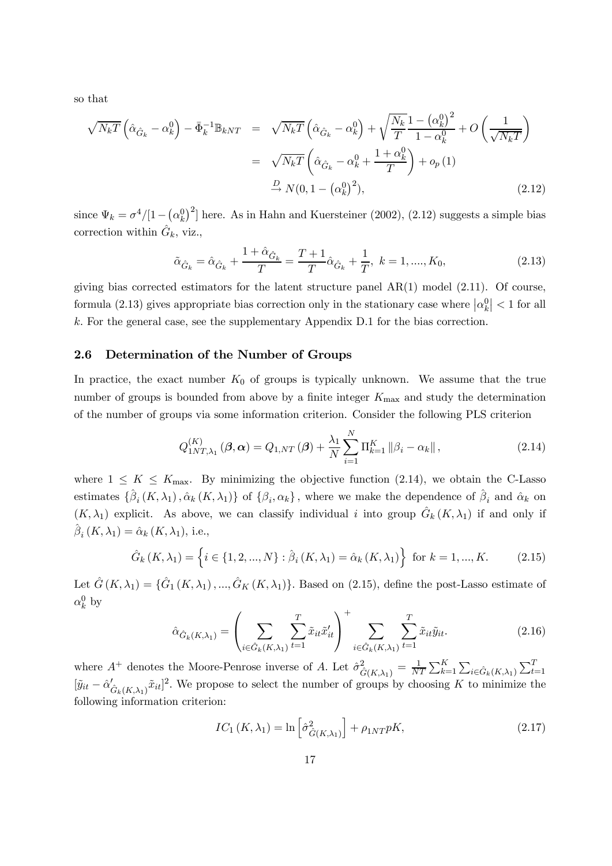so that

$$
\sqrt{N_k T} \left( \hat{\alpha}_{\hat{G}_k} - \alpha_k^0 \right) - \bar{\Phi}_k^{-1} \mathbb{B}_{kNT} = \sqrt{N_k T} \left( \hat{\alpha}_{\hat{G}_k} - \alpha_k^0 \right) + \sqrt{\frac{N_k}{T}} \frac{1 - \left( \alpha_k^0 \right)^2}{1 - \alpha_k^0} + O\left( \frac{1}{\sqrt{N_k T}} \right)
$$

$$
= \sqrt{N_k T} \left( \hat{\alpha}_{\hat{G}_k} - \alpha_k^0 + \frac{1 + \alpha_k^0}{T} \right) + o_p(1)
$$

$$
\stackrel{D}{\rightarrow} N(0, 1 - \left( \alpha_k^0 \right)^2), \tag{2.12}
$$

since  $\Psi_k = \sigma^4/[1 - (\alpha_k^0)^2]$  here. As in Hahn and Kuersteiner (2002), (2.12) suggests a simple bias correction within  $\hat{G}_k$ , viz.,

$$
\tilde{\alpha}_{\hat{G}_k} = \hat{\alpha}_{\hat{G}_k} + \frac{1 + \hat{\alpha}_{\hat{G}_k}}{T} = \frac{T+1}{T} \hat{\alpha}_{\hat{G}_k} + \frac{1}{T}, \ k = 1, \dots, K_0,
$$
\n(2.13)

giving bias corrected estimators for the latent structure panel  $AR(1)$  model  $(2.11)$ . Of course, formula (2.13) gives appropriate bias correction only in the stationary case where  $| \alpha_k^0 | < 1$  for all  $k$ . For the general case, see the supplementary Appendix D.1 for the bias correction.

## 2.6 Determination of the Number of Groups

In practice, the exact number  $K_0$  of groups is typically unknown. We assume that the true number of groups is bounded from above by a finite integer  $K_{\text{max}}$  and study the determination of the number of groups via some information criterion. Consider the following PLS criterion

$$
Q_{1NT,\lambda_1}^{(K)}(\boldsymbol{\beta}, \boldsymbol{\alpha}) = Q_{1,NT}(\boldsymbol{\beta}) + \frac{\lambda_1}{N} \sum_{i=1}^{N} \Pi_{k=1}^{K} \|\beta_i - \alpha_k\|,
$$
\n(2.14)

where  $1 \leq K \leq K_{\text{max}}$ . By minimizing the objective function (2.14), we obtain the C-Lasso estimates  $\{\hat{\beta}_i(K, \lambda_1), \hat{\alpha}_k(K, \lambda_1)\}$  of  $\{\beta_i, \alpha_k\}$ , where we make the dependence of  $\hat{\beta}_i$  and  $\hat{\alpha}_k$  on  $(K, \lambda_1)$  explicit. As above, we can classify individual *i* into group  $\hat{G}_k(K, \lambda_1)$  if and only if  $\hat{\beta}_i(K, \lambda_1)=\hat{\alpha}_k(K, \lambda_1),$  i.e.,

$$
\hat{G}_{k}(K,\lambda_{1}) = \left\{ i \in \{1,2,...,N\} : \hat{\beta}_{i}(K,\lambda_{1}) = \hat{\alpha}_{k}(K,\lambda_{1}) \right\} \text{ for } k = 1,...,K. \tag{2.15}
$$

Let  $\hat{G}(K, \lambda_1) = \{\hat{G}_1(K, \lambda_1), ..., \hat{G}_K(K, \lambda_1)\}\$ . Based on (2.15), define the post-Lasso estimate of  $\alpha_k^0$  by

$$
\hat{\alpha}_{\hat{G}_k(K,\lambda_1)} = \left(\sum_{i \in \hat{G}_k(K,\lambda_1)} \sum_{t=1}^T \tilde{x}_{it} \tilde{x}'_{it}\right)^+ \sum_{i \in \hat{G}_k(K,\lambda_1)} \sum_{t=1}^T \tilde{x}_{it} \tilde{y}_{it}.
$$
\n(2.16)

where  $A^+$  denotes the Moore-Penrose inverse of A. Let  $\hat{\sigma}_{\hat{G}(K,\lambda_1)}^2 = \frac{1}{NT} \sum_{k=1}^K \sum_{i \in \hat{G}_k(K,\lambda_1)} \sum_{t=1}^T$  $[\tilde{y}_{it} - \hat{\alpha}'_{\hat{G}_k(K,\lambda_1)}\tilde{x}_{it}]^2$ . We propose to select the number of groups by choosing K to minimize the following information criterion:

$$
IC_1(K, \lambda_1) = \ln \left[ \hat{\sigma}_{\hat{G}(K, \lambda_1)}^2 \right] + \rho_{1N} T pK,
$$
\n(2.17)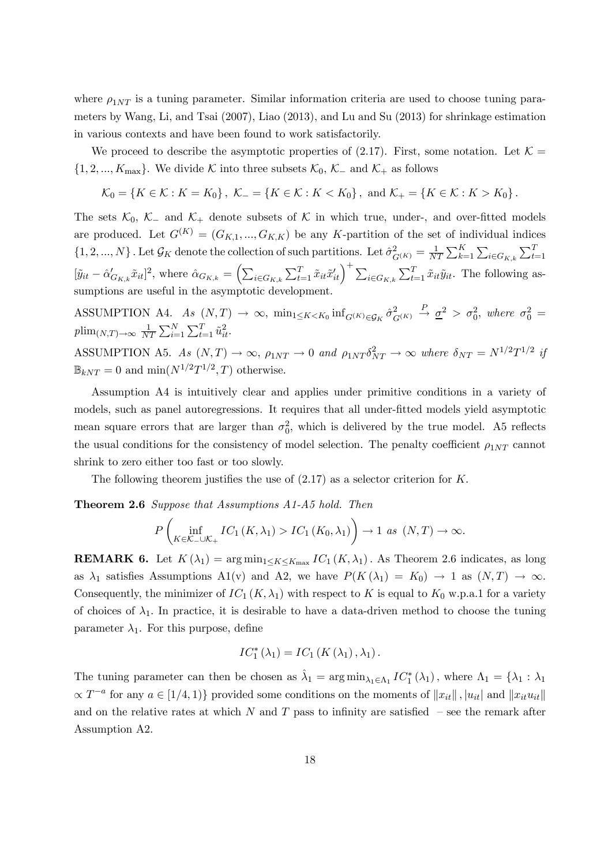where  $\rho_{1NT}$  is a tuning parameter. Similar information criteria are used to choose tuning parameters by Wang, Li, and Tsai (2007), Liao (2013), and Lu and Su (2013) for shrinkage estimation in various contexts and have been found to work satisfactorily.

We proceed to describe the asymptotic properties of (2.17). First, some notation. Let  $\mathcal{K} =$  $\{1, 2, ..., K_{\text{max}}\}.$  We divide K into three subsets  $\mathcal{K}_0, \mathcal{K}_-$  and  $\mathcal{K}_+$  as follows

$$
\mathcal{K}_0 = \{ K \in \mathcal{K} : K = K_0 \}, \ \mathcal{K}_- = \{ K \in \mathcal{K} : K < K_0 \}, \text{ and } \mathcal{K}_+ = \{ K \in \mathcal{K} : K > K_0 \}.
$$

The sets  $\mathcal{K}_0$ ,  $\mathcal{K}_-$  and  $\mathcal{K}_+$  denote subsets of  $\mathcal K$  in which true, under-, and over-fitted models are produced. Let  $G^{(K)} = (G_{K,1}, ..., G_{K,K})$  be any K-partition of the set of individual indices  $\{1, 2, ..., N\}$ . Let  $\mathcal{G}_K$  denote the collection of such partitions. Let  $\hat{\sigma}_{G^{(K)}}^2 = \frac{1}{NT} \sum_{k=1}^K \sum_{i \in G_{K,k}} \sum_{t=1}^T$  $[\tilde{y}_{it} - \hat{\alpha}'_{G_{K,k}} \tilde{x}_{it}]^2$ , where  $\hat{\alpha}_{G_{K,k}} = \left(\sum_{i \in G_{K,k}} \sum_{t=1}^T \tilde{x}_{it} \tilde{x}'_{it}\right)^+ \sum_{i \in G_{K,k}} \sum_{t=1}^T \tilde{x}_{it} \tilde{y}_{it}$ . The following assumptions are useful in the asymptotic develop

ASSUMPTION A4. As  $(N, T) \rightarrow \infty$ ,  $\min_{1 \leq K < K_0} \inf_{G(K) \in \mathcal{G}_K} \hat{\sigma}_{G(K)}^2$  $\stackrel{P}{\rightarrow} \stackrel{\sim}{\alpha}^2 > \sigma_0^2$ , where  $\sigma_0^2 =$  $p\lim_{(N,T)\to\infty} \frac{1}{NT} \sum_{i=1}^{N} \sum_{t=1}^{T} \tilde{u}_{it}^2$ . ASSUMPTION A5. As  $(N,T) \to \infty$ ,  $\rho_{1NT} \to 0$  and  $\rho_{1NT} \delta_{NT}^2 \to \infty$  where  $\delta_{NT} = N^{1/2}T^{1/2}$  if  $\mathbb{B}_{kNT} = 0$  and  $\min(N^{1/2}T^{1/2}, T)$  otherwise.

Assumption A4 is intuitively clear and applies under primitive conditions in a variety of models, such as panel autoregressions. It requires that all under-fitted models yield asymptotic mean square errors that are larger than  $\sigma_0^2$ , which is delivered by the true model. A5 reflects the usual conditions for the consistency of model selection. The penalty coefficient  $\rho_{1NT}$  cannot shrink to zero either too fast or too slowly.

The following theorem justifies the use of  $(2.17)$  as a selector criterion for K.

#### Theorem 2.6 Suppose that Assumptions A1-A5 hold. Then

$$
P\left(\inf_{K\in\mathcal{K}_{-}\cup\mathcal{K}_{+}} IC_{1}\left(K,\lambda_{1}\right) > IC_{1}\left(K_{0},\lambda_{1}\right)\right) \to 1 \text{ as } (N, T) \to \infty.
$$

**REMARK 6.** Let  $K(\lambda_1) = \arg \min_{1 \leq K \leq K_{\text{max}}} IC_1(K, \lambda_1)$ . As Theorem 2.6 indicates, as long as  $\lambda_1$  satisfies Assumptions A1(v) and A2, we have  $P(K(\lambda_1) = K_0) \to 1$  as  $(N, T) \to \infty$ . Consequently, the minimizer of  $IC_1(K, \lambda_1)$  with respect to K is equal to  $K_0$  w.p.a.1 for a variety of choices of  $\lambda_1$ . In practice, it is desirable to have a data-driven method to choose the tuning parameter  $\lambda_1$ . For this purpose, define

$$
IC_1^*(\lambda_1) = IC_1(K(\lambda_1), \lambda_1).
$$

The tuning parameter can then be chosen as  $\hat{\lambda}_1 = \arg \min_{\lambda_1 \in \Lambda_1} IC_1^*(\lambda_1)$ , where  $\Lambda_1 = {\lambda_1 : \lambda_1}$  $\propto T^{-a}$  for any  $a \in [1/4, 1)$  provided some conditions on the moments of  $||x_{it}||$ ,  $|u_{it}|$  and  $||x_{it}u_{it}||$ and on the relative rates at which  $N$  and  $T$  pass to infinity are satisfied  $-$  see the remark after Assumption A2.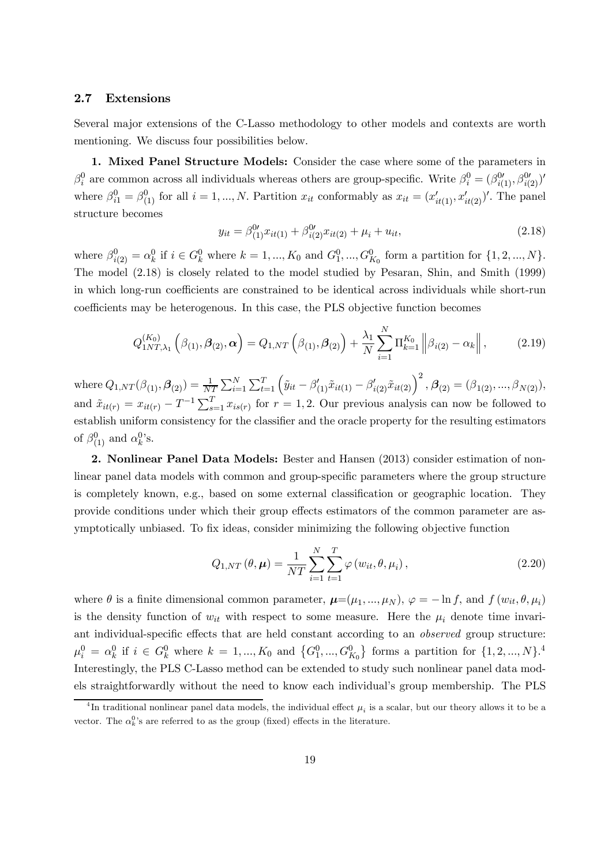### 2.7 Extensions

Several major extensions of the C-Lasso methodology to other models and contexts are worth mentioning. We discuss four possibilities below.

1. Mixed Panel Structure Models: Consider the case where some of the parameters in  $\beta_i^0$  are common across all individuals whereas others are group-specific. Write  $\beta_i^0 = (\beta_{i(1)}^0, \beta_{i(2)}^0)'$ where  $\beta_{i1}^0 = \beta_{(1)}^0$  for all  $i = 1, ..., N$ . Partition  $x_{it}$  conformably as  $x_{it} = (x'_{it(1)}, x'_{it(2)})'$ . The panel structure becomes

$$
y_{it} = \beta_{(1)}^{0\prime} x_{it(1)} + \beta_{i(2)}^{0\prime} x_{it(2)} + \mu_i + u_{it}, \qquad (2.18)
$$

where  $\beta_{i(2)}^0 = \alpha_k^0$  if  $i \in G_k^0$  where  $k = 1, ..., K_0$  and  $G_1^0, ..., G_{K_0}^0$  form a partition for  $\{1, 2, ..., N\}$ . The model (2.18) is closely related to the model studied by Pesaran, Shin, and Smith (1999) in which long-run coefficients are constrained to be identical across individuals while short-run coefficients may be heterogenous. In this case, the PLS objective function becomes

$$
Q_{1NT,\lambda_1}^{(K_0)}\left(\beta_{(1)},\beta_{(2)},\alpha\right) = Q_{1,NT}\left(\beta_{(1)},\beta_{(2)}\right) + \frac{\lambda_1}{N} \sum_{i=1}^N \Pi_{k=1}^{K_0} \left\|\beta_{i(2)} - \alpha_k\right\|,\tag{2.19}
$$

where  $Q_{1,NT}(\beta_{(1)}, \beta_{(2)}) = \frac{1}{NT} \sum_{i=1}^{N} \sum_{t=1}^{T} \left( \tilde{y}_{it} - \beta'_{(1)} \tilde{x}_{it(1)} - \beta'_{i(2)} \tilde{x}_{it(2)} \right)^2$ ,  $\beta_{(2)} = (\beta_{1(2)}, ..., \beta_{N(2)})$ , and  $\tilde{x}_{it(r)} = x_{it(r)} - T^{-1} \sum_{s=1}^{T} x_{is(r)}$  for  $r = 1, 2$ . Our previous analysis can now be followed to establish uniform consistency for the classifier and the oracle property for the resulting estimators of  $\beta_{(1)}^0$  and  $\alpha_k^0$ 's.

2. Nonlinear Panel Data Models: Bester and Hansen (2013) consider estimation of nonlinear panel data models with common and group-specific parameters where the group structure is completely known, e.g., based on some external classification or geographic location. They provide conditions under which their group effects estimators of the common parameter are asymptotically unbiased. To fix ideas, consider minimizing the following objective function

$$
Q_{1,NT}(\theta, \mu) = \frac{1}{NT} \sum_{i=1}^{N} \sum_{t=1}^{T} \varphi(w_{it}, \theta, \mu_i),
$$
\n(2.20)

where  $\theta$  is a finite dimensional common parameter,  $\boldsymbol{\mu}=(\mu_1, ..., \mu_N), \varphi = -\ln f$ , and  $f(w_{it}, \theta, \mu_i)$ is the density function of  $w_{it}$  with respect to some measure. Here the  $\mu_i$  denote time invariant individual-specific effects that are held constant according to an observed group structure:  $\mu_i^0 = \alpha_k^0$  if  $i \in G_k^0$  where  $k = 1, ..., K_0$  and  $\{G_1^0, ..., G_{K_0}^0\}$  forms a partition for  $\{1, 2, ..., N\}$ . Interestingly, the PLS C-Lasso method can be extended to study such nonlinear panel data models straightforwardly without the need to know each individual's group membership. The PLS

<sup>&</sup>lt;sup>4</sup>In traditional nonlinear panel data models, the individual effect  $\mu_i$  is a scalar, but our theory allows it to be a vector. The  $\alpha_k^0$ 's are referred to as the group (fixed) effects in the literature.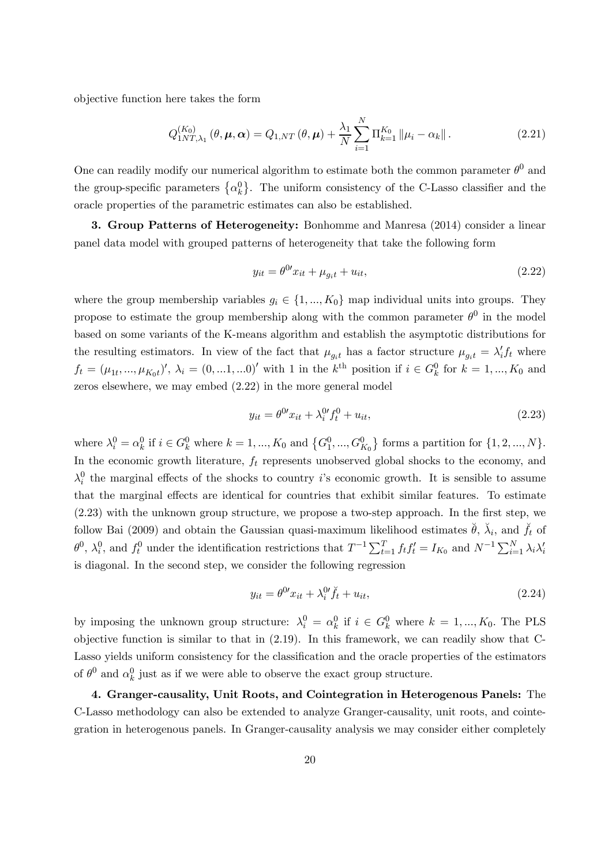objective function here takes the form

$$
Q_{1NT,\lambda_1}^{(K_0)}(\theta, \mu, \alpha) = Q_{1,NT}(\theta, \mu) + \frac{\lambda_1}{N} \sum_{i=1}^N \Pi_{k=1}^{K_0} \|\mu_i - \alpha_k\|.
$$
 (2.21)

One can readily modify our numerical algorithm to estimate both the common parameter  $\theta^0$  and the group-specific parameters  $\{\alpha_k^0\}$ . The uniform consistency of the C-Lasso classifier and the oracle properties of the parametric estimates can also be established.

3. Group Patterns of Heterogeneity: Bonhomme and Manresa (2014) consider a linear panel data model with grouped patterns of heterogeneity that take the following form

$$
y_{it} = \theta^0 x_{it} + \mu_{g_i t} + u_{it}, \qquad (2.22)
$$

where the group membership variables  $g_i \in \{1, ..., K_0\}$  map individual units into groups. They propose to estimate the group membership along with the common parameter  $\theta^0$  in the model based on some variants of the K-means algorithm and establish the asymptotic distributions for the resulting estimators. In view of the fact that  $\mu_{g_i t}$  has a factor structure  $\mu_{g_i t} = \lambda'_i f_t$  where  $f_t = (\mu_{1t}, ..., \mu_{K_0t})', \lambda_i = (0, ...1, ...0)'$  with 1 in the  $k^{\text{th}}$  position if  $i \in G_k^0$  for  $k = 1, ..., K_0$  and zeros elsewhere, we may embed (2.22) in the more general model

$$
y_{it} = \theta^0 x_{it} + \lambda_i^0 f_t^0 + u_{it},
$$
\n(2.23)

where  $\lambda_i^0 = \alpha_k^0$  if  $i \in G_k^0$  where  $k = 1, ..., K_0$  and  $\{G_1^0, ..., G_{K_0}^0\}$  forms a partition for  $\{1, 2, ..., N\}$ . In the economic growth literature,  $f_t$  represents unobserved global shocks to the economy, and  $\lambda_i^0$  the marginal effects of the shocks to country *i*'s economic growth. It is sensible to assume that the marginal effects are identical for countries that exhibit similar features. To estimate (2.23) with the unknown group structure, we propose a two-step approach. In the first step, we follow Bai (2009) and obtain the Gaussian quasi-maximum likelihood estimates  $\ddot{\theta}$ ,  $\ddot{\lambda}_i$ , and  $\ddot{f}_t$  of  $\theta^0$ ,  $\lambda_i^0$ , and  $f_t^0$  under the identification restrictions that  $T^{-1}\sum_{t=1}^T f_t f_t' = I_{K_0}$  and  $N^{-1}\sum_{i=1}^N \lambda_i \lambda_i'$ is diagonal. In the second step, we consider the following regression

$$
y_{it} = \theta^0 x_{it} + \lambda_i^0 \tilde{f}_t + u_{it}, \qquad (2.24)
$$

by imposing the unknown group structure:  $\lambda_i^0 = \alpha_k^0$  if  $i \in G_k^0$  where  $k = 1, ..., K_0$ . The PLS objective function is similar to that in (2.19). In this framework, we can readily show that C-Lasso yields uniform consistency for the classification and the oracle properties of the estimators of  $\theta^0$  and  $\alpha_k^0$  just as if we were able to observe the exact group structure.

4. Granger-causality, Unit Roots, and Cointegration in Heterogenous Panels: The C-Lasso methodology can also be extended to analyze Granger-causality, unit roots, and cointegration in heterogenous panels. In Granger-causality analysis we may consider either completely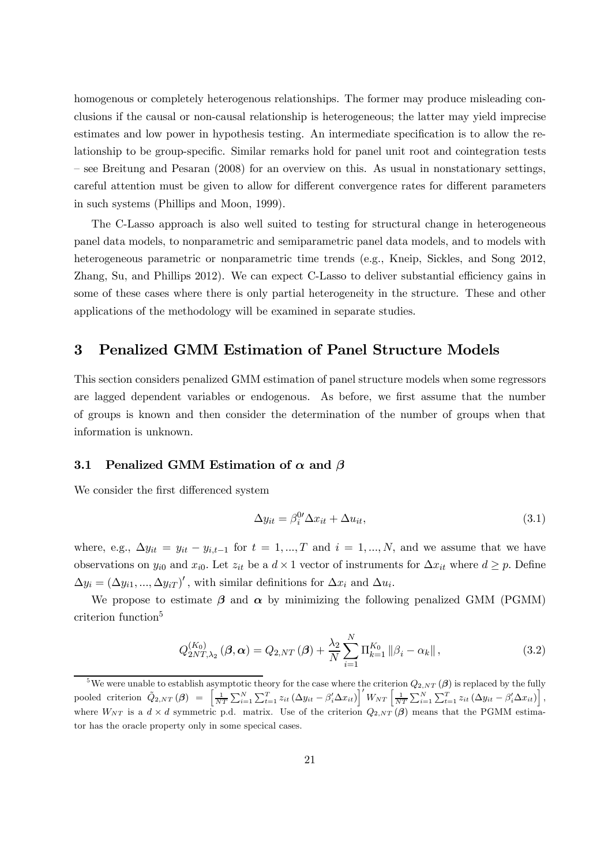homogenous or completely heterogenous relationships. The former may produce misleading conclusions if the causal or non-causal relationship is heterogeneous; the latter may yield imprecise estimates and low power in hypothesis testing. An intermediate specification is to allow the relationship to be group-specific. Similar remarks hold for panel unit root and cointegration tests — see Breitung and Pesaran (2008) for an overview on this. As usual in nonstationary settings, careful attention must be given to allow for different convergence rates for different parameters in such systems (Phillips and Moon, 1999).

The C-Lasso approach is also well suited to testing for structural change in heterogeneous panel data models, to nonparametric and semiparametric panel data models, and to models with heterogeneous parametric or nonparametric time trends (e.g., Kneip, Sickles, and Song 2012, Zhang, Su, and Phillips 2012). We can expect C-Lasso to deliver substantial efficiency gains in some of these cases where there is only partial heterogeneity in the structure. These and other applications of the methodology will be examined in separate studies.

# 3 Penalized GMM Estimation of Panel Structure Models

This section considers penalized GMM estimation of panel structure models when some regressors are lagged dependent variables or endogenous. As before, we first assume that the number of groups is known and then consider the determination of the number of groups when that information is unknown.

### 3.1 Penalized GMM Estimation of  $\alpha$  and  $\beta$

We consider the first differenced system

$$
\Delta y_{it} = \beta_i^{0} \Delta x_{it} + \Delta u_{it}, \qquad (3.1)
$$

where, e.g.,  $\Delta y_{it} = y_{it} - y_{i,t-1}$  for  $t = 1, ..., T$  and  $i = 1, ..., N$ , and we assume that we have observations on  $y_{i0}$  and  $x_{i0}$ . Let  $z_{it}$  be a  $d \times 1$  vector of instruments for  $\Delta x_{it}$  where  $d \geq p$ . Define  $\Delta y_i = (\Delta y_{i1}, ..., \Delta y_{iT})'$ , with similar definitions for  $\Delta x_i$  and  $\Delta u_i$ .

We propose to estimate  $\beta$  and  $\alpha$  by minimizing the following penalized GMM (PGMM) criterion function<sup>5</sup>

$$
Q_{2NT,\lambda_2}^{(K_0)}(\boldsymbol{\beta}, \boldsymbol{\alpha}) = Q_{2,NT}(\boldsymbol{\beta}) + \frac{\lambda_2}{N} \sum_{i=1}^N \Pi_{k=1}^{K_0} \|\beta_i - \alpha_k\|,
$$
\n(3.2)

<sup>&</sup>lt;sup>5</sup>We were unable to establish asymptotic theory for the case where the criterion  $Q_{2,NT}(\beta)$  is replaced by the fully pooled criterion  $\tilde{Q}_{2,NT}(\boldsymbol{\beta}) = \left[ \frac{1}{NT} \sum_{i=1}^{N} \sum_{t=1}^{T} z_{it} (\Delta y_{it} - \beta_i \Delta x_{it}) \right]^T W_{NT} \left[ \frac{1}{NT} \sum_{i=1}^{N} \sum_{t=1}^{T} z_{it} (\Delta y_{it} - \beta_i \Delta x_{it}) \right],$ where  $W_{NT}$  is a  $d \times d$  symmetric p.d. matrix. Use of the criterion  $Q_{2,NT}(\beta)$  means that the PGMM estimator has the oracle property only in some specical cases.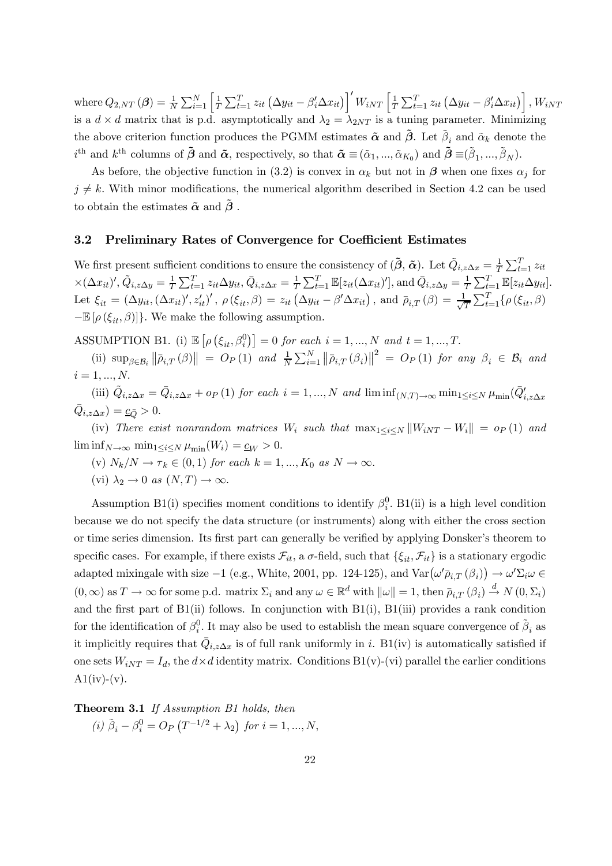where  $Q_{2,NT}(\beta) = \frac{1}{N} \sum_{i=1}^{N} \left[ \frac{1}{T} \right]$  $\frac{1}{T}\sum_{t=1}^{T} z_{it} \left( \Delta y_{it} - \beta_i' \Delta x_{it} \right) \bigg]^{\prime} W_{iNT} \left[ \frac{1}{T} \right]$  $\frac{1}{T} \sum_{t=1}^{T} z_{it} \left( \Delta y_{it} - \beta_i' \Delta x_{it} \right) \right]$ ,  $W_{iNT}$ is a  $d \times d$  matrix that is p.d. asymptotically and  $\lambda_2 = \lambda_{2NT}$  is a tuning parameter. Minimizing the above criterion function produces the PGMM estimates  $\tilde{\boldsymbol{\alpha}}$  and  $\tilde{\boldsymbol{\beta}}$ . Let  $\tilde{\beta}_i$  and  $\tilde{\alpha}_k$  denote the  $i^{\text{th}}$  and  $k^{\text{th}}$  columns of  $\tilde{\boldsymbol{\beta}}$  and  $\tilde{\boldsymbol{\alpha}}$ , respectively, so that  $\tilde{\boldsymbol{\alpha}} \equiv (\tilde{\alpha}_1, ..., \tilde{\alpha}_{K_0})$  and  $\tilde{\boldsymbol{\beta}} \equiv (\tilde{\beta}_1, ..., \tilde{\beta}_N)$ .

As before, the objective function in (3.2) is convex in  $\alpha_k$  but not in  $\beta$  when one fixes  $\alpha_j$  for  $j \neq k$ . With minor modifications, the numerical algorithm described in Section 4.2 can be used to obtain the estimates  $\tilde{\boldsymbol{\alpha}}$  and  $\boldsymbol{\beta}$ .

### 3.2 Preliminary Rates of Convergence for Coefficient Estimates

We first present sufficient conditions to ensure the consistency of  $(\tilde{\beta}, \tilde{\alpha})$ . Let  $\tilde{Q}_{i,z\Delta x} = \frac{1}{T} \sum_{t=1}^{T} z_{it}$  $\times(\Delta x_{it})',\tilde{Q}_{i,z\Delta y} = \frac{1}{T}\sum_{t=1}^T z_{it}\Delta y_{it}, \bar{Q}_{i,z\Delta x} = \frac{1}{T}\sum_{t=1}^T \mathbb{E}[z_{it}(\Delta x_{it})'], \text{and } \bar{Q}_{i,z\Delta y} = \frac{1}{T}\sum_{t=1}^T \mathbb{E}[z_{it}\Delta y_{it}].$ Let  $\xi_{it} = (\Delta y_{it}, (\Delta x_{it})', z'_{it})'$ ,  $\rho(\xi_{it}, \beta) = z_{it} (\Delta y_{it} - \beta' \Delta x_{it})$ , and  $\bar{\rho}_{i,T}(\beta) = \frac{1}{\sqrt{\beta}}$  $\frac{1}{T} \sum_{t=1}^{T} \{\rho \left( \xi_{it}, \beta \right)$  $-\mathbb{E}[\rho(\xi_{it},\beta)]\}$ . We make the following assumption.

ASSUMPTION B1. (i)  $\mathbb{E}\left[\rho\left(\xi_{it}, \beta_i^0\right)\right] = 0$  for each  $i = 1, ..., N$  and  $t = 1, ..., T$ .

(ii)  $\sup_{\beta \in \mathcal{B}_i} ||\overline{\rho}_{i,T}(\beta)|| = O_P(1)$  and  $\frac{1}{N} \sum_{i=1}^N ||\overline{\rho}_{i,T}(\beta_i)||^2 = O_P(1)$  for any  $\beta_i \in \mathcal{B}_i$  and  $i = 1, ..., N$ .

(iii)  $\tilde{Q}_{i,z\Delta x} = \bar{Q}_{i,z\Delta x} + o_P(1)$  for each  $i = 1, ..., N$  and  $\liminf_{(N,T)\to\infty} \min_{1 \le i \le N} \mu_{\min}(\bar{Q}_{i,z\Delta x}')$  $\overline{Q}_{i,z\Delta x}$ ) =  $\underline{c}_{\overline{Q}} > 0$ .

(iv) There exist nonrandom matrices  $W_i$  such that  $\max_{1 \leq i \leq N} ||W_{iNT} - W_i|| = o_P(1)$  and  $\liminf_{N\to\infty}$   $\min_{1\leq i\leq N}$   $\mu_{\min}(W_i) = \underline{c}_W > 0.$ 

- (v)  $N_k/N \to \tau_k \in (0,1)$  for each  $k = 1, ..., K_0$  as  $N \to \infty$ .
- (vi)  $\lambda_2 \to 0$  as  $(N, T) \to \infty$ .

Assumption B1(i) specifies moment conditions to identify  $\beta_i^0$ . B1(ii) is a high level condition because we do not specify the data structure (or instruments) along with either the cross section or time series dimension. Its first part can generally be verified by applying Donsker's theorem to specific cases. For example, if there exists  $\mathcal{F}_{it}$ , a  $\sigma$ -field, such that  $\{\xi_{it}, \mathcal{F}_{it}\}$  is a stationary ergodic adapted mixingale with size  $-1$  (e.g., White, 2001, pp. 124-125), and  $\text{Var}(\omega' \bar{\rho}_{i,T}(\beta_i)) \to \omega' \Sigma_i \omega \in$  $(0, \infty)$  as  $T \to \infty$  for some p.d. matrix  $\Sigma_i$  and any  $\omega \in \mathbb{R}^d$  with  $\|\omega\| = 1$ , then  $\overline{\rho}_{i,T}(\beta_i) \stackrel{d}{\to} N(0, \Sigma_i)$ and the first part of B1(ii) follows. In conjunction with B1(i), B1(iii) provides a rank condition for the identification of  $\beta_i^0$ . It may also be used to establish the mean square convergence of  $\tilde{\beta}_i$  as it implicitly requires that  $\overline{Q}_{i,z\Delta x}$  is of full rank uniformly in i. B1(iv) is automatically satisfied if one sets  $W_{iNT} = I_d$ , the  $d \times d$  identity matrix. Conditions B1(v)-(vi) parallel the earlier conditions  $A1(iv)-(v)$ .

Theorem 3.1 If Assumption B1 holds, then (i)  $\tilde{\beta}_i - \beta_i^0 = O_P(T^{-1/2} + \lambda_2)$  for  $i = 1, ..., N$ ,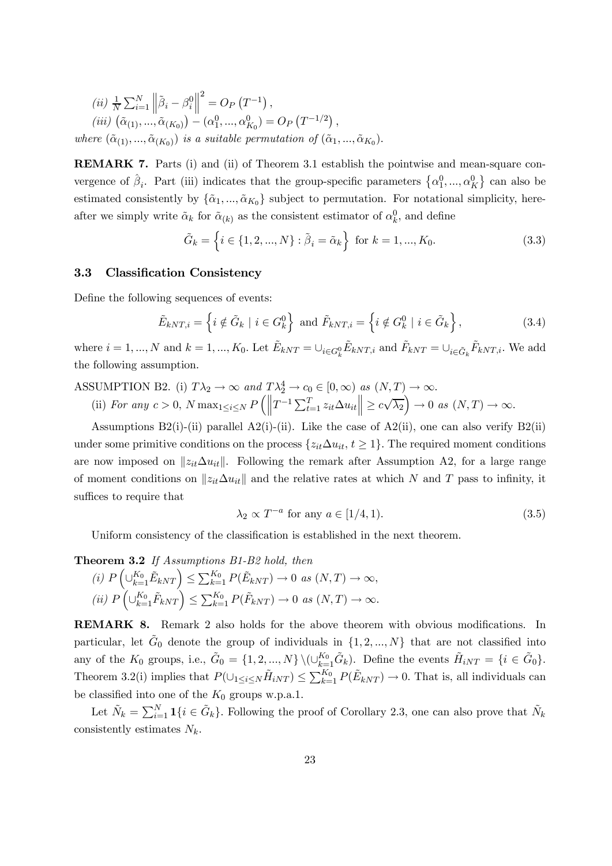(ii) 
$$
\frac{1}{N} \sum_{i=1}^{N} ||\tilde{\beta}_i - \beta_i^0||^2 = O_P(T^{-1}),
$$
  
(iii)  $(\tilde{\alpha}_{(1)}, ..., \tilde{\alpha}_{(K_0)}) - (\alpha_1^0, ..., \alpha_{K_0}^0) = O_P(T^{-1/2}),$ 

where  $(\tilde{\alpha}_{(1)}, ..., \tilde{\alpha}_{(K_0)})$  is a suitable permutation of  $(\tilde{\alpha}_1, ..., \tilde{\alpha}_{K_0})$ .

REMARK 7. Parts (i) and (ii) of Theorem 3.1 establish the pointwise and mean-square convergence of  $\hat{\beta}_i$ . Part (iii) indicates that the group-specific parameters  $\{\alpha_1^0, ..., \alpha_K^0\}$  can also be estimated consistently by  $\{\tilde{\alpha}_1, ..., \tilde{\alpha}_{K_0}\}$  subject to permutation. For notational simplicity, hereafter we simply write  $\tilde{\alpha}_k$  for  $\tilde{\alpha}_{(k)}$  as the consistent estimator of  $\alpha_k^0$ , and define

$$
\tilde{G}_k = \left\{ i \in \{1, 2, ..., N\} : \tilde{\beta}_i = \tilde{\alpha}_k \right\} \text{ for } k = 1, ..., K_0.
$$
\n(3.3)

## 3.3 Classification Consistency

Define the following sequences of events:

$$
\tilde{E}_{kNT,i} = \left\{ i \notin \tilde{G}_k \mid i \in G_k^0 \right\} \text{ and } \tilde{F}_{kNT,i} = \left\{ i \notin G_k^0 \mid i \in \tilde{G}_k \right\},\tag{3.4}
$$

where  $i = 1, ..., N$  and  $k = 1, ..., K_0$ . Let  $\tilde{E}_{kNT} = \bigcup_{i \in G_k} \tilde{E}_{kNT,i}$  and  $\tilde{F}_{kNT} = \bigcup_{i \in \tilde{G}_k} \tilde{F}_{kNT,i}$ . We add the following assumption.

ASSUMPTION B2. (i) 
$$
T\lambda_2 \to \infty
$$
 and  $T\lambda_2^4 \to c_0 \in [0, \infty)$  as  $(N, T) \to \infty$ .  
\n(ii) For any  $c > 0$ ,  $N \max_{1 \le i \le N} P\left(\left\|T^{-1} \sum_{t=1}^T z_{it} \Delta u_{it}\right\| \ge c\sqrt{\lambda_2}\right) \to 0$  as  $(N, T) \to \infty$ .

Assumptions  $B_2(i)$ -(ii) parallel  $A_2(i)$ -(ii). Like the case of  $A_2(i)$ , one can also verify  $B_2(i)$ under some primitive conditions on the process  $\{z_{it}\Delta u_{it}, t \geq 1\}$ . The required moment conditions are now imposed on  $||z_{it}\Delta u_{it}||$ . Following the remark after Assumption A2, for a large range of moment conditions on  $||z_{it}\Delta u_{it}||$  and the relative rates at which N and T pass to infinity, it suffices to require that

$$
\lambda_2 \propto T^{-a} \text{ for any } a \in [1/4, 1). \tag{3.5}
$$

Uniform consistency of the classification is established in the next theorem.

Theorem 3.2 If Assumptions B1-B2 hold, then

(i) 
$$
P\left(\bigcup_{k=1}^{K_0} \tilde{E}_{kNT}\right) \le \sum_{k=1}^{K_0} P(\tilde{E}_{kNT}) \to 0 \text{ as } (N, T) \to \infty,
$$
  
(ii)  $P\left(\bigcup_{k=1}^{K_0} \tilde{F}_{kNT}\right) \le \sum_{k=1}^{K_0} P(\tilde{F}_{kNT}) \to 0 \text{ as } (N, T) \to \infty.$ 

REMARK 8. Remark 2 also holds for the above theorem with obvious modifications. In particular, let  $\tilde{G}_0$  denote the group of individuals in  $\{1, 2, ..., N\}$  that are not classified into any of the  $K_0$  groups, i.e.,  $\tilde{G}_0 = \{1, 2, ..., N\} \setminus (\cup_{k=1}^{K_0} \tilde{G}_k)$ . Define the events  $\tilde{H}_{iNT} = \{i \in \tilde{G}_0\}$ . Theorem 3.2(i) implies that  $P(\cup_{1 \leq i \leq N} \tilde{H}_{iNT}) \leq \sum_{k=1}^{K_0} P(\tilde{E}_{kNT}) \to 0$ . That is, all individuals can be classified into one of the  $K_0$  groups w.p.a.1.

Let  $\tilde{N}_k = \sum_{i=1}^N \mathbf{1}\{i \in \tilde{G}_k\}$ . Following the proof of Corollary 2.3, one can also prove that  $\tilde{N}_k$ consistently estimates  $N_k$ .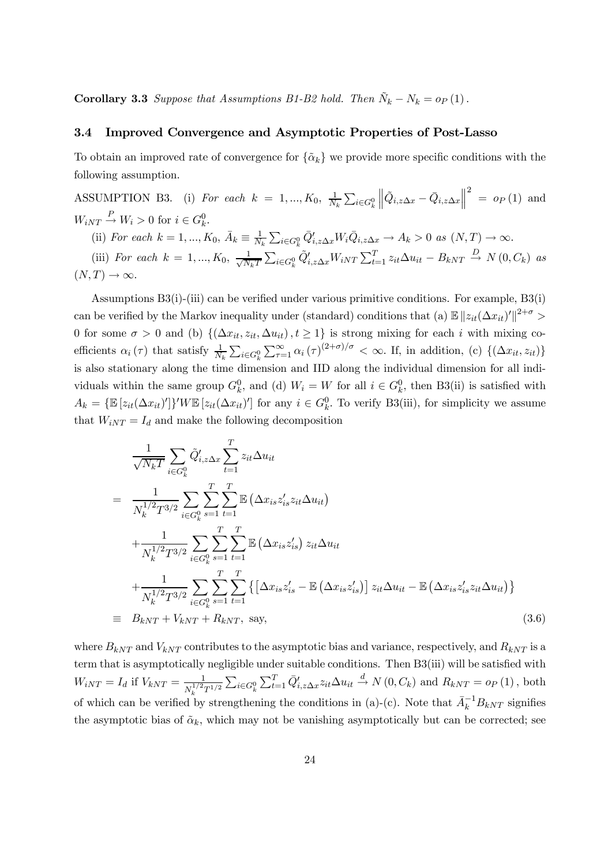**Corollary 3.3** Suppose that Assumptions B1-B2 hold. Then  $N_k - N_k = o_P(1)$ .

### 3.4 Improved Convergence and Asymptotic Properties of Post-Lasso

To obtain an improved rate of convergence for  $\{\tilde{\alpha}_k\}$  we provide more specific conditions with the following assumption.

ASSUMPTION B3. (i) For each  $k = 1, ..., K_0, \frac{1}{N_k} \sum_{i \in G_k^0}$  $\left\| \tilde{Q}_{i,z\Delta x} - \bar{Q}_{i,z\Delta x} \right\|$  $^{2}$  =  $o_{P}(1)$  and  $W_{iNT} \stackrel{P}{\rightarrow} W_i > 0$  for  $i \in G_k^0$ . (ii) For each  $k = 1, ..., K_0$ ,  $\bar{A}_k \equiv \frac{1}{N_k} \sum_{i \in G_k^0} \bar{Q}'_{i,z} \Delta_x W_i \bar{Q}_{i,z} \Delta_x \rightarrow A_k > 0$  as  $(N, T) \rightarrow \infty$ . (iii) For each  $k = 1, ..., K_0, \frac{1}{\sqrt{N}}$  $\frac{1}{N_kT} \sum_{i \in G_k^0} \tilde{Q}'_{i,z\Delta x} W_{iNT} \sum_{t=1}^T z_{it} \Delta u_{it} - B_{kNT} \stackrel{D}{\rightarrow} N(0, C_k)$  as  $(N, T) \rightarrow \infty$ .

Assumptions B3(i)-(iii) can be verified under various primitive conditions. For example, B3(i) can be verified by the Markov inequality under (standard) conditions that (a)  $\mathbb{E} \|z_{it}(\Delta x_{it})'\|^{2+\sigma}$ 0 for some  $\sigma > 0$  and (b)  $\{(\Delta x_{it}, z_{it}, \Delta u_{it}), t \ge 1\}$  is strong mixing for each *i* with mixing coefficients  $\alpha_i(\tau)$  that satisfy  $\frac{1}{N_k} \sum_{i \in G_k^0} \sum_{\tau=1}^{\infty} \alpha_i(\tau)^{(2+\sigma)/\sigma} < \infty$ . If, in addition, (c)  $\{(\Delta x_{it}, z_{it})\}$ is also stationary along the time dimension and IID along the individual dimension for all individuals within the same group  $G_k^0$ , and (d)  $W_i = W$  for all  $i \in G_k^0$ , then B3(ii) is satisfied with  $A_k = {\mathbb{E}[z_{it}(\Delta x_{it})']}/W \mathbb{E}[z_{it}(\Delta x_{it})']$  for any  $i \in G_k^0$ . To verify B3(iii), for simplicity we assume that  $W_{iNT} = I_d$  and make the following decomposition

$$
\frac{1}{\sqrt{N_{k}T}} \sum_{i \in G_{k}^{0}} \tilde{Q}'_{i,z\Delta x} \sum_{t=1}^{T} z_{it} \Delta u_{it}
$$
\n
$$
= \frac{1}{N_{k}^{1/2} T^{3/2}} \sum_{i \in G_{k}^{0}} \sum_{s=1}^{T} \sum_{t=1}^{T} \mathbb{E} \left( \Delta x_{is} z'_{is} z_{it} \Delta u_{it} \right)
$$
\n
$$
+ \frac{1}{N_{k}^{1/2} T^{3/2}} \sum_{i \in G_{k}^{0}} \sum_{s=1}^{T} \sum_{t=1}^{T} \mathbb{E} \left( \Delta x_{is} z'_{is} \right) z_{it} \Delta u_{it}
$$
\n
$$
+ \frac{1}{N_{k}^{1/2} T^{3/2}} \sum_{i \in G_{k}^{0}} \sum_{s=1}^{T} \sum_{t=1}^{T} \left\{ \left[ \Delta x_{is} z'_{is} - \mathbb{E} \left( \Delta x_{is} z'_{is} \right) \right] z_{it} \Delta u_{it} - \mathbb{E} \left( \Delta x_{is} z'_{is} z_{it} \Delta u_{it} \right) \right\}
$$
\n
$$
\equiv B_{kNT} + V_{kNT} + R_{kNT}, \text{ say,}
$$
\n(3.6)

where  $B_{kNT}$  and  $V_{kNT}$  contributes to the asymptotic bias and variance, respectively, and  $R_{kNT}$  is a term that is asymptotically negligible under suitable conditions. Then B3(iii) will be satisfied with  $W_{iNT} = I_d$  if  $V_{kNT} = \frac{1}{N_k^{1/2}T^{1/2}}$  $\sum_{i \in G_k^0} \sum_{t=1}^T \bar{Q}'_{i,z\Delta x} z_{it} \Delta u_{it} \stackrel{d}{\rightarrow} N(0, C_k)$  and  $R_{kNT} = o_P(1)$ , both of which can be verified by strengthening the conditions in (a)-(c). Note that  $\bar{A}_k^{-1}B_{kNT}$  signifies the asymptotic bias of  $\tilde{\alpha}_k$ , which may not be vanishing asymptotically but can be corrected; see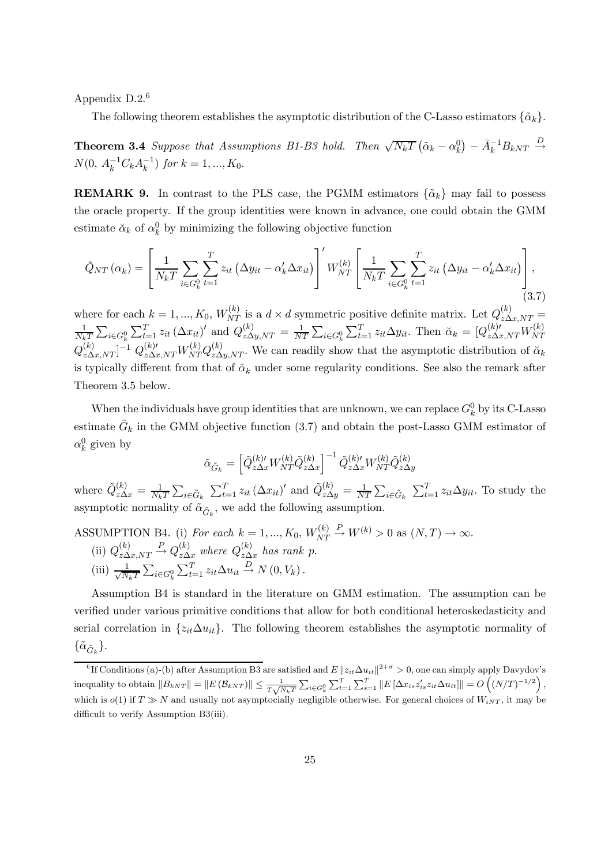Appendix D.2.<sup>6</sup>

The following theorem establishes the asymptotic distribution of the C-Lasso estimators  $\{\tilde{\alpha}_k\}$ .

**Theorem 3.4** Suppose that Assumptions B1-B3 hold. Then  $\sqrt{N_kT}(\tilde{\alpha}_k - \alpha_k^0) - \bar{A}_k^{-1}B_{kNT} \stackrel{D}{\rightarrow}$  $N(0, A_k^{-1}C_kA_k^{-1})$  for  $k = 1, ..., K_0$ .

**REMARK 9.** In contrast to the PLS case, the PGMM estimators  $\{\tilde{\alpha}_k\}$  may fail to possess the oracle property. If the group identities were known in advance, one could obtain the GMM estimate  $\check{\alpha}_k$  of  $\alpha_k^0$  by minimizing the following objective function

$$
\tilde{Q}_{NT}(\alpha_k) = \left[ \frac{1}{N_k T} \sum_{i \in G_k^0} \sum_{t=1}^T z_{it} \left( \Delta y_{it} - \alpha_k' \Delta x_{it} \right) \right]' W_{NT}^{(k)} \left[ \frac{1}{N_k T} \sum_{i \in G_k^0} \sum_{t=1}^T z_{it} \left( \Delta y_{it} - \alpha_k' \Delta x_{it} \right) \right],
$$
\n(3.7)

where for each  $k = 1, ..., K_0, W_{NT}^{(k)}$  is a  $d \times d$  symmetric positive definite matrix. Let  $Q_{z\Delta x, NT}^{(k)} =$ 1  $\frac{1}{N_k T} \sum_{i \in G_k^0} \sum_{t=1}^T z_{it} (\Delta x_{it})'$  and  $Q_{z\Delta y, NT}^{(k)} = \frac{1}{NT} \sum_{i \in G_k^0} \sum_{t=1}^T z_{it} \Delta y_{it}$ . Then  $\breve{\alpha}_k = [Q_{z\Delta x, NT}^{(k)} W_{NT}^{(k)}]$  $Q_{z\Delta x,NT}^{(k)}$ ]<sup>-1</sup>  $Q_{z\Delta x,NT}^{(k)}W_{NT}^{(k)}Q_{z\Delta y,NT}^{(k)}$ . We can readily show that the asymptotic distribution of  $\alpha_k$ is typically different from that of  $\tilde{\alpha}_k$  under some regularity conditions. See also the remark after Theorem 3.5 below.

When the individuals have group identities that are unknown, we can replace  $G_k^0$  by its C-Lasso estimate  $\tilde{G}_k$  in the GMM objective function (3.7) and obtain the post-Lasso GMM estimator of  $\alpha_k^0$  given by

$$
\tilde{\alpha}_{\tilde{G}_k} = \left[ \tilde{Q}^{(k) \prime}_{z \Delta x} W^{(k)}_{NT} \tilde{Q}^{(k)}_{z \Delta x} \right]^{-1} \tilde{Q}^{(k) \prime}_{z \Delta x} W^{(k)}_{NT} \tilde{Q}^{(k)}_{z \Delta y}
$$

where  $\tilde{Q}_{z\Delta x}^{(k)} = \frac{1}{N_k T} \sum_{i \in \tilde{G}_k} \sum_{t=1}^T z_{it} (\Delta x_{it})'$  and  $\tilde{Q}_{z\Delta y}^{(k)} = \frac{1}{NT} \sum_{i \in \tilde{G}_k} \sum_{t=1}^T z_{it} \Delta y_{it}$ . To study the asymptotic normality of  $\tilde{\alpha}_{\tilde{G}_t}$ , we add the following assumption.

ASSUMPTION B4. (i) For each  $k = 1, ..., K_0, W_{NT}^{(k)}$  $\stackrel{P}{\to} W^{(k)} > 0$  as  $(N, T) \to \infty$ .

(ii)  $Q_{z\Delta x,NT}^{(k)}$  $\stackrel{P}{\rightarrow} Q_{z\Delta x}^{(k)}$  where  $Q_{z\Delta x}^{(k)}$  has rank p.  $(iii) \frac{1}{\sqrt{N}}$  $\frac{1}{N_k T} \sum_{i \in G_k^0} \sum_{t=1}^T z_{it} \Delta u_{it} \stackrel{D}{\rightarrow} N(0, V_k).$ 

Assumption B4 is standard in the literature on GMM estimation. The assumption can be verified under various primitive conditions that allow for both conditional heteroskedasticity and serial correlation in  $\{z_{it}\Delta u_{it}\}\$ . The following theorem establishes the asymptotic normality of  $\{\tilde{\alpha}_{\tilde{G}_k}\}.$ 

<sup>&</sup>lt;sup>6</sup> If Conditions (a)-(b) after Assumption B3 are satisfied and  $E ||z_{it}\Delta u_{it}||^{2+\sigma} > 0$ , one can simply apply Davydov's inequality to obtain  $||B_{kNT}|| = ||E(B_{kNT})|| \leq \frac{1}{T\sqrt{N_kT}} \sum_{i \in G_k^0} \sum_{t=1}^T \sum_{s=1}^T ||E[\Delta x_{is} z_{is}' z_{it} \Delta u_{it}]|| = O\left((N/T)^{-1/2}\right)$ which is  $o(1)$  if  $T \gg N$  and usually not asymptocially negligible otherwise. For general choices of  $W_{iNT}$ , it may be difficult to verify Assumption B3(iii).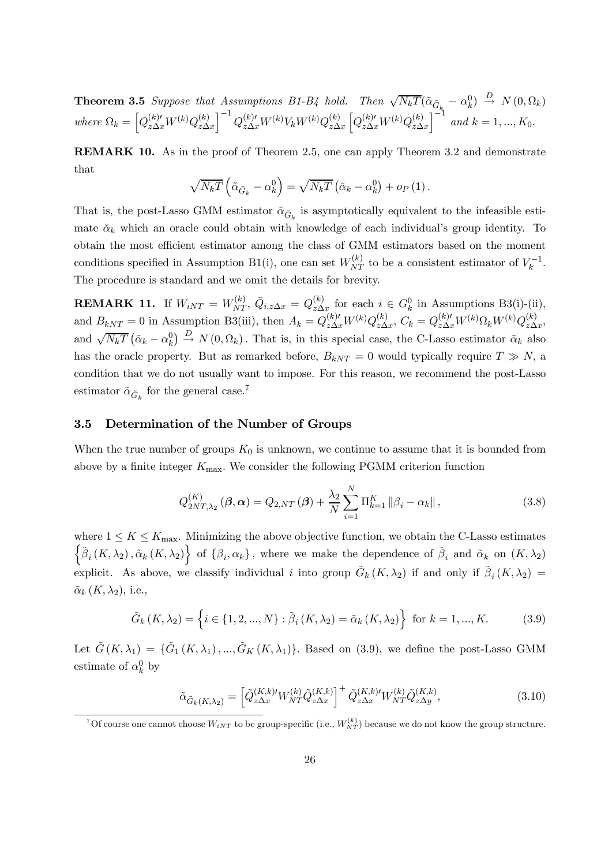**Theorem 3.5** Suppose that Assumptions B1-B4 hold. Then  $\sqrt{N_kT}(\tilde{\alpha}_{\tilde{G}_k} - \alpha_k^0) \stackrel{D}{\rightarrow} N(0, \Omega_k)$ where  $\Omega_k = \left[Q^{(k) \prime}_{z \Delta x} W^{(k)} Q^{(k)}_{z \Delta x} \right]$  $\left[\begin{matrix} -1\ Q^{(k) \prime}_{z \Delta x} W^{(k)} V_k W^{(k)} Q^{(k)}_{z \Delta x} \end{matrix}\right]$  $\left[Q^{(k) \prime} _{z \Delta x} W^{(k)} Q^{(k)}_{z \Delta x} \right.$  $\big]^{-1}$  and  $k = 1, ..., K_0$ .

REMARK 10. As in the proof of Theorem 2.5, one can apply Theorem 3.2 and demonstrate that

$$
\sqrt{N_kT}\left(\tilde{\alpha}_{\tilde{G}_k}-\alpha_k^0\right)=\sqrt{N_kT}\left(\tilde{\alpha}_k-\alpha_k^0\right)+o_P\left(1\right).
$$

That is, the post-Lasso GMM estimator  $\tilde{\alpha}_{\tilde{G}_k}$  is asymptotically equivalent to the infeasible estimate  $\check{\alpha}_k$  which an oracle could obtain with knowledge of each individual's group identity. To obtain the most efficient estimator among the class of GMM estimators based on the moment conditions specified in Assumption B1(i), one can set  $W_{NT}^{(k)}$  to be a consistent estimator of  $V_k^{-1}$ . The procedure is standard and we omit the details for brevity.

**REMARK 11.** If  $W_{iNT} = W_{NT}^{(k)}$ ,  $\bar{Q}_{i,z\Delta x} = Q_{z\Delta x}^{(k)}$  for each  $i \in G_k^0$  in Assumptions B3(i)-(ii), and  $B_{kNT} = 0$  in Assumption B3(iii), then  $A_k = Q_{z\Delta x}^{(k)'} W^{(k)} Q_{z\Delta x}^{(k)}$ ,  $C_k = Q_{z\Delta x}^{(k)'} W^{(k)} Q_{z\Delta x}^{(k)}$ , and  $\sqrt{N_kT}$   $(\tilde{\alpha}_k - \alpha_k^0) \stackrel{D}{\rightarrow} N(0, \Omega_k)$ . That is, in this special case, the C-Lasso estimator  $\tilde{\alpha}_k$  also has the oracle property. But as remarked before,  $B_{kNT} = 0$  would typically require  $T \gg N$ , a condition that we do not usually want to impose. For this reason, we recommend the post-Lasso estimator  $\tilde{\alpha}_{\tilde{G}_k}$  for the general case.<sup>7</sup>

### 3.5 Determination of the Number of Groups

When the true number of groups  $K_0$  is unknown, we continue to assume that it is bounded from above by a finite integer  $K_{\text{max}}$ . We consider the following PGMM criterion function

$$
Q_{2NT,\lambda_2}^{(K)}\left(\boldsymbol{\beta},\boldsymbol{\alpha}\right) = Q_{2,NT}\left(\boldsymbol{\beta}\right) + \frac{\lambda_2}{N} \sum_{i=1}^N \Pi_{k=1}^K \left\|\beta_i - \alpha_k\right\|,\tag{3.8}
$$

where  $1 \leq K \leq K_{\text{max}}$ . Minimizing the above objective function, we obtain the C-Lasso estimates  $\left\{\tilde{\beta}_{i}(K,\lambda_{2}),\tilde{\alpha}_{k}(K,\lambda_{2})\right\}$  of  $\left\{\beta_{i},\alpha_{k}\right\}$ , where we make the dependence of  $\tilde{\beta}_{i}$  and  $\tilde{\alpha}_{k}$  on  $(K,\lambda_{2})$ explicit. As above, we classify individual i into group  $\tilde{G}_k(K,\lambda_2)$  if and only if  $\tilde{\beta}_i(K,\lambda_2)$  $\tilde{\alpha}_k(K, \lambda_2)$ , i.e.,

$$
\tilde{G}_{k}(K,\lambda_{2}) = \left\{ i \in \{1,2,...,N\} : \tilde{\beta}_{i}(K,\lambda_{2}) = \tilde{\alpha}_{k}(K,\lambda_{2}) \right\} \text{ for } k = 1,...,K. \tag{3.9}
$$

Let  $\tilde{G}(K, \lambda_1) = \{\tilde{G}_1(K, \lambda_1), ..., \tilde{G}_K(K, \lambda_1)\}\$ . Based on (3.9), we define the post-Lasso GMM estimate of  $\alpha_k^0$  by

$$
\tilde{\alpha}_{\tilde{G}_k(K,\lambda_2)} = \left[ \tilde{Q}_{z\Delta x}^{(K,k)'} W_{NT}^{(k)} \tilde{Q}_{z\Delta x}^{(K,k)} \right]^+ \tilde{Q}_{z\Delta x}^{(K,k)'} W_{NT}^{(k)} \tilde{Q}_{z\Delta y}^{(K,k)},\tag{3.10}
$$

<sup>&</sup>lt;sup>7</sup>Of course one cannot choose  $W_{iNT}$  to be group-specific (i.e.,  $W_{NT}^{(k)}$ ) because we do not know the group structure.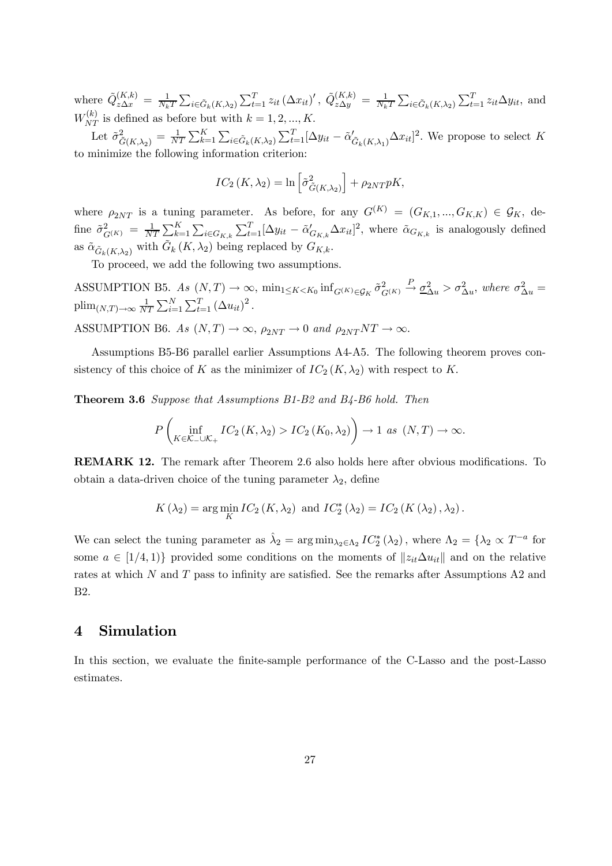where  $\tilde{Q}_{z\Delta x}^{(K,k)} = \frac{1}{N_k T} \sum_{i \in \tilde{G}_k(K,\lambda_2)} \sum_{t=1}^T z_{it} (\Delta x_{it})', \ \tilde{Q}_{z\Delta y}^{(K,k)} = \frac{1}{N_k T} \sum_{i \in \tilde{G}_k(K,\lambda_2)} \sum_{t=1}^T z_{it} \Delta y_{it},$  and  $W_{NT}^{(k)}$  is defined as before but with  $k = 1, 2, ..., K$ .

Let  $\tilde{\sigma}_{\tilde{G}(K,\lambda_2)}^2 = \frac{1}{NT} \sum_{k=1}^K \sum_{i \in \tilde{G}_k(K,\lambda_2)} \sum_{t=1}^T [\Delta y_{it} - \tilde{\alpha}'_{\tilde{G}_k(K,\lambda_1)} \Delta x_{it}]^2$ . We propose to select K to minimize the following information criterion:

$$
IC_2(K, \lambda_2) = \ln \left[ \tilde{\sigma}_{\tilde{G}(K, \lambda_2)}^2 \right] + \rho_{2NT} pK,
$$

where  $\rho_{2NT}$  is a tuning parameter. As before, for any  $G^{(K)} = (G_{K,1},...,G_{K,K}) \in \mathcal{G}_K$ , define  $\tilde{\sigma}_{G^{(K)}}^2 = \frac{1}{NT} \sum_{k=1}^K \sum_{i \in G_{K,k}} \sum_{t=1}^T [\Delta y_{it} - \tilde{\alpha}'_{G_{K,k}} \Delta x_{it}]^2$ , where  $\tilde{\alpha}_{G_{K,k}}$  is analogously defined as  $\tilde{\alpha}_{\tilde{G}_k(K,\lambda_2)}$  with  $\tilde{G}_k(K,\lambda_2)$  being replaced by  $G_{K,k}$ .

To proceed, we add the following two assumptions.

ASSUMPTION B5. As  $(N, T) \to \infty$ ,  $\min_{1 \leq K < K_0} \inf_{G^{(K)} \in \mathcal{G}_K} \tilde{\sigma}_{G^{(K)}}^2$  $\stackrel{P}{\rightarrow} \underline{\sigma}_{\Delta u}^2 > \sigma_{\Delta u}^2$ , where  $\sigma_{\Delta u}^2 =$  $\text{plim}_{(N,T)\to\infty} \frac{1}{NT} \sum_{i=1}^{N} \sum_{t=1}^{T} (\Delta u_{it})^2$ .

ASSUMPTION B6. As  $(N, T) \rightarrow \infty$ ,  $\rho_{2NT} \rightarrow 0$  and  $\rho_{2NT} NT \rightarrow \infty$ .

Assumptions B5-B6 parallel earlier Assumptions A4-A5. The following theorem proves consistency of this choice of K as the minimizer of  $IC_2(K, \lambda_2)$  with respect to K.

Theorem 3.6 Suppose that Assumptions B1-B2 and B4-B6 hold. Then

$$
P\left(\inf_{K\in\mathcal{K}_{-}\cup\mathcal{K}_{+}} IC_{2}\left(K,\lambda_{2}\right) > IC_{2}\left(K_{0},\lambda_{2}\right)\right) \to 1 \text{ as } (N, T) \to \infty.
$$

REMARK 12. The remark after Theorem 2.6 also holds here after obvious modifications. To obtain a data-driven choice of the tuning parameter  $\lambda_2$ , define

$$
K(\lambda_2) = \arg\min_{K} IC_2(K, \lambda_2) \text{ and } IC_2^*(\lambda_2) = IC_2(K(\lambda_2), \lambda_2).
$$

We can select the tuning parameter as  $\hat{\lambda}_2 = \arg \min_{\lambda_2 \in \Lambda_2} IC_2^*(\lambda_2)$ , where  $\Lambda_2 = {\lambda_2 \propto T^{-a}$  for some  $a \in [1/4, 1)$  provided some conditions on the moments of  $||z_{it}\Delta u_{it}||$  and on the relative rates at which  $N$  and  $T$  pass to infinity are satisfied. See the remarks after Assumptions A2 and B2.

# 4 Simulation

In this section, we evaluate the finite-sample performance of the C-Lasso and the post-Lasso estimates.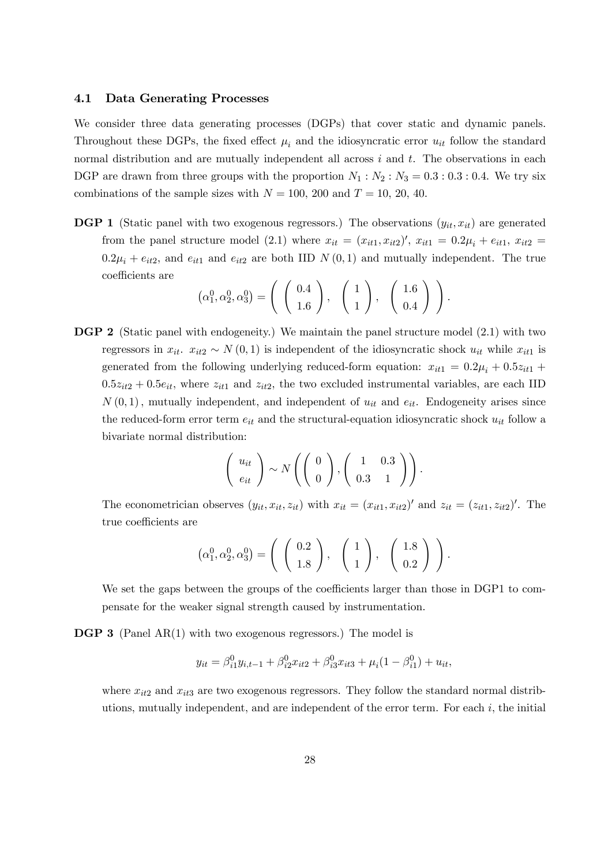### 4.1 Data Generating Processes

We consider three data generating processes (DGPs) that cover static and dynamic panels. Throughout these DGPs, the fixed effect  $\mu_i$  and the idiosyncratic error  $u_{it}$  follow the standard normal distribution and are mutually independent all across  $i$  and  $t$ . The observations in each DGP are drawn from three groups with the proportion  $N_1 : N_2 : N_3 = 0.3 : 0.3 : 0.4$ . We try six combinations of the sample sizes with  $N = 100$ , 200 and  $T = 10$ , 20, 40.

**DGP 1** (Static panel with two exogenous regressors.) The observations  $(y_{it}, x_{it})$  are generated from the panel structure model (2.1) where  $x_{it} = (x_{it1}, x_{it2})'$ ,  $x_{it1} = 0.2\mu_i + e_{it1}$ ,  $x_{it2} =$  $0.2\mu_i + e_{it2}$ , and  $e_{it1}$  and  $e_{it2}$  are both IID  $N(0, 1)$  and mutually independent. The true coefficients are

$$
(\alpha_1^0, \alpha_2^0, \alpha_3^0) = \left( \begin{array}{c} 0.4 \\ 1.6 \end{array} \right), \begin{array}{c} 1 \\ 1 \end{array}, \begin{array}{c} 1.6 \\ 0.4 \end{array} \right).
$$

DGP 2 (Static panel with endogeneity.) We maintain the panel structure model (2.1) with two regressors in  $x_{it}$ .  $x_{it2} \sim N(0, 1)$  is independent of the idiosyncratic shock  $u_{it}$  while  $x_{it1}$  is generated from the following underlying reduced-form equation:  $x_{it1} = 0.2\mu_i + 0.5z_{it1} +$  $0.5z_{it2} + 0.5e_{it}$ , where  $z_{it1}$  and  $z_{it2}$ , the two excluded instrumental variables, are each IID  $N(0, 1)$ , mutually independent, and independent of  $u_{it}$  and  $e_{it}$ . Endogeneity arises since the reduced-form error term  $e_{it}$  and the structural-equation idiosyncratic shock  $u_{it}$  follow a bivariate normal distribution:

$$
\left(\begin{array}{c} u_{it} \\ e_{it} \end{array}\right) \sim N\left(\left(\begin{array}{c} 0 \\ 0 \end{array}\right), \left(\begin{array}{cc} 1 & 0.3 \\ 0.3 & 1 \end{array}\right)\right).
$$

The econometrician observes  $(y_{it}, x_{it}, z_{it})$  with  $x_{it} = (x_{it1}, x_{it2})'$  and  $z_{it} = (z_{it1}, z_{it2})'$ . The true coefficients are

$$
(\alpha_1^0, \alpha_2^0, \alpha_3^0) = \left( \begin{array}{c} 0.2 \\ 1.8 \end{array} \right), \quad \left( \begin{array}{c} 1 \\ 1 \end{array} \right), \quad \left( \begin{array}{c} 1.8 \\ 0.2 \end{array} \right) \end{array} \right).
$$

We set the gaps between the groups of the coefficients larger than those in DGP1 to compensate for the weaker signal strength caused by instrumentation.

DGP 3 (Panel AR(1) with two exogenous regressors.) The model is

$$
y_{it} = \beta_{i1}^{0} y_{i,t-1} + \beta_{i2}^{0} x_{it2} + \beta_{i3}^{0} x_{it3} + \mu_i (1 - \beta_{i1}^{0}) + u_{it},
$$

where  $x_{it2}$  and  $x_{it3}$  are two exogenous regressors. They follow the standard normal distributions, mutually independent, and are independent of the error term. For each  $i$ , the initial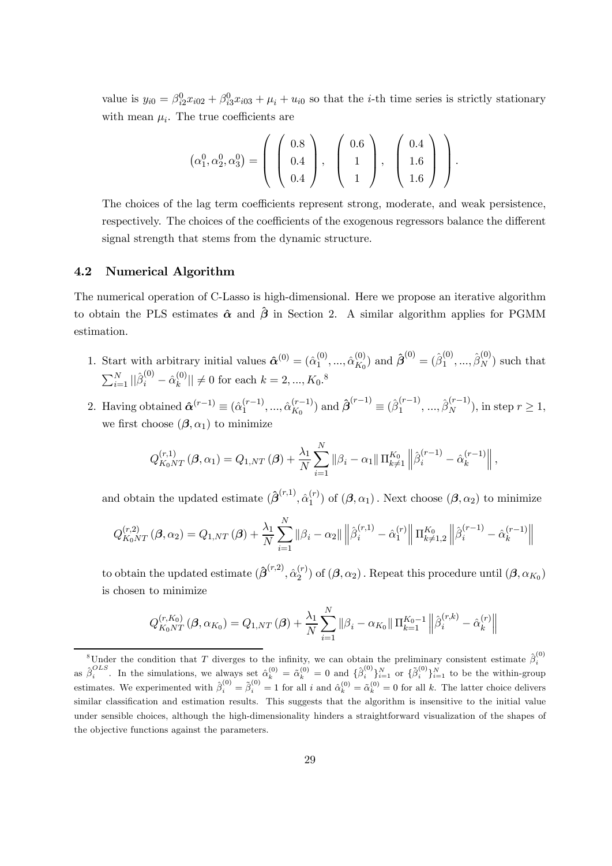value is  $y_{i0} = \beta_{i2}^0 x_{i02} + \beta_{i3}^0 x_{i03} + \mu_i + u_{i0}$  so that the *i*-th time series is strictly stationary with mean  $\mu_i$ . The true coefficients are

$$
(\alpha_1^0, \alpha_2^0, \alpha_3^0) = \left( \begin{array}{c} 0.8 \\ 0.4 \\ 0.4 \end{array} \right), \begin{array}{c} 0.6 \\ 1 \\ 1 \end{array}, \begin{array}{c} 0.4 \\ 1.6 \\ 1.6 \end{array} \right).
$$

The choices of the lag term coefficients represent strong, moderate, and weak persistence, respectively. The choices of the coefficients of the exogenous regressors balance the different signal strength that stems from the dynamic structure.

### 4.2 Numerical Algorithm

The numerical operation of C-Lasso is high-dimensional. Here we propose an iterative algorithm to obtain the PLS estimates  $\hat{\alpha}$  and  $\hat{\beta}$  in Section 2. A similar algorithm applies for PGMM estimation.

- 1. Start with arbitrary initial values  $\hat{\boldsymbol{\alpha}}^{(0)} = (\hat{\alpha}_1^{(0)}, ..., \hat{\alpha}_{K_0}^{(0)})$  and  $\hat{\boldsymbol{\beta}}^{(0)} = (\hat{\beta}_1^{(0)}, ..., \hat{\beta}_N^{(0)})$  such that  $\sum_{i=1}^{N} ||\hat{\beta}_i^{(0)} - \hat{\alpha}_k^{(0)}|| \neq 0$  for each  $k = 2, ..., K_0$ .<sup>8</sup>
- 2. Having obtained  $\hat{\boldsymbol{\alpha}}^{(r-1)} \equiv (\hat{\alpha}_1^{(r-1)}, ..., \hat{\alpha}_{K_0}^{(r-1)})$  and  $\hat{\boldsymbol{\beta}}^{(r-1)} \equiv (\hat{\beta}_1^{(r-1)}, ..., \hat{\beta}_N^{(r-1)})$ , in step  $r \ge 1$ , we first choose  $(\beta, \alpha_1)$  to minimize

$$
Q_{K_0NT}^{(r,1)}(\boldsymbol{\beta}, \alpha_1) = Q_{1,NT}(\boldsymbol{\beta}) + \frac{\lambda_1}{N} \sum_{i=1}^N \|\beta_i - \alpha_1\| \Pi_{k \neq 1}^{K_0} \left\| \hat{\beta}_i^{(r-1)} - \hat{\alpha}_k^{(r-1)} \right\|,
$$

and obtain the updated estimate  $(\hat{\beta}^{(r,1)}, \hat{\alpha}_1^{(r)})$  of  $(\beta, \alpha_1)$ . Next choose  $(\beta, \alpha_2)$  to minimize

$$
Q_{K_0NT}^{(r,2)}(\beta,\alpha_2) = Q_{1,NT}(\beta) + \frac{\lambda_1}{N} \sum_{i=1}^N \left\| \beta_i - \alpha_2 \right\| \left\| \hat{\beta}_i^{(r,1)} - \hat{\alpha}_1^{(r)} \right\| \Pi_{k \neq 1,2}^{K_0} \left\| \hat{\beta}_i^{(r-1)} - \hat{\alpha}_k^{(r-1)} \right\|
$$

to obtain the updated estimate  $(\hat{\beta}^{(r,2)}, \hat{\alpha}_2^{(r)})$  of  $(\beta, \alpha_2)$  . Repeat this procedure until  $(\beta, \alpha_{K_0})$ is chosen to minimize

$$
Q_{K_0NT}^{(r,K_0)}(\boldsymbol{\beta}, \alpha_{K_0}) = Q_{1,NT}(\boldsymbol{\beta}) + \frac{\lambda_1}{N} \sum_{i=1}^N \left\| \beta_i - \alpha_{K_0} \right\| \Pi_{k=1}^{K_0 - 1} \left\| \hat{\beta}_i^{(r,k)} - \hat{\alpha}_k^{(r)} \right\|
$$

<sup>&</sup>lt;sup>8</sup>Under the condition that *T* diverges to the infinity, we can obtain the preliminary consistent estimate  $\hat{\beta}_i^{(0)}$  as  $\hat{\beta}_i^{OLS}$ . In the simulations, we always set  $\hat{\alpha}_k^{(0)} = \tilde{\alpha}_k^{(0)} = 0$  and  $\{\hat{\beta}_i^{(0)}\}_{i=1}$ estimates. We experimented with  $\hat{\beta}_i^{(0)} = \tilde{\beta}_i^{(0)} = 1$  for all  $i$  and  $\hat{\alpha}_k^{(0)} = \tilde{\alpha}_k^{(0)} = 0$  for all  $k$ . The latter choice delivers similar classification and estimation results. This suggests that the algorithm is insensitive to the initial value under sensible choices, although the high-dimensionality hinders a straightforward visualization of the shapes of the objective functions against the parameters.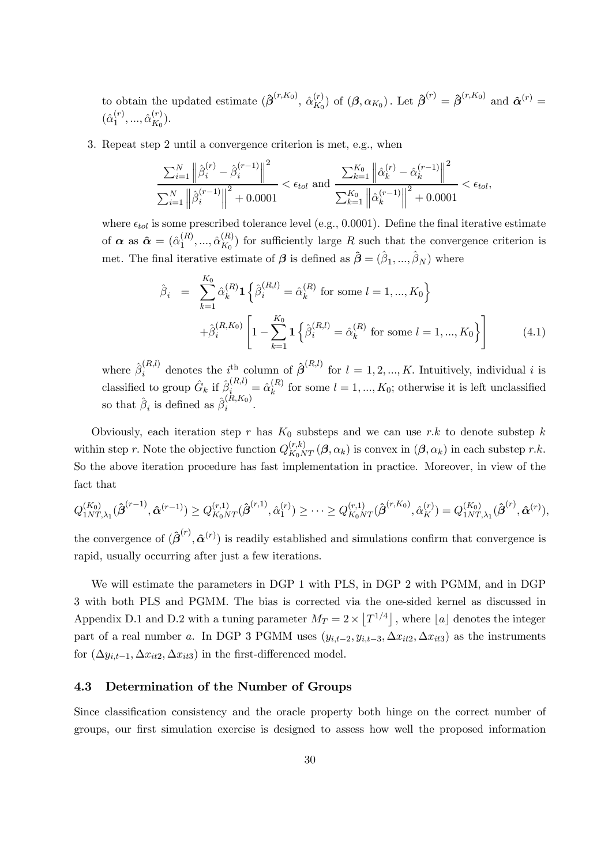to obtain the updated estimate  $(\hat{\beta}^{(r,K_0)}, \hat{\alpha}_{K_0}^{(r)})$  of  $(\beta, \alpha_{K_0})$ . Let  $\hat{\beta}^{(r)} = \hat{\beta}^{(r,K_0)}$  and  $\hat{\alpha}^{(r)} =$  $(\hat{\alpha}_1^{(r)}, ..., \hat{\alpha}_{K_0}^{(r)})$ .

3. Repeat step 2 until a convergence criterion is met, e.g., when

$$
\frac{\sum_{i=1}^{N} \left\| \hat{\beta}_i^{(r)} - \hat{\beta}_i^{(r-1)} \right\|^2}{\sum_{i=1}^{N} \left\| \hat{\beta}_i^{(r-1)} \right\|^2 + 0.0001} < \epsilon_{tol} \text{ and } \frac{\sum_{k=1}^{K_0} \left\| \hat{\alpha}_k^{(r)} - \hat{\alpha}_k^{(r-1)} \right\|^2}{\sum_{k=1}^{K_0} \left\| \hat{\alpha}_k^{(r-1)} \right\|^2 + 0.0001} < \epsilon_{tol},
$$

where  $\epsilon_{tol}$  is some prescribed tolerance level (e.g., 0.0001). Define the final iterative estimate of  $\alpha$  as  $\hat{\alpha} = (\hat{\alpha}_1^{(R)}, ..., \hat{\alpha}_{K_0}^{(R)})$  for sufficiently large R such that the convergence criterion is met. The final iterative estimate of  $\beta$  is defined as  $\hat{\beta} = (\hat{\beta}_1, ..., \hat{\beta}_N)$  where

$$
\hat{\beta}_{i} = \sum_{k=1}^{K_{0}} \hat{\alpha}_{k}^{(R)} \mathbf{1} \left\{ \hat{\beta}_{i}^{(R,l)} = \hat{\alpha}_{k}^{(R)} \text{ for some } l = 1, ..., K_{0} \right\}
$$

$$
+ \hat{\beta}_{i}^{(R,K_{0})} \left[ 1 - \sum_{k=1}^{K_{0}} \mathbf{1} \left\{ \hat{\beta}_{i}^{(R,l)} = \hat{\alpha}_{k}^{(R)} \text{ for some } l = 1, ..., K_{0} \right\} \right]
$$
(4.1)

where  $\hat{\beta}_i^{(R,l)}$  denotes the  $i^{\text{th}}$  column of  $\hat{\boldsymbol{\beta}}^{(R,l)}$  for  $l=1,2,...,K$ . Intuitively, individual i is classified to group  $\hat{G}_k$  if  $\hat{\beta}_i^{(R,l)} = \hat{\alpha}_k^{(R)}$  for some  $l = 1, ..., K_0$ ; otherwise it is left unclassified so that  $\hat{\beta}_i$  is defined as  $\hat{\beta}_i^{(R,K_0)}$ .

Obviously, each iteration step  $r$  has  $K_0$  substeps and we can use  $r.k$  to denote substep  $k$ within step r. Note the objective function  $Q_{K_0NT}^{(r,k)}(\beta,\alpha_k)$  is convex in  $(\beta,\alpha_k)$  in each substep r.k. So the above iteration procedure has fast implementation in practice. Moreover, in view of the fact that

$$
Q_{1NT,\lambda_1}^{(K_0)}(\hat{\boldsymbol{\beta}}^{(r-1)},\hat{\boldsymbol{\alpha}}^{(r-1)}) \ge Q_{K_0NT}^{(r,1)}(\hat{\boldsymbol{\beta}}^{(r,1)},\hat{\alpha}_1^{(r)}) \ge \cdots \ge Q_{K_0NT}^{(r,1)}(\hat{\boldsymbol{\beta}}^{(r,K_0)},\hat{\alpha}_K^{(r)}) = Q_{1NT,\lambda_1}^{(K_0)}(\hat{\boldsymbol{\beta}}^{(r)},\hat{\boldsymbol{\alpha}}^{(r)}),
$$

the convergence of  $(\hat{\boldsymbol{\beta}}^{(r)}, \hat{\boldsymbol{\alpha}}^{(r)})$  is readily established and simulations confirm that convergence is rapid, usually occurring after just a few iterations.

We will estimate the parameters in DGP 1 with PLS, in DGP 2 with PGMM, and in DGP 3 with both PLS and PGMM. The bias is corrected via the one-sided kernel as discussed in Appendix D.1 and D.2 with a tuning parameter  $M_T = 2 \times \lfloor T^{1/4} \rfloor$ , where  $\lfloor a \rfloor$  denotes the integer part of a real number a. In DGP 3 PGMM uses  $(y_{i,t-2}, y_{i,t-3}, \Delta x_{it2}, \Delta x_{it3})$  as the instruments for  $(\Delta y_{i,t-1}, \Delta x_{it2}, \Delta x_{it3})$  in the first-differenced model.

### 4.3 Determination of the Number of Groups

Since classification consistency and the oracle property both hinge on the correct number of groups, our first simulation exercise is designed to assess how well the proposed information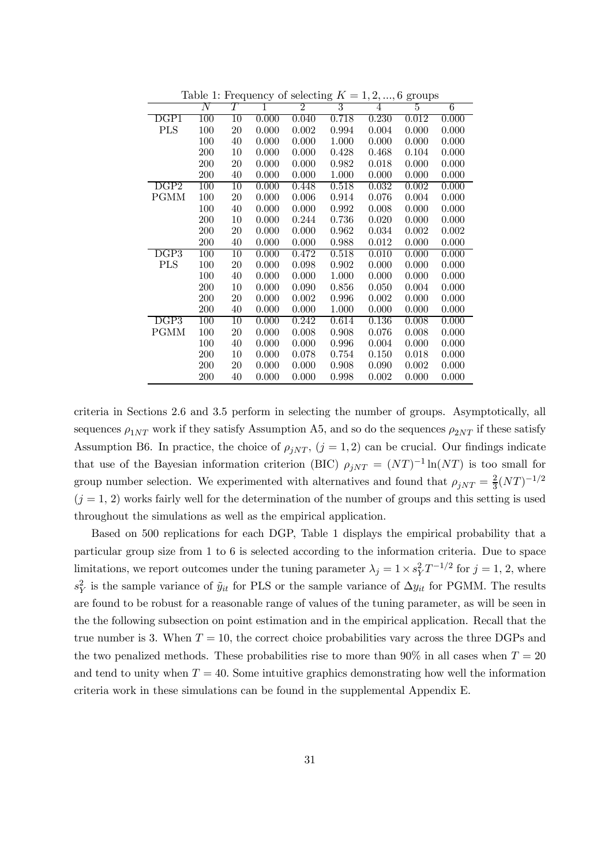| rapic 1. Lieduciicy of selecting 11<br>$1, 2, , 0$ groups |                 |       |       |                         |                         |       |                         |  |  |  |  |
|-----------------------------------------------------------|-----------------|-------|-------|-------------------------|-------------------------|-------|-------------------------|--|--|--|--|
|                                                           |                 | 1     |       |                         | 4                       |       | 6                       |  |  |  |  |
| 100                                                       | $\overline{10}$ | 0.000 |       |                         |                         |       | 0.000                   |  |  |  |  |
| 100                                                       | 20              | 0.000 | 0.002 | 0.994                   | 0.004                   | 0.000 | 0.000                   |  |  |  |  |
| 100                                                       | 40              | 0.000 | 0.000 | 1.000                   | 0.000                   | 0.000 | 0.000                   |  |  |  |  |
| 200                                                       | 10              | 0.000 | 0.000 | 0.428                   | 0.468                   | 0.104 | 0.000                   |  |  |  |  |
| 200                                                       | 20              | 0.000 | 0.000 | 0.982                   | 0.018                   | 0.000 | 0.000                   |  |  |  |  |
| 200                                                       | 40              | 0.000 | 0.000 | 1.000                   | 0.000                   | 0.000 | 0.000                   |  |  |  |  |
| 100                                                       | 10              | 0.000 | 0.448 | 0.518                   | 0.032                   | 0.002 | 0.000                   |  |  |  |  |
| 100                                                       | 20              | 0.000 | 0.006 | 0.914                   | 0.076                   | 0.004 | 0.000                   |  |  |  |  |
| 100                                                       | 40              | 0.000 | 0.000 | 0.992                   | 0.008                   | 0.000 | 0.000                   |  |  |  |  |
| 200                                                       | 10              | 0.000 | 0.244 | 0.736                   | 0.020                   | 0.000 | 0.000                   |  |  |  |  |
| 200                                                       | 20              | 0.000 | 0.000 | 0.962                   | 0.034                   | 0.002 | $0.002\,$               |  |  |  |  |
| 200                                                       | 40              | 0.000 | 0.000 | 0.988                   | 0.012                   | 0.000 | 0.000                   |  |  |  |  |
| 100                                                       | $\overline{10}$ | 0.000 | 0.472 | 0.518                   | 0.010                   | 0.000 | 0.000                   |  |  |  |  |
| 100                                                       | 20              | 0.000 | 0.098 | 0.902                   | 0.000                   | 0.000 | 0.000                   |  |  |  |  |
| 100                                                       | 40              | 0.000 | 0.000 | 1.000                   | 0.000                   | 0.000 | 0.000                   |  |  |  |  |
| 200                                                       | 10              | 0.000 | 0.090 | 0.856                   | 0.050                   | 0.004 | 0.000                   |  |  |  |  |
| 200                                                       | 20              | 0.000 | 0.002 | 0.996                   | 0.002                   | 0.000 | 0.000                   |  |  |  |  |
| 200                                                       | 40              | 0.000 | 0.000 | 1.000                   | 0.000                   | 0.000 | 0.000                   |  |  |  |  |
| 100                                                       | 10              | 0.000 | 0.242 | 0.614                   | 0.136                   | 0.008 | 0.000                   |  |  |  |  |
| 100                                                       | 20              | 0.000 | 0.008 | 0.908                   | 0.076                   | 0.008 | 0.000                   |  |  |  |  |
| 100                                                       | 40              | 0.000 | 0.000 | 0.996                   | 0.004                   | 0.000 | 0.000                   |  |  |  |  |
| 200                                                       | 10              | 0.000 | 0.078 | 0.754                   | 0.150                   | 0.018 | 0.000                   |  |  |  |  |
| 200                                                       | 20              | 0.000 | 0.000 | 0.908                   | 0.090                   | 0.002 | 0.000                   |  |  |  |  |
| 200                                                       | 40              | 0.000 | 0.000 | 0.998                   | 0.002                   | 0.000 | 0.000                   |  |  |  |  |
|                                                           | N               | Т     |       | $\overline{2}$<br>0.040 | $\overline{3}$<br>0.718 | 0.230 | $\overline{5}$<br>0.012 |  |  |  |  |

Table 1: Frequency of selecting  $K = 1, 2, \ldots, 6$  groups

criteria in Sections 2.6 and 3.5 perform in selecting the number of groups. Asymptotically, all sequences  $\rho_{1NT}$  work if they satisfy Assumption A5, and so do the sequences  $\rho_{2NT}$  if these satisfy Assumption B6. In practice, the choice of  $\rho_{jNT}$ ,  $(j = 1, 2)$  can be crucial. Our findings indicate that use of the Bayesian information criterion (BIC)  $\rho_{jNT} = (NT)^{-1} \ln(NT)$  is too small for group number selection. We experimented with alternatives and found that  $\rho_{jNT} = \frac{2}{3}(NT)^{-1/2}$  $(j = 1, 2)$  works fairly well for the determination of the number of groups and this setting is used throughout the simulations as well as the empirical application.

Based on 500 replications for each DGP, Table 1 displays the empirical probability that a particular group size from 1 to 6 is selected according to the information criteria. Due to space limitations, we report outcomes under the tuning parameter  $\lambda_j = 1 \times s_Y^2 T^{-1/2}$  for  $j = 1, 2$ , where  $s_Y^2$  is the sample variance of  $\tilde{y}_{it}$  for PLS or the sample variance of  $\Delta y_{it}$  for PGMM. The results are found to be robust for a reasonable range of values of the tuning parameter, as will be seen in the the following subsection on point estimation and in the empirical application. Recall that the true number is 3. When  $T = 10$ , the correct choice probabilities vary across the three DGPs and the two penalized methods. These probabilities rise to more than 90% in all cases when  $T = 20$ and tend to unity when  $T = 40$ . Some intuitive graphics demonstrating how well the information criteria work in these simulations can be found in the supplemental Appendix E.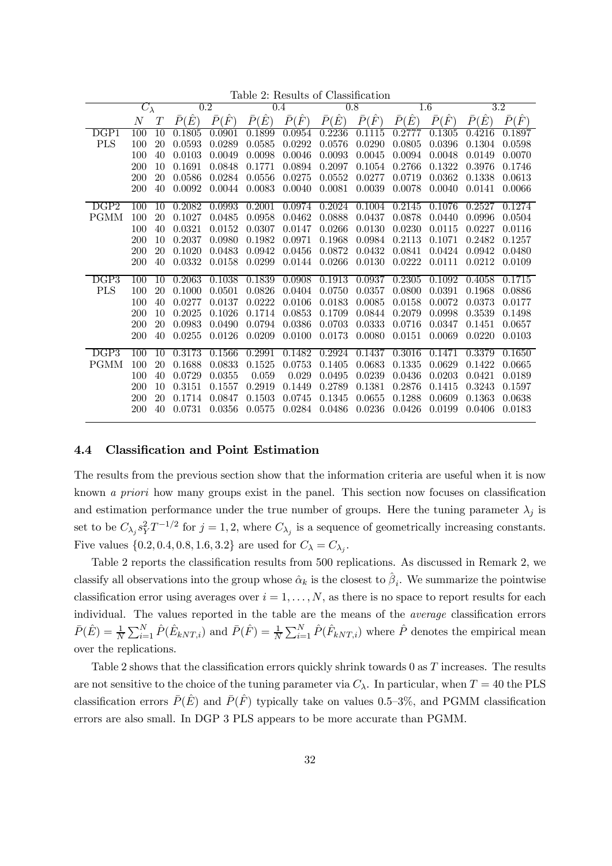|             | $C_{\lambda}$    |    | $\overline{0.2}$   |                    | 0.4       |                                                                | 0.8          |                    | $\overline{1.6}$ |                    |                                             | $\overline{3.2}$   |
|-------------|------------------|----|--------------------|--------------------|-----------|----------------------------------------------------------------|--------------|--------------------|------------------|--------------------|---------------------------------------------|--------------------|
|             | $\boldsymbol{N}$ | T  | $\bar{P}(\bar{E})$ | $\bar{P}(\hat{F})$ | (E)<br>P( | $\bar{P}(% \overline{P})=\bar{P}(\overline{P})$<br>$(\hat{F})$ | $\bar{P}(E)$ | $\bar{P}(\hat{F})$ | P(E)             | $\bar{P}(\hat{F})$ | $\langle \hat{E} \rangle$<br>$\overline{P}$ | $\bar{P}(\hat{F})$ |
| DGP1        | 100              | 10 | 0.1805             | 0.0901             | 0.1899    | 0.0954                                                         | 0.2236       | 0.1115             | 0.2777           | 0.1305             | 0.4216                                      | 0.1897             |
| <b>PLS</b>  | 100              | 20 | 0.0593             | 0.0289             | 0.0585    | 0.0292                                                         | 0.0576       | 0.0290             | 0.0805           | 0.0396             | 0.1304                                      | 0.0598             |
|             | 100              | 40 | 0.0103             | 0.0049             | 0.0098    | 0.0046                                                         | 0.0093       | 0.0045             | 0.0094           | 0.0048             | 0.0149                                      | 0.0070             |
|             | 200              | 10 | 0.1691             | 0.0848             | 0.1771    | 0.0894                                                         | 0.2097       | 0.1054             | 0.2766           | 0.1322             | 0.3976                                      | 0.1746             |
|             | 200              | 20 | 0.0586             | 0.0284             | 0.0556    | 0.0275                                                         | 0.0552       | 0.0277             | 0.0719           | 0.0362             | 0.1338                                      | 0.0613             |
|             | 200              | 40 | 0.0092             | 0.0044             | 0.0083    | 0.0040                                                         | 0.0081       | 0.0039             | 0.0078           | 0.0040             | 0.0141                                      | 0.0066             |
| DGP2        | 100              | 10 | 0.2082             | 0.0993             | 0.2001    | 0.0974                                                         | 0.2024       | 0.1004             | 0.2145           | 0.1076             | 0.2527                                      | 0.1274             |
| <b>PGMM</b> | 100              | 20 | 0.1027             | 0.0485             | 0.0958    | 0.0462                                                         | 0.0888       | 0.0437             | 0.0878           | 0.0440             | 0.0996                                      | 0.0504             |
|             | 100              | 40 | 0.0321             | 0.0152             | 0.0307    | 0.0147                                                         | 0.0266       | 0.0130             | 0.0230           | 0.0115             | 0.0227                                      | 0.0116             |
|             | 200              | 10 | 0.2037             | 0.0980             | 0.1982    | 0.0971                                                         | 0.1968       | 0.0984             | 0.2113           | 0.1071             | 0.2482                                      | 0.1257             |
|             | 200              | 20 | 0.1020             | 0.0483             | 0.0942    | 0.0456                                                         | 0.0872       | 0.0432             | 0.0841           | 0.0424             | 0.0942                                      | 0.0480             |
|             | 200              | 40 | 0.0332             | 0.0158             | 0.0299    | 0.0144                                                         | 0.0266       | 0.0130             | 0.0222           | 0.0111             | 0.0212                                      | 0.0109             |
| DGP3        | 100              | 10 | 0.2063             | 0.1038             | 0.1839    | 0.0908                                                         | 0.1913       | 0.0937             | 0.2305           | 0.1092             | 0.4058                                      | 0.1715             |
| <b>PLS</b>  | 100              | 20 | 0.1000             | 0.0501             | 0.0826    | 0.0404                                                         | 0.0750       | 0.0357             | 0.0800           | 0.0391             | 0.1968                                      | 0.0886             |
|             | 100              | 40 | 0.0277             | 0.0137             | 0.0222    | 0.0106                                                         | 0.0183       | 0.0085             | 0.0158           | 0.0072             | 0.0373                                      | 0.0177             |
|             | 200              | 10 | 0.2025             | 0.1026             | 0.1714    | 0.0853                                                         | 0.1709       | 0.0844             | 0.2079           | 0.0998             | 0.3539                                      | 0.1498             |
|             | 200              | 20 | 0.0983             | 0.0490             | 0.0794    | 0.0386                                                         | 0.0703       | 0.0333             | 0.0716           | 0.0347             | 0.1451                                      | 0.0657             |
|             | 200              | 40 | 0.0255             | 0.0126             | 0.0209    | 0.0100                                                         | 0.0173       | 0.0080             | 0.0151           | 0.0069             | 0.0220                                      | 0.0103             |
| DGP3        | 100              | 10 | 0.3173             | 0.1566             | 0.2991    | 0.1482                                                         | 0.2924       | 0.1437             | 0.3016           | 0.1471             | 0.3379                                      | 0.1650             |
| PGMM        | 100              | 20 | 0.1688             | 0.0833             | 0.1525    | 0.0753                                                         | 0.1405       | 0.0683             | 0.1335           | 0.0629             | 0.1422                                      | 0.0665             |
|             | 100              | 40 | 0.0729             | 0.0355             | 0.059     | 0.029                                                          | 0.0495       | 0.0239             | 0.0436           | 0.0203             | 0.0421                                      | 0.0189             |
|             | 200              | 10 | 0.3151             | 0.1557             | 0.2919    | 0.1449                                                         | 0.2789       | 0.1381             | 0.2876           | 0.1415             | 0.3243                                      | 0.1597             |
|             | 200              | 20 | 0.1714             | 0.0847             | 0.1503    | 0.0745                                                         | 0.1345       | 0.0655             | 0.1288           | 0.0609             | 0.1363                                      | 0.0638             |
|             | 200              | 40 | 0.0731             | 0.0356             | 0.0575    | 0.0284                                                         | 0.0486       | 0.0236             | 0.0426           | 0.0199             | 0.0406                                      | 0.0183             |
|             |                  |    |                    |                    |           |                                                                |              |                    |                  |                    |                                             |                    |

Table 2: Results of Classification

#### 4.4 Classification and Point Estimation

The results from the previous section show that the information criteria are useful when it is now known a priori how many groups exist in the panel. This section now focuses on classification and estimation performance under the true number of groups. Here the tuning parameter  $\lambda_j$  is set to be  $C_{\lambda_j} s_Y^2 T^{-1/2}$  for  $j = 1, 2$ , where  $C_{\lambda_j}$  is a sequence of geometrically increasing constants. Five values  $\{0.2, 0.4, 0.8, 1.6, 3.2\}$  are used for  $C_{\lambda} = C_{\lambda_i}$ .

Table 2 reports the classification results from 500 replications. As discussed in Remark 2, we classify all observations into the group whose  $\hat{\alpha}_k$  is the closest to  $\hat{\beta}_i$ . We summarize the pointwise classification error using averages over  $i = 1, \ldots, N$ , as there is no space to report results for each individual. The values reported in the table are the means of the average classification errors  $\bar{P}(\hat{E}) = \frac{1}{N} \sum_{i=1}^{N} \hat{P}(\hat{E}_{kNT,i})$  and  $\bar{P}(\hat{F}) = \frac{1}{N} \sum_{i=1}^{N} \hat{P}(\hat{F}_{kNT,i})$  where  $\hat{P}$  denotes the empirical mean over the replications.

Table 2 shows that the classification errors quickly shrink towards  $0$  as  $T$  increases. The results are not sensitive to the choice of the tuning parameter via  $C_{\lambda}$ . In particular, when  $T = 40$  the PLS classification errors  $\bar{P}(E)$  and  $\bar{P}(F)$  typically take on values 0.5–3%, and PGMM classification errors are also small. In DGP 3 PLS appears to be more accurate than PGMM.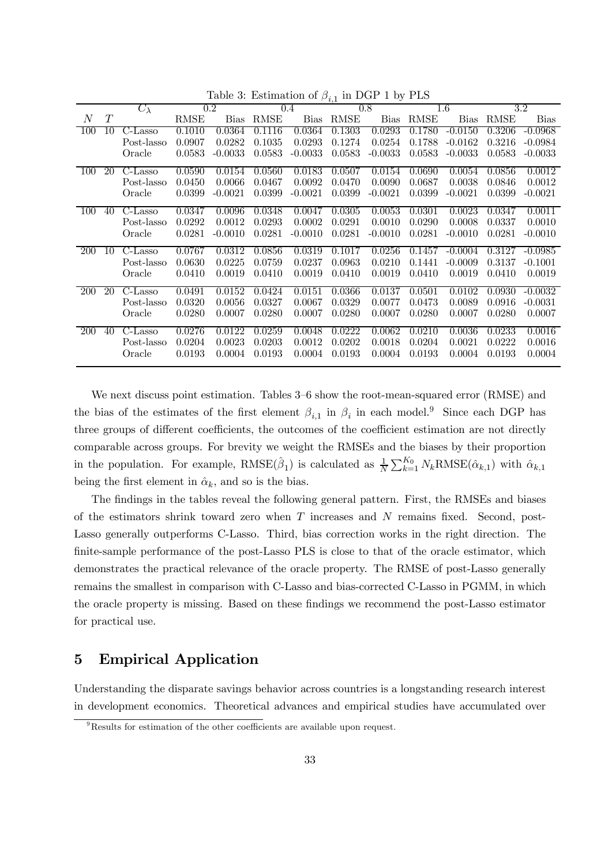|            |           | $C_{\lambda}$ |        | $0.2\,$     |             | 0.4         | $\iota, \iota$ | 0.8         |        | $1.6\,$     | 3.2         |             |
|------------|-----------|---------------|--------|-------------|-------------|-------------|----------------|-------------|--------|-------------|-------------|-------------|
| N          | T         |               | RMSE   | <b>Bias</b> | <b>RMSE</b> | <b>Bias</b> | <b>RMSE</b>    | <b>Bias</b> | RMSE   | <b>Bias</b> | <b>RMSE</b> | <b>Bias</b> |
| 100        | 10        | $C$ -Lasso    | 0.1010 | 0.0364      | 0.1116      | 0.0364      | 0.1303         | 0.0293      | 0.1780 | $-0.0150$   | 0.3206      | $-0.0968$   |
|            |           | Post-lasso    | 0.0907 | 0.0282      | 0.1035      | 0.0293      | 0.1274         | 0.0254      | 0.1788 | $-0.0162$   | 0.3216      | $-0.0984$   |
|            |           | Oracle        | 0.0583 | $-0.0033$   | 0.0583      | $-0.0033$   | 0.0583         | $-0.0033$   | 0.0583 | $-0.0033$   | 0.0583      | $-0.0033$   |
| 100        | 20        | C-Lasso       | 0.0590 | 0.0154      | 0.0560      | 0.0183      | 0.0507         | 0.0154      | 0.0690 | 0.0054      | 0.0856      | 0.0012      |
|            |           | Post-lasso    | 0.0450 | 0.0066      | 0.0467      | 0.0092      | 0.0470         | 0.0090      | 0.0687 | 0.0038      | 0.0846      | 0.0012      |
|            |           | Oracle        | 0.0399 | $-0.0021$   | 0.0399      | $-0.0021$   | 0.0399         | $-0.0021$   | 0.0399 | $-0.0021$   | 0.0399      | $-0.0021$   |
| 100        | 40        | C-Lasso       | 0.0347 | 0.0096      | 0.0348      | 0.0047      | 0.0305         | 0.0053      | 0.0301 | 0.0023      | 0.0347      | 0.0011      |
|            |           | Post-lasso    | 0.0292 | 0.0012      | 0.0293      | 0.0002      | 0.0291         | 0.0010      | 0.0290 | 0.0008      | 0.0337      | 0.0010      |
|            |           | Oracle        | 0.0281 | $-0.0010$   | 0.0281      | $-0.0010$   | 0.0281         | $-0.0010$   | 0.0281 | $-0.0010$   | 0.0281      | $-0.0010$   |
| <b>200</b> | 10        | $C$ -Lasso    | 0.0767 | 0.0312      | 0.0856      | 0.0319      | 0.1017         | 0.0256      | 0.1457 | $-0.0004$   | 0.3127      | $-0.0985$   |
|            |           | Post-lasso    | 0.0630 | 0.0225      | 0.0759      | 0.0237      | 0.0963         | 0.0210      | 0.1441 | $-0.0009$   | 0.3137      | $-0.1001$   |
|            |           | Oracle        | 0.0410 | 0.0019      | 0.0410      | 0.0019      | 0.0410         | 0.0019      | 0.0410 | 0.0019      | 0.0410      | 0.0019      |
| <b>200</b> | <b>20</b> | $C$ -Lasso    | 0.0491 | 0.0152      | 0.0424      | 0.0151      | 0.0366         | 0.0137      | 0.0501 | 0.0102      | 0.0930      | $-0.0032$   |
|            |           | Post-lasso    | 0.0320 | 0.0056      | 0.0327      | 0.0067      | 0.0329         | 0.0077      | 0.0473 | 0.0089      | 0.0916      | $-0.0031$   |
|            |           | Oracle        | 0.0280 | 0.0007      | 0.0280      | 0.0007      | 0.0280         | 0.0007      | 0.0280 | 0.0007      | 0.0280      | 0.0007      |
| <b>200</b> | 40        | C-Lasso       | 0.0276 | 0.0122      | 0.0259      | 0.0048      | 0.0222         | 0.0062      | 0.0210 | 0.0036      | 0.0233      | 0.0016      |
|            |           | Post-lasso    | 0.0204 | 0.0023      | 0.0203      | 0.0012      | 0.0202         | 0.0018      | 0.0204 | 0.0021      | 0.0222      | 0.0016      |
|            |           | Oracle        | 0.0193 | 0.0004      | 0.0193      | 0.0004      | 0.0193         | 0.0004      | 0.0193 | 0.0004      | 0.0193      | 0.0004      |
|            |           |               |        |             |             |             |                |             |        |             |             |             |

Table 3: Estimation of  $\beta_{i,1}$  in DGP 1 by PLS

We next discuss point estimation. Tables  $3-6$  show the root-mean-squared error (RMSE) and the bias of the estimates of the first element  $\beta_{i,1}$  in  $\beta_i$  in each model.<sup>9</sup> Since each DGP has three groups of different coefficients, the outcomes of the coefficient estimation are not directly comparable across groups. For brevity we weight the RMSEs and the biases by their proportion in the population. For example,  $RMSE(\hat{\beta}_1)$  is calculated as  $\frac{1}{N}\sum_{k=1}^{K_0} N_k RMSE(\hat{\alpha}_{k,1})$  with  $\hat{\alpha}_{k,1}$ being the first element in  $\hat{\alpha}_k$ , and so is the bias.

The findings in the tables reveal the following general pattern. First, the RMSEs and biases of the estimators shrink toward zero when  $T$  increases and  $N$  remains fixed. Second, post-Lasso generally outperforms C-Lasso. Third, bias correction works in the right direction. The finite-sample performance of the post-Lasso PLS is close to that of the oracle estimator, which demonstrates the practical relevance of the oracle property. The RMSE of post-Lasso generally remains the smallest in comparison with C-Lasso and bias-corrected C-Lasso in PGMM, in which the oracle property is missing. Based on these findings we recommend the post-Lasso estimator for practical use.

# 5 Empirical Application

Understanding the disparate savings behavior across countries is a longstanding research interest in development economics. Theoretical advances and empirical studies have accumulated over

<sup>&</sup>lt;sup>9</sup>Results for estimation of the other coefficients are available upon request.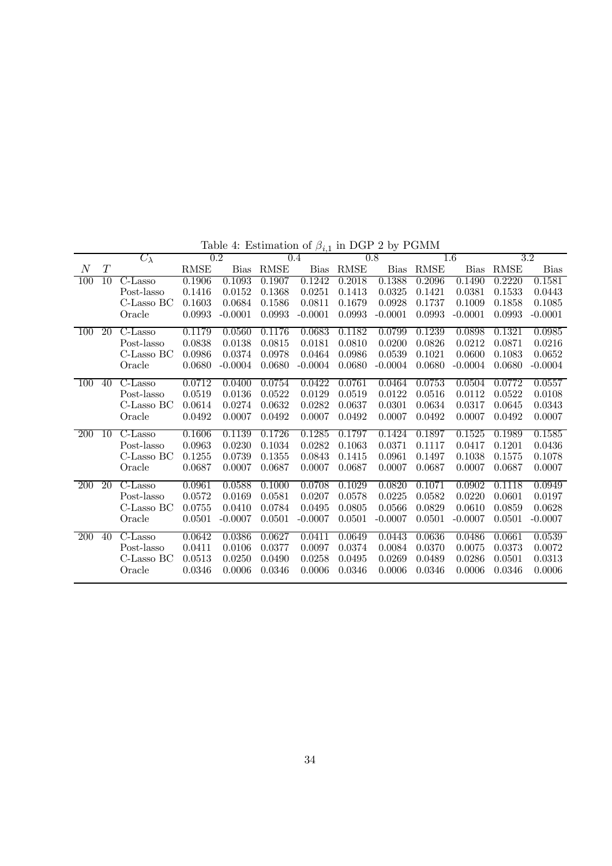|            |    | $C_{\lambda}$                |             | 0.2         | 0.4         |             | 0.8         |             | $1.6\,$     |             | $\overline{3.2}$ |             |
|------------|----|------------------------------|-------------|-------------|-------------|-------------|-------------|-------------|-------------|-------------|------------------|-------------|
| $\,N$      | T  |                              | <b>RMSE</b> | <b>Bias</b> | <b>RMSE</b> | <b>Bias</b> | <b>RMSE</b> | <b>Bias</b> | <b>RMSE</b> | <b>Bias</b> | <b>RMSE</b>      | <b>Bias</b> |
| 100        | 10 | $\overline{\text{C-L}}$ asso | 0.1906      | 0.1093      | 0.1907      | 0.1242      | 0.2018      | 0.1388      | 0.2096      | 0.1490      | 0.2220           | 0.1581      |
|            |    | Post-lasso                   | 0.1416      | 0.0152      | 0.1368      | 0.0251      | 0.1413      | 0.0325      | 0.1421      | 0.0381      | 0.1533           | 0.0443      |
|            |    | C-Lasso BC                   | 0.1603      | 0.0684      | 0.1586      | 0.0811      | 0.1679      | 0.0928      | 0.1737      | 0.1009      | 0.1858           | 0.1085      |
|            |    | Oracle                       | 0.0993      | $-0.0001$   | 0.0993      | $-0.0001$   | 0.0993      | $-0.0001$   | 0.0993      | $-0.0001$   | 0.0993           | $-0.0001$   |
| 100        | 20 | $\overline{C}$ -Lasso        | 0.1179      | 0.0560      | 0.1176      | 0.0683      | 0.1182      | 0.0799      | 0.1239      | 0.0898      | 0.1321           | 0.0985      |
|            |    | Post-lasso                   | 0.0838      | 0.0138      | 0.0815      | 0.0181      | 0.0810      | 0.0200      | 0.0826      | 0.0212      | 0.0871           | 0.0216      |
|            |    | C-Lasso BC                   | 0.0986      | 0.0374      | 0.0978      | 0.0464      | 0.0986      | 0.0539      | 0.1021      | 0.0600      | 0.1083           | 0.0652      |
|            |    | Oracle                       | 0.0680      | $-0.0004$   | 0.0680      | $-0.0004$   | 0.0680      | $-0.0004$   | 0.0680      | $-0.0004$   | 0.0680           | $-0.0004$   |
| <b>100</b> | 40 | $C$ -Lasso                   | 0.0712      | 0.0400      | 0.0754      | 0.0422      | 0.0761      | 0.0464      | 0.0753      | 0.0504      | 0.0772           | 0.0557      |
|            |    | Post-lasso                   | 0.0519      | 0.0136      | 0.0522      | 0.0129      | 0.0519      | 0.0122      | 0.0516      | 0.0112      | 0.0522           | 0.0108      |
|            |    | C-Lasso BC                   | 0.0614      | 0.0274      | 0.0632      | 0.0282      | 0.0637      | 0.0301      | 0.0634      | 0.0317      | 0.0645           | 0.0343      |
|            |    | Oracle                       | 0.0492      | 0.0007      | 0.0492      | 0.0007      | 0.0492      | 0.0007      | 0.0492      | 0.0007      | 0.0492           | 0.0007      |
| <b>200</b> | 10 | $C$ -Lasso                   | 0.1606      | 0.1139      | 0.1726      | 0.1285      | 0.1797      | 0.1424      | 0.1897      | 0.1525      | 0.1989           | 0.1585      |
|            |    | Post-lasso                   | 0.0963      | 0.0230      | 0.1034      | 0.0282      | 0.1063      | 0.0371      | 0.1117      | 0.0417      | 0.1201           | 0.0436      |
|            |    | C-Lasso BC                   | 0.1255      | 0.0739      | 0.1355      | 0.0843      | 0.1415      | 0.0961      | 0.1497      | 0.1038      | 0.1575           | 0.1078      |
|            |    | Oracle                       | 0.0687      | 0.0007      | 0.0687      | 0.0007      | 0.0687      | 0.0007      | 0.0687      | 0.0007      | 0.0687           | 0.0007      |
| <b>200</b> | 20 | C-Lasso                      | 0.0961      | 0.0588      | 0.1000      | 0.0708      | 0.1029      | 0.0820      | 0.1071      | 0.0902      | 0.1118           | 0.0949      |
|            |    | Post-lasso                   | 0.0572      | 0.0169      | 0.0581      | 0.0207      | 0.0578      | 0.0225      | 0.0582      | 0.0220      | 0.0601           | 0.0197      |
|            |    | C-Lasso BC                   | 0.0755      | 0.0410      | 0.0784      | 0.0495      | 0.0805      | 0.0566      | 0.0829      | 0.0610      | 0.0859           | 0.0628      |
|            |    | Oracle                       | 0.0501      | $-0.0007$   | 0.0501      | $-0.0007$   | 0.0501      | $-0.0007$   | 0.0501      | $-0.0007$   | 0.0501           | $-0.0007$   |
| <b>200</b> | 40 | $\overline{\text{C-Lasso}}$  | 0.0642      | 0.0386      | 0.0627      | 0.0411      | 0.0649      | 0.0443      | 0.0636      | 0.0486      | 0.0661           | 0.0539      |
|            |    | Post-lasso                   | 0.0411      | 0.0106      | 0.0377      | 0.0097      | 0.0374      | 0.0084      | 0.0370      | 0.0075      | 0.0373           | 0.0072      |
|            |    | C-Lasso BC                   | 0.0513      | 0.0250      | 0.0490      | 0.0258      | 0.0495      | 0.0269      | 0.0489      | 0.0286      | 0.0501           | 0.0313      |
|            |    | Oracle                       | 0.0346      | 0.0006      | 0.0346      | 0.0006      | 0.0346      | 0.0006      | 0.0346      | 0.0006      | 0.0346           | 0.0006      |
|            |    |                              |             |             |             |             |             |             |             |             |                  |             |

Table 4: Estimation of  $\beta_{i,1}$  in DGP 2 by PGMM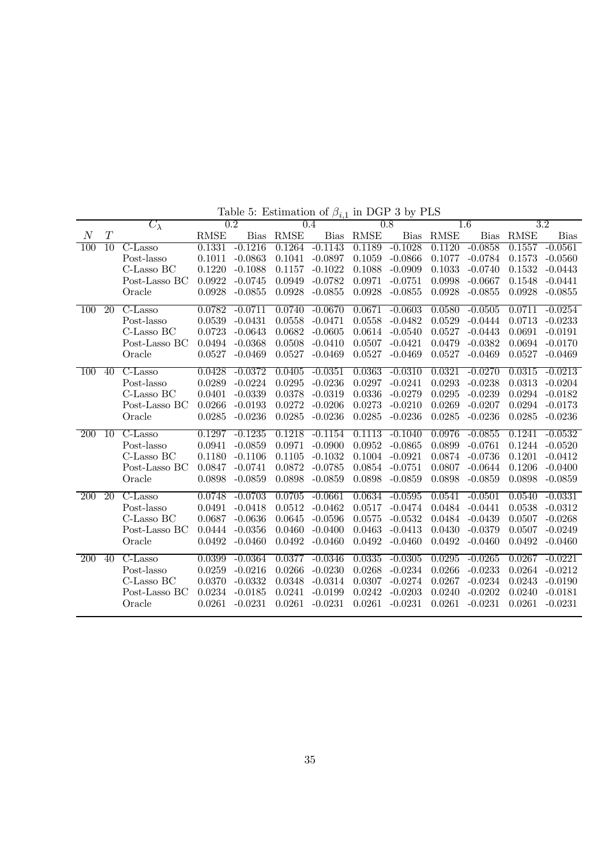|                  |               | $C_\lambda$                 | 0.2         |             | 0.8<br>0.4  |             |              | 1.6         |             |             | $\overline{3.2}$ |             |
|------------------|---------------|-----------------------------|-------------|-------------|-------------|-------------|--------------|-------------|-------------|-------------|------------------|-------------|
| $\,N$            | T             |                             | <b>RMSE</b> | <b>Bias</b> | <b>RMSE</b> | <b>Bias</b> | <b>RMSE</b>  | <b>Bias</b> | <b>RMSE</b> | <b>Bias</b> | <b>RMSE</b>      | <b>Bias</b> |
| 100              | 10            | $C$ -Lasso                  | 0.1331      | $-0.1216$   | 0.1264      | $-0.1143$   | 0.1189       | $-0.1028$   | 0.1120      | $-0.0858$   | 0.1557           | $-0.0561$   |
|                  |               | Post-lasso                  | 0.1011      | $-0.0863$   | 0.1041      | $-0.0897$   | 0.1059       | $-0.0866$   | 0.1077      | $-0.0784$   | 0.1573           | $-0.0560$   |
|                  |               | C-Lasso BC                  | 0.1220      | $-0.1088$   | 0.1157      | $-0.1022$   | 0.1088       | $-0.0909$   | 0.1033      | $-0.0740$   | 0.1532           | $-0.0443$   |
|                  |               | Post-Lasso BC               | 0.0922      | $-0.0745$   | 0.0949      | $-0.0782$   | 0.0971       | $-0.0751$   | 0.0998      | $-0.0667$   | 0.1548           | $-0.0441$   |
|                  |               | Oracle                      | 0.0928      | $-0.0855$   | 0.0928      | $-0.0855$   | 0.0928       | $-0.0855$   | 0.0928      | $-0.0855$   | 0.0928           | $-0.0855$   |
| 100              | 20            | $\overline{C}$ -Lasso       | 0.0782      | $-0.0711$   | 0.0740      | $-0.0670$   | 0.0671       | $-0.0603$   | 0.0580      | $-0.0505$   | 0.0711           | $-0.0254$   |
|                  |               | Post-lasso                  | 0.0539      | $-0.0431$   | 0.0558      | $-0.0471$   | 0.0558       | $-0.0482$   | 0.0529      | $-0.0444$   | 0.0713           | $-0.0233$   |
|                  |               | C-Lasso BC                  | 0.0723      | $-0.0643$   | 0.0682      | $-0.0605$   | 0.0614       | $-0.0540$   | 0.0527      | $-0.0443$   | 0.0691           | $-0.0191$   |
|                  |               | Post-Lasso BC               | 0.0494      | $-0.0368$   | 0.0508      | $-0.0410$   | 0.0507       | $-0.0421$   | 0.0479      | $-0.0382$   | 0.0694           | $-0.0170$   |
|                  |               | Oracle                      | 0.0527      | $-0.0469$   | 0.0527      | $-0.0469$   | 0.0527       | $-0.0469$   | 0.0527      | $-0.0469$   | 0.0527           | $-0.0469$   |
| <b>100</b>       | 40            | C-Lasso                     | 0.0428      | $-0.0372$   | 0.0405      | $-0.0351$   | 0.0363       | $-0.0310$   | 0.0321      | $-0.0270$   | 0.0315           | $-0.0213$   |
|                  |               | Post-lasso                  | 0.0289      | $-0.0224$   | 0.0295      | $-0.0236$   | 0.0297       | $-0.0241$   | 0.0293      | $-0.0238$   | 0.0313           | $-0.0204$   |
|                  |               | C-Lasso BC                  | 0.0401      | $-0.0339$   | 0.0378      | $-0.0319$   | 0.0336       | $-0.0279$   | 0.0295      | $-0.0239$   | 0.0294           | $-0.0182$   |
|                  |               | Post-Lasso BC               | 0.0266      | $-0.0193$   | 0.0272      | $-0.0206$   | 0.0273       | $-0.0210$   | 0.0269      | $-0.0207$   | 0.0294           | $-0.0173$   |
|                  |               | Oracle                      | 0.0285      | $-0.0236$   | 0.0285      | $-0.0236$   | 0.0285       | $-0.0236$   | 0.0285      | $-0.0236$   | 0.0285           | $-0.0236$   |
| <b>200</b>       | 10            | C-Lasso                     | 0.1297      | $-0.1235$   | 0.1218      | $-0.1154$   | 0.1113       | $-0.1040$   | 0.0976      | $-0.0855$   | 0.1241           | $-0.0532$   |
|                  |               | Post-lasso                  | 0.0941      | $-0.0859$   | 0.0971      | $-0.0900$   | 0.0952       | $-0.0865$   | 0.0899      | $-0.0761$   | 0.1244           | $-0.0520$   |
|                  |               | C-Lasso BC                  | 0.1180      | $-0.1106$   | 0.1105      | $-0.1032$   | 0.1004       | $-0.0921$   | 0.0874      | $-0.0736$   | 0.1201           | $-0.0412$   |
|                  |               | Post-Lasso BC               | 0.0847      | $-0.0741$   | 0.0872      | $-0.0785$   | 0.0854       | $-0.0751$   | 0.0807      | $-0.0644$   | 0.1206           | $-0.0400$   |
|                  |               | Oracle                      | 0.0898      | $-0.0859$   | 0.0898      | $-0.0859$   | 0.0898       | $-0.0859$   | 0.0898      | $-0.0859$   | 0.0898           | $-0.0859$   |
| <b>200</b>       | <sup>20</sup> | $\overline{\text{C-Lasso}}$ | 0.0748      | $-0.0703$   | 0.0705      | $-0.0661$   | 0.0634       | $-0.0595$   | 0.0541      | $-0.0501$   | 0.0540           | $-0.0331$   |
|                  |               | Post-lasso                  | 0.0491      | $-0.0418$   | 0.0512      | $-0.0462$   | 0.0517       | $-0.0474$   | 0.0484      | $-0.0441$   | 0.0538           | $-0.0312$   |
|                  |               | C-Lasso BC                  | 0.0687      | $-0.0636$   | 0.0645      | $-0.0596$   | 0.0575       | $-0.0532$   | 0.0484      | $-0.0439$   | 0.0507           | $-0.0268$   |
|                  |               | Post-Lasso BC               | 0.0444      | $-0.0356$   | 0.0460      | $-0.0400$   | 0.0463       | $-0.0413$   | 0.0430      | $-0.0379$   | 0.0507           | $-0.0249$   |
|                  |               | Oracle                      | 0.0492      | $-0.0460$   | 0.0492      | $-0.0460$   | $\,0.0492\,$ | $-0.0460$   | 0.0492      | $-0.0460$   | 0.0492           | $-0.0460$   |
| $\overline{200}$ | 40            | $C$ -Lasso                  | 0.0399      | $-0.0364$   | 0.0377      | $-0.0346$   | 0.0335       | $-0.0305$   | 0.0295      | $-0.0265$   | 0.0267           | $-0.0221$   |
|                  |               | Post-lasso                  | 0.0259      | $-0.0216$   | 0.0266      | $-0.0230$   | 0.0268       | $-0.0234$   | 0.0266      | $-0.0233$   | 0.0264           | $-0.0212$   |
|                  |               | C-Lasso BC                  | 0.0370      | $-0.0332$   | 0.0348      | $-0.0314$   | 0.0307       | $-0.0274$   | 0.0267      | $-0.0234$   | 0.0243           | $-0.0190$   |
|                  |               | Post-Lasso BC               | 0.0234      | $-0.0185$   | 0.0241      | $-0.0199$   | 0.0242       | $-0.0203$   | 0.0240      | $-0.0202$   | 0.0240           | $-0.0181$   |
|                  |               | Oracle                      | 0.0261      | $-0.0231$   | 0.0261      | $-0.0231$   | 0.0261       | $-0.0231$   | 0.0261      | $-0.0231$   | 0.0261           | $-0.0231$   |
|                  |               |                             |             |             |             |             |              |             |             |             |                  |             |

Table 5: Estimation of  $\beta_{i,1}$  in DGP 3 by PLS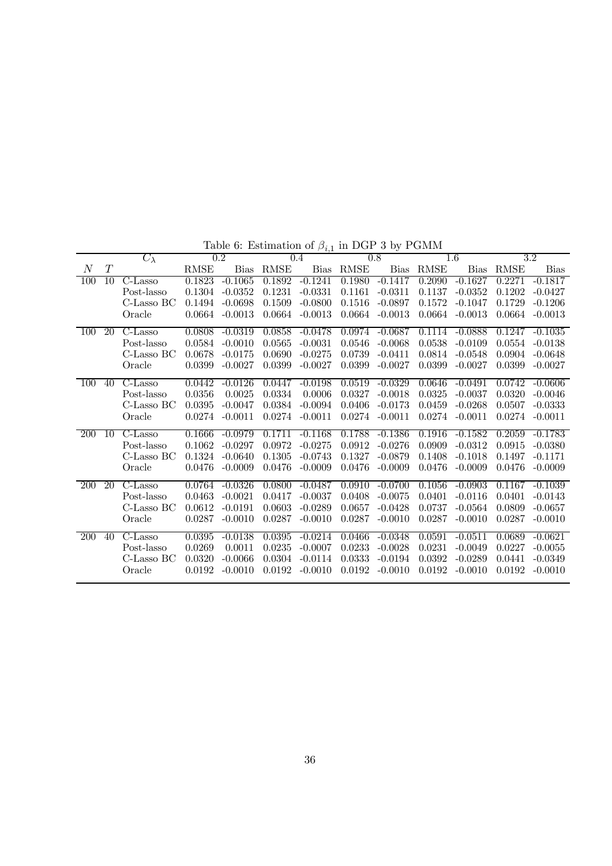|                  |                 | $C_{\lambda}$ | 0.2         |             | $\mathbf{v}$ , $\mathbf{r}$<br>0.4 |             | 0.8         |             | 1.6         |             | $\overline{3.2}$ |             |
|------------------|-----------------|---------------|-------------|-------------|------------------------------------|-------------|-------------|-------------|-------------|-------------|------------------|-------------|
| $\overline{N}$   | T               |               | <b>RMSE</b> | <b>Bias</b> | <b>RMSE</b>                        | <b>Bias</b> | <b>RMSE</b> | <b>Bias</b> | <b>RMSE</b> | <b>Bias</b> | RMSE             | <b>Bias</b> |
| 100              | $\overline{10}$ | $C$ -Lasso    | 0.1823      | $-0.1065$   | 0.1892                             | $-0.1241$   | 0.1980      | $-0.1417$   | 0.2090      | $-0.1627$   | 0.2271           | $-0.1817$   |
|                  |                 | Post-lasso    | 0.1304      | $-0.0352$   | 0.1231                             | $-0.0331$   | 0.1161      | $-0.0311$   | 0.1137      | $-0.0352$   | 0.1202           | $-0.0427$   |
|                  |                 | C-Lasso BC    | 0.1494      | $-0.0698$   | 0.1509                             | $-0.0800$   | 0.1516      | $-0.0897$   | 0.1572      | $-0.1047$   | 0.1729           | $-0.1206$   |
|                  |                 | Oracle        | 0.0664      | $-0.0013$   | 0.0664                             | $-0.0013$   | 0.0664      | $-0.0013$   | 0.0664      | $-0.0013$   | 0.0664           | $-0.0013$   |
| 100              | 20              | $C$ -Lasso    | 0.0808      | $-0.0319$   | 0.0858                             | $-0.0478$   | 0.0974      | $-0.0687$   | 0.1114      | $-0.0888$   | 0.1247           | $-0.1035$   |
|                  |                 | Post-lasso    | 0.0584      | $-0.0010$   | 0.0565                             | $-0.0031$   | 0.0546      | $-0.0068$   | 0.0538      | $-0.0109$   | 0.0554           | $-0.0138$   |
|                  |                 | C-Lasso BC    | 0.0678      | $-0.0175$   | 0.0690                             | $-0.0275$   | 0.0739      | $-0.0411$   | 0.0814      | $-0.0548$   | 0.0904           | $-0.0648$   |
|                  |                 | Oracle        | 0.0399      | $-0.0027$   | 0.0399                             | $-0.0027$   | 0.0399      | $-0.0027$   | 0.0399      | $-0.0027$   | 0.0399           | $-0.0027$   |
| <b>100</b>       | 40              | $C$ -Lasso    | 0.0442      | $-0.0126$   | 0.0447                             | $-0.0198$   | 0.0519      | $-0.0329$   | 0.0646      | $-0.0491$   | 0.0742           | $-0.0606$   |
|                  |                 | Post-lasso    | 0.0356      | 0.0025      | 0.0334                             | 0.0006      | 0.0327      | $-0.0018$   | 0.0325      | $-0.0037$   | 0.0320           | $-0.0046$   |
|                  |                 | C-Lasso BC    | 0.0395      | $-0.0047$   | 0.0384                             | $-0.0094$   | 0.0406      | $-0.0173$   | 0.0459      | $-0.0268$   | 0.0507           | $-0.0333$   |
|                  |                 | Oracle        | 0.0274      | $-0.0011$   | 0.0274                             | $-0.0011$   | 0.0274      | $-0.0011$   | 0.0274      | $-0.0011$   | 0.0274           | $-0.0011$   |
| <b>200</b>       | 10              | $C$ -Lasso    | 0.1666      | $-0.0979$   | 0.1711                             | $-0.1168$   | 0.1788      | $-0.1386$   | 0.1916      | $-0.1582$   | 0.2059           | $-0.1783$   |
|                  |                 | Post-lasso    | 0.1062      | $-0.0297$   | 0.0972                             | $-0.0275$   | 0.0912      | $-0.0276$   | 0.0909      | $-0.0312$   | 0.0915           | $-0.0380$   |
|                  |                 | C-Lasso BC    | 0.1324      | $-0.0640$   | 0.1305                             | $-0.0743$   | 0.1327      | $-0.0879$   | 0.1408      | $-0.1018$   | 0.1497           | $-0.1171$   |
|                  |                 | Oracle        | 0.0476      | $-0.0009$   | 0.0476                             | $-0.0009$   | 0.0476      | $-0.0009$   | 0.0476      | $-0.0009$   | 0.0476           | $-0.0009$   |
| <b>200</b>       | <b>20</b>       | $C$ -Lasso    | 0.0764      | $-0.0326$   | 0.0800                             | $-0.0487$   | 0.0910      | $-0.0700$   | 0.1056      | $-0.0903$   | 0.1167           | $-0.1039$   |
|                  |                 | Post-lasso    | 0.0463      | $-0.0021$   | 0.0417                             | $-0.0037$   | 0.0408      | $-0.0075$   | 0.0401      | $-0.0116$   | 0.0401           | $-0.0143$   |
|                  |                 | C-Lasso BC    | 0.0612      | $-0.0191$   | 0.0603                             | $-0.0289$   | 0.0657      | $-0.0428$   | 0.0737      | $-0.0564$   | 0.0809           | $-0.0657$   |
|                  |                 | Oracle        | 0.0287      | $-0.0010$   | 0.0287                             | $-0.0010$   | 0.0287      | $-0.0010$   | 0.0287      | $-0.0010$   | 0.0287           | $-0.0010$   |
| $\overline{200}$ | 40              | $C$ -Lasso    | 0.0395      | $-0.0138$   | 0.0395                             | $-0.0214$   | 0.0466      | $-0.0348$   | 0.0591      | $-0.0511$   | 0.0689           | $-0.0621$   |
|                  |                 | Post-lasso    | 0.0269      | 0.0011      | 0.0235                             | $-0.0007$   | 0.0233      | $-0.0028$   | 0.0231      | $-0.0049$   | 0.0227           | $-0.0055$   |
|                  |                 | C-Lasso BC    | 0.0320      | $-0.0066$   | 0.0304                             | $-0.0114$   | 0.0333      | $-0.0194$   | 0.0392      | $-0.0289$   | 0.0441           | $-0.0349$   |
|                  |                 | Oracle        | 0.0192      | $-0.0010$   | 0.0192                             | $-0.0010$   | 0.0192      | $-0.0010$   | 0.0192      | $-0.0010$   | 0.0192           | $-0.0010$   |
|                  |                 |               |             |             |                                    |             |             |             |             |             |                  |             |

Table 6: Estimation of  $\beta_{i,1}$  in DGP 3 by PGMM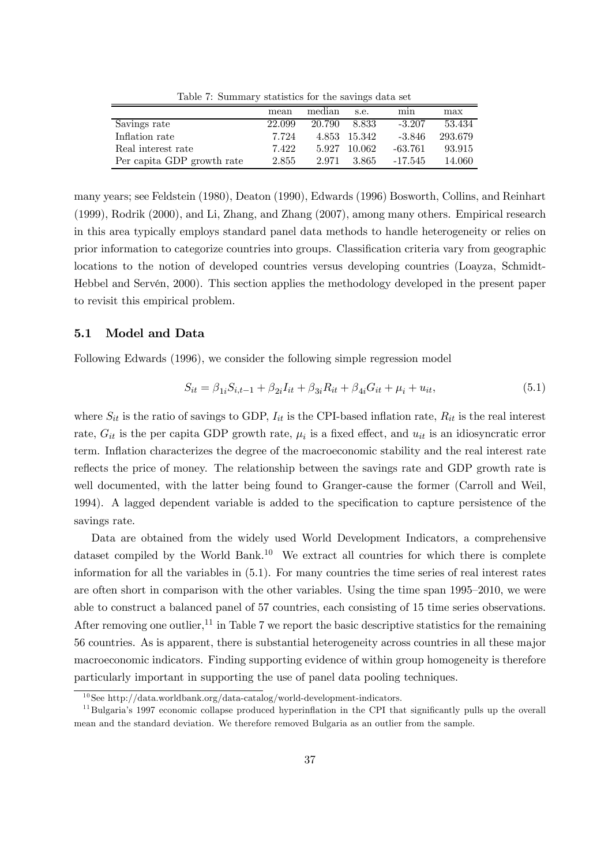Table 7: Summary statistics for the savings data set

|                            | mean   | median | s.e.         | mın       | max     |
|----------------------------|--------|--------|--------------|-----------|---------|
| Savings rate               | 22.099 | 20.790 | 8.833        | $-3.207$  | 53.434  |
| Inflation rate             | 7.724  |        | 4.853 15.342 | $-3.846$  | 293.679 |
| Real interest rate         | 7.422  | 5.927  | 10.062       | $-63.761$ | 93.915  |
| Per capita GDP growth rate | 2.855  | 2.971  | 3.865        | -17.545   | 14.060  |

many years; see Feldstein (1980), Deaton (1990), Edwards (1996) Bosworth, Collins, and Reinhart (1999), Rodrik (2000), and Li, Zhang, and Zhang (2007), among many others. Empirical research in this area typically employs standard panel data methods to handle heterogeneity or relies on prior information to categorize countries into groups. Classification criteria vary from geographic locations to the notion of developed countries versus developing countries (Loayza, Schmidt-Hebbel and Servén, 2000). This section applies the methodology developed in the present paper to revisit this empirical problem.

### 5.1 Model and Data

Following Edwards (1996), we consider the following simple regression model

$$
S_{it} = \beta_{1i} S_{i,t-1} + \beta_{2i} I_{it} + \beta_{3i} R_{it} + \beta_{4i} G_{it} + \mu_i + u_{it},
$$
\n(5.1)

where  $S_{it}$  is the ratio of savings to GDP,  $I_{it}$  is the CPI-based inflation rate,  $R_{it}$  is the real interest rate,  $G_{it}$  is the per capita GDP growth rate,  $\mu_i$  is a fixed effect, and  $u_{it}$  is an idiosyncratic error term. Inflation characterizes the degree of the macroeconomic stability and the real interest rate reflects the price of money. The relationship between the savings rate and GDP growth rate is well documented, with the latter being found to Granger-cause the former (Carroll and Weil, 1994). A lagged dependent variable is added to the specification to capture persistence of the savings rate.

Data are obtained from the widely used World Development Indicators, a comprehensive dataset compiled by the World Bank.<sup>10</sup> We extract all countries for which there is complete information for all the variables in (5.1). For many countries the time series of real interest rates are often short in comparison with the other variables. Using the time span 1995—2010, we were able to construct a balanced panel of 57 countries, each consisting of 15 time series observations. After removing one outlier,<sup>11</sup> in Table 7 we report the basic descriptive statistics for the remaining 56 countries. As is apparent, there is substantial heterogeneity across countries in all these major macroeconomic indicators. Finding supporting evidence of within group homogeneity is therefore particularly important in supporting the use of panel data pooling techniques.

 $^{10}\mathrm{See}$ http://data.worldbank.org/data-catalog/world-development-indicators.

<sup>&</sup>lt;sup>11</sup> Bulgaria's 1997 economic collapse produced hyperinflation in the CPI that significantly pulls up the overall mean and the standard deviation. We therefore removed Bulgaria as an outlier from the sample.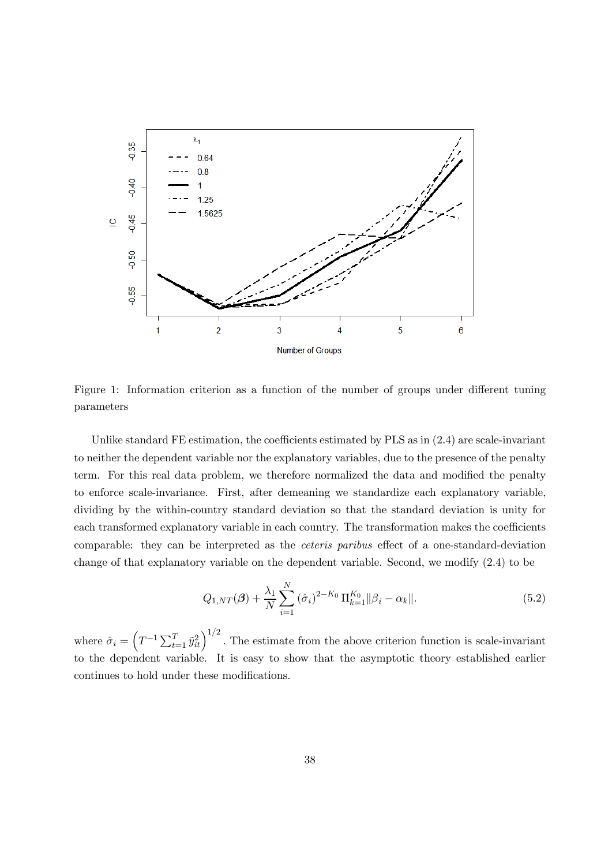

Figure 1: Information criterion as a function of the number of groups under different tuning parameters

Unlike standard FE estimation, the coefficients estimated by PLS as in (2.4) are scale-invariant to neither the dependent variable nor the explanatory variables, due to the presence of the penalty term. For this real data problem, we therefore normalized the data and modified the penalty to enforce scale-invariance. First, after demeaning we standardize each explanatory variable, dividing by the within-country standard deviation so that the standard deviation is unity for each transformed explanatory variable in each country. The transformation makes the coefficients comparable: they can be interpreted as the ceteris paribus effect of a one-standard-deviation change of that explanatory variable on the dependent variable. Second, we modify (2.4) to be

$$
Q_{1,NT}(\boldsymbol{\beta}) + \frac{\lambda_1}{N} \sum_{i=1}^{N} (\hat{\sigma}_i)^{2-K_0} \Pi_{k=1}^{K_0} \|\beta_i - \alpha_k\|.
$$
 (5.2)

where  $\hat{\sigma}_i = \left(T^{-1}\sum_{t=1}^T \hat{y}_{it}^2\right)^{1/2}$ . The estimate from the above criterion function is scale-invariant to the dependent variable. It is easy to show that the asymptotic theory established earlier continues to hold under these modifications.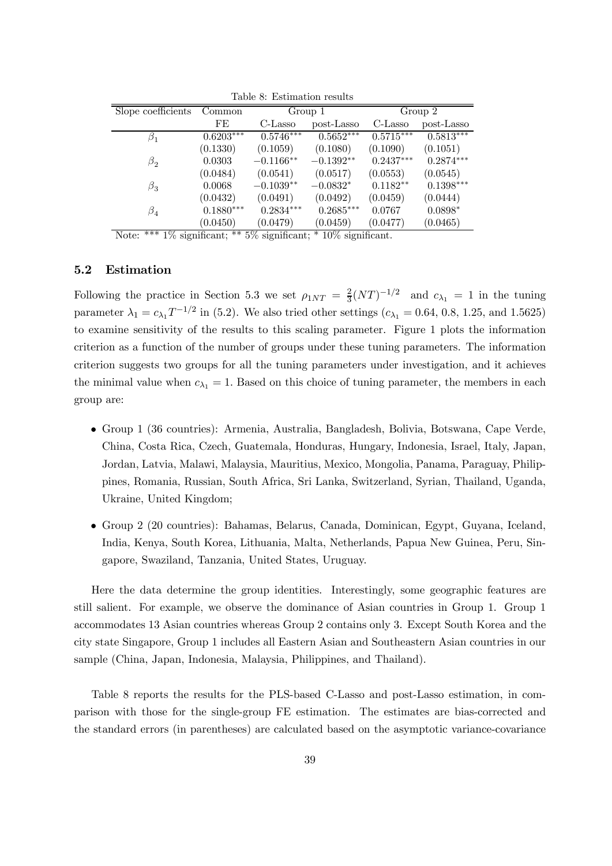| Slope coefficients | Common      |             | Group 1     | Group 2     |             |  |
|--------------------|-------------|-------------|-------------|-------------|-------------|--|
|                    | FE          | C-Lasso     | post-Lasso  | C-Lasso     | post-Lasso  |  |
| $\beta_1$          | $0.6203***$ | $0.5746***$ | $0.5652***$ | $0.5715***$ | $0.5813***$ |  |
|                    | (0.1330)    | (0.1059)    | (0.1080)    | (0.1090)    | (0.1051)    |  |
| $\beta_2$          | 0.0303      | $-0.1166**$ | $-0.1392**$ | $0.2437***$ | $0.2874***$ |  |
|                    | (0.0484)    | (0.0541)    | (0.0517)    | (0.0553)    | (0.0545)    |  |
| $\beta_3$          | 0.0068      | $-0.1039**$ | $-0.0832*$  | $0.1182**$  | $0.1398***$ |  |
|                    | (0.0432)    | (0.0491)    | (0.0492)    | (0.0459)    | (0.0444)    |  |
| $\beta_4$          | $0.1880***$ | $0.2834***$ | $0.2685***$ | 0.0767      | $0.0898*$   |  |
|                    | (0.0450)    | (0.0479)    | (0.0459)    | (0.0477)    | (0.0465)    |  |

Table 8: Estimation results

Note: \*\*\*  $1\%$  significant; \*\*  $5\%$  significant; \*  $10\%$  significant.

### 5.2 Estimation

Following the practice in Section 5.3 we set  $\rho_{1NT} = \frac{2}{3}(NT)^{-1/2}$  and  $c_{\lambda_1} = 1$  in the tuning parameter  $\lambda_1 = c_{\lambda_1} T^{-1/2}$  in (5.2). We also tried other settings ( $c_{\lambda_1} = 0.64, 0.8, 1.25,$  and 1.5625) to examine sensitivity of the results to this scaling parameter. Figure 1 plots the information criterion as a function of the number of groups under these tuning parameters. The information criterion suggests two groups for all the tuning parameters under investigation, and it achieves the minimal value when  $c_{\lambda_1} = 1$ . Based on this choice of tuning parameter, the members in each group are:

- Group 1 (36 countries): Armenia, Australia, Bangladesh, Bolivia, Botswana, Cape Verde, China, Costa Rica, Czech, Guatemala, Honduras, Hungary, Indonesia, Israel, Italy, Japan, Jordan, Latvia, Malawi, Malaysia, Mauritius, Mexico, Mongolia, Panama, Paraguay, Philippines, Romania, Russian, South Africa, Sri Lanka, Switzerland, Syrian, Thailand, Uganda, Ukraine, United Kingdom;
- Group 2 (20 countries): Bahamas, Belarus, Canada, Dominican, Egypt, Guyana, Iceland, India, Kenya, South Korea, Lithuania, Malta, Netherlands, Papua New Guinea, Peru, Singapore, Swaziland, Tanzania, United States, Uruguay.

Here the data determine the group identities. Interestingly, some geographic features are still salient. For example, we observe the dominance of Asian countries in Group 1. Group 1 accommodates 13 Asian countries whereas Group 2 contains only 3. Except South Korea and the city state Singapore, Group 1 includes all Eastern Asian and Southeastern Asian countries in our sample (China, Japan, Indonesia, Malaysia, Philippines, and Thailand).

Table 8 reports the results for the PLS-based C-Lasso and post-Lasso estimation, in comparison with those for the single-group FE estimation. The estimates are bias-corrected and the standard errors (in parentheses) are calculated based on the asymptotic variance-covariance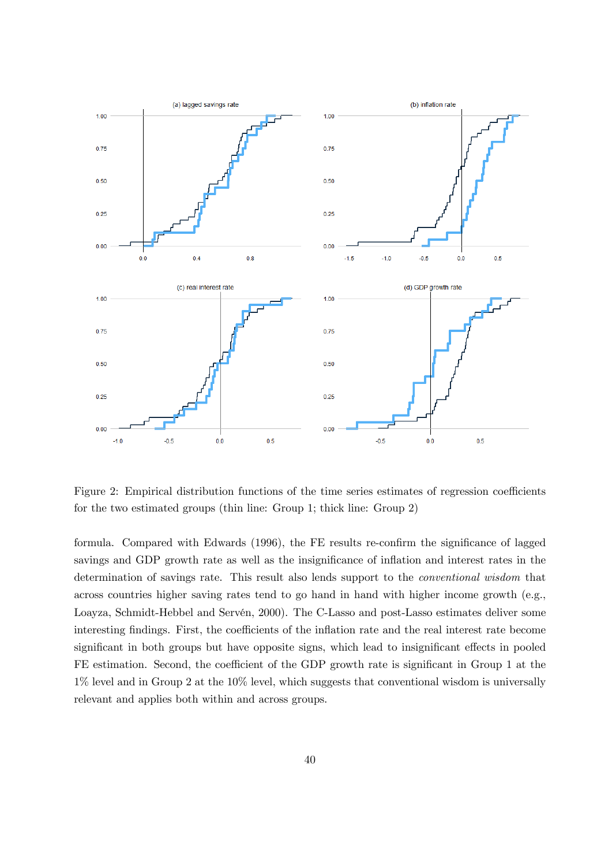

Figure 2: Empirical distribution functions of the time series estimates of regression coefficients for the two estimated groups (thin line: Group 1; thick line: Group 2)

formula. Compared with Edwards (1996), the FE results re-confirm the significance of lagged savings and GDP growth rate as well as the insignificance of inflation and interest rates in the determination of savings rate. This result also lends support to the conventional wisdom that across countries higher saving rates tend to go hand in hand with higher income growth (e.g., Loayza, Schmidt-Hebbel and Servén, 2000). The C-Lasso and post-Lasso estimates deliver some interesting findings. First, the coefficients of the inflation rate and the real interest rate become significant in both groups but have opposite signs, which lead to insignificant effects in pooled FE estimation. Second, the coefficient of the GDP growth rate is significant in Group 1 at the 1% level and in Group 2 at the 10% level, which suggests that conventional wisdom is universally relevant and applies both within and across groups.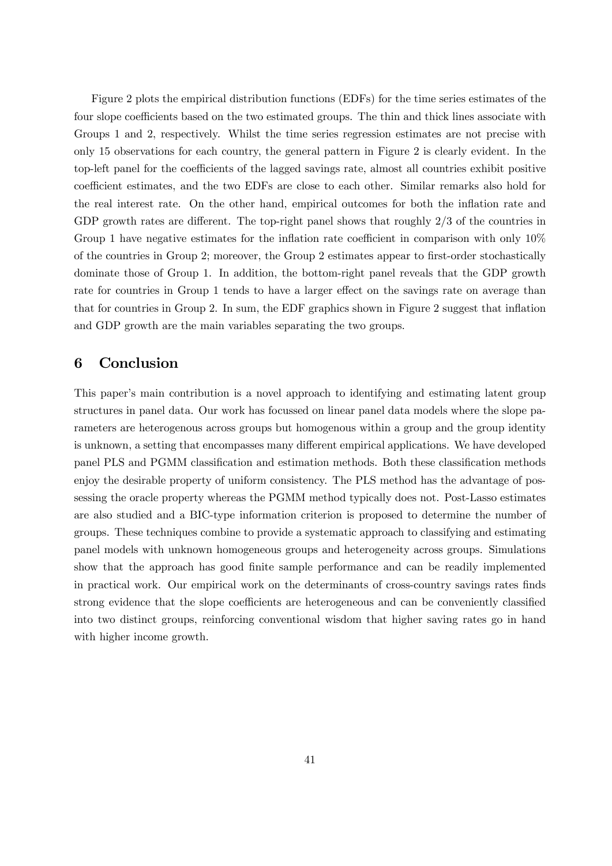Figure 2 plots the empirical distribution functions (EDFs) for the time series estimates of the four slope coefficients based on the two estimated groups. The thin and thick lines associate with Groups 1 and 2, respectively. Whilst the time series regression estimates are not precise with only 15 observations for each country, the general pattern in Figure 2 is clearly evident. In the top-left panel for the coefficients of the lagged savings rate, almost all countries exhibit positive coefficient estimates, and the two EDFs are close to each other. Similar remarks also hold for the real interest rate. On the other hand, empirical outcomes for both the inflation rate and GDP growth rates are different. The top-right panel shows that roughly 2/3 of the countries in Group 1 have negative estimates for the inflation rate coefficient in comparison with only  $10\%$ of the countries in Group 2; moreover, the Group 2 estimates appear to first-order stochastically dominate those of Group 1. In addition, the bottom-right panel reveals that the GDP growth rate for countries in Group 1 tends to have a larger effect on the savings rate on average than that for countries in Group 2. In sum, the EDF graphics shown in Figure 2 suggest that inflation and GDP growth are the main variables separating the two groups.

## 6 Conclusion

This paper's main contribution is a novel approach to identifying and estimating latent group structures in panel data. Our work has focussed on linear panel data models where the slope parameters are heterogenous across groups but homogenous within a group and the group identity is unknown, a setting that encompasses many different empirical applications. We have developed panel PLS and PGMM classification and estimation methods. Both these classification methods enjoy the desirable property of uniform consistency. The PLS method has the advantage of possessing the oracle property whereas the PGMM method typically does not. Post-Lasso estimates are also studied and a BIC-type information criterion is proposed to determine the number of groups. These techniques combine to provide a systematic approach to classifying and estimating panel models with unknown homogeneous groups and heterogeneity across groups. Simulations show that the approach has good finite sample performance and can be readily implemented in practical work. Our empirical work on the determinants of cross-country savings rates finds strong evidence that the slope coefficients are heterogeneous and can be conveniently classified into two distinct groups, reinforcing conventional wisdom that higher saving rates go in hand with higher income growth.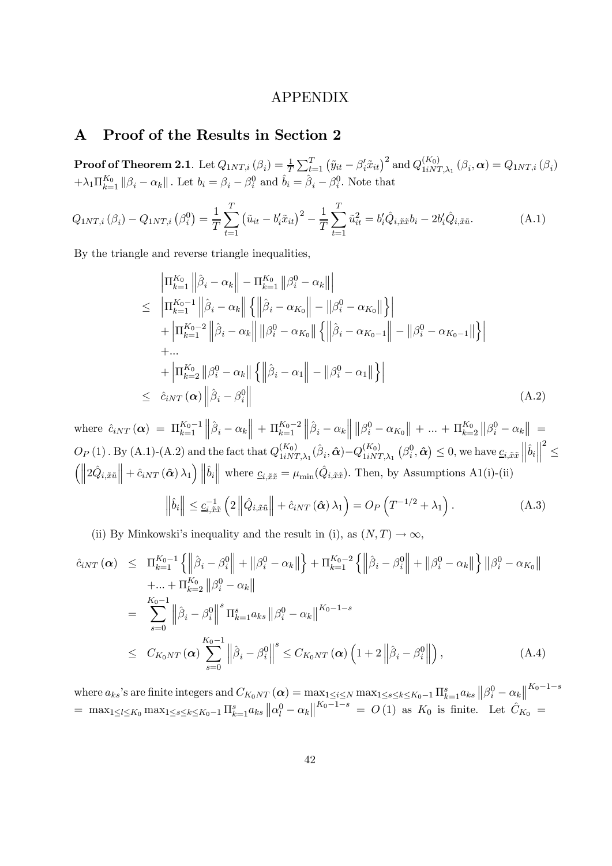# APPENDIX

# A Proof of the Results in Section 2

**Proof of Theorem 2.1**. Let  $Q_{1NT,i}\left(\beta_i\right)=\frac{1}{T}\sum_{t=1}^{T}\left(\tilde{y}_{it}-\beta_i'\tilde{x}_{it}\right)^2$  and  $Q_{1iNT,\lambda_1}^{(K_0)}\left(\beta_i,\boldsymbol{\alpha}\right)=Q_{1NT,i}\left(\beta_i\right)$  $+\lambda_1 \Pi_{k=1}^{K_0} \|\beta_i - \alpha_k\|$ . Let  $b_i = \beta_i - \beta_i^0$  and  $\hat{b}_i = \hat{\beta}_i - \beta_i^0$ . Note that

$$
Q_{1NT,i}(\beta_i) - Q_{1NT,i}(\beta_i^0) = \frac{1}{T} \sum_{t=1}^T (\tilde{u}_{it} - b_i' \tilde{x}_{it})^2 - \frac{1}{T} \sum_{t=1}^T \tilde{u}_{it}^2 = b_i' \hat{Q}_{i,\tilde{x}\tilde{x}} b_i - 2b_i' \hat{Q}_{i,\tilde{x}\tilde{u}}.
$$
 (A.1)

By the triangle and reverse triangle inequalities,

$$
\begin{split}\n&\left|\Pi_{k=1}^{K_{0}}\left\|\hat{\beta}_{i}-\alpha_{k}\right\|-\Pi_{k=1}^{K_{0}}\left\|\beta_{i}^{0}-\alpha_{k}\right\|\right| \\
&\leq\left|\Pi_{k=1}^{K_{0}-1}\left\|\hat{\beta}_{i}-\alpha_{k}\right\|\left\{\left\|\hat{\beta}_{i}-\alpha_{K_{0}}\right\|-\left\|\beta_{i}^{0}-\alpha_{K_{0}}\right\|\right\} \right| \\
&+\left|\Pi_{k=1}^{K_{0}-2}\left\|\hat{\beta}_{i}-\alpha_{k}\right\|\left\|\beta_{i}^{0}-\alpha_{K_{0}}\right\|\left\{\left\|\hat{\beta}_{i}-\alpha_{K_{0}-1}\right\|-\left\|\beta_{i}^{0}-\alpha_{K_{0}-1}\right\|\right\} \right| \\
&\quad+\cdots \\
&+\left|\Pi_{k=2}^{K_{0}}\left\|\beta_{i}^{0}-\alpha_{k}\right\|\left\{\left\|\hat{\beta}_{i}-\alpha_{1}\right\|-\left\|\beta_{i}^{0}-\alpha_{1}\right\|\right\}\right| \\
&\leq\hat{c}_{iNT}(\alpha)\left\|\hat{\beta}_{i}-\beta_{i}^{0}\right\|\n\end{split} \tag{A.2}
$$

where  $\hat{c}_{iNT}(\boldsymbol{\alpha}) = \Pi_{k=1}^{K_0-1}$  $\left\|\hat{\boldsymbol{\beta}}_i - \boldsymbol{\alpha}_k \right\| + \boldsymbol{\Pi}_{k=1}^{K_0-2}$  $\left\| \hat{\boldsymbol{\beta}}_i - \boldsymbol{\alpha}_k \right\|$  $\left\Vert \beta_i^0 - \alpha_{K_0} \right\Vert\, +\, \ldots \, + \, \Pi_{k=2}^{K_0} \left\Vert \beta_i^0 - \alpha_k \right\Vert \; = \;$  $O_P(1)$ . By (A.1)-(A.2) and the fact that  $Q_{1iNT,\lambda_1}^{(K_0)}(\hat{\beta}_i, \hat{\boldsymbol{\alpha}}) - Q_{1iNT,\lambda_1}^{(K_0)}(\beta_i^0, \hat{\boldsymbol{\alpha}}) \leq 0$ , we have  $c_{i,\tilde{x}\tilde{x}} \left\|\hat{b}_i\right\|$ 2 ≤  $\left( \left\| 2\hat{Q}_{i,\tilde{x}\tilde{u}}\right\| + \hat{c}_{iNT}(\hat{\boldsymbol{\alpha}}) \lambda_1 \right) \left\| \hat{b}_i \right\|$  where  $\underline{c}_{i,\tilde{x}\tilde{x}} = \mu_{\min}(\hat{Q}_{i,\tilde{x}\tilde{x}})$ . Then, by Assumptions A1(i)-(ii)  $\overline{\mathfrak{g}}$  $\overline{\mathbf{u}}$  $\overline{a}$  $\frac{1}{2}$  $\overline{\mathbf{u}}$ ´  $\overline{a}$ ´

$$
\left\|\hat{b}_{i}\right\| \leq \underline{c}_{i,\tilde{x}\tilde{x}}^{-1}\left(2\left\|\hat{Q}_{i,\tilde{x}\tilde{u}}\right\| + \hat{c}_{iNT}\left(\hat{\boldsymbol{\alpha}}\right)\lambda_{1}\right) = O_{P}\left(T^{-1/2} + \lambda_{1}\right). \tag{A.3}
$$

(ii) By Minkowski's inequality and the result in (i), as  $(N, T) \rightarrow \infty$ ,

$$
\hat{c}_{iNT}(\alpha) \leq \Pi_{k=1}^{K_0-1} \left\{ \left\| \hat{\beta}_i - \beta_i^0 \right\| + \left\| \beta_i^0 - \alpha_k \right\| \right\} + \Pi_{k=1}^{K_0-2} \left\{ \left\| \hat{\beta}_i - \beta_i^0 \right\| + \left\| \beta_i^0 - \alpha_k \right\| \right\} \left\| \beta_i^0 - \alpha_{K_0} \right\|
$$
\n
$$
+ \dots + \Pi_{k=2}^{K_0} \left\| \beta_i^0 - \alpha_k \right\|
$$
\n
$$
= \sum_{s=0}^{K_0-1} \left\| \hat{\beta}_i - \beta_i^0 \right\|^{s} \Pi_{k=1}^{s} a_{ks} \left\| \beta_i^0 - \alpha_k \right\|^{K_0-1-s}
$$
\n
$$
\leq C_{K_0NT}(\alpha) \sum_{s=0}^{K_0-1} \left\| \hat{\beta}_i - \beta_i^0 \right\|^{s} \leq C_{K_0NT}(\alpha) \left( 1 + 2 \left\| \hat{\beta}_i - \beta_i^0 \right\| \right), \tag{A.4}
$$

where  $a_{ks}$ 's are finite integers and  $C_{K_0NT}(\boldsymbol{\alpha}) = \max_{1 \leq i \leq N} \max_{1 \leq s \leq k \leq K_0-1} \prod_{k=1}^s a_{ks} \left\| \beta_i^0 - \alpha_k \right\|^{K_0-1-s}$  $= \max_{1 \leq l \leq K_0} \max_{1 \leq s \leq k \leq K_0-1} \prod_{k=1}^s a_{ks} ||\alpha_l^0 - \alpha_k||^{K_0-1-s} = O(1)$  as  $K_0$  is finite. Let  $\hat{C}_{K_0} =$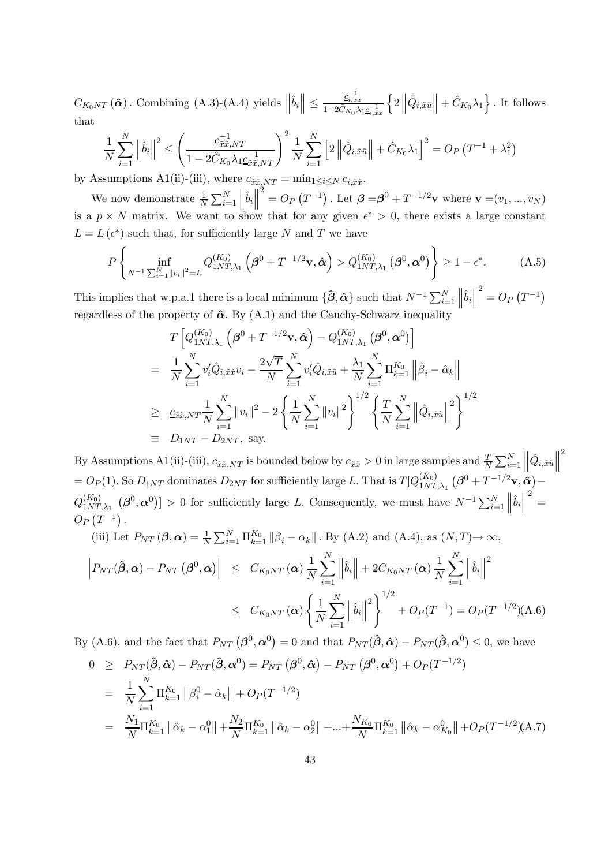$C_{K_0NT}(\hat{\boldsymbol{\alpha}})$ . Combining (A.3)-(A.4) yields  $\left\|\hat{b}_i\right\| \leq \frac{c_{i,\tilde{x}\tilde{x}}^{-1}}{1-2\hat{C}_{K_0}\lambda_1 c_{i,\tilde{x}\tilde{x}}^{-1}}$  $\left\{2\left\Vert \hat{Q}_{i,\tilde{x}\tilde{u}}\right\Vert +\hat{C}_{K_{0}}\lambda_{1}\right\}.$  It follows that

$$
\frac{1}{N} \sum_{i=1}^{N} \left\| \hat{b}_i \right\|^2 \le \left( \frac{\underline{c}_{\tilde{x}\tilde{x},NT}}{1 - 2\hat{C}_{K_0} \lambda_1 \underline{c}_{\tilde{x}\tilde{x},NT}} \right)^2 \frac{1}{N} \sum_{i=1}^{N} \left[ 2 \left\| \hat{Q}_{i,\tilde{x}\tilde{u}} \right\| + \hat{C}_{K_0} \lambda_1 \right]^2 = O_P \left( T^{-1} + \lambda_1^2 \right)
$$

by Assumptions A1(ii)-(iii), where  $\underline{c}_{\tilde{x}\tilde{x}_iNT} = \min_{1 \leq i \leq N} \underline{c}_{i,\tilde{x}\tilde{x}}$ .

We now demonstrate  $\frac{1}{N} \sum_{i=1}^{N}$  $\left\Vert \hat{b}_{i}\right\Vert$  $\mathcal{L}^2 = O_P\left(T^{-1}\right)$  . Let  $\boldsymbol{\beta} = \boldsymbol{\beta}^0 + T^{-1/2} \mathbf{v}$  where  $\mathbf{v} = (v_1, ..., v_N)$ is a  $p \times N$  matrix. We want to show that for any given  $\epsilon^* > 0$ , there exists a large constant  $L = L(\epsilon^*)$  such that, for sufficiently large N and T we have

$$
P\left\{\inf_{N^{-1}\sum_{i=1}^{N}||v_{i}||^{2}=L}Q_{1NT,\lambda_{1}}^{(K_{0})}\left(\beta^{0}+T^{-1/2}\mathbf{v},\hat{\boldsymbol{\alpha}}\right)>Q_{1NT,\lambda_{1}}^{(K_{0})}\left(\beta^{0},\boldsymbol{\alpha}^{0}\right)\right\}\geq 1-\epsilon^{*}.\tag{A.5}
$$

This implies that w.p.a.1 there is a local minimum  $\{\hat{\beta}, \hat{\alpha}\}\$  such that  $N^{-1}\sum_{i=1}^{N}$  $\left\Vert \hat{b}_{i}\right\Vert$  $2^{2} = O_{P} (T^{-1})$ regardless of the property of  $\hat{\boldsymbol{\alpha}}$ . By (A.1) and the Cauchy-Schwarz inequality

$$
T\left[Q_{1NT,\lambda_{1}}^{(K_{0})}\left(\beta^{0}+T^{-1/2}\mathbf{v},\hat{\alpha}\right)-Q_{1NT,\lambda_{1}}^{(K_{0})}\left(\beta^{0},\alpha^{0}\right)\right]
$$
\n
$$
=\frac{1}{N}\sum_{i=1}^{N}v_{i}'\hat{Q}_{i,\tilde{x}\tilde{x}}v_{i}-\frac{2\sqrt{T}}{N}\sum_{i=1}^{N}v_{i}'\hat{Q}_{i,\tilde{x}\tilde{u}}+\frac{\lambda_{1}}{N}\sum_{i=1}^{N}\Pi_{k=1}^{K_{0}}\left\|\hat{\beta}_{i}-\hat{\alpha}_{k}\right\|
$$
\n
$$
\geq c_{\tilde{x}\tilde{x},NT}\frac{1}{N}\sum_{i=1}^{N}\|v_{i}\|^{2}-2\left\{\frac{1}{N}\sum_{i=1}^{N}\|v_{i}\|^{2}\right\}^{1/2}\left\{\frac{T}{N}\sum_{i=1}^{N}\left\|\hat{Q}_{i,\tilde{x}\tilde{u}}\right\|^{2}\right\}^{1/2}
$$
\n
$$
\equiv D_{1NT}-D_{2NT}, \text{ say.}
$$

By Assumptions A1(ii)-(iii),  $\underline{c}_{\tilde{x}\tilde{x},NT}$  is bounded below by  $\underline{c}_{\tilde{x}\tilde{x}} > 0$  in large samples and  $\frac{T}{N} \sum_{i=1}^{N}$  $\left\| \hat{Q}_{i,\tilde{x}\tilde{u}}\right\|$ 2  $= O_P(1)$ . So  $D_{1NT}$  dominates  $D_{2NT}$  for sufficiently large L. That is  $T[Q_{1NT,\lambda_1}^{(K_0)}(\beta^0+T^{-1/2}\mathbf{v},\hat{\boldsymbol{\alpha}}) Q_{1NT,\lambda_1}^{(K_0)}$   $(\beta^0, \alpha^0)$  > 0 for sufficiently large L. Consequently, we must have  $N^{-1}\sum_{i=1}^N$  $\left\Vert \hat{b}_{i}\right\Vert$  $\frac{2}{2}$  $O_P(T^{-1})$ .

(iii) Let 
$$
P_{NT}(\boldsymbol{\beta}, \boldsymbol{\alpha}) = \frac{1}{N} \sum_{i=1}^{N} \Pi_{k=1}^{K_0} \|\boldsymbol{\beta}_i - \boldsymbol{\alpha}_k\|
$$
. By (A.2) and (A.4), as  $(N, T) \to \infty$ ,  
\n
$$
\left| P_{NT}(\boldsymbol{\beta}, \boldsymbol{\alpha}) - P_{NT}(\boldsymbol{\beta}^0, \boldsymbol{\alpha}) \right| \leq C_{K_0NT}(\boldsymbol{\alpha}) \frac{1}{N} \sum_{i=1}^{N} \left\| \hat{b}_i \right\| + 2C_{K_0NT}(\boldsymbol{\alpha}) \frac{1}{N} \sum_{i=1}^{N} \left\| \hat{b}_i \right\|^2
$$
\n
$$
\leq C_{K_0NT}(\boldsymbol{\alpha}) \left\{ \frac{1}{N} \sum_{i=1}^{N} \left\| \hat{b}_i \right\|^2 \right\}^{1/2} + O_P(T^{-1}) = O_P(T^{-1/2})(A.6)
$$

By (A.6), and the fact that  $P_{NT}(\boldsymbol{\beta}^0, \boldsymbol{\alpha}^0) = 0$  and that  $P_{NT}(\boldsymbol{\hat{\beta}}, \boldsymbol{\hat{\alpha}}) - P_{NT}(\boldsymbol{\hat{\beta}}, \boldsymbol{\alpha}^0) \leq 0$ , we have

$$
0 \ge P_{NT}(\hat{\boldsymbol{\beta}}, \hat{\boldsymbol{\alpha}}) - P_{NT}(\hat{\boldsymbol{\beta}}, \hat{\boldsymbol{\alpha}}^0) = P_{NT}(\boldsymbol{\beta}^0, \hat{\boldsymbol{\alpha}}) - P_{NT}(\boldsymbol{\beta}^0, \hat{\boldsymbol{\alpha}}^0) + O_P(T^{-1/2})
$$
  
\n
$$
= \frac{1}{N} \sum_{i=1}^N \Pi_{k=1}^{K_0} \|\beta_i^0 - \hat{\alpha}_k\| + O_P(T^{-1/2})
$$
  
\n
$$
= \frac{N_1}{N} \Pi_{k=1}^{K_0} \|\hat{\alpha}_k - \alpha_1^0\| + \frac{N_2}{N} \Pi_{k=1}^{K_0} \|\hat{\alpha}_k - \alpha_2^0\| + ... + \frac{N_{K_0}}{N} \Pi_{k=1}^{K_0} \|\hat{\alpha}_k - \alpha_{K_0}^0\| + O_P(T^{-1/2})(A.7)
$$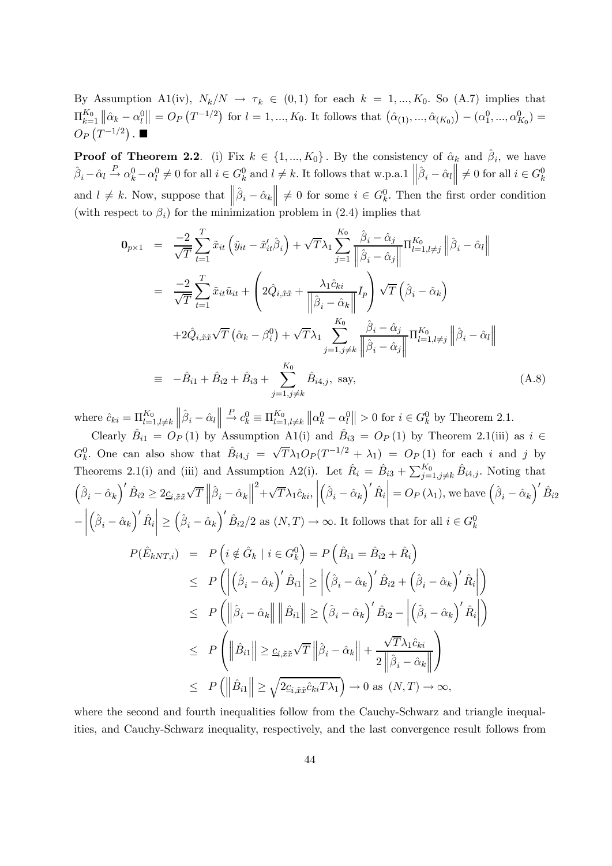By Assumption A1(iv),  $N_k/N \rightarrow \tau_k \in (0,1)$  for each  $k = 1, ..., K_0$ . So (A.7) implies that  $\Pi_{k=1}^{K_0} \| \hat{\alpha}_k - \alpha_l^0 \| = O_P(T^{-1/2})$  for  $l = 1, ..., K_0$ . It follows that  $(\hat{\alpha}_{(1)}, ..., \hat{\alpha}_{(K_0)}) - (\alpha_1^0, ..., \alpha_{K_0}^0) =$  $O_P(T^{-1/2})$  .

**Proof of Theorem 2.2.** (i) Fix  $k \in \{1, ..., K_0\}$ . By the consistency of  $\hat{\alpha}_k$  and  $\hat{\beta}_i$ , we have  $\hat{\beta}_i - \hat{\alpha}_l \stackrel{P}{\rightarrow} \alpha_k^0 - \alpha_l^0 \neq 0$  for all  $i \in G_k^0$  and  $l \neq k$ . It follows that w.p.a.1  $\left\|\hat{\beta}_i - \hat{\alpha}_l\right\| \neq 0$  for all  $i \in G_k^0$ and  $l \neq k$ . Now, suppose that  $\left\|\hat{\beta}_i - \hat{\alpha}_k\right\| \neq 0$  for some  $i \in G_k^0$ . Then the first order condition (with respect to  $\beta_i$ ) for the minimization problem in (2.4) implies that

$$
\mathbf{0}_{p\times 1} = \frac{-2}{\sqrt{T}} \sum_{t=1}^{T} \tilde{x}_{it} \left( \tilde{y}_{it} - \tilde{x}_{it}' \hat{\beta}_{i} \right) + \sqrt{T} \lambda_{1} \sum_{j=1}^{K_{0}} \frac{\hat{\beta}_{i} - \hat{\alpha}_{j}}{\|\hat{\beta}_{i} - \hat{\alpha}_{j}\|} \Pi_{l=1, l \neq j}^{K_{0}} \|\hat{\beta}_{i} - \hat{\alpha}_{l} \|
$$
\n
$$
= \frac{-2}{\sqrt{T}} \sum_{t=1}^{T} \tilde{x}_{it} \tilde{u}_{it} + \left( 2\hat{Q}_{i, \tilde{x}\tilde{x}} + \frac{\lambda_{1} \hat{c}_{ki}}{\|\hat{\beta}_{i} - \hat{\alpha}_{k}\|} I_{p} \right) \sqrt{T} \left( \hat{\beta}_{i} - \hat{\alpha}_{k} \right)
$$
\n
$$
+ 2\hat{Q}_{i, \tilde{x}\tilde{x}} \sqrt{T} \left( \hat{\alpha}_{k} - \beta_{i}^{0} \right) + \sqrt{T} \lambda_{1} \sum_{j=1, j \neq k}^{K_{0}} \frac{\hat{\beta}_{i} - \hat{\alpha}_{j}}{\|\hat{\beta}_{i} - \hat{\alpha}_{j}\|} \Pi_{l=1, l \neq j}^{K_{0}} \|\hat{\beta}_{i} - \hat{\alpha}_{l} \|
$$
\n
$$
\equiv -\hat{B}_{i1} + \hat{B}_{i2} + \hat{B}_{i3} + \sum_{j=1, j \neq k}^{K_{0}} \hat{B}_{i4,j}, \text{ say,} \tag{A.8}
$$

where  $\hat{c}_{ki} = \prod_{l=1, l \neq k}^{K_0}$  $\left\| \hat{\boldsymbol{\beta}}_i - \hat{\boldsymbol{\alpha}}_l \right\|$  $L^P \rightarrow c_k^0 \equiv \Pi_{l=1, l \neq k}^{K_0}$  $\left\Vert \alpha _{k}^{0}-\alpha _{l}^{0}\right\Vert >0$  for  $i\in G_{k}^{0}$  by Theorem 2.1. Clearly  $\hat{B}_{i1} = O_P(1)$  by Assumption A1(i) and  $\hat{B}_{i3} = O_P(1)$  by Theorem 2.1(iii) as  $i \in$ 

 $G_k^0$ . One can also show that  $\hat{B}_{i4,j} = \sqrt{T} \lambda_1 O_P(T^{-1/2} + \lambda_1) = O_P(1)$  for each i and j by Theorems 2.1(i) and (iii) and Assumption A2(i). Let  $\hat{R}_i = \hat{B}_{i3} + \sum_{j=1, j \neq k}^{K_0} \hat{B}_{i4,j}$ . Noting that  $\left(\hat{\beta}_{i}-\hat{\alpha}_{k}\right)^{\prime}\hat{B}_{i2}\geq2\underline{c}_{i,\tilde{x}\tilde{x}}\sqrt{T}\left\Vert \hat{\beta}_{i}-\hat{\alpha}_{k}\right\Vert$  $^2$  +  $\sqrt{T}\lambda_1\hat{c}_{ki},$  $\begin{array}{|c|c|} \hline \multicolumn{1}{|c|}{1} & \multicolumn{1}{|c|}{1} & \multicolumn{1}{|c|}{1} & \multicolumn{1}{|c|}{1} & \multicolumn{1}{|c|}{1} & \multicolumn{1}{|c|}{1} & \multicolumn{1}{|c|}{1} & \multicolumn{1}{|c|}{1} & \multicolumn{1}{|c|}{1} & \multicolumn{1}{|c|}{1} & \multicolumn{1}{|c|}{1} & \multicolumn{1}{|c|}{1} & \multicolumn{1}{|c|}{1} & \multicolumn{1}{|c|}{1} & \multicolumn{1}{|c|$  $\left(\hat{\beta}_i - \hat{\alpha}_k\right)' \hat{R}_i = O_P(\lambda_1)$ , we have  $\left(\hat{\beta}_i - \hat{\alpha}_k\right)' \hat{B}_{i2}$ −  $\begin{array}{|c|c|} \hline \multicolumn{1}{|c|}{3} & \multicolumn{1}{|c|}{4} \multicolumn{1}{|c|}{5} \multicolumn{1}{|c|}{6} \multicolumn{1}{|c|}{5} \multicolumn{1}{|c|}{6} \multicolumn{1}{|c|}{6} \multicolumn{1}{|c|}{5} \multicolumn{1}{|c|}{6} \multicolumn{1}{|c|}{6} \multicolumn{1}{|c|}{6} \multicolumn{1}{|c|}{6} \multicolumn{1}{|c|}{6} \multicolumn{1}{|c|}{6} \multicolumn{1}{|c|}{6} \multicolumn{1}{|c|$  $\left(\hat{\boldsymbol{\beta}}_i - \hat{\boldsymbol{\alpha}}_k\right)^{\prime} \hat{R}_i \Bigg| \geq$  $(\hat{\beta}_i - \hat{\alpha}_k)' \hat{B}_{i2}/2$  as  $(N, T) \rightarrow \infty$ . It follows that for all  $i \in G_k^0$  $P(\hat{E}_{kNT,i}) = P\left(i \notin \hat{G}_k \mid i \in G_k^0\right)$  $= P\left(\hat{B}_{i1} = \hat{B}_{i2} + \hat{R}_{i}\right)$  $\leq$   $\mid$   $\mid$  $\left(\rule{0pt}{10pt}\right.$  $\left(\hat{\boldsymbol{\beta}}_i - \hat{\boldsymbol{\alpha}}_k\right)^{\prime} \hat{B}_{i1} \bigg| \geq$ ¯ ¯ ¯ ¯  $\left(\hat{\boldsymbol{\beta}}_i - \hat{\boldsymbol{\alpha}}_k\right)^{\prime} \hat{B}_{i2} + \left(\hat{\boldsymbol{\beta}}_i - \hat{\boldsymbol{\alpha}}_k\right)^{\prime} \hat{R}_i \bigg|$  $\setminus$  $\leq$   $\mid$   $\mid$  $\biggl( \Bigl\| \hat{\boldsymbol{\beta}}_i - \hat{\boldsymbol{\alpha}}_k \Bigr\|$  $\left\| \hat{B}_{i1} \right\| \geq$  $\left(\hat{\boldsymbol{\beta}}_i - \hat{\boldsymbol{\alpha}}_k\right)^{\prime} \hat{B}_{i2} - \bigg|$  $\left(\hat{\boldsymbol{\beta}}_i - \hat{\boldsymbol{\alpha}}_k\right)^{\prime} \hat{R}_i \Bigg|$  $\setminus$  $\leq$   $\mid$   $\mid$  $\sqrt{ }$  $\mathbf{I}$  $\left\| \hat{B}_{i1} \right\| \geq \underline{c}_{i,\tilde{x}\tilde{x}}\sqrt{T}\left\| \hat{\beta}_{i} - \hat{\alpha}_{k} \right\| +$  $\sqrt{T}\lambda_1\hat{c}_{ki}$  $2\left\|\hat{\beta}_i-\hat{\alpha}_k\right\|$  $\setminus$  $\overline{1}$  $\leq P\left(\left\|\hat{B}_{i1}\right\| \geq \right)$  $\sqrt{2\underline{c}_{i,\tilde{x}\tilde{x}}\hat{c}_{ki}T\lambda_1}$   $\rightarrow$  0 as  $(N,T) \rightarrow \infty$ ,

where the second and fourth inequalities follow from the Cauchy-Schwarz and triangle inequalities, and Cauchy-Schwarz inequality, respectively, and the last convergence result follows from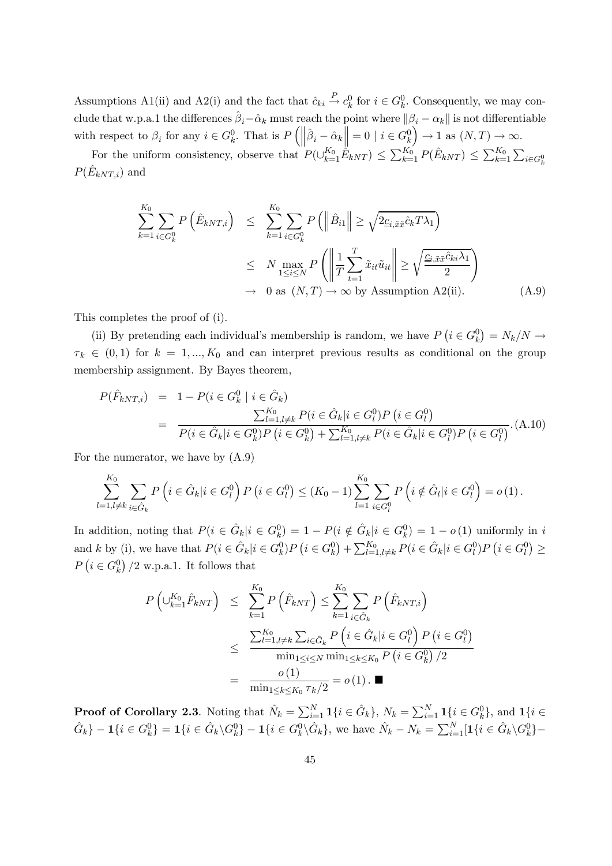Assumptions A1(ii) and A2(i) and the fact that  $\hat{c}_{ki} \stackrel{P}{\to} c_k^0$  for  $i \in G_k^0$ . Consequently, we may conclude that w.p.a.1 the differences  $\hat{\beta}_i-\hat{\alpha}_k$  must reach the point where  $\|\beta_i-\alpha_k\|$  is not differentiable with respect to  $\beta_i$  for any  $i \in G_k^0$ . That is  $P\left(\left\|\hat{\beta}_i - \hat{\alpha}_k\right\| = 0 \mid i \in G_k^0\right)$  $\Big) \to 1$  as  $(N, T) \to \infty$ .

For the uniform consistency, observe that  $P(\cup_{k=1}^{K_0} \hat{E}_{kNT}) \leq \sum_{k=1}^{K_0} P(\hat{E}_{kNT}) \leq \sum_{k=1}^{K_0} \sum_{i \in G_k^0} E(\hat{E}_{kNT})$  $P(\hat{E}_{kNT,i})$  and

$$
\sum_{k=1}^{K_0} \sum_{i \in G_k^0} P\left(\hat{E}_{kNT,i}\right) \leq \sum_{k=1}^{K_0} \sum_{i \in G_k^0} P\left(\left\|\hat{B}_{i1}\right\| \geq \sqrt{2c_{i,\tilde{x}\tilde{x}}c_kT\lambda_1}\right)
$$
\n
$$
\leq N \max_{1 \leq i \leq N} P\left(\left\|\frac{1}{T}\sum_{t=1}^T \tilde{x}_{it}\tilde{u}_{it}\right\| \geq \sqrt{\frac{c_{i,\tilde{x}\tilde{x}}\hat{c}_{ki}\lambda_1}{2}}\right)
$$
\n
$$
\to 0 \text{ as } (N,T) \to \infty \text{ by Assumption A2(ii).}
$$
\n(A.9)

This completes the proof of (i).

(ii) By pretending each individual's membership is random, we have  $P(i \in G_k^0) = N_k/N \rightarrow$  $\tau_k \in (0,1)$  for  $k = 1, ..., K_0$  and can interpret previous results as conditional on the group membership assignment. By Bayes theorem,

$$
P(\hat{F}_{kNT,i}) = 1 - P(i \in G_k^0 \mid i \in \hat{G}_k)
$$
  
= 
$$
\frac{\sum_{l=1, l \neq k}^{K_0} P(i \in \hat{G}_k | i \in G_l^0) P(i \in G_l^0)}{P(i \in \hat{G}_k | i \in G_k^0) P(i \in G_k^0) + \sum_{l=1, l \neq k}^{K_0} P(i \in \hat{G}_k | i \in G_l^0) P(i \in G_l^0)}.
$$
(A.10)

For the numerator, we have by (A.9)

$$
\sum_{l=1, l \neq k}^{K_0} \sum_{i \in \hat{G}_k} P\left(i \in \hat{G}_k | i \in G_l^0\right) P\left(i \in G_l^0\right) \le (K_0 - 1) \sum_{l=1}^{K_0} \sum_{i \in G_l^0} P\left(i \notin \hat{G}_l | i \in G_l^0\right) = o\left(1\right).
$$

In addition, noting that  $P(i \in \hat{G}_k | i \in G_k^0) = 1 - P(i \notin \hat{G}_k | i \in G_k^0) = 1 - o(1)$  uniformly in i and k by (i), we have that  $P(i \in \hat{G}_k | i \in G_k^0) P (i \in G_k^0) + \sum_{l=1, l \neq k}^{K_0} P(i \in \hat{G}_k | i \in G_l^0) P (i \in G_l^0) \ge$  $P(i \in G_k^0)/2$  w.p.a.1. It follows that

$$
P\left(\bigcup_{k=1}^{K_0} \hat{F}_{kNT}\right) \leq \sum_{k=1}^{K_0} P\left(\hat{F}_{kNT}\right) \leq \sum_{k=1}^{K_0} \sum_{i \in \hat{G}_k} P\left(\hat{F}_{kNT,i}\right)
$$
  

$$
\leq \frac{\sum_{l=1, l \neq k}^{K_0} \sum_{i \in \hat{G}_k} P\left(i \in \hat{G}_k | i \in G_l^0\right) P\left(i \in G_l^0\right)}{\min_{1 \leq i \leq N} \min_{1 \leq k \leq K_0} P\left(i \in G_k^0\right) / 2}
$$
  

$$
= \frac{o\left(1\right)}{\min_{1 \leq k \leq K_0} \tau_k / 2} = o\left(1\right). \blacksquare
$$

**Proof of Corollary 2.3**. Noting that  $\hat{N}_k = \sum_{i=1}^N \mathbf{1}\{i \in \hat{G}_k\}$ ,  $N_k = \sum_{i=1}^N \mathbf{1}\{i \in G_k^0\}$ , and  $\mathbf{1}\{i \in G_k^0\}$  $\hat{G}_k$ } - 1 $\{i \in G_k^0\} = 1\{i \in \hat{G}_k \setminus G_k^0\} - 1\{i \in G_k^0 \setminus \hat{G}_k\}$ , we have  $\hat{N}_k - N_k = \sum_{i=1}^N [1\{i \in \hat{G}_k \setminus G_k^0\} -$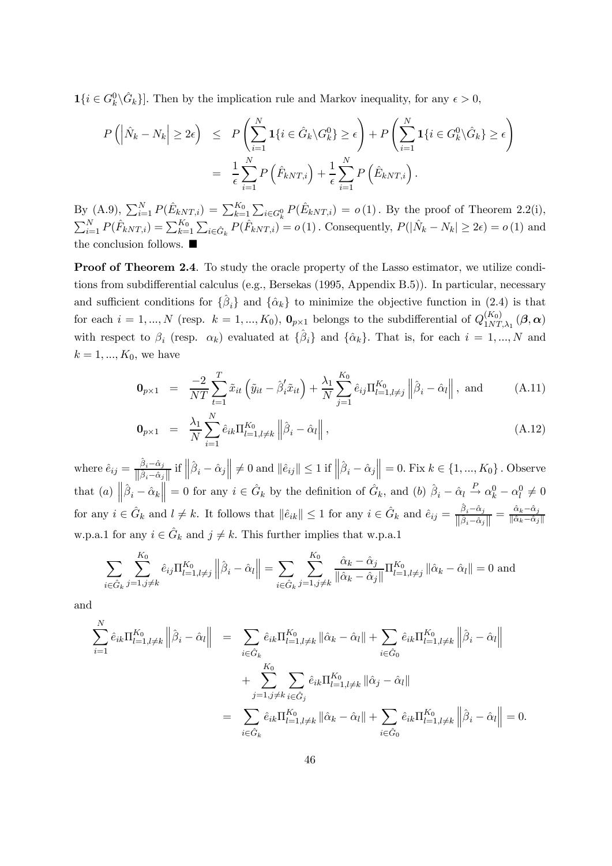$\mathbf{1}\{i \in G_k^0 \setminus \hat{G}_k\}$ . Then by the implication rule and Markov inequality, for any  $\epsilon > 0$ ,

$$
P\left(\left|\hat{N}_k - N_k\right| \ge 2\epsilon\right) \le P\left(\sum_{i=1}^N \mathbf{1}\{i \in \hat{G}_k \setminus G_k^0\} \ge \epsilon\right) + P\left(\sum_{i=1}^N \mathbf{1}\{i \in G_k^0 \setminus \hat{G}_k\} \ge \epsilon\right)
$$

$$
= \frac{1}{\epsilon} \sum_{i=1}^N P\left(\hat{F}_{kNT,i}\right) + \frac{1}{\epsilon} \sum_{i=1}^N P\left(\hat{E}_{kNT,i}\right).
$$

 $\text{By (A.9)}, \sum_{i=1}^{N} P(\hat{E}_{kNT,i}) = \sum_{k=1}^{K_0} \sum_{i \in G_k^0} P(\hat{E}_{kNT,i}) = o(1)$ . By the proof of Theorem 2.2(i),  $\sum_{i=1}^{N} P(\hat{F}_{kNT,i}) = \sum_{k=1}^{K_0} \sum_{i \in \hat{G}_k} P(\hat{F}_{kNT,i}) = o(1)$ . Consequently,  $P(|\hat{N}_k - N_k| \ge 2\epsilon) = o(1)$  and the conclusion follows.  $\blacksquare$ 

**Proof of Theorem 2.4.** To study the oracle property of the Lasso estimator, we utilize conditions from subdifferential calculus (e.g., Bersekas (1995, Appendix B.5)). In particular, necessary and sufficient conditions for  $\{\hat{\beta}_i\}$  and  $\{\hat{\alpha}_k\}$  to minimize the objective function in (2.4) is that for each  $i = 1, ..., N$  (resp.  $k = 1, ..., K_0$ ),  $\mathbf{0}_{p \times 1}$  belongs to the subdifferential of  $Q_{1NT,\lambda_1}^{(K_0)}(\boldsymbol{\beta}, \boldsymbol{\alpha})$ with respect to  $\beta_i$  (resp.  $\alpha_k$ ) evaluated at  $\{\hat{\beta}_i\}$  and  $\{\hat{\alpha}_k\}$ . That is, for each  $i = 1, ..., N$  and  $k = 1, ..., K_0$ , we have

$$
\mathbf{0}_{p \times 1} = \frac{-2}{NT} \sum_{t=1}^{T} \tilde{x}_{it} \left( \tilde{y}_{it} - \hat{\beta}'_i \tilde{x}_{it} \right) + \frac{\lambda_1}{N} \sum_{j=1}^{K_0} \hat{e}_{ij} \Pi_{l=1, l \neq j}^{K_0} \left\| \hat{\beta}_i - \hat{\alpha}_l \right\|, \text{ and } (A.11)
$$

$$
\mathbf{0}_{p \times 1} = \frac{\lambda_1}{N} \sum_{i=1}^{N} \hat{e}_{ik} \Pi_{l=1, l \neq k}^{K_0} \left\| \hat{\beta}_i - \hat{\alpha}_l \right\|,
$$
\n(A.12)

where  $\hat{e}_{ij} = \frac{\hat{\beta}_i - \hat{\alpha}_j}{\|\hat{\beta}_i - \hat{\alpha}_j\|}$  if  $\left\|\hat{\beta}_i - \hat{\alpha}_j\right\| \neq 0$  and  $\|\hat{e}_{ij}\| \leq 1$  if  $\left\|\hat{\beta}_i - \hat{\alpha}_j\right\| = 0$ . Fix  $k \in \{1, ..., K_0\}$ . Observe that (a)  $\left\|\hat{\beta}_i - \hat{\alpha}_k\right\| = 0$  for any  $i \in \hat{G}_k$  by the definition of  $\hat{G}_k$ , and (b)  $\hat{\beta}_i - \hat{\alpha}_l \stackrel{P}{\rightarrow} \alpha_k^0 - \alpha_l^0 \neq 0$ for any  $i \in \hat{G}_k$  and  $l \neq k$ . It follows that  $\|\hat{e}_{ik}\| \leq 1$  for any  $i \in \hat{G}_k$  and  $\hat{e}_{ij} = \frac{\hat{\beta}_i - \hat{\alpha}_j}{\|\hat{\beta}_i - \hat{\alpha}_j\|} = \frac{\hat{\alpha}_k - \hat{\alpha}_j}{\|\hat{\alpha}_k - \hat{\alpha}_j\|}$ w.p.a.1 for any  $i \in \hat{G}_k$  and  $j \neq k$ . This further implies that w.p.a.1

$$
\sum_{i \in \hat{G}_k} \sum_{j=1, j \neq k}^{K_0} \hat{e}_{ij} \Pi_{l=1, l \neq j}^{K_0} \left\| \hat{\beta}_i - \hat{\alpha}_l \right\| = \sum_{i \in \hat{G}_k} \sum_{j=1, j \neq k}^{K_0} \frac{\hat{\alpha}_k - \hat{\alpha}_j}{\|\hat{\alpha}_k - \hat{\alpha}_j\|} \Pi_{l=1, l \neq j}^{K_0} \|\hat{\alpha}_k - \hat{\alpha}_l\| = 0 \text{ and }
$$

and

$$
\sum_{i=1}^{N} \hat{e}_{ik} \Pi_{l=1, l \neq k}^{K_0} \left\| \hat{\beta}_i - \hat{\alpha}_l \right\| = \sum_{i \in \hat{G}_k} \hat{e}_{ik} \Pi_{l=1, l \neq k}^{K_0} \left\| \hat{\alpha}_k - \hat{\alpha}_l \right\| + \sum_{i \in \hat{G}_0} \hat{e}_{ik} \Pi_{l=1, l \neq k}^{K_0} \left\| \hat{\beta}_i - \hat{\alpha}_l \right\| + \sum_{j=1, j \neq k} \sum_{i \in \hat{G}_j} \hat{e}_{ik} \Pi_{l=1, l \neq k}^{K_0} \left\| \hat{\alpha}_j - \hat{\alpha}_l \right\|
$$
  

$$
= \sum_{i \in \hat{G}_k} \hat{e}_{ik} \Pi_{l=1, l \neq k}^{K_0} \left\| \hat{\alpha}_k - \hat{\alpha}_l \right\| + \sum_{i \in \hat{G}_0} \hat{e}_{ik} \Pi_{l=1, l \neq k}^{K_0} \left\| \hat{\beta}_i - \hat{\alpha}_l \right\| = 0.
$$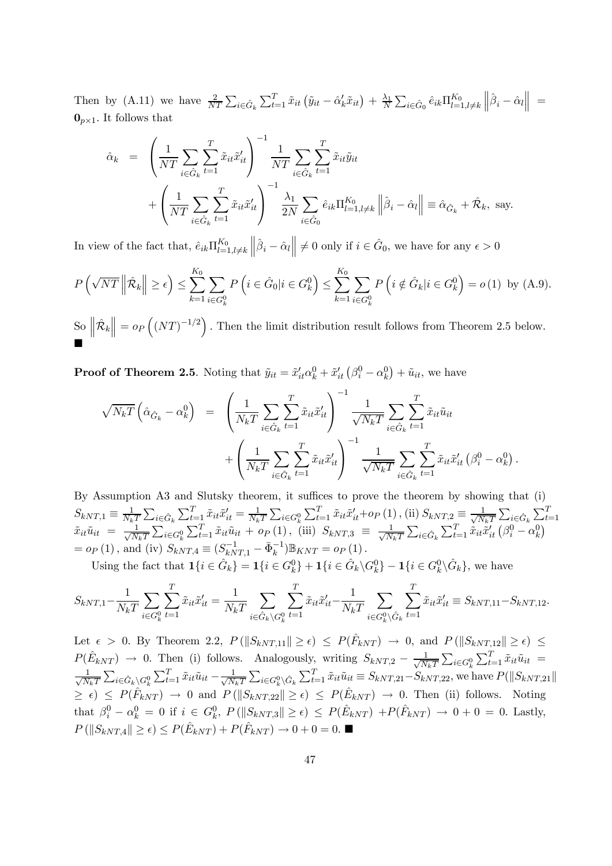Then by (A.11) we have  $\frac{2}{NT} \sum_{i \in \hat{G}_k} \sum_{t=1}^T \tilde{x}_{it} (\tilde{y}_{it} - \hat{\alpha}'_k \tilde{x}_{it}) + \frac{\lambda_1}{N} \sum_{i \in \hat{G}_0} \hat{e}_{ik} \Pi_{l=1, l \neq k}^{K_0}$  $\left\|\hat{\boldsymbol{\beta}}_i-\hat{\boldsymbol{\alpha}}_l\right\|\;=\;$  $\mathbf{0}_{p\times 1}$ . It follows that

$$
\hat{\alpha}_k = \left(\frac{1}{NT} \sum_{i \in \hat{G}_k} \sum_{t=1}^T \tilde{x}_{it} \tilde{x}'_{it}\right)^{-1} \frac{1}{NT} \sum_{i \in \hat{G}_k} \sum_{t=1}^T \tilde{x}_{it} \tilde{y}_{it}
$$

$$
+ \left(\frac{1}{NT} \sum_{i \in \hat{G}_k} \sum_{t=1}^T \tilde{x}_{it} \tilde{x}'_{it}\right)^{-1} \frac{\lambda_1}{2N} \sum_{i \in \hat{G}_0} \hat{e}_{ik} \Pi_{l=1, l \neq k}^{K_0} \left\|\hat{\beta}_i - \hat{\alpha}_l\right\| \equiv \hat{\alpha}_{\hat{G}_k} + \hat{\mathcal{R}}_k, \text{ say.}
$$

In view of the fact that,  $\hat{e}_{ik} \Pi_{l=1, l \neq k}^{K_0}$  $\left\|\hat{\beta}_i - \hat{\alpha}_l \right\| \neq 0$  only if  $i \in \hat{G}_0$ , we have for any  $\epsilon > 0$ 

$$
P\left(\sqrt{NT} \left\|\hat{\mathcal{R}}_k\right\| \geq \epsilon\right) \leq \sum_{k=1}^{K_0} \sum_{i \in G_k^0} P\left(i \in \hat{G}_0 | i \in G_k^0\right) \leq \sum_{k=1}^{K_0} \sum_{i \in G_k^0} P\left(i \notin \hat{G}_k | i \in G_k^0\right) = o\left(1\right) \text{ by (A.9)}.
$$

So  $\left\|\hat{\mathcal{R}}_k\right\| = o_P\left((NT)^{-1/2}\right)$ . Then the limit distribution result follows from Theorem 2.5 below. ¥

**Proof of Theorem 2.5**. Noting that  $\tilde{y}_{it} = \tilde{x}'_{it} \alpha_k^0 + \tilde{x}'_{it} (\beta_i^0 - \alpha_k^0) + \tilde{u}_{it}$ , we have

$$
\sqrt{N_k T} \left( \hat{\alpha}_{\hat{G}_k} - \alpha_k^0 \right) = \left( \frac{1}{N_k T} \sum_{i \in \hat{G}_k} \sum_{t=1}^T \tilde{x}_{it} \tilde{x}'_{it} \right)^{-1} \frac{1}{\sqrt{N_k T}} \sum_{i \in \hat{G}_k} \sum_{t=1}^T \tilde{x}_{it} \tilde{u}_{it}
$$

$$
+ \left( \frac{1}{N_k T} \sum_{i \in \hat{G}_k} \sum_{t=1}^T \tilde{x}_{it} \tilde{x}'_{it} \right)^{-1} \frac{1}{\sqrt{N_k T}} \sum_{i \in \hat{G}_k} \sum_{t=1}^T \tilde{x}_{it} \tilde{x}'_{it} \left( \beta_i^0 - \alpha_k^0 \right).
$$

By Assumption A3 and Slutsky theorem, it suffices to prove the theorem by showing that (i)  $S_{kNT,1} \equiv \frac{1}{N_kT} \sum_{i \in \hat{G}_k} \sum_{t=1}^T \tilde{x}_{it} \tilde{x}_{it}' = \frac{1}{N_kT} \sum_{i \in G_k^0} \sum_{t=1}^T \tilde{x}_{it} \tilde{x}_{it}' + o_P(1)$ , (ii)  $S_{kNT,2} \equiv \frac{1}{\sqrt{N_kT}}$  $\frac{1}{N_kT}\sum_{i\in\hat{G}_k}\sum_{i=1}^T$  $\tilde{x}_{it}\tilde{u}_{it} = \frac{1}{\sqrt{N}}$  $\frac{1}{N_k T} \sum_{i \in G_k^0} \sum_{t=1}^T \tilde{x}_{it} \tilde{u}_{it} + o_P(1)$ , (iii)  $S_{kNT,3} \equiv \frac{1}{\sqrt{N}}$  $\frac{1}{N_k T} \sum_{i \in \hat{G}_k} \sum_{t=1}^T \dot{\tilde{x}}_{it} \dot{\tilde{x}}'_{it} (\beta_i^0 - \alpha_k^0)$  $= o_P(1)$ , and (iv)  $S_{kNT,4} \equiv (S_{kNT,1}^{-1} - \bar{\Phi}_k^{-1}) \mathbb{B}_{KNT} = o_P(1)$ .

Using the fact that  $1\{i \in \hat{G}_k\} = 1\{i \in G_k^0\} + 1\{i \in \hat{G}_k \backslash G_k^0\} - 1\{i \in G_k^0 \backslash \hat{G}_k\}$ , we have

$$
S_{kNT,1} - \frac{1}{N_k T} \sum_{i \in G_k^0} \sum_{t=1}^T \tilde{x}_{it} \tilde{x}'_{it} = \frac{1}{N_k T} \sum_{i \in \hat{G}_k \setminus G_k^0} \sum_{t=1}^T \tilde{x}_{it} \tilde{x}'_{it} - \frac{1}{N_k T} \sum_{i \in G_k^0 \setminus \hat{G}_k} \sum_{t=1}^T \tilde{x}_{it} \tilde{x}'_{it} \equiv S_{kNT,11} - S_{kNT,12}.
$$

Let  $\epsilon > 0$ . By Theorem 2.2,  $P(||S_{kNT,11}|| \ge \epsilon) \le P(\hat{F}_{kNT}) \to 0$ , and  $P(||S_{kNT,12}|| \ge \epsilon) \le$  $P(\hat{E}_{kNT}) \rightarrow 0$ . Then (i) follows. Analogously, writing  $S_{kNT,2} - \frac{1}{\sqrt{N}}$  $\frac{1}{N_k T} \sum_{i \in G_k^0} \sum_{t=1}^T \tilde{x}_{it} \tilde{u}_{it} =$  $\frac{1}{\sqrt{N}}$  $\frac{1}{N_kT}\sum_{i\in \hat{G}_k\backslash G_k^0}\sum_{t=1}^T \tilde{x}_{it}\tilde{u}_{it} -\frac{1}{\sqrt{N}}$  $\frac{1}{N_kT}\sum_{i\in G_k^0\setminus\hat{G}_k}\sum_{t=1}^T \tilde{x}_{it}\tilde{u}_{it}\equiv S_{kNT,21}-S_{kNT,22}$ , we have  $P(||S_{kNT,21}||)$  $\geq \epsilon$ )  $\leq P(\hat{F}_{kNT}) \to 0$  and  $P(\|S_{kNT,22}\| \geq \epsilon) \leq P(\hat{E}_{kNT}) \to 0$ . Then (ii) follows. Noting that  $\beta_i^0 - \alpha_k^0 = 0$  if  $i \in G_k^0$ ,  $P(||S_{kNT,3}|| \ge \epsilon) \le P(\hat{E}_{kNT}) + P(\hat{F}_{kNT}) \to 0 + 0 = 0$ . Lastly,  $P(||S_{kNT.4}|| \geq \epsilon) \leq P(\hat{E}_{kNT}) + P(\hat{F}_{kNT}) \to 0 + 0 = 0.$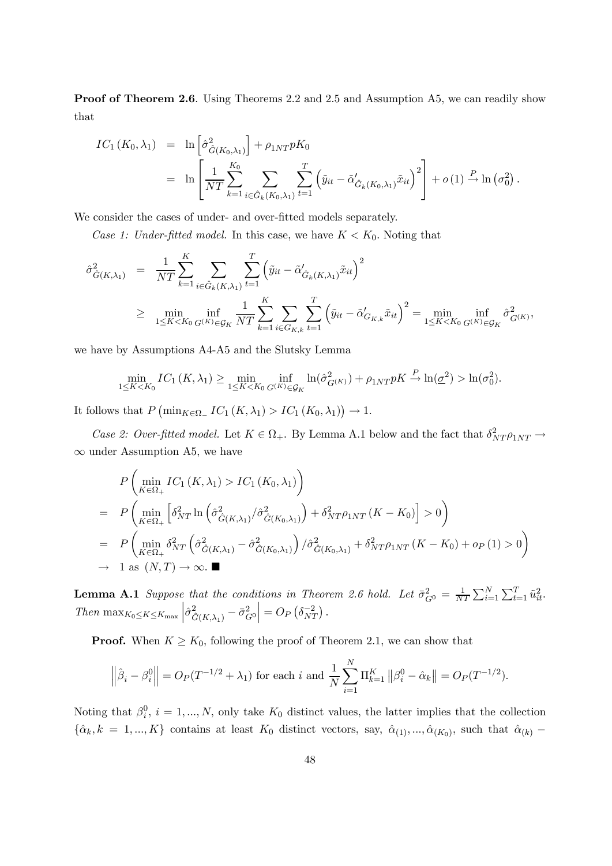**Proof of Theorem 2.6.** Using Theorems 2.2 and 2.5 and Assumption A5, we can readily show that

$$
IC_{1}(K_{0}, \lambda_{1}) = \ln \left[\frac{\partial^{2}_{\hat{G}(K_{0}, \lambda_{1})}\right] + \rho_{1N}T^{p}K_{0}
$$
  
=  $\ln \left[\frac{1}{NT}\sum_{k=1}^{K_{0}}\sum_{i \in \hat{G}_{k}(K_{0}, \lambda_{1})}\sum_{t=1}^{T}\left(\tilde{y}_{it} - \tilde{\alpha}'_{\hat{G}_{k}(K_{0}, \lambda_{1})}\tilde{x}_{it}\right)^{2}\right] + o(1) \stackrel{P}{\to} \ln(\sigma_{0}^{2}).$ 

We consider the cases of under- and over-fitted models separately.

Case 1: Under-fitted model. In this case, we have  $K < K_0$ . Noting that

$$
\hat{\sigma}_{\hat{G}(K,\lambda_1)}^2 = \frac{1}{NT} \sum_{k=1}^K \sum_{i \in \hat{G}_k(K,\lambda_1)} \sum_{t=1}^T \left( \tilde{y}_{it} - \tilde{\alpha}'_{\hat{G}_k(K,\lambda_1)} \tilde{x}_{it} \right)^2
$$
\n
$$
\geq \min_{1 \leq K < K_0} \inf_{G^{(K)} \in \mathcal{G}_K} \frac{1}{NT} \sum_{k=1}^K \sum_{i \in G_{K,k}} \sum_{t=1}^T \left( \tilde{y}_{it} - \tilde{\alpha}'_{G_{K,k}} \tilde{x}_{it} \right)^2 = \min_{1 \leq K < K_0} \inf_{G^{(K)} \in \mathcal{G}_K} \hat{\sigma}_{G^{(K)}}^2,
$$

we have by Assumptions A4-A5 and the Slutsky Lemma

$$
\min_{1 \leq K < K_0} IC_1(K, \lambda_1) \geq \min_{1 \leq K < K_0} \inf_{G^{(K)} \in \mathcal{G}_K} \ln(\hat{\sigma}_{G^{(K)}}^2) + \rho_{1N} T^p K \stackrel{P}{\to} \ln(\underline{\sigma}^2) > \ln(\sigma_0^2).
$$

It follows that  $P\left(\min_{K \in \Omega} IC_1(K, \lambda_1) > IC_1(K_0, \lambda_1)\right) \to 1.$ 

Case 2: Over-fitted model. Let  $K \in \Omega_+$ . By Lemma A.1 below and the fact that  $\delta^2_{NT} \rho_{1NT} \to$  $\infty$  under Assumption A5, we have

$$
P\left(\min_{K\in\Omega_{+}} IC_{1}\left(K,\lambda_{1}\right) > IC_{1}\left(K_{0},\lambda_{1}\right)\right)
$$
\n
$$
= P\left(\min_{K\in\Omega_{+}} \left[\delta_{NT}^{2} \ln\left(\hat{\sigma}_{\hat{G}(K,\lambda_{1})}^{2}/\hat{\sigma}_{\hat{G}(K_{0},\lambda_{1})}^{2}\right) + \delta_{NT}^{2} \rho_{1NT}\left(K - K_{0}\right)\right] > 0\right)
$$
\n
$$
= P\left(\min_{K\in\Omega_{+}} \delta_{NT}^{2}\left(\hat{\sigma}_{\hat{G}(K,\lambda_{1})}^{2} - \hat{\sigma}_{\hat{G}(K_{0},\lambda_{1})}^{2}\right) / \hat{\sigma}_{\hat{G}(K_{0},\lambda_{1})}^{2} + \delta_{NT}^{2} \rho_{1NT}\left(K - K_{0}\right) + o_{P}\left(1\right) > 0\right)
$$
\n
$$
\to 1 \text{ as } (N, T) \to \infty. \blacksquare
$$

**Lemma A.1** Suppose that the conditions in Theorem 2.6 hold. Let  $\bar{\sigma}_{G^0}^2 = \frac{1}{NT} \sum_{i=1}^{N} \sum_{t=1}^{T} \tilde{u}_{it}^2$ . Then  $\max_{K_0 \le K \le K_{\text{max}}} \left| \hat{\sigma}_{\hat{G}(K,\lambda_1)}^2 - \bar{\sigma}_{G^0}^2 \right|$  $\Big| = O_P\left(\delta_{NT}^{-2}\right).$ 

**Proof.** When  $K \geq K_0$ , following the proof of Theorem 2.1, we can show that

$$
\left\|\hat{\beta}_i - \beta_i^0\right\| = O_P(T^{-1/2} + \lambda_1)
$$
 for each  $i$  and  $\frac{1}{N} \sum_{i=1}^N \Pi_{k=1}^K \left\|\beta_i^0 - \hat{\alpha}_k\right\| = O_P(T^{-1/2}).$ 

Noting that  $\beta_i^0$ ,  $i = 1, ..., N$ , only take  $K_0$  distinct values, the latter implies that the collection  ${\hat{\alpha}_{k}}$ ,  $k = 1, ..., K$  contains at least  $K_0$  distinct vectors, say,  $\hat{\alpha}_{(1)}, ..., \hat{\alpha}_{(K_0)}$ , such that  $\hat{\alpha}_{(k)}$  –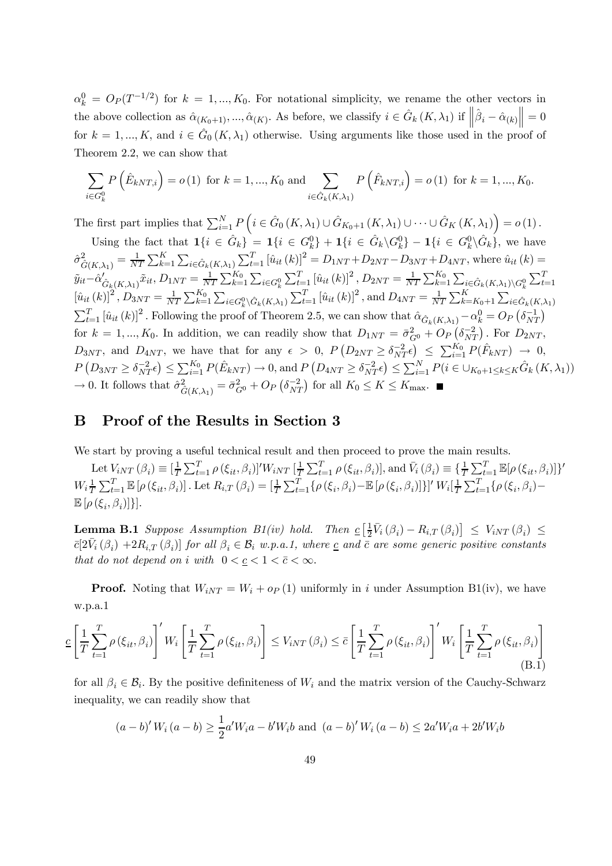$\alpha_k^0 = O_P(T^{-1/2})$  for  $k = 1, ..., K_0$ . For notational simplicity, we rename the other vectors in the above collection as  $\hat{\alpha}_{(K_0+1)},...,\hat{\alpha}_{(K)}$ . As before, we classify  $i \in \hat{G}_k(K, \lambda_1)$  if  $\left\|\hat{\beta}_i - \hat{\alpha}_{(k)}\right\| = 0$ for  $k = 1, ..., K$ , and  $i \in \hat{G}_0(K, \lambda_1)$  otherwise. Using arguments like those used in the proof of Theorem 2.2, we can show that

$$
\sum_{i \in G_k^0} P\left(\hat{E}_{kNT,i}\right) = o(1) \text{ for } k = 1, ..., K_0 \text{ and } \sum_{i \in \hat{G}_k(K,\lambda_1)} P\left(\hat{F}_{kNT,i}\right) = o(1) \text{ for } k = 1, ..., K_0.
$$

The first part implies that  $\sum_{i=1}^{N} P\left(i \in \hat{G}_0(K, \lambda_1) \cup \hat{G}_{K_0+1}(K, \lambda_1) \cup \cdots \cup \hat{G}_K(K, \lambda_1)\right) = o(1)$ .

Using the fact that  $1\{i \in \hat{G}_k\} = 1\{i \in G_k^0\} + 1\{i \in \hat{G}_k \backslash G_k^0\} - 1\{i \in G_k^0 \backslash \hat{G}_k\}$ , we have  $\hat{\sigma}_{\hat{G}(K,\lambda_1)}^2 = \frac{1}{NT} \sum_{k=1}^K \sum_{i \in \hat{G}_k(K,\lambda_1)} \sum_{t=1}^T \left[ \hat{u}_{it}(k) \right]^2 = D_{1NT} + D_{2NT} - D_{3NT} + D_{4NT}$ , where  $\hat{u}_{it}(k) =$  $\tilde{y}_{it} - \hat{\alpha}'_{\hat{G}_k(K,\lambda_1)}\tilde{x}_{it}, D_{1NT} = \frac{1}{NT}\sum_{k=1}^{K_0}\sum_{i \in G_k^0}\sum_{t=1}^T\left[\hat{u}_{it}(k)\right]^2, D_{2NT} = \frac{1}{NT}\sum_{k=1}^{K_0}\sum_{i \in \hat{G}_k(K,\lambda_1)\backslash G_k^0}\sum_{t=1}^T$  $[\hat{u}_{it}(k)]^2$ ,  $D_{3NT} = \frac{1}{NT} \sum_{k=1}^{K_0} \sum_{i \in G_k^0 \setminus \hat{G}_k(K,\lambda_1)} \sum_{t=1}^T [\hat{u}_{it}(k)]^2$ , and  $D_{4NT} = \frac{1}{NT} \sum_{k=K_0+1}^K \sum_{i \in \hat{G}_k(K,\lambda_1)}^K$  $\sum_{t=1}^{T} [\hat{u}_{it}(k)]^2$ . Following the proof of Theorem 2.5, we can show that  $\hat{\alpha}_{\hat{G}_k(K,\lambda_1)} - \alpha_k^0 = O_P(\delta_{NT}^{-1})$ for  $k = 1, ..., K_0$ . In addition, we can readily show that  $D_{1NT} = \bar{\sigma}_{G^0}^2 + O_P(\delta_{NT}^{-2})$ . For  $D_{2NT}$ ,  $D_{3NT}$ , and  $D_{4NT}$ , we have that for any  $\epsilon > 0$ ,  $P(D_{2NT} \ge \delta_{NT}^{-2} \epsilon) \le \sum_{i=1}^{K_0} P(\hat{F}_{kNT}) \to 0$ ,  $P(D_{3NT} \ge \delta_{NT}^{-2} \epsilon) \le \sum_{i=1}^{K_0} P(\hat{E}_{kNT}) \to 0$ , and  $P(D_{4NT} \ge \delta_{NT}^{-2} \epsilon) \le \sum_{i=1}^{N} P(i \in \bigcup_{K_0+1 \le k \le K} \hat{G}_k(K, \lambda_1))$  $\to 0$ . It follows that  $\hat{\sigma}_{\hat{G}(K,\lambda_1)}^2 = \bar{\sigma}_{G^0}^2 + O_P\left(\delta_{NT}^{-2}\right)$  for all  $K_0 \le K \le K_{\text{max}}$ .

## B Proof of the Results in Section 3

We start by proving a useful technical result and then proceed to prove the main results.

Let  $V_{iNT}(\beta_i) \equiv \left[\frac{1}{T} \sum_{t=1}^T \rho(\xi_{it}, \beta_i)\right]' W_{iNT} \left[\frac{1}{T} \sum_{t=1}^T \rho(\xi_{it}, \beta_i)\right]$ , and  $\bar{V}_i(\beta_i) \equiv \left\{\frac{1}{T} \sum_{t=1}^T \mathbb{E}[\rho(\xi_{it}, \beta_i)]\right\}'$  $W_i \frac{1}{\tau}$  $\frac{1}{T} \sum_{t=1}^{T} \mathbb{E} \left[ \rho \left( \xi_{it}, \beta_{i} \right) \right]$ . Let  $R_{i,T}(\beta_{i}) = [\frac{1}{T} \sum_{t=1}^{T} \{ \rho \left( \xi_{i}, \beta_{i} \right) - \mathbb{E} \left[ \rho \left( \xi_{i}, \beta_{i} \right) \right] \} ]' W_{i}[\frac{1}{T} \sum_{t=1}^{T} \{ \rho \left( \xi_{i}, \beta_{i} \right) - \rho \left( \xi_{i}, \beta_{i} \right) ] \}$  $\mathbb{E}[\rho(\xi_i,\beta_i)]\}].$ 

**Lemma B.1** Suppose Assumption B1(iv) hold. Then  $\mathcal{L}\left[\frac{1}{2}\overline{V}_i(\beta_i) - R_{i,T}(\beta_i)\right] \leq V_{iNT}(\beta_i) \leq$  $\bar{c}[2\bar{V}_i(\beta_i) + 2R_{i,T}(\beta_i)]$  for all  $\beta_i \in \mathcal{B}_i$  w.p.a.1, where  $\underline{c}$  and  $\overline{c}$  are some generic positive constants that do not depend on *i* with  $0 < \underline{c} < 1 < \overline{c} < \infty$ .

**Proof.** Noting that  $W_{iNT} = W_i + o_P(1)$  uniformly in i under Assumption B1(iv), we have w.p.a.1

$$
\underline{c}\left[\frac{1}{T}\sum_{t=1}^{T}\rho\left(\xi_{it},\beta_{i}\right)\right]^{'}W_{i}\left[\frac{1}{T}\sum_{t=1}^{T}\rho\left(\xi_{it},\beta_{i}\right)\right] \leq V_{iNT}\left(\beta_{i}\right) \leq \bar{c}\left[\frac{1}{T}\sum_{t=1}^{T}\rho\left(\xi_{it},\beta_{i}\right)\right]^{'}W_{i}\left[\frac{1}{T}\sum_{t=1}^{T}\rho\left(\xi_{it},\beta_{i}\right)\right]
$$
\n(B.1)

for all  $\beta_i \in \mathcal{B}_i$ . By the positive definiteness of  $W_i$  and the matrix version of the Cauchy-Schwarz inequality, we can readily show that

$$
(a - b)' W_i (a - b) \ge \frac{1}{2} a' W_i a - b' W_i b \text{ and } (a - b)' W_i (a - b) \le 2 a' W_i a + 2 b' W_i b
$$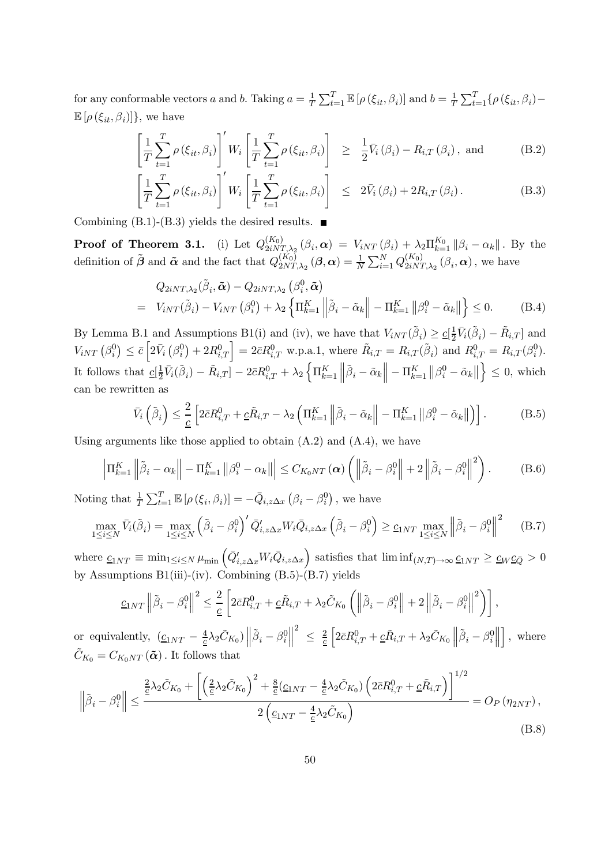for any conformable vectors a and b. Taking  $a = \frac{1}{T} \sum_{t=1}^{T} \mathbb{E} \left[ \rho \left( \xi_{it}, \beta_i \right) \right]$  and  $b = \frac{1}{T} \sum_{t=1}^{T} \{ \rho \left( \xi_{it}, \beta_i \right) - \sigma \}$  $\mathbb{E}\left[\rho\left(\xi_{it},\beta_{i}\right)\right]\},$  we have

$$
\left[\frac{1}{T}\sum_{t=1}^{T}\rho\left(\xi_{it},\beta_{i}\right)\right]^{'}W_{i}\left[\frac{1}{T}\sum_{t=1}^{T}\rho\left(\xi_{it},\beta_{i}\right)\right] \geq \frac{1}{2}\bar{V}_{i}\left(\beta_{i}\right)-R_{i,T}\left(\beta_{i}\right), \text{ and } (B.2)
$$

$$
\left[\frac{1}{T}\sum_{t=1}^{T}\rho\left(\xi_{it},\beta_{i}\right)\right]^{'}W_{i}\left[\frac{1}{T}\sum_{t=1}^{T}\rho\left(\xi_{it},\beta_{i}\right)\right] \leq 2\bar{V}_{i}\left(\beta_{i}\right) + 2R_{i,T}\left(\beta_{i}\right). \tag{B.3}
$$

Combining  $(B.1)$ - $(B.3)$  yields the desired results.

**Proof of Theorem 3.1.** (i) Let  $Q_{2iNT,\lambda_2}^{(K_0)}(\beta_i, \alpha) = V_{iNT}(\beta_i) + \lambda_2 \Pi_{k=1}^{K_0} ||\beta_i - \alpha_k||$ . By the definition of  $\tilde{\boldsymbol{\beta}}$  and  $\tilde{\boldsymbol{\alpha}}$  and the fact that  $Q_{2NT,\lambda_2}^{(K_0)}(\boldsymbol{\beta}, \boldsymbol{\alpha}) = \frac{1}{N} \sum_{i=1}^N Q_{2iNT,\lambda_2}^{(K_0)}(\beta_i, \boldsymbol{\alpha})$ , we have

$$
Q_{2iNT,\lambda_2}(\tilde{\beta}_i, \tilde{\boldsymbol{\alpha}}) - Q_{2iNT,\lambda_2}(\beta_i^0, \tilde{\boldsymbol{\alpha}})
$$
  
=  $V_{iNT}(\tilde{\beta}_i) - V_{iNT}(\beta_i^0) + \lambda_2 \left\{ \Pi_{k=1}^K \left\| \tilde{\beta}_i - \tilde{\alpha}_k \right\| - \Pi_{k=1}^K \left\| \beta_i^0 - \tilde{\alpha}_k \right\| \right\} \le 0.$  (B.4)

By Lemma B.1 and Assumptions B1(i) and (iv), we have that  $V_{iNT}(\tilde{\beta}_i) \geq \underline{c}[\frac{1}{2}\overline{V}_i(\tilde{\beta}_i) - \tilde{R}_{i,T}]$  and  $V_{iNT}(\beta_i^0) \leq \bar{c} \left[ 2 \bar{V}_i(\beta_i^0) + 2 R_{i,T}^0 \right] = 2 \bar{c} R_{i,T}^0$  w.p.a.1, where  $\tilde{R}_{i,T} = R_{i,T}(\tilde{\beta}_i)$  and  $R_{i,T}^0 = R_{i,T}(\beta_i^0)$ . It follows that  $\underline{c}[\frac{1}{2}\overline{V}_i(\tilde{\beta}_i) - \tilde{R}_{i,T}] - 2\overline{c}R_{i,T}^0 + \lambda_2 \left\{\Pi_{k=1}^K\right\}$  $\left\| \check{\boldsymbol{\beta}}_i - \check{\boldsymbol{\alpha}}_k \right\| - \Pi_{k=1}^K \left\| \boldsymbol{\beta}_i^0 - \check{\boldsymbol{\alpha}}_k \right\|$  $\Big\} \leq 0$ , which can be rewritten as

$$
\bar{V}_i\left(\tilde{\beta}_i\right) \leq \frac{2}{\underline{c}} \left[2\bar{c}R_{i,T}^0 + \underline{c}\tilde{R}_{i,T} - \lambda_2\left(\Pi_{k=1}^K \left\|\tilde{\beta}_i - \tilde{\alpha}_k\right\| - \Pi_{k=1}^K \left\|\beta_i^0 - \tilde{\alpha}_k\right\|\right)\right].
$$
\n(B.5)

Using arguments like those applied to obtain (A.2) and (A.4), we have

$$
\left| \Pi_{k=1}^{K} \left\| \tilde{\beta}_{i} - \alpha_{k} \right\| - \Pi_{k=1}^{K} \left\| \beta_{i}^{0} - \alpha_{k} \right\| \right| \leq C_{K_{0}NT} \left( \alpha \right) \left( \left\| \tilde{\beta}_{i} - \beta_{i}^{0} \right\| + 2 \left\| \tilde{\beta}_{i} - \beta_{i}^{0} \right\|^{2} \right). \tag{B.6}
$$

Noting that  $\frac{1}{T} \sum_{t=1}^{T} \mathbb{E} [\rho(\xi_i, \beta_i)] = -\bar{Q}_{i,z\Delta x} (\beta_i - \beta_i^0)$ , we have

$$
\max_{1 \le i \le N} \bar{V}_i(\tilde{\beta}_i) = \max_{1 \le i \le N} \left( \tilde{\beta}_i - \beta_i^0 \right)^{\prime} \bar{Q}'_{i,z\Delta x} W_i \bar{Q}_{i,z\Delta x} \left( \tilde{\beta}_i - \beta_i^0 \right) \ge \underline{c}_{1NT} \max_{1 \le i \le N} \left\| \tilde{\beta}_i - \beta_i^0 \right\|^2 \tag{B.7}
$$

where  $\underline{c}_{1NT} \equiv \min_{1 \leq i \leq N} \mu_{\min} \left( \overline{Q}'_{i,z\Delta x} W_i \overline{Q}_{i,z\Delta x} \right)$  satisfies that  $\liminf_{(N,T) \to \infty} \underline{c}_{1NT} \geq \underline{c}_W \underline{c}_{\overline{Q}} > 0$ by Assumptions  $B1(iii)-(iv)$ . Combining  $(B.5)-(B.7)$  yields

$$
\underline{c}_{1NT} \left\| \tilde{\boldsymbol{\beta}}_i - \boldsymbol{\beta}_i^0 \right\|^2 \leq \frac{2}{\underline{c}} \left[ 2 \bar{c} R_{i,T}^0 + \underline{c} \tilde{R}_{i,T} + \lambda_2 \tilde{C}_{K_0} \left( \left\| \tilde{\boldsymbol{\beta}}_i - \boldsymbol{\beta}_i^0 \right\| + 2 \left\| \tilde{\boldsymbol{\beta}}_i - \boldsymbol{\beta}_i^0 \right\|^2 \right) \right],
$$

or equivalently,  $(\underline{c}_{1NT} - \frac{4}{\underline{c}}\lambda_2 \tilde{C}_{K_0}) || \tilde{\beta}_i - \beta_i^0$  $\begin{array}{c} \hline \rule{0pt}{2ex} \rule{0pt}{2ex} \rule{0pt}{2ex} \rule{0pt}{2ex} \rule{0pt}{2ex} \rule{0pt}{2ex} \rule{0pt}{2ex} \rule{0pt}{2ex} \rule{0pt}{2ex} \rule{0pt}{2ex} \rule{0pt}{2ex} \rule{0pt}{2ex} \rule{0pt}{2ex} \rule{0pt}{2ex} \rule{0pt}{2ex} \rule{0pt}{2ex} \rule{0pt}{2ex} \rule{0pt}{2ex} \rule{0pt}{2ex} \rule{0pt}{2ex} \rule{0pt}{2ex} \rule{0pt}{2ex} \rule{0pt}{2ex} \rule{$  $\frac{2}{c}$   $\leq$   $\frac{2}{c}$  $\Big[ 2 \bar{c} R^0_{i,T} + \underline{c} \tilde{R}_{i,T} + \lambda_2 \tilde{C}_{K_0} \left\| \tilde{\beta}_i - \beta_i^0 \right.$ ° ° ° |, where  $C_{K_0} = C_{K_0NT}(\boldsymbol{\tilde{\alpha}})$ . It follows that

$$
\left\|\tilde{\beta}_{i} - \beta_{i}^{0}\right\| \le \frac{\frac{2}{\varepsilon}\lambda_{2}\tilde{C}_{K_{0}} + \left[\left(\frac{2}{\varepsilon}\lambda_{2}\tilde{C}_{K_{0}}\right)^{2} + \frac{8}{\varepsilon}\left(\underline{c}_{1NT} - \frac{4}{\varepsilon}\lambda_{2}\tilde{C}_{K_{0}}\right)\left(2\bar{c}R_{i,T}^{0} + \underline{c}\tilde{R}_{i,T}\right)\right]^{1/2}}{2\left(\underline{c}_{1NT} - \frac{4}{\varepsilon}\lambda_{2}\tilde{C}_{K_{0}}\right)} = O_{P}\left(\eta_{2NT}\right),\tag{B.8}
$$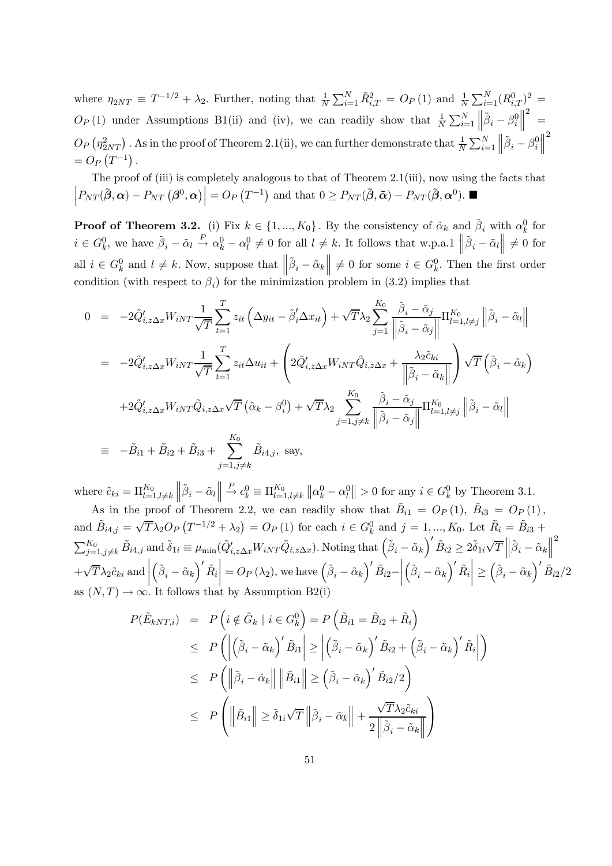where  $\eta_{2NT} \equiv T^{-1/2} + \lambda_2$ . Further, noting that  $\frac{1}{N} \sum_{i=1}^{N} \tilde{R}_{i,T}^2 = O_P(1)$  and  $\frac{1}{N} \sum_{i=1}^{N} (R_{i,T}^0)^2$  $O_P(1)$  under Assumptions B1(ii) and (iv), we can readily show that  $\frac{1}{N} \sum_{i=1}^{N}$  $\left\| \tilde{\boldsymbol{\beta}}_i - \boldsymbol{\beta}^0_i \right\|$ ° ° °  $\begin{array}{c} 2 \end{array}$  $O_P(\eta_{2NT}^2)$  . As in the proof of Theorem 2.1(ii), we can further demonstrate that  $\frac{1}{N}\sum_{i=1}^{N}$  $\left\| \tilde{\boldsymbol{\beta}}_i - \boldsymbol{\beta}^0_i \right\|$ ° ° ° 2  $= O_P(T^{-1})$ .

The proof of (iii) is completely analogous to that of Theorem 2.1(iii), now using the facts that  $\left| P_{NT}(\tilde{\boldsymbol{\beta}}, \boldsymbol{\alpha}) - P_{NT}(\boldsymbol{\beta}^0, \boldsymbol{\alpha}) \right| = O_P(T^{-1})$  and that  $0 \ge P_{NT}(\tilde{\boldsymbol{\beta}}, \tilde{\boldsymbol{\alpha}}) - P_{NT}(\tilde{\boldsymbol{\beta}}, \boldsymbol{\alpha}^0)$ .

**Proof of Theorem 3.2.** (i) Fix  $k \in \{1, ..., K_0\}$ . By the consistency of  $\tilde{\alpha}_k$  and  $\tilde{\beta}_i$  with  $\alpha_k^0$  for  $i \in G_k^0$ , we have  $\tilde{\beta}_i - \tilde{\alpha}_l \stackrel{P}{\to} \alpha_k^0 - \alpha_l^0 \neq 0$  for all  $l \neq k$ . It follows that w.p.a.1  $\left\|\tilde{\beta}_i - \tilde{\alpha}_l\right\| \neq 0$  for all  $i \in G_k^0$  and  $l \neq k$ . Now, suppose that  $\left\|\tilde{\beta}_i - \tilde{\alpha}_k\right\| \neq 0$  for some  $i \in G_k^0$ . Then the first order condition (with respect to  $\beta_i$ ) for the minimization problem in (3.2) implies that

$$
0 = -2\tilde{Q}'_{i,z\Delta x}W_{iNT}\frac{1}{\sqrt{T}}\sum_{t=1}^{T}z_{it}\left(\Delta y_{it} - \tilde{\beta}'_{i}\Delta x_{it}\right) + \sqrt{T}\lambda_{2}\sum_{j=1}^{K_{0}}\frac{\tilde{\beta}_{i} - \tilde{\alpha}_{j}}{\left\|\tilde{\beta}_{i} - \tilde{\alpha}_{j}\right\|}\Pi_{l=1,l\neq j}^{K_{0}}\left\|\tilde{\beta}_{i} - \tilde{\alpha}_{l}\right\|
$$
  
\n
$$
= -2\tilde{Q}'_{i,z\Delta x}W_{iNT}\frac{1}{\sqrt{T}}\sum_{t=1}^{T}z_{it}\Delta u_{it} + \left(2\tilde{Q}'_{i,z\Delta x}W_{iNT}\tilde{Q}_{i,z\Delta x} + \frac{\lambda_{2}\tilde{c}_{ki}}{\left\|\tilde{\beta}_{i} - \tilde{\alpha}_{k}\right\|}\right)\sqrt{T}\left(\tilde{\beta}_{i} - \tilde{\alpha}_{k}\right)
$$
  
\n
$$
+2\tilde{Q}'_{i,z\Delta x}W_{iNT}\tilde{Q}_{i,z\Delta x}\sqrt{T}\left(\tilde{\alpha}_{k} - \beta_{i}^{0}\right) + \sqrt{T}\lambda_{2}\sum_{j=1,j\neq k}^{K_{0}}\frac{\tilde{\beta}_{i} - \tilde{\alpha}_{j}}{\left\|\tilde{\beta}_{i} - \tilde{\alpha}_{j}\right\|}\Pi_{l=1,l\neq j}^{K_{0}}\left\|\tilde{\beta}_{i} - \tilde{\alpha}_{l}\right\|
$$
  
\n
$$
\equiv -\tilde{B}_{i1} + \tilde{B}_{i2} + \tilde{B}_{i3} + \sum_{j=1,j\neq k}^{K_{0}}\tilde{B}_{i4,j}, \text{ say,}
$$

where  $\tilde{c}_{ki} = \prod_{l=1, l \neq k}^{K_0}$  $\left\| \tilde{\boldsymbol{\beta}}_i - \tilde{\boldsymbol{\alpha}}_l \right\|$  $L^P \rightarrow c_k^0 \equiv \Pi_{l=1, l \neq k}^{K_0}$  $\left\Vert \alpha _{k}^{0}-\alpha _{l}^{0}\right\Vert >0$  for any  $i\in G_{k}^{0}$  by Theorem 3.1. As in the proof of Theorem 2.2, we can readily show that  $\tilde{B}_{i1} = O_P(1)$ ,  $\tilde{B}_{i3} = O_P(1)$ ,

and  $\tilde{B}_{i4,j} = \sqrt{T} \lambda_2 O_P (T^{-1/2} + \lambda_2) = O_P (1)$  for each  $i \in G_k^0$  and  $j = 1, ..., K_0$ . Let  $\tilde{R}_i = \tilde{B}_{i3} +$  $\sum_{j=1, j\neq k}^{K_0} \tilde{B}_{i4,j}$  and  $\tilde{\delta}_{1i} \equiv \mu_{\min}(\tilde{Q}'_{i,z\Delta x}W_{iNT}\tilde{Q}_{i,z\Delta x})$ . Noting that  $(\tilde{\beta}_i - \tilde{\alpha}_k)' \tilde{B}_{i2} \geq 2\tilde{\delta}_{1i}\sqrt{T} ||\tilde{\beta}_i - \tilde{\alpha}_k||$ 2  $+\sqrt{T}\lambda_2\tilde{c}_{ki}$  and  $\begin{array}{|c|c|} \hline \multicolumn{1}{|c|}{1} & \multicolumn{1}{|c|}{1} & \multicolumn{1}{|c|}{1} & \multicolumn{1}{|c|}{1} & \multicolumn{1}{|c|}{1} & \multicolumn{1}{|c|}{1} & \multicolumn{1}{|c|}{1} & \multicolumn{1}{|c|}{1} & \multicolumn{1}{|c|}{1} & \multicolumn{1}{|c|}{1} & \multicolumn{1}{|c|}{1} & \multicolumn{1}{|c|}{1} & \multicolumn{1}{|c|}{1} & \multicolumn{1}{|c|}{1} & \multicolumn{1}{|c|$  $\left(\tilde{\beta}_{i}-\tilde{\alpha}_{k}\right)'\tilde{R}_{i}\bigg|=O_{P}\left(\lambda_{2}\right),$  we have  $\left(\tilde{\beta}_{i}-\tilde{\alpha}_{k}\right)'\tilde{B}_{i2}-\bigg|$  $\left(\tilde{\boldsymbol{\beta}}_i - \tilde{\boldsymbol{\alpha}}_k\right)' \tilde{R}_i \Bigg| \geq$  $\left(\tilde{\beta}_i-\tilde{\alpha}_k\right)'\tilde{B}_{i2}/2$ as  $(N, T) \rightarrow \infty$ . It follows that by Assumption B2(i)

$$
P(\tilde{E}_{kNT,i}) = P\left(i \notin \tilde{G}_k \mid i \in G_k^0\right) = P\left(\tilde{B}_{i1} = \tilde{B}_{i2} + \tilde{R}_i\right)
$$
  
\n
$$
\leq P\left(\left|\left(\tilde{\beta}_i - \tilde{\alpha}_k\right)' \tilde{B}_{i1}\right| \geq \left|\left(\tilde{\beta}_i - \tilde{\alpha}_k\right)' \tilde{B}_{i2} + \left(\tilde{\beta}_i - \tilde{\alpha}_k\right)' \tilde{R}_i\right|\right)
$$
  
\n
$$
\leq P\left(\left\|\tilde{\beta}_i - \tilde{\alpha}_k\right\| \left\|\tilde{B}_{i1}\right\| \geq \left(\tilde{\beta}_i - \tilde{\alpha}_k\right)' \tilde{B}_{i2}/2\right)
$$
  
\n
$$
\leq P\left(\left\|\tilde{B}_{i1}\right\| \geq \tilde{\delta}_{1i}\sqrt{T} \left\|\tilde{\beta}_i - \tilde{\alpha}_k\right\| + \frac{\sqrt{T}\lambda_2 \tilde{c}_{ki}}{2\left\|\tilde{\beta}_i - \tilde{\alpha}_k\right\|}\right)
$$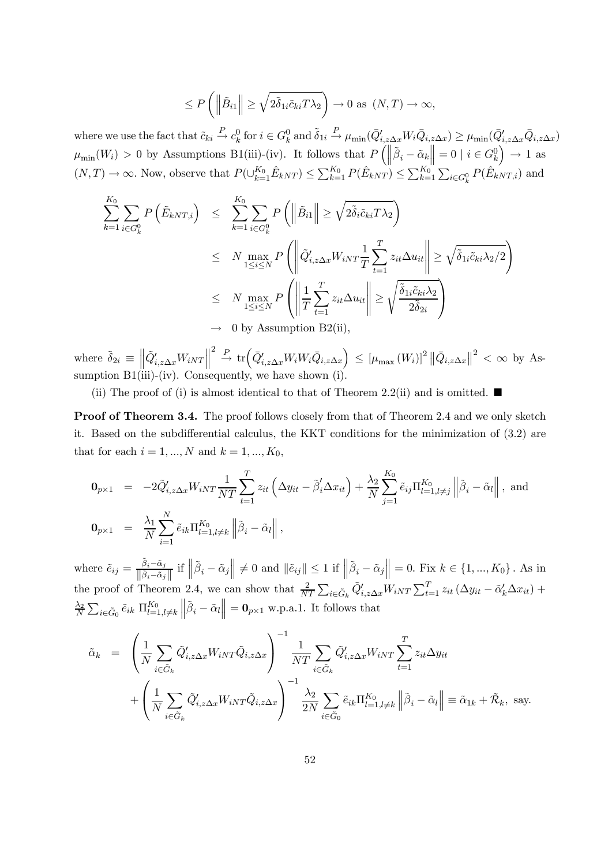$$
\leq P\left(\left\|\tilde{B}_{i1}\right\| \geq \sqrt{2\tilde{\delta}_{1i}\tilde{c}_{ki}T\lambda_2}\right) \to 0 \text{ as } (N,T) \to \infty,
$$

where we use the fact that  $\tilde{c}_{ki} \stackrel{P}{\to} c_k^0$  for  $i \in G_k^0$  and  $\tilde{\delta}_{1i} \stackrel{P}{\to} \mu_{\min}(\bar{Q}'_{i,z\Delta x}W_i\bar{Q}_{i,z\Delta x}) \geq \mu_{\min}(\bar{Q}'_{i,z\Delta x}\bar{Q}_{i,z\Delta x})$  $\mu_{\min}(W_i) > 0$  by Assumptions B1(iii)-(iv). It follows that  $P\left(\left\|\tilde{\beta}_i - \tilde{\alpha}_k\right\| = 0 \mid i \in G_k^0\right)$  $\overline{\phantom{a}}$   $\rightarrow$  1 as  $(N,T) \to \infty$ . Now, observe that  $P(\bigcup_{k=1}^{K_0} \hat{E}_{kNT}) \leq \sum_{k=1}^{K_0} P(\hat{E}_{kNT}) \leq \sum_{k=1}^{K_0} \sum_{i \in G_k^0} P(\hat{E}_{kNT,i})$  and

$$
\sum_{k=1}^{K_0} \sum_{i \in G_k^0} P\left(\tilde{E}_{kNT,i}\right) \leq \sum_{k=1}^{K_0} \sum_{i \in G_k^0} P\left(\left\|\tilde{B}_{i1}\right\| \geq \sqrt{2\tilde{\delta}_i \tilde{c}_{ki} T \lambda_2}\right)
$$
\n
$$
\leq N \max_{1 \leq i \leq N} P\left(\left\|\tilde{Q}'_{i,z\Delta x} W_{iNT} \frac{1}{T} \sum_{t=1}^T z_{it} \Delta u_{it}\right\| \geq \sqrt{\tilde{\delta}_{1i} \tilde{c}_{ki} \lambda_2/2}\right)
$$
\n
$$
\leq N \max_{1 \leq i \leq N} P\left(\left\|\frac{1}{T} \sum_{t=1}^T z_{it} \Delta u_{it}\right\| \geq \sqrt{\frac{\tilde{\delta}_{1i} \tilde{c}_{ki} \lambda_2}{2\tilde{\delta}_{2i}}}\right)
$$
\n
$$
\to 0 \text{ by Assumption B2(ii)},
$$

where  $\tilde{\delta}_{2i} \equiv \left\| \tilde{Q}'_{i,z\Delta x} W_{iNT} \right\|$  $\int^2 \frac{P}{\rightarrow} \text{tr} \Big( \bar{Q}'_{i,z\Delta x} W_i W_i \bar{Q}_{i,z\Delta x} \Big) \leq \left[ \mu_{\text{max}} \left( W_i \right) \right]^2 \left\| \bar{Q}_{i,z\Delta x} \right\|^2 < \infty$  by Assumption B1(iii)-(iv). Consequently, we have shown (i).

(ii) The proof of (i) is almost identical to that of Theorem 2.2(ii) and is omitted.  $\blacksquare$ 

Proof of Theorem 3.4. The proof follows closely from that of Theorem 2.4 and we only sketch it. Based on the subdifferential calculus, the KKT conditions for the minimization of (3.2) are that for each  $i = 1, ..., N$  and  $k = 1, ..., K_0$ ,

$$
\begin{array}{rcl}\n\mathbf{0}_{p\times 1} & = & -2\tilde{Q}'_{i,z\Delta x}W_{iNT} \frac{1}{NT} \sum_{t=1}^{T} z_{it} \left( \Delta y_{it} - \tilde{\beta}'_i \Delta x_{it} \right) + \frac{\lambda_2}{N} \sum_{j=1}^{K_0} \tilde{e}_{ij} \Pi_{l=1,l\neq j}^{K_0} \left\| \tilde{\beta}_i - \tilde{\alpha}_l \right\|, \\
\mathbf{0}_{p\times 1} & = & \frac{\lambda_1}{N} \sum_{i=1}^{N} \tilde{e}_{ik} \Pi_{l=1,l\neq k}^{K_0} \left\| \tilde{\beta}_i - \tilde{\alpha}_l \right\|, \\
\end{array}
$$

where  $\tilde{e}_{ij} = \frac{\tilde{\beta}_i - \tilde{\alpha}_j}{\|\tilde{\beta}_i - \tilde{\alpha}_j\|}$  if  $\left\|\tilde{\beta}_i - \tilde{\alpha}_j\right\| \neq 0$  and  $\left\|\tilde{e}_{ij}\right\| \leq 1$  if  $\left\|\tilde{\beta}_i - \tilde{\alpha}_j\right\| = 0$ . Fix  $k \in \{1, ..., K_0\}$ . As in the proof of Theorem 2.4, we can show that  $\frac{2}{NT} \sum_{i \in \tilde{G}_k} \tilde{Q}'_{i,z\Delta x} W_{iNT} \sum_{t=1}^T z_{it} (\Delta y_{it} - \tilde{\alpha}'_k \Delta x_{it}) +$  $\frac{\lambda_2}{N}\sum_{i \in \tilde{G}_0} \tilde{e}_{ik} \; \Pi^{K_0}_{l=1,l \neq k}$  $\left\|\tilde{\beta}_i - \tilde{\alpha}_l\right\| = \mathbf{0}_{p \times 1}$  w.p.a.1. It follows that

$$
\tilde{\alpha}_{k} = \left( \frac{1}{N} \sum_{i \in \tilde{G}_{k}} \tilde{Q}'_{i, z \Delta x} W_{iNT} \tilde{Q}_{i, z \Delta x} \right)^{-1} \frac{1}{NT} \sum_{i \in \tilde{G}_{k}} \tilde{Q}'_{i, z \Delta x} W_{iNT} \sum_{t=1}^{T} z_{it} \Delta y_{it}
$$

$$
+ \left( \frac{1}{N} \sum_{i \in \tilde{G}_{k}} \tilde{Q}'_{i, z \Delta x} W_{iNT} \tilde{Q}_{i, z \Delta x} \right)^{-1} \frac{\lambda_{2}}{2N} \sum_{i \in \tilde{G}_{0}} \tilde{e}_{ik} \Pi_{l=1, l \neq k}^{K_{0}} \left\| \tilde{\beta}_{i} - \tilde{\alpha}_{l} \right\| \equiv \tilde{\alpha}_{1k} + \tilde{\mathcal{R}}_{k}, \text{ say.}
$$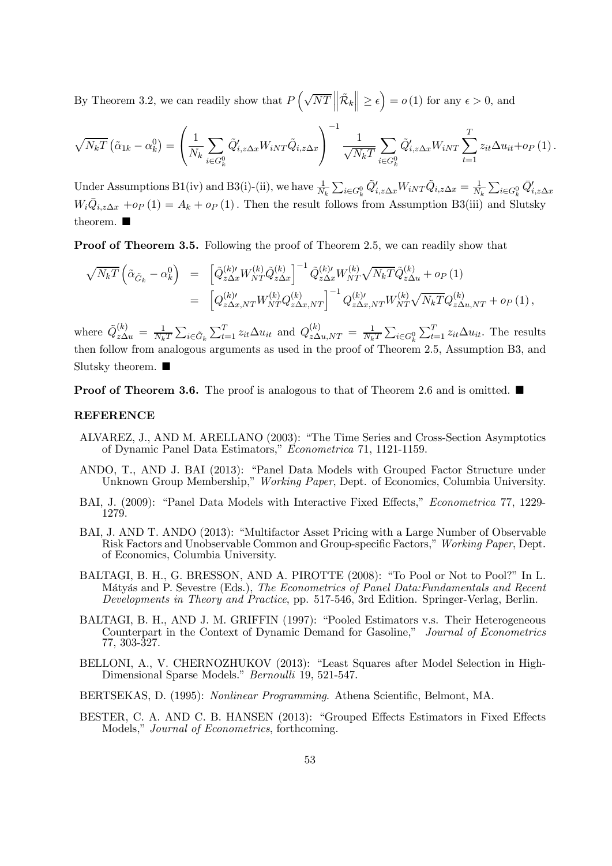By Theorem 3.2, we can readily show that  $P\left(\sqrt{NT} \|\tilde{\mathcal{R}}_k\| \geq \epsilon\right) = o(1)$  for any  $\epsilon > 0$ , and

$$
\sqrt{N_kT}(\tilde{\alpha}_{1k}-\alpha_k^0)=\left(\frac{1}{N_k}\sum_{i\in G_k^0}\tilde{Q}'_{i,z\Delta x}W_{iNT}\tilde{Q}_{i,z\Delta x}\right)^{-1}\frac{1}{\sqrt{N_kT}}\sum_{i\in G_k^0}\tilde{Q}'_{i,z\Delta x}W_{iNT}\sum_{t=1}^T z_{it}\Delta u_{it}+o_P(1).
$$

Under Assumptions B1(iv) and B3(i)-(ii), we have  $\frac{1}{N_k} \sum_{i \in G_k^0} \tilde{Q}'_{i,z\Delta x} W_{iNT} \tilde{Q}_{i,z\Delta x} = \frac{1}{N_k} \sum_{i \in G_k^0} \bar{Q}'_{i,z\Delta x}$  $W_i\overline{Q}_{i,z\Delta x}$  +  $o_P(1) = A_k + o_P(1)$ . Then the result follows from Assumption B3(iii) and Slutsky theorem.  $\blacksquare$ 

**Proof of Theorem 3.5.** Following the proof of Theorem 2.5, we can readily show that

$$
\sqrt{N_kT} \left( \tilde{\alpha}_{\tilde{G}_k} - \alpha_k^0 \right) = \left[ \tilde{Q}_{z\Delta x}^{(k) \prime} W_{NT}^{(k)} \tilde{Q}_{z\Delta x}^{(k)} \right]^{-1} \tilde{Q}_{z\Delta x}^{(k) \prime} W_{NT}^{(k)} \sqrt{N_kT} \tilde{Q}_{z\Delta u}^{(k)} + o_P(1)
$$
  

$$
= \left[ Q_{z\Delta x, NT}^{(k) \prime} W_{NT}^{(k)} Q_{z\Delta x, NT}^{(k)} \right]^{-1} Q_{z\Delta x, NT}^{(k) \prime} W_{NT}^{(k)} \sqrt{N_kT} Q_{z\Delta u, NT}^{(k)} + o_P(1),
$$

where  $\tilde{Q}_{z\Delta u}^{(k)} = \frac{1}{N_k T} \sum_{i \in \tilde{G}_k} \sum_{t=1}^T z_{it} \Delta u_{it}$  and  $Q_{z\Delta u, NT}^{(k)} = \frac{1}{N_k T} \sum_{i \in G_k^0} \sum_{t=1}^T z_{it} \Delta u_{it}$ . The results then follow from analogous arguments as used in the proof of Theorem 2.5, Assumption B3, and Slutsky theorem.  $\blacksquare$ 

**Proof of Theorem 3.6.** The proof is analogous to that of Theorem 2.6 and is omitted.  $\blacksquare$ 

#### REFERENCE

- ALVAREZ, J., AND M. ARELLANO (2003): "The Time Series and Cross-Section Asymptotics of Dynamic Panel Data Estimators," Econometrica 71, 1121-1159.
- ANDO, T., AND J. BAI (2013): "Panel Data Models with Grouped Factor Structure under Unknown Group Membership," Working Paper, Dept. of Economics, Columbia University.
- BAI, J. (2009): "Panel Data Models with Interactive Fixed Effects," *Econometrica* 77, 1229-1279.
- BAI, J. AND T. ANDO (2013): "Multifactor Asset Pricing with a Large Number of Observable Risk Factors and Unobservable Common and Group-specific Factors," Working Paper, Dept. of Economics, Columbia University.
- BALTAGI, B. H., G. BRESSON, AND A. PIROTTE (2008): "To Pool or Not to Pool?" In L. Mátyás and P. Sevestre (Eds.), The Econometrics of Panel Data:Fundamentals and Recent Developments in Theory and Practice, pp. 517-546, 3rd Edition. Springer-Verlag, Berlin.
- BALTAGI, B. H., AND J. M. GRIFFIN (1997): "Pooled Estimators v.s. Their Heterogeneous Counterpart in the Context of Dynamic Demand for Gasoline," Journal of Econometrics 77, 303-327.
- BELLONI, A., V. CHERNOZHUKOV (2013): "Least Squares after Model Selection in High-Dimensional Sparse Models." Bernoulli 19, 521-547.

BERTSEKAS, D. (1995): Nonlinear Programming. Athena Scientific, Belmont, MA.

BESTER, C. A. AND C. B. HANSEN (2013): "Grouped Effects Estimators in Fixed Effects Models," Journal of Econometrics, forthcoming.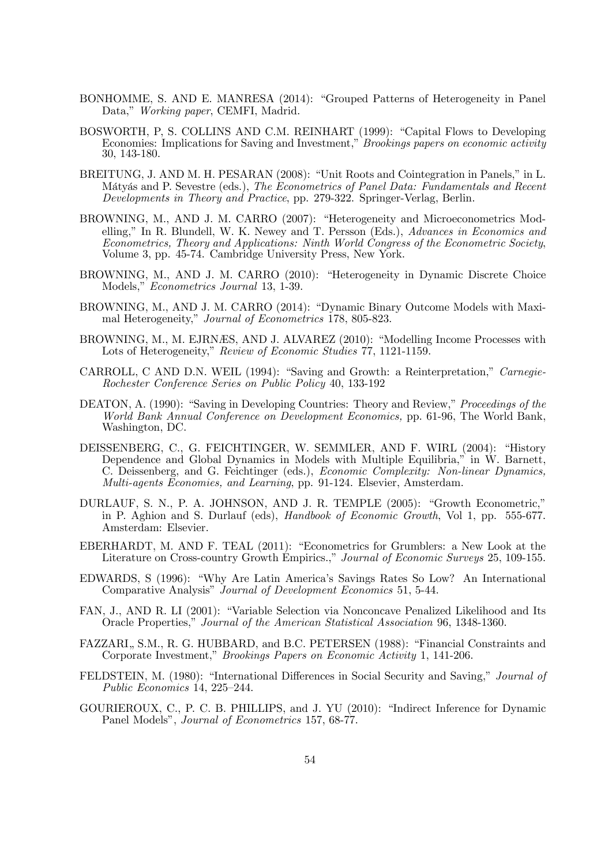- BONHOMME, S. AND E. MANRESA (2014): "Grouped Patterns of Heterogeneity in Panel Data," Working paper, CEMFI, Madrid.
- BOSWORTH, P, S. COLLINS AND C.M. REINHART (1999): "Capital Flows to Developing Economies: Implications for Saving and Investment," Brookings papers on economic activity 30, 143-180.
- BREITUNG, J. AND M. H. PESARAN (2008): "Unit Roots and Cointegration in Panels," in L. Mátyás and P. Sevestre (eds.), The Econometrics of Panel Data: Fundamentals and Recent Developments in Theory and Practice, pp. 279-322. Springer-Verlag, Berlin.
- BROWNING, M., AND J. M. CARRO (2007): "Heterogeneity and Microeconometrics Modelling," In R. Blundell, W. K. Newey and T. Persson (Eds.), Advances in Economics and Econometrics, Theory and Applications: Ninth World Congress of the Econometric Society, Volume 3, pp. 45-74. Cambridge University Press, New York.
- BROWNING, M., AND J. M. CARRO (2010): "Heterogeneity in Dynamic Discrete Choice Models," Econometrics Journal 13, 1-39.
- BROWNING, M., AND J. M. CARRO (2014): "Dynamic Binary Outcome Models with Maximal Heterogeneity," Journal of Econometrics 178, 805-823.
- BROWNING, M., M. EJRNÆS, AND J. ALVAREZ (2010): "Modelling Income Processes with Lots of Heterogeneity," Review of Economic Studies 77, 1121-1159.
- CARROLL, C AND D.N. WEIL (1994): "Saving and Growth: a Reinterpretation," Carnegie-Rochester Conference Series on Public Policy 40, 133-192
- DEATON, A. (1990): "Saving in Developing Countries: Theory and Review," Proceedings of the World Bank Annual Conference on Development Economics, pp. 61-96, The World Bank, Washington, DC.
- DEISSENBERG, C., G. FEICHTINGER, W. SEMMLER, AND F. WIRL (2004): "History Dependence and Global Dynamics in Models with Multiple Equilibria," in W. Barnett, C. Deissenberg, and G. Feichtinger (eds.), Economic Complexity: Non-linear Dynamics, Multi-agents Economies, and Learning, pp. 91-124. Elsevier, Amsterdam.
- DURLAUF, S. N., P. A. JOHNSON, AND J. R. TEMPLE (2005): "Growth Econometric," in P. Aghion and S. Durlauf (eds), Handbook of Economic Growth, Vol 1, pp. 555-677. Amsterdam: Elsevier.
- EBERHARDT, M. AND F. TEAL (2011): "Econometrics for Grumblers: a New Look at the Literature on Cross-country Growth Empirics.," Journal of Economic Surveys 25, 109-155.
- EDWARDS, S (1996): "Why Are Latin America's Savings Rates So Low? An International Comparative Analysis" Journal of Development Economics 51, 5-44.
- FAN, J., AND R. LI (2001): "Variable Selection via Nonconcave Penalized Likelihood and Its Oracle Properties," Journal of the American Statistical Association 96, 1348-1360.
- FAZZARI., S.M., R. G. HUBBARD, and B.C. PETERSEN (1988): "Financial Constraints and Corporate Investment," Brookings Papers on Economic Activity 1, 141-206.
- FELDSTEIN, M. (1980): "International Differences in Social Security and Saving," Journal of Public Economics 14, 225—244.
- GOURIEROUX, C., P. C. B. PHILLIPS, and J. YU (2010): "Indirect Inference for Dynamic Panel Models", Journal of Econometrics 157, 68-77.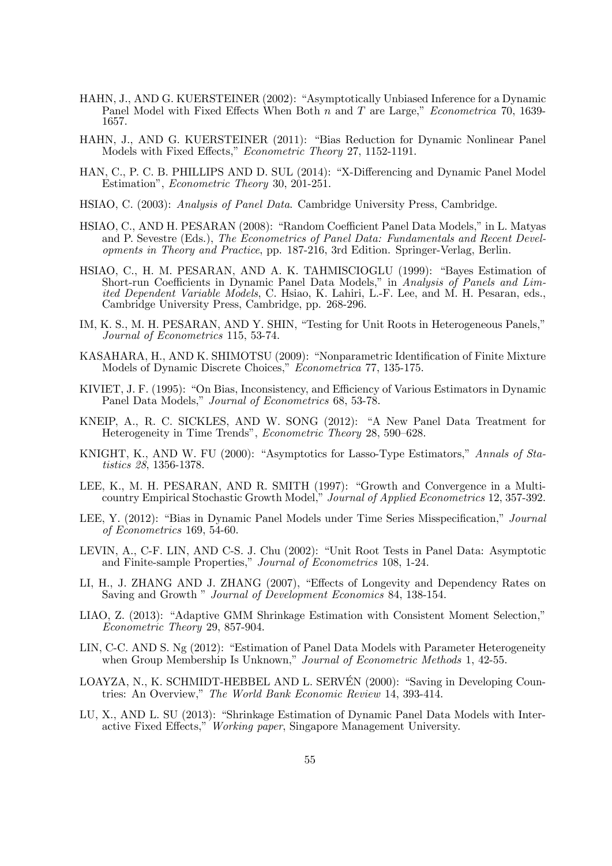- HAHN, J., AND G. KUERSTEINER (2002): "Asymptotically Unbiased Inference for a Dynamic Panel Model with Fixed Effects When Both  $n$  and  $T$  are Large," *Econometrica* 70, 1639-1657.
- HAHN, J., AND G. KUERSTEINER (2011): "Bias Reduction for Dynamic Nonlinear Panel Models with Fixed Effects," Econometric Theory 27, 1152-1191.
- HAN, C., P. C. B. PHILLIPS AND D. SUL (2014): "X-Differencing and Dynamic Panel Model Estimation", Econometric Theory 30, 201-251.
- HSIAO, C. (2003): Analysis of Panel Data. Cambridge University Press, Cambridge.
- HSIAO, C., AND H. PESARAN (2008): "Random Coefficient Panel Data Models," in L. Matyas and P. Sevestre (Eds.), The Econometrics of Panel Data: Fundamentals and Recent Developments in Theory and Practice, pp. 187-216, 3rd Edition. Springer-Verlag, Berlin.
- HSIAO, C., H. M. PESARAN, AND A. K. TAHMISCIOGLU (1999): "Bayes Estimation of Short-run Coefficients in Dynamic Panel Data Models," in Analysis of Panels and Limited Dependent Variable Models, C. Hsiao, K. Lahiri, L.-F. Lee, and M. H. Pesaran, eds., Cambridge University Press, Cambridge, pp. 268-296.
- IM, K. S., M. H. PESARAN, AND Y. SHIN, "Testing for Unit Roots in Heterogeneous Panels," Journal of Econometrics 115, 53-74.
- KASAHARA, H., AND K. SHIMOTSU (2009): "Nonparametric Identification of Finite Mixture Models of Dynamic Discrete Choices," Econometrica 77, 135-175.
- KIVIET, J. F. (1995): "On Bias, Inconsistency, and Efficiency of Various Estimators in Dynamic Panel Data Models," Journal of Econometrics 68, 53-78.
- KNEIP, A., R. C. SICKLES, AND W. SONG (2012): "A New Panel Data Treatment for Heterogeneity in Time Trends", Econometric Theory 28, 590—628.
- KNIGHT, K., AND W. FU (2000): "Asymptotics for Lasso-Type Estimators," Annals of Statistics 28, 1356-1378.
- LEE, K., M. H. PESARAN, AND R. SMITH (1997): "Growth and Convergence in a Multicountry Empirical Stochastic Growth Model," Journal of Applied Econometrics 12, 357-392.
- LEE, Y. (2012): "Bias in Dynamic Panel Models under Time Series Misspecification," Journal of Econometrics 169, 54-60.
- LEVIN, A., C-F. LIN, AND C-S. J. Chu (2002): "Unit Root Tests in Panel Data: Asymptotic and Finite-sample Properties," Journal of Econometrics 108, 1-24.
- LI, H., J. ZHANG AND J. ZHANG (2007), "Effects of Longevity and Dependency Rates on Saving and Growth " Journal of Development Economics 84, 138-154.
- LIAO, Z. (2013): "Adaptive GMM Shrinkage Estimation with Consistent Moment Selection," Econometric Theory 29, 857-904.
- LIN, C-C. AND S. Ng (2012): "Estimation of Panel Data Models with Parameter Heterogeneity when Group Membership Is Unknown," Journal of Econometric Methods 1, 42-55.
- LOAYZA, N., K. SCHMIDT-HEBBEL AND L. SERVÉN (2000): "Saving in Developing Countries: An Overview," The World Bank Economic Review 14, 393-414.
- LU, X., AND L. SU (2013): "Shrinkage Estimation of Dynamic Panel Data Models with Interactive Fixed Effects," Working paper, Singapore Management University.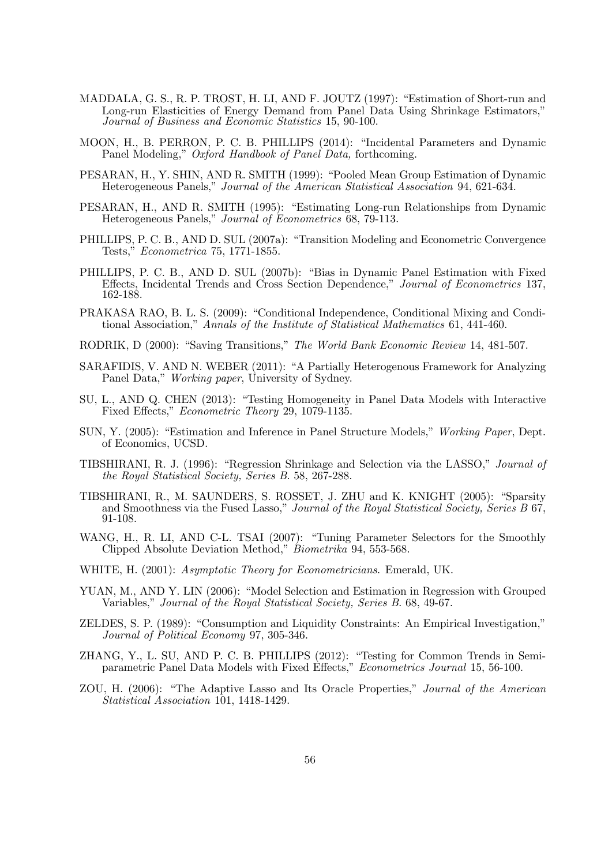- MADDALA, G. S., R. P. TROST, H. LI, AND F. JOUTZ (1997): "Estimation of Short-run and Long-run Elasticities of Energy Demand from Panel Data Using Shrinkage Estimators," Journal of Business and Economic Statistics 15, 90-100.
- MOON, H., B. PERRON, P. C. B. PHILLIPS (2014): "Incidental Parameters and Dynamic Panel Modeling," Oxford Handbook of Panel Data, forthcoming.
- PESARAN, H., Y. SHIN, AND R. SMITH (1999): "Pooled Mean Group Estimation of Dynamic Heterogeneous Panels," Journal of the American Statistical Association 94, 621-634.
- PESARAN, H., AND R. SMITH (1995): "Estimating Long-run Relationships from Dynamic Heterogeneous Panels," Journal of Econometrics 68, 79-113.
- PHILLIPS, P. C. B., AND D. SUL (2007a): "Transition Modeling and Econometric Convergence Tests," Econometrica 75, 1771-1855.
- PHILLIPS, P. C. B., AND D. SUL (2007b): "Bias in Dynamic Panel Estimation with Fixed Effects, Incidental Trends and Cross Section Dependence," Journal of Econometrics 137, 162-188.
- PRAKASA RAO, B. L. S. (2009): "Conditional Independence, Conditional Mixing and Conditional Association," Annals of the Institute of Statistical Mathematics 61, 441-460.
- RODRIK, D (2000): "Saving Transitions," The World Bank Economic Review 14, 481-507.
- SARAFIDIS, V. AND N. WEBER (2011): "A Partially Heterogenous Framework for Analyzing Panel Data," Working paper, University of Sydney.
- SU, L., AND Q. CHEN (2013): "Testing Homogeneity in Panel Data Models with Interactive Fixed Effects," Econometric Theory 29, 1079-1135.
- SUN, Y. (2005): "Estimation and Inference in Panel Structure Models," Working Paper, Dept. of Economics, UCSD.
- TIBSHIRANI, R. J. (1996): "Regression Shrinkage and Selection via the LASSO," Journal of the Royal Statistical Society, Series B. 58, 267-288.
- TIBSHIRANI, R., M. SAUNDERS, S. ROSSET, J. ZHU and K. KNIGHT (2005): "Sparsity and Smoothness via the Fused Lasso," Journal of the Royal Statistical Society, Series B 67, 91-108.
- WANG, H., R. LI, AND C-L. TSAI (2007): "Tuning Parameter Selectors for the Smoothly Clipped Absolute Deviation Method," Biometrika 94, 553-568.
- WHITE, H. (2001): Asymptotic Theory for Econometricians. Emerald, UK.
- YUAN, M., AND Y. LIN (2006): "Model Selection and Estimation in Regression with Grouped Variables," Journal of the Royal Statistical Society, Series B. 68, 49-67.
- ZELDES, S. P. (1989): "Consumption and Liquidity Constraints: An Empirical Investigation," Journal of Political Economy 97, 305-346.
- ZHANG, Y., L. SU, AND P. C. B. PHILLIPS (2012): "Testing for Common Trends in Semiparametric Panel Data Models with Fixed Effects," Econometrics Journal 15, 56-100.
- ZOU, H. (2006): "The Adaptive Lasso and Its Oracle Properties," Journal of the American Statistical Association 101, 1418-1429.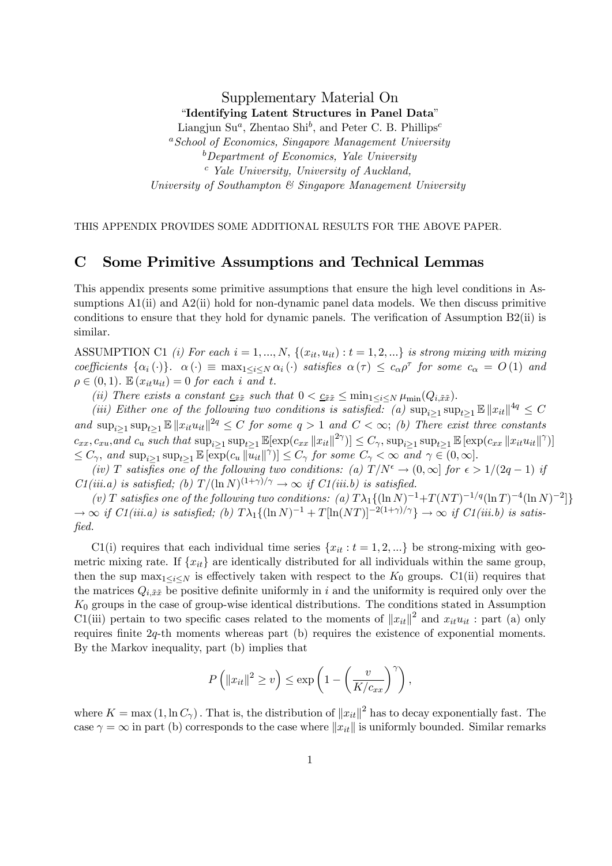Supplementary Material On "Identifying Latent Structures in Panel Data" Liangjun Su<sup>a</sup>, Zhentao Shi<sup>b</sup>, and Peter C. B. Phillips<sup>c</sup>

<sup>a</sup> School of Economics, Singapore Management University  $b$  Department of Economics, Yale University Yale University, University of Auckland, University of Southampton & Singapore Management University

THIS APPENDIX PROVIDES SOME ADDITIONAL RESULTS FOR THE ABOVE PAPER.

# C Some Primitive Assumptions and Technical Lemmas

This appendix presents some primitive assumptions that ensure the high level conditions in Assumptions  $A1(ii)$  and  $A2(ii)$  hold for non-dynamic panel data models. We then discuss primitive conditions to ensure that they hold for dynamic panels. The verification of Assumption B2(ii) is similar.

ASSUMPTION C1 (i) For each  $i = 1, ..., N$ ,  $\{(x_{it}, u_{it}) : t = 1, 2, ...\}$  is strong mixing with mixing coefficients  $\{\alpha_i(\cdot)\}\$ .  $\alpha(\cdot) \equiv \max_{1 \leq i \leq N} \alpha_i(\cdot)$  satisfies  $\alpha(\tau) \leq c_\alpha \rho^\tau$  for some  $c_\alpha = O(1)$  and  $\rho \in (0,1)$ .  $\mathbb{E}(x_{it}u_{it})=0$  for each *i* and *t*.

(ii) There exists a constant  $\underline{c} \tilde{x}$  such that  $0 < \underline{c} \tilde{x} \le \min_{1 \le i \le N} \mu_{\min}(Q_{i, \tilde{x}})$ .

(iii) Either one of the following two conditions is satisfied: (a)  $\sup_{i\geq 1} \sup_{t\geq 1} \mathbb{E} ||x_{it}||^{4q} \leq C$ and  $\sup_{i>1} \sup_{t>1} \mathbb{E} \|x_{it}u_{it}\|^{2q} \leq C$  for some  $q>1$  and  $C<\infty$ ; (b) There exist three constants  $\max_{x_1, x_2, x_3, x_4, x_5, x_6, x_7, x_8, x_9, x_1, x_2, x_3, x_4, x_5, x_7, x_8, x_9, x_{10} \in \mathbb{R}^{2}$  (exp( $c_{xx} || x_{it} u_{it} ||^2$ )]  $\leq C_{\gamma}$ , and  $\sup_{i>1} \sup_{t>1} \mathbb{E}[\exp(c_u || \overline{u}_{it} ||^{\gamma})] \leq C_{\gamma}$  for some  $C_{\gamma} < \infty$  and  $\gamma \in (0,\infty]$ .

(iv) T satisfies one of the following two conditions: (a)  $T/N^{\epsilon} \rightarrow (0,\infty)$  for  $\epsilon > 1/(2q-1)$  if  $C1(iii.a)$  is satisfied; (b)  $T/(\ln N)^{(1+\gamma)/\gamma} \to \infty$  if  $C1(iii.b)$  is satisfied.

(v) T satisfies one of the following two conditions:  $(a)$   $T\lambda_1\{(\ln N)^{-1}+T(NT)^{-1/q}(\ln T)^{-4}(\ln N)^{-2}]\}$  $\rightarrow \infty$  if  $Cl(iii.a)$  is satisfied; (b)  $T\lambda_1\{(\ln N)^{-1} + T[\ln(NT)]^{-2(1+\gamma)/\gamma}\}\rightarrow \infty$  if  $Cl(iii.b)$  is satisfied.

C1(i) requires that each individual time series  $\{x_{it}: t = 1, 2, ...\}$  be strong-mixing with geometric mixing rate. If  ${x_{it}}$  are identically distributed for all individuals within the same group, then the sup  $\max_{1 \leq i \leq N}$  is effectively taken with respect to the  $K_0$  groups. C1(ii) requires that the matrices  $Q_{i,\tilde{x}\tilde{x}}$  be positive definite uniformly in i and the uniformity is required only over the  $K_0$  groups in the case of group-wise identical distributions. The conditions stated in Assumption C1(iii) pertain to two specific cases related to the moments of  $||x_{it}||^2$  and  $x_{it}u_{it}$ : part (a) only requires finite  $2q$ -th moments whereas part (b) requires the existence of exponential moments. By the Markov inequality, part (b) implies that

$$
P\left(\|x_{it}\|^2 \ge v\right) \le \exp\left(1 - \left(\frac{v}{K/c_{xx}}\right)^{\gamma}\right),\,
$$

where  $K = \max(1, \ln C_{\gamma})$ . That is, the distribution of  $||x_{it}||^2$  has to decay exponentially fast. The case  $\gamma = \infty$  in part (b) corresponds to the case where  $||x_{it}||$  is uniformly bounded. Similar remarks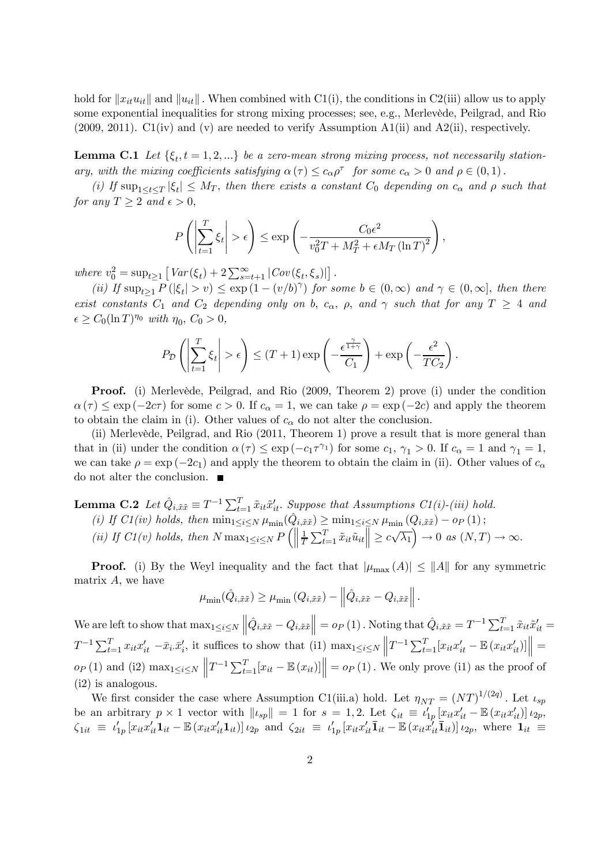hold for  $||x_{it}u_{it}||$  and  $||u_{it}||$ . When combined with C1(i), the conditions in C2(iii) allow us to apply some exponential inequalities for strong mixing processes; see, e.g., Merlevède, Peilgrad, and Rio (2009, 2011). C1(iv) and (v) are needed to verify Assumption A1(ii) and A2(ii), respectively.

**Lemma C.1** Let  $\{\xi_t, t = 1, 2, ...\}$  be a zero-mean strong mixing process, not necessarily stationary, with the mixing coefficients satisfying  $\alpha(\tau) \leq c_{\alpha}\rho^{\tau}$  for some  $c_{\alpha} > 0$  and  $\rho \in (0,1)$ .

(i) If  $\sup_{1 \leq t \leq T} |\xi_t| \leq M_T$ , then there exists a constant  $C_0$  depending on  $c_{\alpha}$  and  $\rho$  such that for any  $T \geq 2$  and  $\epsilon > 0$ ,

$$
P\left(\left|\sum_{t=1}^T \xi_t\right| > \epsilon\right) \le \exp\left(-\frac{C_0\epsilon^2}{v_0^2T + M_T^2 + \epsilon M_T \left(\ln T\right)^2}\right),\,
$$

where  $v_0^2 = \sup_{t \ge 1} [Var(\xi_t) + 2 \sum_{s=t+1}^{\infty} |Cov(\xi_t, \xi_s)|].$ 

(ii) If  $\sup_{t\geq 1} P(|\xi_t| > v) \leq \exp(1 - (v/b)^{\gamma})$  for some  $b \in (0, \infty)$  and  $\gamma \in (0, \infty]$ , then there exist constants  $C_1$  and  $C_2$  depending only on b,  $c_{\alpha}$ ,  $\rho$ , and  $\gamma$  such that for any  $T \geq 4$  and  $\epsilon \geq C_0(\ln T)^{\eta_0}$  with  $\eta_0, C_0 > 0$ ,

$$
P_{\mathcal{D}}\left(\left|\sum_{t=1}^{T}\xi_{t}\right| > \epsilon\right) \leq (T+1)\exp\left(-\frac{\epsilon^{\frac{\gamma}{1+\gamma}}}{C_{1}}\right) + \exp\left(-\frac{\epsilon^{2}}{TC_{2}}\right).
$$

Proof. (i) Merlevède, Peilgrad, and Rio (2009, Theorem 2) prove (i) under the condition  $\alpha(\tau) \leq \exp(-2c\tau)$  for some  $c > 0$ . If  $c_{\alpha} = 1$ , we can take  $\rho = \exp(-2c)$  and apply the theorem to obtain the claim in (i). Other values of  $c_{\alpha}$  do not alter the conclusion.

(ii) Merlevède, Peilgrad, and Rio (2011, Theorem 1) prove a result that is more general than that in (ii) under the condition  $\alpha(\tau) \leq \exp(-c_1 \tau^{\gamma_1})$  for some  $c_1, \gamma_1 > 0$ . If  $c_{\alpha} = 1$  and  $\gamma_1 = 1$ , we can take  $\rho = \exp(-2c_1)$  and apply the theorem to obtain the claim in (ii). Other values of  $c_{\alpha}$ do not alter the conclusion.  $\blacksquare$ 

**Lemma C.2** Let 
$$
\hat{Q}_{i,\tilde{x}\tilde{x}} \equiv T^{-1} \sum_{t=1}^{T} \tilde{x}_{it} \tilde{x}'_{it}
$$
. Suppose that Assumptions  $C1(i)$ -*(iii)* hold.  
\n(i) If  $C1(iv)$  holds, then  $\min_{1 \leq i \leq N} \mu_{\min}(\hat{Q}_{i,\tilde{x}\tilde{x}}) \geq \min_{1 \leq i \leq N} \mu_{\min}(Q_{i,\tilde{x}\tilde{x}}) - op(1)$ ;  
\n(ii) If  $C1(v)$  holds, then  $N \max_{1 \leq i \leq N} P\left(\left\|\frac{1}{T} \sum_{t=1}^{T} \tilde{x}_{it} \tilde{u}_{it}\right\| \geq c\sqrt{\lambda_1}\right) \to 0$  as  $(N,T) \to \infty$ .

**Proof.** (i) By the Weyl inequality and the fact that  $|\mu_{\max}(A)| \leq ||A||$  for any symmetric matrix  $A$ , we have

$$
\mu_{\min}(\hat{Q}_{i,\tilde{x}\tilde{x}}) \geq \mu_{\min}(Q_{i,\tilde{x}\tilde{x}}) - \left\|\hat{Q}_{i,\tilde{x}\tilde{x}} - Q_{i,\tilde{x}\tilde{x}}\right\|.
$$

We are left to show that  $\max_{1 \leq i \leq N} \left\| \hat{Q}_{i, \tilde{x}\tilde{x}} - Q_{i, \tilde{x}\tilde{x}} \right\| = o_P(1)$ . Noting that  $\hat{Q}_{i, \tilde{x}\tilde{x}} = T^{-1} \sum_{t=1}^T \tilde{x}_{it} \tilde{x}'_{it} =$  $T^{-1} \sum_{t=1}^{T} x_{it} x'_{it} - \bar{x}_{i} \bar{x}'_{i}$ , it suffices to show that (i1)  $\max_{1 \leq i \leq N} ||T^{-1} \sum_{t=1}^{T} [x_{it} x'_{it} - \mathbb{E} (x_{it} x'_{it})] || =$  $o_P(1)$  and (i2)  $\max_{1 \leq i \leq N} ||T^{-1} \sum_{t=1}^T [x_{it} - \mathbb{E}(x_{it})] || = o_P(1)$ . We only prove (i1) as the proof of (i2) is analogous.

We first consider the case where Assumption C1(iii.a) hold. Let  $\eta_{NT} = (NT)^{1/(2q)}$ . Let  $\iota_{sp}$ be an arbitrary  $p \times 1$  vector with  $||\iota_{sp}|| = 1$  for  $s = 1, 2$ . Let  $\zeta_{it} \equiv \iota'_{1p} [x_{it}x'_{it} - \mathbb{E}(x_{it}x'_{it})] \iota_{2p}$ ,  $\zeta_{1it} \equiv t'_{1p} [x_{it}x'_{it}1_{it} - \mathbb{E}(x_{it}x'_{it}1_{it})] t_{2p}$  and  $\zeta_{2it} \equiv t'_{1p} [x_{it}x'_{it}1_{it} - \mathbb{E}(x_{it}x'_{it}1_{it})] t_{2p}$ , where  $1_{it} \equiv$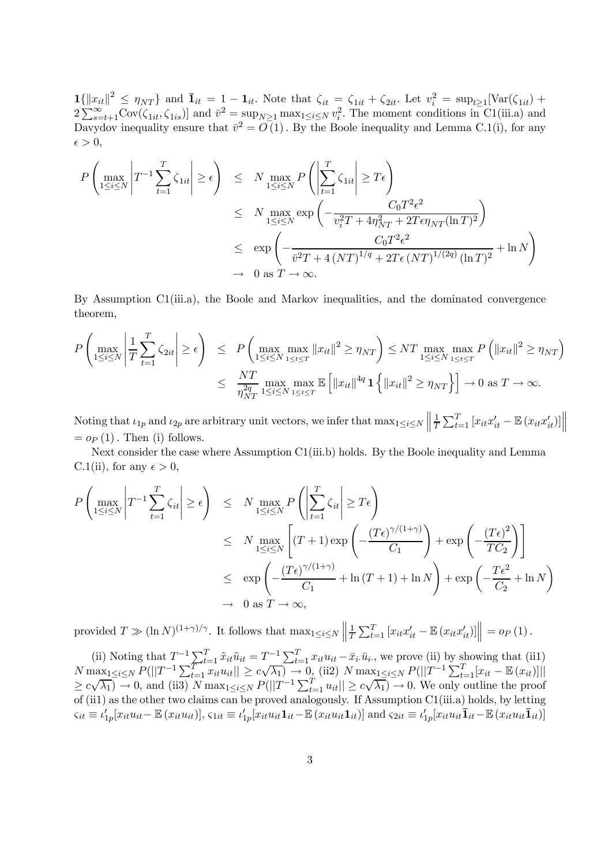$1\{\Vert x_{it}\Vert^2 \leq \eta_{NT}\}\$ and  $\bar{1}_{it} = 1 - \mathbf{1}_{it}$ . Note that  $\zeta_{it} = \zeta_{1it} + \zeta_{2it}$ . Let  $v_i^2 = \sup_{t \geq 1} [\text{Var}(\zeta_{1it}) + \zeta_{2it}]$  $2\sum_{s=t+1}^{\infty} \text{Cov}(\zeta_{1it}, \zeta_{1is})$  and  $\bar{v}^2 = \sup_{N\geq 1} \max_{1\leq i\leq N} v_i^2$ . The moment conditions in  $\text{C1(iii.a)}$  and Davydov inequality ensure that  $\overline{v}^2 = O(1)$ . By the Boole inequality and Lemma C.1(i), for any  $\epsilon > 0$ 

$$
P\left(\max_{1\leq i\leq N} \left|T^{-1}\sum_{t=1}^T \zeta_{1it}\right| \geq \epsilon\right) \leq N \max_{1\leq i\leq N} P\left(\left|\sum_{t=1}^T \zeta_{1it}\right| \geq T\epsilon\right)
$$
  

$$
\leq N \max_{1\leq i\leq N} \exp\left(-\frac{C_0 T^2 \epsilon^2}{v_i^2 T + 4\eta_{NT}^2 + 2T\epsilon \eta_{NT} (\ln T)^2}\right)
$$
  

$$
\leq \exp\left(-\frac{C_0 T^2 \epsilon^2}{\bar{v}^2 T + 4\left(NT\right)^{1/q} + 2T\epsilon\left(NT\right)^{1/(2q)} (\ln T)^2} + \ln N\right)
$$
  

$$
\to 0 \text{ as } T \to \infty.
$$

By Assumption C1(iii.a), the Boole and Markov inequalities, and the dominated convergence theorem,

$$
P\left(\max_{1\leq i\leq N}\left|\frac{1}{T}\sum_{t=1}^{T}\zeta_{2it}\right|\geq\epsilon\right) \leq P\left(\max_{1\leq i\leq N}\max_{1\leq t\leq T}\|x_{it}\|^2\geq\eta_{NT}\right) \leq NT\max_{1\leq i\leq N}\max_{1\leq t\leq T}P\left(\|x_{it}\|^2\geq\eta_{NT}\right)
$$

$$
\leq \frac{NT}{\eta_{NT}^{2q}}\max_{1\leq i\leq N}\max_{1\leq t\leq T}\mathbb{E}\left[\|x_{it}\|^{4q}\mathbf{1}\left\{\|x_{it}\|^2\geq\eta_{NT}\right\}\right]\to 0 \text{ as } T\to\infty.
$$

Noting that  $\iota_{1p}$  and  $\iota_{2p}$  are arbitrary unit vectors, we infer that  $\max_{1 \leq i \leq N}$ 1  $\frac{1}{T} \sum_{t=1}^{T} \left[ x_{it} x'_{it} - \mathbb{E} (x_{it} x'_{it}) \right]$  $= o_P(1)$ . Then (i) follows.

Next consider the case where Assumption C1(iii.b) holds. By the Boole inequality and Lemma C.1(ii), for any  $\epsilon > 0$ ,

$$
P\left(\max_{1\leq i\leq N} \left|T^{-1}\sum_{t=1}^T \zeta_{it}\right| \geq \epsilon\right) \leq N \max_{1\leq i\leq N} P\left(\left|\sum_{t=1}^T \zeta_{it}\right| \geq T\epsilon\right)
$$
  

$$
\leq N \max_{1\leq i\leq N} \left[(T+1)\exp\left(-\frac{(T\epsilon)^{\gamma/(1+\gamma)}}{C_1}\right) + \exp\left(-\frac{(T\epsilon)^2}{TC_2}\right)\right]
$$
  

$$
\leq \exp\left(-\frac{(T\epsilon)^{\gamma/(1+\gamma)}}{C_1} + \ln(T+1) + \ln N\right) + \exp\left(-\frac{T\epsilon^2}{C_2} + \ln N\right)
$$
  

$$
\to 0 \text{ as } T \to \infty,
$$

provided  $T \gg (\ln N)^{(1+\gamma)/\gamma}$ . It follows that  $\max_{1 \leq i \leq N}$ 1  $\frac{1}{T} \sum_{t=1}^{T} [x_{it}x'_{it} - \mathbb{E}(x_{it}x'_{it})]$  =  $o_P(1)$ .

(ii) Noting that  $T^{-1}\sum_{t=1}^T \tilde{x}_{it}\tilde{u}_{it} = T^{-1}\sum_{t=1}^T x_{it}u_{it} - \bar{x}_i\bar{u}_i$ , we prove (ii) by showing that (ii1)  $N \max_{1 \leq i \leq N} P(||T^{-1} \sum_{t=1}^{T} x_{it} u_{it}|| \geq c \sqrt{\lambda_1}) \rightarrow 0,$  (ii2)  $N \max_{1 \leq i \leq N} P(||T^{-1} \sum_{t=1}^{T} [x_{it} - \mathbb{E}(x_{it})]||$  $\geq c\sqrt{\lambda_1}$   $\rightarrow$  0, and (ii3)  $N$  max<sub>1≤i≤N</sub>  $P(||T^{-1} \sum_{t=1}^T u_{it}|| \geq c\sqrt{\lambda_1})$   $\rightarrow$  0. We only outline the proof of (ii1) as the other two claims can be proved analogously. If Assumption C1(iii.a) holds, by letting  $\varsigma_{it} \equiv \iota_{1p}'[x_{it}u_{it} - \mathbb{E}(x_{it}u_{it})], \varsigma_{1it} \equiv \iota_{1p}'[x_{it}u_{it}\mathbf{1}_{it} - \mathbb{E}(x_{it}u_{it}\mathbf{1}_{it})]$  and  $\varsigma_{2it} \equiv \iota_{1p}'[x_{it}u_{it}\mathbf{1}_{it} - \mathbb{E}(x_{it}u_{it}\mathbf{1}_{it})]$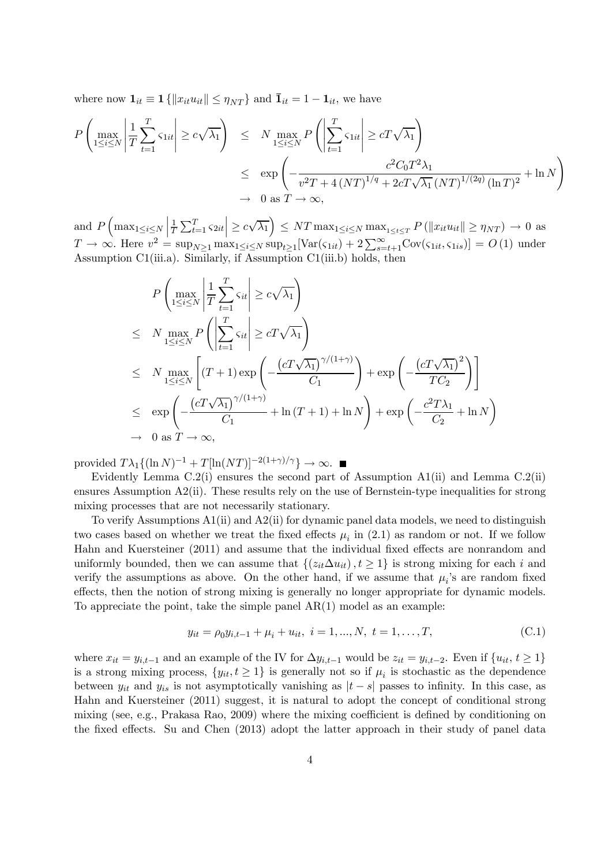where now  $\mathbf{1}_{it} \equiv \mathbf{1} \{ ||x_{it} u_{it}|| \leq \eta_{NT} \}$  and  $\bar{\mathbf{1}}_{it} = 1 - \mathbf{1}_{it}$ , we have

$$
P\left(\max_{1\leq i\leq N} \left|\frac{1}{T}\sum_{t=1}^{T} \varsigma_{1it}\right| \geq c\sqrt{\lambda_1}\right) \leq N \max_{1\leq i\leq N} P\left(\left|\sum_{t=1}^{T} \varsigma_{1it}\right| \geq cT\sqrt{\lambda_1}\right)
$$
  

$$
\leq \exp\left(-\frac{c^2C_0T^2\lambda_1}{v^2T + 4\left(NT\right)^{1/q} + 2cT\sqrt{\lambda_1}\left(NT\right)^{1/(2q)}(\ln T)^2} + \ln N\right)
$$
  

$$
\to 0 \text{ as } T \to \infty,
$$

and  $P\left(\max_{1\leq i\leq N}\right)$ 1  $\frac{1}{T} \sum_{t=1}^{T} \varsigma_{2it} \geq c\sqrt{\lambda_1} \leq NT \max_{1 \leq i \leq N} \max_{1 \leq t \leq T} P(||x_{it}u_{it}|| \geq \eta_{NT}) \to 0$  as  $T \to \infty$ . Here  $v^2 = \sup_{N \geq 1} \max_{1 \leq i \leq N} \sup_{t \geq 1} [\text{Var}(\zeta_{1it}) + 2 \sum_{s=t+1}^{\infty} \text{Cov}(\zeta_{1it}, \zeta_{1is})] = O(1)$  under Assumption C1(iii.a). Similarly, if Assumption C1(iii.b) holds, then

$$
P\left(\max_{1\leq i\leq N} \left|\frac{1}{T}\sum_{t=1}^{T} \varsigma_{it}\right| \geq c\sqrt{\lambda_1}\right)
$$
  
\n
$$
\leq N \max_{1\leq i\leq N} P\left(\left|\sum_{t=1}^{T} \varsigma_{it}\right| \geq cT\sqrt{\lambda_1}\right)
$$
  
\n
$$
\leq N \max_{1\leq i\leq N} \left[ (T+1) \exp\left(-\frac{(cT\sqrt{\lambda_1})^{\gamma/(1+\gamma)}}{C_1}\right) + \exp\left(-\frac{(cT\sqrt{\lambda_1})^2}{TC_2}\right) \right]
$$
  
\n
$$
\leq \exp\left(-\frac{(cT\sqrt{\lambda_1})^{\gamma/(1+\gamma)}}{C_1} + \ln(T+1) + \ln N\right) + \exp\left(-\frac{c^2T\lambda_1}{C_2} + \ln N\right)
$$
  
\n
$$
\to 0 \text{ as } T \to \infty,
$$

provided  $T\lambda_1\{(\ln N)^{-1} + T[\ln(NT)]^{-2(1+\gamma)/\gamma}\}\to\infty$ . ■

Evidently Lemma C.2(i) ensures the second part of Assumption A1(ii) and Lemma C.2(ii) ensures Assumption A2(ii). These results rely on the use of Bernstein-type inequalities for strong mixing processes that are not necessarily stationary.

To verify Assumptions  $A1(ii)$  and  $A2(ii)$  for dynamic panel data models, we need to distinguish two cases based on whether we treat the fixed effects  $\mu_i$  in (2.1) as random or not. If we follow Hahn and Kuersteiner (2011) and assume that the individual fixed effects are nonrandom and uniformly bounded, then we can assume that  $\{(z_{it}\Delta u_{it}), t \geq 1\}$  is strong mixing for each *i* and verify the assumptions as above. On the other hand, if we assume that  $\mu_i$ 's are random fixed effects, then the notion of strong mixing is generally no longer appropriate for dynamic models. To appreciate the point, take the simple panel  $AR(1)$  model as an example:

$$
y_{it} = \rho_0 y_{i,t-1} + \mu_i + u_{it}, \ i = 1, ..., N, \ t = 1, ..., T,
$$
\n(C.1)

where  $x_{it} = y_{i,t-1}$  and an example of the IV for  $\Delta y_{i,t-1}$  would be  $z_{it} = y_{i,t-2}$ . Even if  $\{u_{it}, t \geq 1\}$ is a strong mixing process,  $\{y_{it}, t \geq 1\}$  is generally not so if  $\mu_i$  is stochastic as the dependence between  $y_{it}$  and  $y_{is}$  is not asymptotically vanishing as  $|t-s|$  passes to infinity. In this case, as Hahn and Kuersteiner (2011) suggest, it is natural to adopt the concept of conditional strong mixing (see, e.g., Prakasa Rao, 2009) where the mixing coefficient is defined by conditioning on the fixed effects. Su and Chen (2013) adopt the latter approach in their study of panel data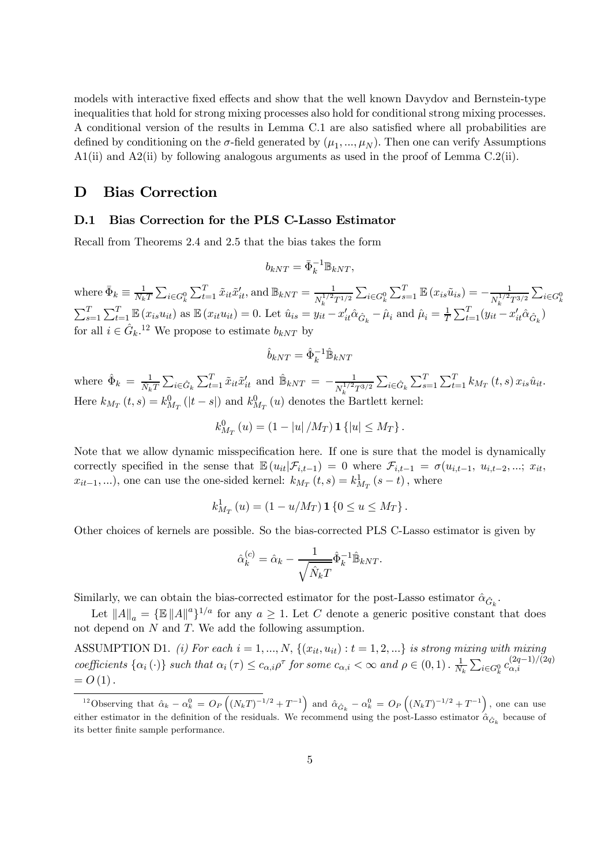models with interactive fixed effects and show that the well known Davydov and Bernstein-type inequalities that hold for strong mixing processes also hold for conditional strong mixing processes. A conditional version of the results in Lemma C.1 are also satisfied where all probabilities are defined by conditioning on the  $\sigma$ -field generated by  $(\mu_1, ..., \mu_N)$ . Then one can verify Assumptions A1(ii) and A2(ii) by following analogous arguments as used in the proof of Lemma C.2(ii).

### D Bias Correction

### D.1 Bias Correction for the PLS C-Lasso Estimator

Recall from Theorems 2.4 and 2.5 that the bias takes the form

$$
b_{kNT} = \bar{\Phi}_k^{-1} \mathbb{B}_{kNT},
$$

where  $\bar{\Phi}_k \equiv \frac{1}{N_k T} \sum_{i \in G_k^0} \sum_{t=1}^T \tilde{x}_{it} \tilde{x}'_{it}$ , and  $\mathbb{B}_{kNT} = \frac{1}{N_k^{1/2} T^{1/2}}$  $\sum_{i \in G_k^0} \sum_{s=1}^T \mathbb{E} (x_{is} \tilde{u}_{is}) = -\frac{1}{N_k^{1/2} T^{3/2}}$  $\sum_{i \in G_k^0}$  $\sum_{s=1}^{T} \sum_{t=1}^{T} \mathbb{E} (x_{is} u_{it})$  as  $\mathbb{E} (x_{it} u_{it}) = 0$ . Let  $\hat{u}_{is} = y_{it} - x_{it}' \hat{\alpha}_{\hat{G}_k} - \hat{\mu}_i$  and  $\hat{\mu}_i = \frac{1}{T} \sum_{t=1}^{T} (y_{it} - x_{it}' \hat{\alpha}_{\hat{G}_k})$ for all  $i \in \hat{G}_k$ .<sup>12</sup> We propose to estimate  $b_{kNT}$  by

$$
\hat{b}_{kNT} = \hat{\Phi}_k^{-1} \hat{\mathbb{B}}_{kNT}
$$

where  $\hat{\Phi}_k = \frac{1}{\hat{N}_k T} \sum_{i \in \hat{G}_k} \sum_{t=1}^T \tilde{x}_{it} \tilde{x}'_{it}$  and  $\hat{\mathbb{B}}_{kNT} = -\frac{1}{N_k^{1/2} T^{3/2}}$  $\sum_{i \in \hat{G}_k} \sum_{s=1}^T \sum_{t=1}^T k_{M_T}(t, s) x_{is} \hat{u}_{it}.$ Here  $k_{M_T}(t,s) = k_{M_T}^0(|t-s|)$  and  $k_{M_T}^0(u)$  denotes the Bartlett kernel:

$$
k_{M_T}^0(u) = (1 - |u| / M_T) \mathbf{1} \{ |u| \le M_T \}.
$$

Note that we allow dynamic misspecification here. If one is sure that the model is dynamically correctly specified in the sense that  $\mathbb{E}(u_{it}|\mathcal{F}_{i,t-1})=0$  where  $\mathcal{F}_{i,t-1} = \sigma(u_{i,t-1}, u_{i,t-2}, \dots; x_{it},$  $x_{it-1}, \ldots$ ), one can use the one-sided kernel:  $k_{M_T}(t, s) = k_{M_T}^1(s - t)$ , where

$$
k_{M_T}^1(u) = (1 - u/M_T) \mathbf{1} \{0 \le u \le M_T\}.
$$

Other choices of kernels are possible. So the bias-corrected PLS C-Lasso estimator is given by

$$
\hat{\alpha}_k^{(c)} = \hat{\alpha}_k - \frac{1}{\sqrt{\hat{N}_k T}} \hat{\Phi}_k^{-1} \hat{\mathbb{B}}_{kNT}.
$$

Similarly, we can obtain the bias-corrected estimator for the post-Lasso estimator  $\hat{\alpha}_{\hat{G}_k}$ .

Let  $||A||_a = {\mathbb{E}||A||^a}^{1/a}$  for any  $a \geq 1$ . Let C denote a generic positive constant that does not depend on  $N$  and  $T$ . We add the following assumption.

ASSUMPTION D1. (i) For each  $i = 1, ..., N$ ,  $\{(x_{it}, u_{it}) : t = 1, 2, ...\}$  is strong mixing with mixing coefficients  $\{\alpha_i(\cdot)\}\$  such that  $\alpha_i(\tau) \leq c_{\alpha,i}\rho^{\tau}$  for some  $c_{\alpha,i} < \infty$  and  $\rho \in (0,1)$ .  $\frac{1}{N_k} \sum_{i \in G_k^0} c_{\alpha,i}^{(2q-1)/(2q)}$  $= O(1)$ .

<sup>&</sup>lt;sup>12</sup>Observing that  $\hat{\alpha}_k - \alpha_k^0 = O_P\left((N_k T)^{-1/2} + T^{-1}\right)$  and  $\hat{\alpha}_{\hat{G}_k} - \alpha_k^0 = O_P\left((N_k T)^{-1/2} + T^{-1}\right)$ , one can use either estimator in the definition of the residuals. We recommend using the post-Lasso estimator  $\hat{\alpha}_{\hat{G}_k}$  because of its better finite sample performance.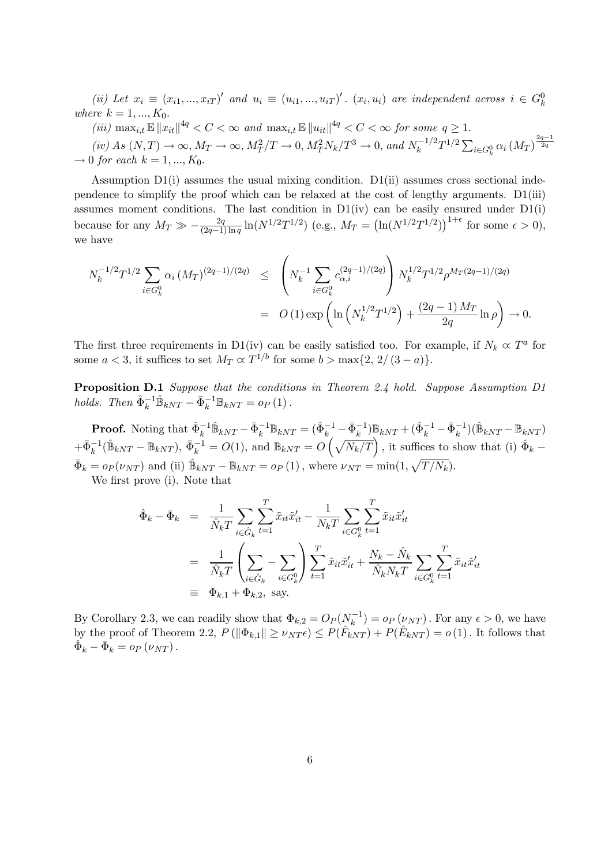(ii) Let  $x_i \equiv (x_{i1},...,x_{iT})'$  and  $u_i \equiv (u_{i1},...,u_{iT})'$ .  $(x_i,u_i)$  are independent across  $i \in G_k^0$ where  $k = 1, ..., K_0$ .

(iii)  $\max_{i,t} \mathbb{E} ||x_{it}||^{4q} < C < \infty$  and  $\max_{i,t} \mathbb{E} ||u_{it}||^{4q} < C < \infty$  for some  $q \geq 1$ .

 $(iv) As (N,T) \to \infty, M_T \to \infty, M_T^2/T \to 0, M_T^2 N_k/T^3 \to 0, and N_k^{-1/2} T^{1/2} \sum_{i \in G_k^0} \alpha_i (M_T)^{\frac{2q-1}{2q}}$  $\rightarrow 0$  for each  $k = 1, ..., K_0$ .

Assumption  $D_1(i)$  assumes the usual mixing condition.  $D_1(i)$  assumes cross sectional independence to simplify the proof which can be relaxed at the cost of lengthy arguments. D1(iii) assumes moment conditions. The last condition in  $D1(iv)$  can be easily ensured under  $D1(i)$ because for any  $M_T \gg -\frac{2q}{(2q-1)\ln q} \ln(N^{1/2}T^{1/2})$  (e.g.,  $M_T = (\ln(N^{1/2}T^{1/2}))^{1+\epsilon}$  for some  $\epsilon > 0$ ), we have

$$
N_k^{-1/2} T^{1/2} \sum_{i \in G_k^0} \alpha_i (M_T)^{(2q-1)/(2q)} \leq \left( N_k^{-1} \sum_{i \in G_k^0} c_{\alpha,i}^{(2q-1)/(2q)} \right) N_k^{1/2} T^{1/2} \rho^{M_T (2q-1)/(2q)} = O(1) \exp \left( \ln \left( N_k^{1/2} T^{1/2} \right) + \frac{(2q-1) M_T}{2q} \ln \rho \right) \to 0.
$$

The first three requirements in D1(iv) can be easily satisfied too. For example, if  $N_k \propto T^a$  for some  $a < 3$ , it suffices to set  $M_T \propto T^{1/b}$  for some  $b > \max\{2, 2/(3-a)\}.$ 

Proposition D.1 Suppose that the conditions in Theorem 2.4 hold. Suppose Assumption D1 holds. Then  $\hat{\Phi}_k^{-1} \hat{\mathbb{B}}_{kNT} - \bar{\Phi}_k^{-1} \mathbb{B}_{kNT} = o_P(1)$ .

**Proof.** Noting that  $\hat{\Phi}_k^{-1} \hat{\mathbb{B}}_{kNT} - \bar{\Phi}_k^{-1} \mathbb{B}_{kNT} = (\hat{\Phi}_k^{-1} - \bar{\Phi}_k^{-1}) \mathbb{B}_{kNT} + (\hat{\Phi}_k^{-1} - \bar{\Phi}_k^{-1}) (\hat{\mathbb{B}}_{kNT} - \mathbb{B}_{kNT})$  $+\bar{\Phi}_k^{-1}(\hat{\mathbb{B}}_{kNT}-\mathbb{B}_{kNT}), \bar{\Phi}_k^{-1}=O(1),$  and  $\mathbb{B}_{kNT}=O\left(\sqrt{N_k/T}\right)$ , it suffices to show that (i)  $\hat{\Phi}_k$  –  $\bar{\Phi}_k = o_P(\nu_{NT})$  and (ii)  $\hat{\mathbb{B}}_{kNT} - \mathbb{B}_{kNT} = o_P(1)$ , where  $\nu_{NT} = \min(1, \sqrt{T/N_k})$ .

We first prove (i). Note that

$$
\hat{\Phi}_k - \bar{\Phi}_k = \frac{1}{\hat{N}_k T} \sum_{i \in \hat{G}_k} \sum_{t=1}^T \tilde{x}_{it} \tilde{x}'_{it} - \frac{1}{N_k T} \sum_{i \in G_k^0} \sum_{t=1}^T \tilde{x}_{it} \tilde{x}'_{it}
$$
\n
$$
= \frac{1}{\hat{N}_k T} \left( \sum_{i \in \hat{G}_k} - \sum_{i \in G_k^0} \right) \sum_{t=1}^T \tilde{x}_{it} \tilde{x}'_{it} + \frac{N_k - \hat{N}_k}{\hat{N}_k N_k T} \sum_{i \in G_k^0} \sum_{t=1}^T \tilde{x}_{it} \tilde{x}'_{it}
$$
\n
$$
\equiv \Phi_{k,1} + \Phi_{k,2}, \text{ say.}
$$

By Corollary 2.3, we can readily show that  $\Phi_{k,2} = O_P(N_k^{-1}) = o_P(\nu_{NT})$ . For any  $\epsilon > 0$ , we have by the proof of Theorem 2.2,  $P(\|\Phi_{k,1}\| \geq \nu_{NT}\epsilon) \leq P(\hat{F}_{kNT}) + P(\hat{E}_{kNT}) = o(1)$ . It follows that  $\hat{\Phi}_k - \bar{\Phi}_k = o_P(\nu_{NT}).$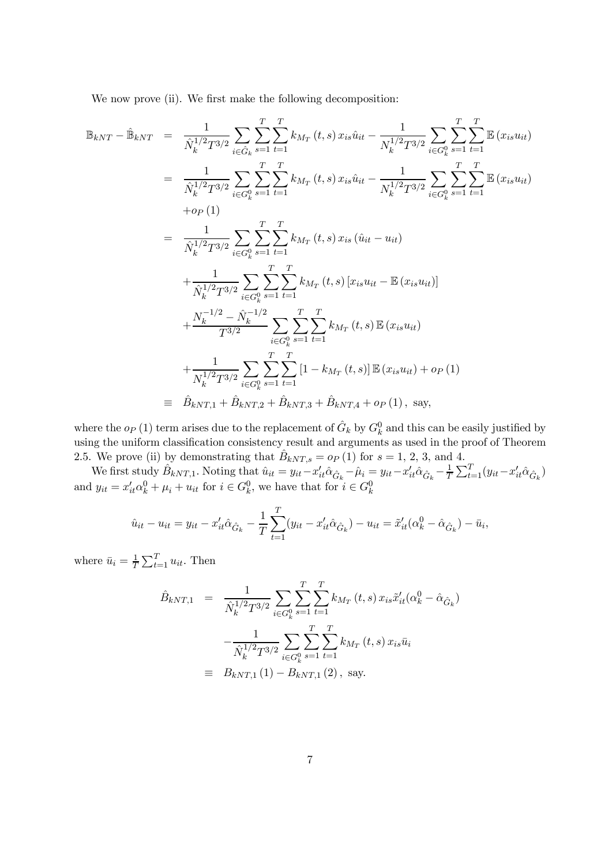We now prove (ii). We first make the following decomposition:

$$
\mathbb{B}_{kNT} = \frac{1}{\hat{N}_k^{1/2}T^{3/2}} \sum_{i \in \hat{G}_k} \sum_{s=1}^T \sum_{t=1}^T k_{M_T}(t, s) x_{is} \hat{u}_{it} - \frac{1}{N_k^{1/2}T^{3/2}} \sum_{i \in G_k^0} \sum_{s=1}^T \sum_{t=1}^T \mathbb{E} (x_{is} u_{it})
$$
  
\n
$$
= \frac{1}{\hat{N}_k^{1/2}T^{3/2}} \sum_{i \in G_k^0} \sum_{s=1}^T \sum_{t=1}^T k_{M_T}(t, s) x_{is} \hat{u}_{it} - \frac{1}{N_k^{1/2}T^{3/2}} \sum_{i \in G_k^0} \sum_{s=1}^T \sum_{t=1}^T \mathbb{E} (x_{is} u_{it})
$$
  
\n
$$
+ op(1)
$$
  
\n
$$
= \frac{1}{\hat{N}_k^{1/2}T^{3/2}} \sum_{i \in G_k^0} \sum_{s=1}^T \sum_{t=1}^T k_{M_T}(t, s) x_{is} (\hat{u}_{it} - u_{it})
$$
  
\n
$$
+ \frac{1}{\hat{N}_k^{1/2}T^{3/2}} \sum_{i \in G_k^0} \sum_{s=1}^T \sum_{t=1}^T k_{M_T}(t, s) [x_{is} u_{it} - \mathbb{E} (x_{is} u_{it})]
$$
  
\n
$$
+ \frac{N_k^{-1/2} - \hat{N}_k^{-1/2}}{T^{3/2}} \sum_{i \in G_k^0} \sum_{s=1}^T \sum_{t=1}^T k_{M_T}(t, s) \mathbb{E} (x_{is} u_{it})
$$
  
\n
$$
+ \frac{1}{N_k^{1/2}T^{3/2}} \sum_{i \in G_k^0} \sum_{s=1}^T \sum_{t=1}^T [1 - k_{M_T}(t, s)] \mathbb{E} (x_{is} u_{it}) + op(1)
$$
  
\n
$$
\equiv \hat{B}_{kNT,1} + \hat{B}_{kNT,2} + \hat{B}_{kNT,3} + \hat{B}_{kNT,4} + op(1), \text{ say,}
$$

where the  $o_P(1)$  term arises due to the replacement of  $G_k$  by  $G_k^0$  and this can be easily justified by using the uniform classification consistency result and arguments as used in the proof of Theorem 2.5. We prove (ii) by demonstrating that  $\hat{B}_{kNT,s} = o_P(1)$  for  $s = 1, 2, 3$ , and 4.

We first study  $\hat{B}_{kNT,1}$ . Noting that  $\hat{u}_{it} = y_{it} - x_{it}'\hat{\alpha}_{\hat{G}_k} - \hat{\mu}_i = y_{it} - x_{it}'\hat{\alpha}_{\hat{G}_k} - \frac{1}{T} \sum_{t=1}^T (y_{it} - x_{it}'\hat{\alpha}_{\hat{G}_k})$ and  $y_{it} = x'_{it} \alpha_k^0 + \mu_i + u_{it}$  for  $i \in G_k^0$ , we have that for  $i \in G_k^0$ 

$$
\hat{u}_{it} - u_{it} = y_{it} - x'_{it}\hat{\alpha}_{\hat{G}_k} - \frac{1}{T} \sum_{t=1}^T (y_{it} - x'_{it}\hat{\alpha}_{\hat{G}_k}) - u_{it} = \tilde{x}'_{it}(\alpha_k^0 - \hat{\alpha}_{\hat{G}_k}) - \bar{u}_i,
$$

where  $\bar{u}_i = \frac{1}{T} \sum_{t=1}^T u_{it}$ . Then

$$
\hat{B}_{kNT,1} = \frac{1}{\hat{N}_k^{1/2} T^{3/2}} \sum_{i \in G_k^0} \sum_{s=1}^T \sum_{t=1}^T k_{M_T}(t,s) x_{is} \tilde{x}_{it}'(\alpha_k^0 - \hat{\alpha}_{\hat{G}_k})
$$

$$
-\frac{1}{\hat{N}_k^{1/2} T^{3/2}} \sum_{i \in G_k^0} \sum_{s=1}^T \sum_{t=1}^T k_{M_T}(t,s) x_{is} \bar{u}_i
$$

$$
\equiv B_{kNT,1}(1) - B_{kNT,1}(2), \text{ say.}
$$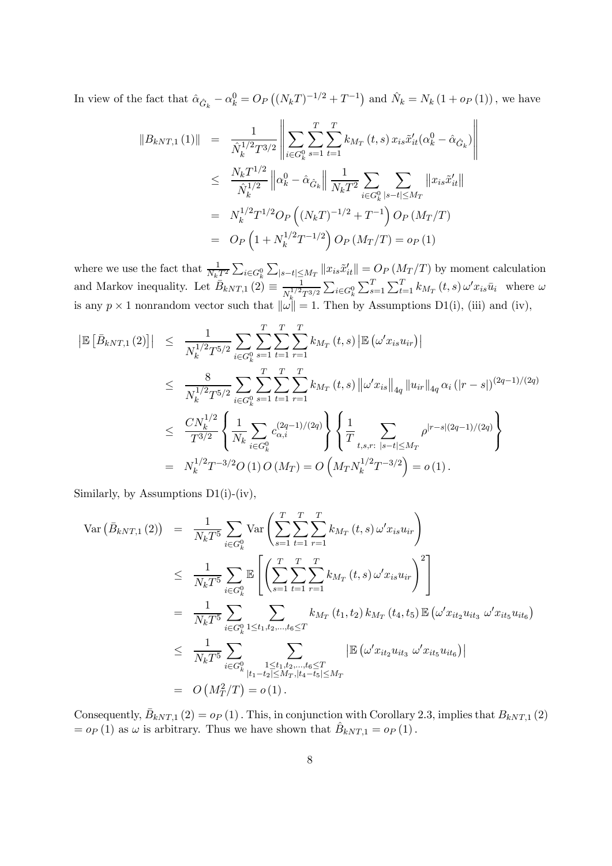In view of the fact that  $\hat{\alpha}_{\hat{G}_k} - \alpha_k^0 = O_P((N_k T)^{-1/2} + T^{-1})$  and  $\hat{N}_k = N_k (1 + o_P(1))$ , we have

$$
||B_{kNT,1}(1)|| = \frac{1}{\hat{N}_k^{1/2}T^{3/2}} \left\| \sum_{i \in G_k^0} \sum_{s=1}^T \sum_{t=1}^T k_{M_T}(t,s) x_{is} \tilde{x}'_{it} (\alpha_k^0 - \hat{\alpha}_{\hat{G}_k}) \right\|
$$
  
\n
$$
\leq \frac{N_k T^{1/2}}{\hat{N}_k^{1/2}} \left\| \alpha_k^0 - \hat{\alpha}_{\hat{G}_k} \right\| \frac{1}{N_k T^2} \sum_{i \in G_k^0} \sum_{|s-t| \leq M_T} ||x_{is} \tilde{x}'_{it}||
$$
  
\n
$$
= N_k^{1/2} T^{1/2} O_P \left( (N_k T)^{-1/2} + T^{-1} \right) O_P \left( M_T / T \right)
$$
  
\n
$$
= O_P \left( 1 + N_k^{1/2} T^{-1/2} \right) O_P \left( M_T / T \right) = o_P \left( 1 \right)
$$

where we use the fact that  $\frac{1}{N_kT^2}\sum_{i\in G_k^0}\sum_{|s-t|\leq M_T}||x_{is}\tilde{x}'_{it}|| = O_P(M_T/T)$  by moment calculation and Markov inequality. Let  $\bar{B}_{kNT,1} (2) \equiv \frac{1}{N_k^{1/2} T^{3/2}}$  $\sum_{i \in G_k^0} \sum_{s=1}^T \sum_{t=1}^T k_{M_T}(t, s) \omega' x_{is} \bar{u}_i$  where  $\omega$ is any  $p \times 1$  nonrandom vector such that  $\|\omega\| = 1$ . Then by Assumptions D1(i), (iii) and (iv),

$$
\begin{split}\n\left| \mathbb{E} \left[ \bar{B}_{kNT,1} \left( 2 \right) \right] \right| &\leq \frac{1}{N_k^{1/2} T^{5/2}} \sum_{i \in G_k^0} \sum_{s=1}^T \sum_{t=1}^T \sum_{r=1}^T k_{M_T} \left( t, s \right) \left| \mathbb{E} \left( \omega' x_{is} u_{ir} \right) \right| \\
&\leq \frac{8}{N_k^{1/2} T^{5/2}} \sum_{i \in G_k^0} \sum_{s=1}^T \sum_{t=1}^T \sum_{r=1}^T k_{M_T} \left( t, s \right) \left\| \omega' x_{is} \right\|_{4q} \left\| u_{ir} \right\|_{4q} \alpha_i \left( |r-s| \right)^{(2q-1)/(2q)} \\
&\leq \frac{C N_k^{1/2}}{T^{3/2}} \left\{ \frac{1}{N_k} \sum_{i \in G_k^0} c_{\alpha, i}^{(2q-1)/(2q)} \right\} \left\{ \frac{1}{T} \sum_{t, s, r: \ |s-t| \leq M_T} \rho^{|r-s|(2q-1)/(2q)} \right\} \\
&= N_k^{1/2} T^{-3/2} O \left( 1 \right) O \left( M_T \right) = O \left( M_T N_k^{1/2} T^{-3/2} \right) = o \left( 1 \right). \n\end{split}
$$

Similarly, by Assumptions D1(i)-(iv),

$$
Var\left(\bar{B}_{kNT,1}(2)\right) = \frac{1}{N_k T^5} \sum_{i \in G_k^0} Var\left(\sum_{s=1}^T \sum_{t=1}^T \sum_{r=1}^T k_{M_T}(t, s) \omega' x_i s u_{ir}\right)
$$
  
\n
$$
\leq \frac{1}{N_k T^5} \sum_{i \in G_k^0} \mathbb{E}\left[\left(\sum_{s=1}^T \sum_{t=1}^T \sum_{r=1}^T k_{M_T}(t, s) \omega' x_i s u_{ir}\right)^2\right]
$$
  
\n
$$
= \frac{1}{N_k T^5} \sum_{i \in G_k^0} \sum_{1 \le t_1, t_2, ..., t_6 \le T} k_{M_T}(t_1, t_2) k_{M_T}(t_4, t_5) \mathbb{E}\left(\omega' x_{it_2} u_{it_3} \omega' x_{it_5} u_{it_6}\right)
$$
  
\n
$$
\leq \frac{1}{N_k T^5} \sum_{i \in G_k^0} \sum_{\substack{1 \le t_1, t_2, ..., t_6 \le T \\ |t_1 - t_2| \le M_T, |t_4 - t_5| \le M_T}} |\mathbb{E}\left(\omega' x_{it_2} u_{it_3} \omega' x_{it_5} u_{it_6}\right)|
$$
  
\n
$$
= O\left(M_T^2/T\right) = o(1).
$$

Consequently,  $\bar{B}_{kNT,1} (2) = o_P (1)$ . This, in conjunction with Corollary 2.3, implies that  $B_{kNT,1} (2)$  $= o_P(1)$  as  $\omega$  is arbitrary. Thus we have shown that  $\hat{B}_{kNT,1} = o_P(1)$ .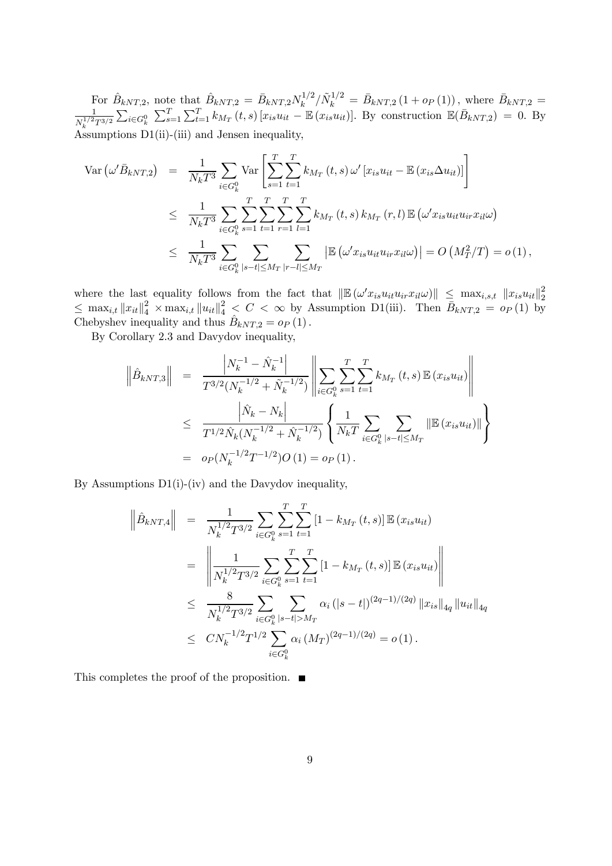For  $\hat{B}_{kNT,2}$ , note that  $\hat{B}_{kNT,2} = \bar{B}_{kNT,2} N_k^{1/2} / \tilde{N}_k^{1/2} = \bar{B}_{kNT,2} (1 + o_P(1))$ , where  $\bar{B}_{kNT,2} = \frac{1}{N} \sum_{k=1}^{N} \sum_{k=1}^{T} \sum_{k=1}^{N} \hat{B}_{kNT,2} (t,s) [x, y] = \mathbb{E}(x, y)$ . By construction  $\mathbb{E}(\bar{B}_{kNT,2}) = 0$ . By  $N_k^{1/2} T^{3/2}$  $\sum_{i\in G_k^0} \sum_{s=1}^T \sum_{t=1}^T k_{M_T}(t,s) [x_{is}u_{it} - \mathbb{E}(x_{is}u_{it})].$  By construction  $\mathbb{E}(\bar{B}_{kNT,2}) = 0.$  By  $\Lambda_{\text{ssumptions}}^{N_k}$  D1(ii)-(iii) and Jensen inequality,

$$
\begin{split}\n\text{Var}(\omega' \bar{B}_{kNT,2}) &= \frac{1}{N_k T^3} \sum_{i \in G_k^0} \text{Var} \left[ \sum_{s=1}^T \sum_{t=1}^T k_{M_T}(t,s) \, \omega' \left[ x_{is} u_{it} - \mathbb{E} \left( x_{is} \Delta u_{it} \right) \right] \right] \\
&\leq \frac{1}{N_k T^3} \sum_{i \in G_k^0} \sum_{s=1}^T \sum_{t=1}^T \sum_{r=1}^T \sum_{l=1}^T k_{M_T}(t,s) \, k_{M_T}(r,l) \, \mathbb{E} \left( \omega' x_{is} u_{it} u_{ir} x_{il} \omega \right) \\
&\leq \frac{1}{N_k T^3} \sum_{i \in G_k^0} \sum_{|s-t| \leq M_T} \sum_{|r-l| \leq M_T} \left| \mathbb{E} \left( \omega' x_{is} u_{it} u_{ir} x_{il} \omega \right) \right| = O \left( M_T^2 / T \right) = o \left( 1 \right),\n\end{split}
$$

where the last equality follows from the fact that  $\|\mathbb{E}(\omega' x_{is} u_{it} u_{ir} x_{il} \omega)\| \leq \max_{i,s,t} \|x_{is} u_{it}\|_2^2$ <br> $\leq \max_{i,t} \|x_{it}\|_4^2 \times \max_{i,t} \|u_{it}\|_4^2 \leq C < \infty$  by Assumption D1(iii). Then  $\bar{B}_{kNT,2} = o_P(1)$  by Chebyshev inequality and thus  $\hat{B}_{kNT,2} = o_P(1)$ .

By Corollary 2.3 and Davydov inequality,

$$
\left\| \hat{B}_{kNT,3} \right\| = \frac{\left| N_k^{-1} - \hat{N}_k^{-1} \right|}{T^{3/2} (N_k^{-1/2} + \tilde{N}_k^{-1/2})} \left\| \sum_{i \in G_k^0} \sum_{s=1}^T \sum_{t=1}^T k_{M_T}(t,s) \mathbb{E} (x_{is} u_{it}) \right\|
$$
  
\n
$$
\leq \frac{\left| \hat{N}_k - N_k \right|}{T^{1/2} \hat{N}_k (N_k^{-1/2} + \hat{N}_k^{-1/2})} \left\{ \frac{1}{N_k T} \sum_{i \in G_k^0} \sum_{|s-t| \leq M_T} \left\| \mathbb{E} (x_{is} u_{it}) \right\| \right\}
$$
  
\n
$$
= o_P(N_k^{-1/2} T^{-1/2}) O(1) = o_P(1).
$$

By Assumptions  $D1(i)$ -(iv) and the Davydov inequality,

$$
\begin{split}\n\left\|\hat{B}_{kNT,4}\right\| &= \frac{1}{N_k^{1/2}T^{3/2}} \sum_{i \in G_k^0} \sum_{s=1}^T \sum_{t=1}^T \left[1 - k_{M_T}\left(t,s\right)\right] \mathbb{E}\left(x_i, u_{it}\right) \\
&= \left\|\frac{1}{N_k^{1/2}T^{3/2}} \sum_{i \in G_k^0} \sum_{s=1}^T \sum_{t=1}^T \left[1 - k_{M_T}\left(t,s\right)\right] \mathbb{E}\left(x_i, u_{it}\right)\right\| \\
&\leq \frac{8}{N_k^{1/2}T^{3/2}} \sum_{i \in G_k^0} \sum_{|s-t| > M_T} \alpha_i \left(|s-t|\right)^{(2q-1)/(2q)} \left\|x_{is}\right\|_{4q} \left\|u_{it}\right\|_{4q} \\
&\leq CN_k^{-1/2}T^{1/2} \sum_{i \in G_k^0} \alpha_i \left(M_T\right)^{(2q-1)/(2q)} = o\left(1\right).\n\end{split}
$$

This completes the proof of the proposition.  $\blacksquare$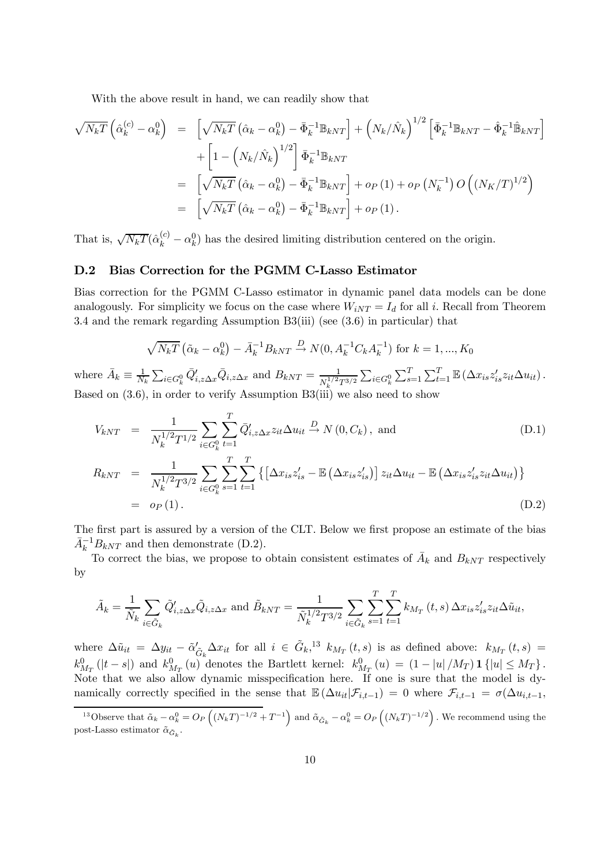With the above result in hand, we can readily show that

$$
\sqrt{N_k}T\left(\hat{\alpha}_k^{(c)}-\alpha_k^0\right) = \left[\sqrt{N_k}T\left(\hat{\alpha}_k-\alpha_k^0\right)-\bar{\Phi}_k^{-1}\mathbb{B}_{kNT}\right] + \left(N_k/\hat{N}_k\right)^{1/2}\left[\bar{\Phi}_k^{-1}\mathbb{B}_{kNT}-\hat{\Phi}_k^{-1}\hat{\mathbb{B}}_{kNT}\right]
$$

$$
+\left[1-\left(N_k/\hat{N}_k\right)^{1/2}\right]\bar{\Phi}_k^{-1}\mathbb{B}_{kNT}
$$

$$
= \left[\sqrt{N_k}T\left(\hat{\alpha}_k-\alpha_k^0\right)-\bar{\Phi}_k^{-1}\mathbb{B}_{kNT}\right] + op\left(1\right) + op\left(N_k^{-1}\right)O\left((N_K/T)^{1/2}\right)
$$

$$
= \left[\sqrt{N_k}T\left(\hat{\alpha}_k-\alpha_k^0\right)-\bar{\Phi}_k^{-1}\mathbb{B}_{kNT}\right] + op\left(1\right).
$$

That is,  $\sqrt{N_kT}(\hat{\alpha}_k^{(c)} - \alpha_k^0)$  has the desired limiting distribution centered on the origin.

#### D.2 Bias Correction for the PGMM C-Lasso Estimator

Bias correction for the PGMM C-Lasso estimator in dynamic panel data models can be done analogously. For simplicity we focus on the case where  $W_{iNT} = I_d$  for all *i*. Recall from Theorem 3.4 and the remark regarding Assumption B3(iii) (see (3.6) in particular) that

$$
\sqrt{N_kT} (\tilde{\alpha}_k - \alpha_k^0) - \bar{A}_k^{-1} B_{kNT} \stackrel{D}{\to} N(0, A_k^{-1} C_k A_k^{-1})
$$
 for  $k = 1, ..., K_0$ 

where  $\bar{A}_k \equiv \frac{1}{N_k} \sum_{i \in G_k^0} \bar{Q}'_{i,z} \Delta_x \bar{Q}_{i,z} \Delta_x$  and  $B_{kNT} = \frac{1}{N_k^{1/2} T^{3/2}}$  $\sum_{i \in G_k^0} \sum_{s=1}^T \sum_{t=1}^T \mathbb{E} (\Delta x_{is} z_{is}' z_{it} \Delta u_{it})$ . Based on  $(3.6)$ , in order to verify Assumption B3 $(iii)$  we also need to show

$$
V_{kNT} = \frac{1}{N_k^{1/2} T^{1/2}} \sum_{i \in G_k^0} \sum_{t=1}^T \bar{Q}'_{i,z\Delta x} z_{it} \Delta u_{it} \stackrel{D}{\to} N(0, C_k), \text{ and}
$$
\n
$$
R_{kNT} = \frac{1}{N_k^{1/2} T^{3/2}} \sum_{i \in G_k^0} \sum_{s=1}^T \sum_{t=1}^T \{ \left[ \Delta x_{is} z'_{is} - \mathbb{E} \left( \Delta x_{is} z'_{is} \right) \right] z_{it} \Delta u_{it} - \mathbb{E} \left( \Delta x_{is} z'_{is} z_{it} \Delta u_{it} \right) \}
$$
\n
$$
= o_P(1).
$$
\n(D.2)

The first part is assured by a version of the CLT. Below we first propose an estimate of the bias  $\bar{A}_k^{-1} B_{kNT}$  and then demonstrate (D.2).

To correct the bias, we propose to obtain consistent estimates of  $\bar{A}_k$  and  $B_{kNT}$  respectively by

$$
\tilde{A}_k = \frac{1}{\tilde{N}_k} \sum_{i \in \tilde{G}_k} \tilde{Q}'_{i,z} \Delta_x \tilde{Q}_{i,z} \Delta_x \text{ and } \tilde{B}_{kNT} = \frac{1}{\tilde{N}_k^{1/2} T^{3/2}} \sum_{i \in \tilde{G}_k} \sum_{s=1}^T \sum_{t=1}^T k_{M_T}(t,s) \Delta x_{is} z'_{is} z_{it} \Delta \tilde{u}_{it},
$$

where  $\Delta \tilde{u}_{it} = \Delta y_{it} - \tilde{\alpha}'_{\tilde{G}_k} \Delta x_{it}$  for all  $i \in \tilde{G}_k$ ,<sup>13</sup>  $k_{M_T}(t,s)$  is as defined above:  $k_{M_T}(t,s)$  $k_{M_T}^0(|t-s|)$  and  $k_{M_T}^0(u)$  denotes the Bartlett kernel:  $k_{M_T}^0(u) = (1 - |u| / M_T) \mathbf{1}\{|u| \le M_T\}$ . Note that we also allow dynamic misspecification here. If one is sure that the model is dynamically correctly specified in the sense that  $\mathbb{E}(\Delta u_{it}|\mathcal{F}_{i,t-1})=0$  where  $\mathcal{F}_{i,t-1}=\sigma(\Delta u_{i,t-1},\mathcal{F}_{i,t-1})$ 

<sup>&</sup>lt;sup>13</sup>Observe that  $\tilde{\alpha}_k - \alpha_k^0 = O_P\left((N_k T)^{-1/2} + T^{-1}\right)$  and  $\tilde{\alpha}_{\tilde{G}_k} - \alpha_k^0 = O_P\left((N_k T)^{-1/2}\right)$ . We recommend using the post-Lasso estimator  $\tilde{\alpha}_{\tilde{G}}$ .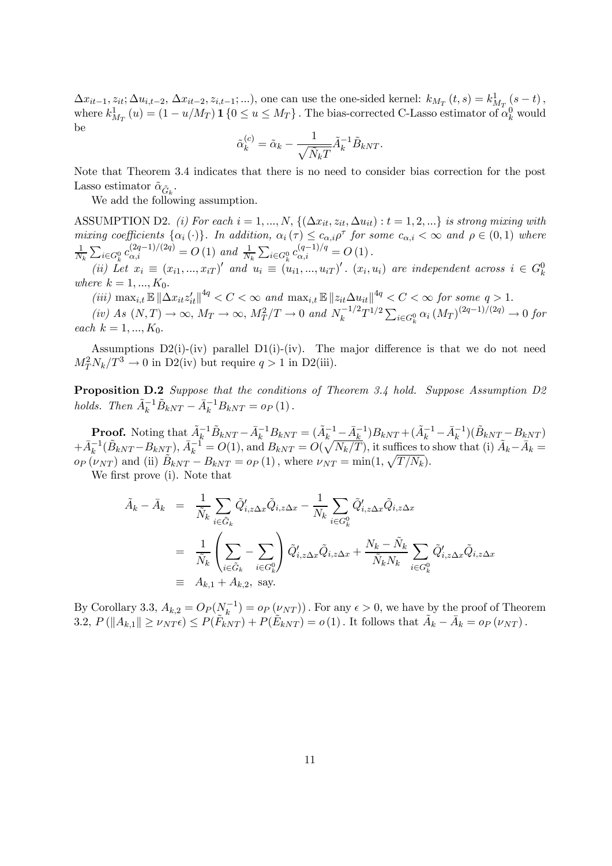$\Delta x_{it-1}, z_{it}; \Delta u_{i,t-2}, \Delta x_{it-2}, z_{i,t-1}; ...$ , one can use the one-sided kernel:  $k_{M_T}(t,s) = k_{M_T}^1(s-t)$ , where  $k_{M_T}^1(u) = (1 - u/M_T) \mathbf{1} \{0 \le u \le M_T\}$ . The bias-corrected C-Lasso estimator of  $\alpha_k^0$  would be

$$
\tilde{\alpha}_k^{(c)} = \tilde{\alpha}_k - \frac{1}{\sqrt{\tilde{N}_k T}} \tilde{A}_k^{-1} \tilde{B}_{kNT}.
$$

Note that Theorem 3.4 indicates that there is no need to consider bias correction for the post Lasso estimator  $\tilde{\alpha}_{\tilde{G}_k}$ .

We add the following assumption.

ASSUMPTION D2. (i) For each  $i = 1, ..., N$ ,  $\{(\Delta x_{it}, z_{it}, \Delta u_{it}) : t = 1, 2, ...\}$  is strong mixing with mixing coefficients  $\{\alpha_i(\cdot)\}\$ . In addition,  $\alpha_i(\tau) \leq c_{\alpha,i}\rho^{\tau}$  for some  $c_{\alpha,i} < \infty$  and  $\rho \in (0,1)$  where  $\frac{1}{N_k} \sum_{i \in G_k^0} c_{\alpha,i}^{(2q-1)/(2q)} = O(1)$  and  $\frac{1}{N_k} \sum_{i \in G_k^0} c_{\alpha,i}^{(q-1)/q} = O(1)$ .

(ii) Let  $x_i \equiv (x_{i1},...,x_{iT})'$  and  $u_i \equiv (u_{i1},...,u_{iT})'$ .  $(x_i,u_i)$  are independent across  $i \in G_k^0$ where  $k = 1, ..., K_0$ .

(iii)  $\max_{i,t} \mathbb{E} \left\| \Delta x_{it} z_{it}' \right\|^{4q} < C < \infty$  and  $\max_{i,t} \mathbb{E} \left\| z_{it} \Delta u_{it} \right\|^{4q} < C < \infty$  for some  $q > 1$ .

 $(iv) As (N, T) \to \infty, M_T \to \infty, M_T^2/T \to 0 \text{ and } N_k^{-1/2}T^{1/2}\sum_{i \in G_k^0} \alpha_i (Mr)^{(2q-1)/(2q)} \to 0 \text{ for }$ each  $k = 1, ..., K_0$ .

Assumptions  $D2(i)-(iv)$  parallel  $D1(i)-(iv)$ . The major difference is that we do not need  $M_T^2 N_k/T^3 \to 0$  in D2(iv) but require  $q > 1$  in D2(iii).

Proposition D.2 Suppose that the conditions of Theorem 3.4 hold. Suppose Assumption D2 *holds.* Then  $\tilde{A}_k^{-1} \tilde{B}_{kNT} - \bar{A}_k^{-1} B_{kNT} = o_P(1)$ .

**Proof.** Noting that  $\tilde{A}_k^{-1} \tilde{B}_{kNT} - \bar{A}_k^{-1} B_{kNT} = (\tilde{A}_k^{-1} - \bar{A}_k^{-1}) B_{kNT} + (\tilde{A}_k^{-1} - \bar{A}_k^{-1}) (\tilde{B}_{kNT} - B_{kNT})$  $+\bar{A}_k^{-1}(\tilde{B}_{kNT}-B_{kNT}), \bar{A}_k^{-1}=O(1)$ , and  $B_{kNT}=O(\sqrt{N_k/T})$ , it suffices to show that (i)  $\tilde{A}_k-\bar{A}_k=$  $o_P(v_{NT})$  and (ii)  $\tilde{B}_{kNT} - B_{kNT} = o_P(1)$ , where  $v_{NT} = \min(1, \sqrt{T/N_k})$ .

We first prove (i). Note that

$$
\tilde{A}_k - \bar{A}_k = \frac{1}{\tilde{N}_k} \sum_{i \in \tilde{G}_k} \tilde{Q}'_{i, z \Delta x} \tilde{Q}_{i, z \Delta x} - \frac{1}{N_k} \sum_{i \in G_k^0} \tilde{Q}'_{i, z \Delta x} \tilde{Q}_{i, z \Delta x}
$$
\n
$$
= \frac{1}{\tilde{N}_k} \left( \sum_{i \in \tilde{G}_k} - \sum_{i \in G_k^0} \right) \tilde{Q}'_{i, z \Delta x} \tilde{Q}_{i, z \Delta x} + \frac{N_k - \tilde{N}_k}{\tilde{N}_k N_k} \sum_{i \in G_k^0} \tilde{Q}'_{i, z \Delta x} \tilde{Q}_{i, z \Delta x}
$$
\n
$$
\equiv A_{k,1} + A_{k,2}, \text{ say.}
$$

By Corollary 3.3,  $A_{k,2} = O_P(\frac{N-1}{k}) = o_P(\nu_{NT})$ . For any  $\epsilon > 0$ , we have by the proof of Theorem 3.2,  $P(\|A_{k,1}\| \geq \nu_{NT}\epsilon) \leq P(\tilde{F}_{kNT}) + P(\tilde{E}_{kNT}) = o(1)$ . It follows that  $\tilde{A}_k - \bar{A}_k = o_P(\nu_{NT})$ .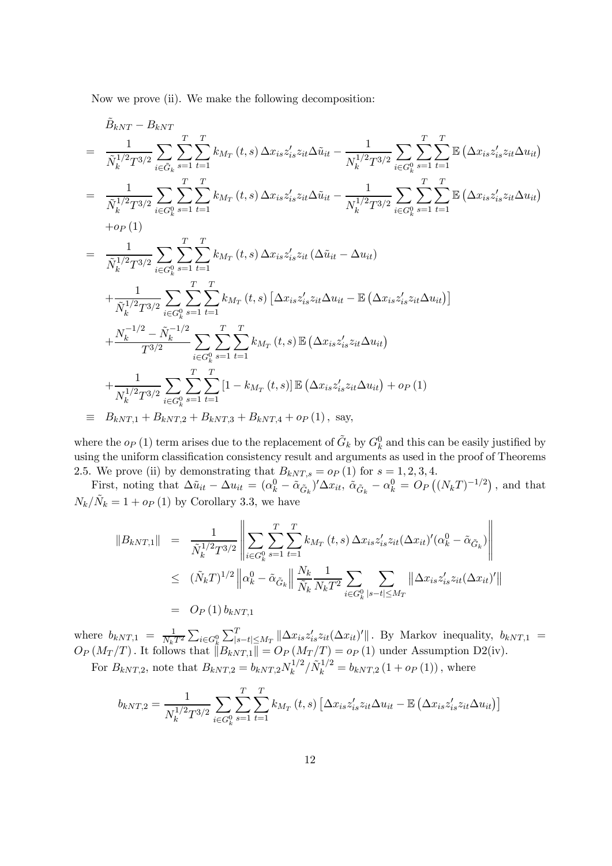Now we prove (ii). We make the following decomposition:

$$
\tilde{B}_{kNT} - B_{kNT} \n= \frac{1}{\tilde{N}_k^{1/2}T^{3/2}} \sum_{i \in \tilde{G}_k} \sum_{s=1}^T \sum_{t=1}^T k_{M_T}(t, s) \Delta x_{is} z'_{is} z_{it} \Delta \tilde{u}_{it} - \frac{1}{N_k^{1/2}T^{3/2}} \sum_{i \in G_k^0} \sum_{s=1}^T \sum_{t=1}^T \mathbb{E} \left( \Delta x_{is} z'_{is} z_{it} \Delta u_{it} \right) \n= \frac{1}{\tilde{N}_k^{1/2}T^{3/2}} \sum_{i \in G_k^0} \sum_{s=1}^T \sum_{t=1}^T k_{M_T}(t, s) \Delta x_{is} z'_{is} z_{it} \Delta \tilde{u}_{it} - \frac{1}{N_k^{1/2}T^{3/2}} \sum_{i \in G_k^0} \sum_{s=1}^T \sum_{t=1}^T \mathbb{E} \left( \Delta x_{is} z'_{is} z_{it} \Delta u_{it} \right) \n+ op (1) \n= \frac{1}{\tilde{N}_k^{1/2}T^{3/2}} \sum_{i \in G_k^0} \sum_{s=1}^T \sum_{t=1}^T k_{M_T}(t, s) \Delta x_{is} z'_{is} z_{it} \Delta u_{it} - \Delta u_{it}) \n+ \frac{1}{\tilde{N}_k^{1/2}T^{3/2}} \sum_{i \in G_k^0} \sum_{s=1}^T \sum_{t=1}^T k_{M_T}(t, s) \left[ \Delta x_{is} z'_{is} z_{it} \Delta u_{it} - \mathbb{E} \left( \Delta x_{is} z'_{is} z_{it} \Delta u_{it} \right) \right] \n+ \frac{N_k^{-1/2} - \tilde{N}_k^{-1/2}}{T^{3/2}} \sum_{i \in G_k^0} \sum_{s=1}^T \sum_{t=1}^T k_{M_T}(t, s) \mathbb{E} \left( \Delta x_{is} z'_{is} z_{it} \Delta u_{it} \right) \n+ \frac{1}{N_k^{1/2}T^{3/2}} \sum_{i \in G_k^0} \sum_{s=1}^T \sum_{t=1}^T \left[ 1 - k_{M_T
$$

where the  $o_P(1)$  term arises due to the replacement of  $\tilde{G}_k$  by  $G_k^0$  and this can be easily justified by using the uniform classification consistency result and arguments as used in the proof of Theorems 2.5. We prove (ii) by demonstrating that  $B_{kNT,s} = o_P(1)$  for  $s = 1, 2, 3, 4$ .

First, noting that  $\Delta \tilde{u}_{it} - \Delta u_{it} = (\alpha_k^0 - \tilde{\alpha}_{\tilde{G}_k})' \Delta x_{it}, \ \tilde{\alpha}_{\tilde{G}_k} - \alpha_k^0 = O_P((N_k T)^{-1/2})$ , and that  $N_k/\tilde{N}_k = 1 + o_P(1)$  by Corollary 3.3, we have

$$
||B_{kNT,1}|| = \frac{1}{\tilde{N}_k^{1/2}T^{3/2}} \left\| \sum_{i \in G_k^0} \sum_{s=1}^T \sum_{t=1}^T k_{M_T}(t,s) \Delta x_{is} z'_{is} z_{it} (\Delta x_{it})' (\alpha_k^0 - \tilde{\alpha}_{\tilde{G}_k}) \right\|
$$
  

$$
\leq (\tilde{N}_k T)^{1/2} \left\| \alpha_k^0 - \tilde{\alpha}_{\tilde{G}_k} \right\| \frac{N_k}{\tilde{N}_k} \frac{1}{N_k T^2} \sum_{i \in G_k^0} \sum_{|s-t| \leq M_T} ||\Delta x_{is} z'_{is} z_{it} (\Delta x_{it})'||
$$
  

$$
= O_P(1) b_{kNT,1}
$$

where  $b_{kNT,1} = \frac{1}{N_kT^2} \sum_{i \in G_k^0} \sum_{|s-t| \le M_T}^T \|\Delta x_{is} z_{is}' z_{it} (\Delta x_{it})'\|$ . By Markov inequality,  $b_{kNT,1} =$  $O_P(M_T/T)$ . It follows that  $||B_{kNT,1}|| = O_P(M_T/T) = o_P(1)$  under Assumption D2(iv). For  $B_{kNT,2}$ , note that  $B_{kNT,2} = b_{kNT,2} N_k^{1/2} / \tilde{N}_k^{1/2} = b_{kNT,2} (1 + o_P(1))$ , where

$$
b_{kNT,2} = \frac{1}{N_k^{1/2} T^{3/2}} \sum_{i \in G_k^0} \sum_{s=1}^T \sum_{t=1}^T k_{M_T}(t,s) \left[ \Delta x_{is} z_{is}' z_{it} \Delta u_{it} - \mathbb{E} \left( \Delta x_{is} z_{is}' z_{it} \Delta u_{it} \right) \right]
$$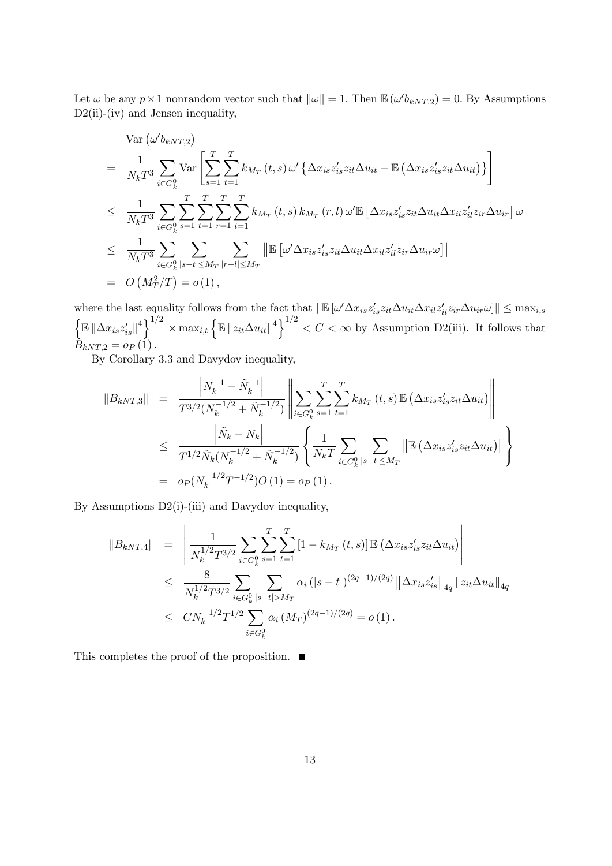Let  $\omega$  be any  $p \times 1$  nonrandom vector such that  $\|\omega\| = 1$ . Then  $\mathbb{E}(\omega' b_{kNT,2}) = 0$ . By Assumptions D<sub>2</sub>(ii)-(iv) and Jensen inequality,

$$
\operatorname{Var} (\omega' b_{kNT,2})
$$
\n
$$
= \frac{1}{N_k T^3} \sum_{i \in G_k^0} \operatorname{Var} \left[ \sum_{s=1}^T \sum_{t=1}^T k_{M_T}(t,s) \omega' \{ \Delta x_{is} z'_{is} z_{it} \Delta u_{it} - \mathbb{E} (\Delta x_{is} z'_{is} z_{it} \Delta u_{it}) \} \right]
$$
\n
$$
\leq \frac{1}{N_k T^3} \sum_{i \in G_k^0} \sum_{s=1}^T \sum_{t=1}^T \sum_{r=1}^T \sum_{l=1}^T k_{M_T}(t,s) k_{M_T}(r,l) \omega' \mathbb{E} [\Delta x_{is} z'_{is} z_{it} \Delta u_{it} \Delta x_{il} z'_{il} z_{ir} \Delta u_{ir}] \omega
$$
\n
$$
\leq \frac{1}{N_k T^3} \sum_{i \in G_k^0} \sum_{|s-t| \leq M_T} \sum_{|r-l| \leq M_T} ||\mathbb{E} [\omega' \Delta x_{is} z'_{is} z_{it} \Delta u_{it} \Delta x_{il} z'_{il} z_{ir} \Delta u_{ir} \omega]||
$$
\n
$$
= O (M_T^2/T) = o (1),
$$

where the last equality follows from the fact that  $\|\mathbb{E}[\omega'\Delta x_{is}z_{is}'z_{it}\Delta u_{it}\Delta x_{il}z_{il}'z_{ir}\Delta u_{ir}\omega]\| \leq \max_{i,s}$  $\left\{ \mathbb{E} \left\| \Delta x_{is} z_{is}' \right\|^4 \right\}^{1/2} \times \max_{i,t} \left\{ \mathbb{E} \left\| z_{it} \Delta u_{it} \right\|^4 \right\}^{1/2} < C < \infty$  by Assumption D2(iii). It follows that  $B_{kNT,2} = o_P(1)$ .

By Corollary 3.3 and Davydov inequality,

$$
||B_{kNT,3}|| = \frac{\left|N_k^{-1} - \tilde{N}_k^{-1}\right|}{T^{3/2}(N_k^{-1/2} + \tilde{N}_k^{-1/2})} \left\| \sum_{i \in G_k^0} \sum_{s=1}^T \sum_{t=1}^T k_{M_T}(t,s) \mathbb{E}\left(\Delta x_{is} z'_{is} z_{it} \Delta u_{it}\right) \right\|
$$
  

$$
\leq \frac{\left| \tilde{N}_k - N_k \right|}{T^{1/2} \tilde{N}_k(N_k^{-1/2} + \tilde{N}_k^{-1/2})} \left\{ \frac{1}{N_k T} \sum_{i \in G_k^0} \sum_{|s-t| \leq M_T} \left\| \mathbb{E}\left(\Delta x_{is} z'_{is} z_{it} \Delta u_{it}\right) \right\| \right\}
$$
  

$$
= o_P(N_k^{-1/2} T^{-1/2}) O\left(1\right) = o_P\left(1\right).
$$

By Assumptions  $D2(i)$ -(iii) and Davydov inequality,

$$
||B_{kNT,4}|| = \left\| \frac{1}{N_k^{1/2} T^{3/2}} \sum_{i \in G_k^0} \sum_{s=1}^T \sum_{t=1}^T [1 - k_{M_T}(t,s)] \mathbb{E} (\Delta x_{is} z'_{is} z_{it} \Delta u_{it}) \right\|
$$
  
\n
$$
\leq \frac{8}{N_k^{1/2} T^{3/2}} \sum_{i \in G_k^0} \sum_{|s-t| > M_T} \alpha_i (|s-t|)^{(2q-1)/(2q)} \left\| \Delta x_{is} z'_{is} \right\|_{4q} \|z_{it} \Delta u_{it}\|_{4q}
$$
  
\n
$$
\leq CN_k^{-1/2} T^{1/2} \sum_{i \in G_k^0} \alpha_i (M_T)^{(2q-1)/(2q)} = o(1).
$$

This completes the proof of the proposition.  $\blacksquare$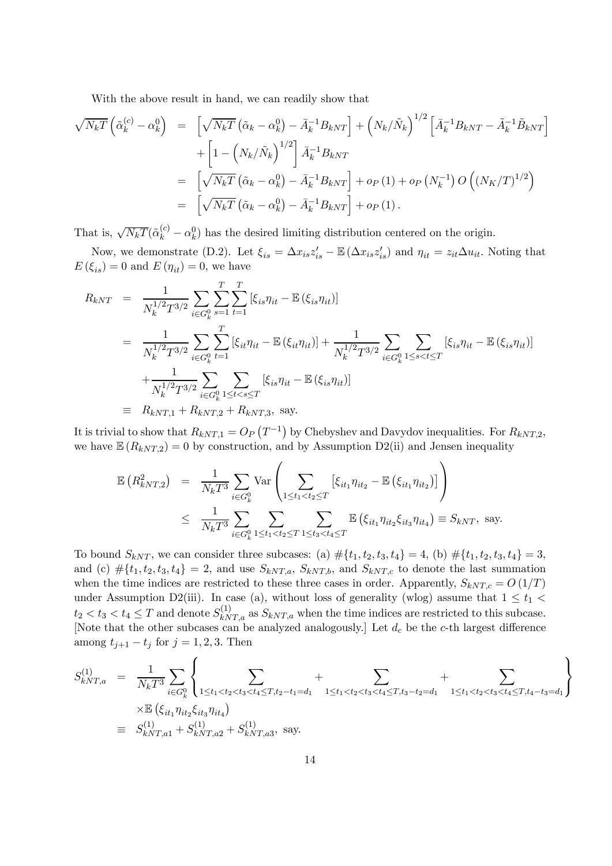With the above result in hand, we can readily show that

$$
\sqrt{N_kT} \left( \tilde{\alpha}_k^{(c)} - \alpha_k^0 \right) = \left[ \sqrt{N_kT} \left( \tilde{\alpha}_k - \alpha_k^0 \right) - \bar{A}_k^{-1} B_{kNT} \right] + \left( N_k / \tilde{N}_k \right)^{1/2} \left[ \bar{A}_k^{-1} B_{kNT} - \tilde{A}_k^{-1} \tilde{B}_{kNT} \right]
$$

$$
+ \left[ 1 - \left( N_k / \tilde{N}_k \right)^{1/2} \right] \bar{A}_k^{-1} B_{kNT}
$$

$$
= \left[ \sqrt{N_kT} \left( \tilde{\alpha}_k - \alpha_k^0 \right) - \bar{A}_k^{-1} B_{kNT} \right] + o_P \left( 1 \right) + o_P \left( N_k^{-1} \right) O \left( \left( N_k / T \right)^{1/2} \right)
$$

$$
= \left[ \sqrt{N_kT} \left( \tilde{\alpha}_k - \alpha_k^0 \right) - \bar{A}_k^{-1} B_{kNT} \right] + o_P \left( 1 \right).
$$

That is,  $\sqrt{N_kT}(\tilde{\alpha}_k^{(c)} - \alpha_k^0)$  has the desired limiting distribution centered on the origin.

Now, we demonstrate (D.2). Let  $\xi_{is} = \Delta x_{is} z'_{is} - \mathbb{E} (\Delta x_{is} z'_{is})$  and  $\eta_{it} = z_{it} \Delta u_{it}$ . Noting that  $E(\xi_{is})=0$  and  $E(\eta_{it})=0$ , we have

$$
R_{kNT} = \frac{1}{N_k^{1/2}T^{3/2}} \sum_{i \in G_k^0} \sum_{s=1}^T \sum_{t=1}^T [\xi_{is}\eta_{it} - \mathbb{E}(\xi_{is}\eta_{it})]
$$
  
\n
$$
= \frac{1}{N_k^{1/2}T^{3/2}} \sum_{i \in G_k^0} \sum_{t=1}^T [\xi_{it}\eta_{it} - \mathbb{E}(\xi_{it}\eta_{it})] + \frac{1}{N_k^{1/2}T^{3/2}} \sum_{i \in G_k^0} \sum_{1 \le s < t \le T} [\xi_{is}\eta_{it} - \mathbb{E}(\xi_{is}\eta_{it})]
$$
  
\n
$$
+ \frac{1}{N_k^{1/2}T^{3/2}} \sum_{i \in G_k^0} \sum_{1 \le t < s \le T} [\xi_{is}\eta_{it} - \mathbb{E}(\xi_{is}\eta_{it})]
$$
  
\n
$$
\equiv R_{kNT,1} + R_{kNT,2} + R_{kNT,3}, \text{ say.}
$$

It is trivial to show that  $R_{kNT,1} = O_P(T^{-1})$  by Chebyshev and Davydov inequalities. For  $R_{kNT,2}$ , we have  $\mathbb{E}(R_{kNT,2})=0$  by construction, and by Assumption D2(ii) and Jensen inequality

$$
\mathbb{E}\left(R_{kNT,2}^2\right) = \frac{1}{N_k T^3} \sum_{i \in G_k^0} \text{Var}\left(\sum_{1 \le t_1 < t_2 \le T} \left[\xi_{it_1} \eta_{it_2} - \mathbb{E}\left(\xi_{it_1} \eta_{it_2}\right)\right]\right)
$$
\n
$$
\le \frac{1}{N_k T^3} \sum_{i \in G_k^0} \sum_{1 \le t_1 < t_2 \le T} \sum_{1 \le t_3 < t_4 \le T} \mathbb{E}\left(\xi_{it_1} \eta_{it_2} \xi_{it_3} \eta_{it_4}\right) \equiv S_{kNT}, \text{ say.}
$$

To bound  $S_{kNT}$ , we can consider three subcases: (a)  $\#\{t_1, t_2, t_3, t_4\} = 4$ , (b)  $\#\{t_1, t_2, t_3, t_4\} = 3$ , and (c)  $\#\{t_1, t_2, t_3, t_4\} = 2$ , and use  $S_{kNT,a}$ ,  $S_{kNT,b}$ , and  $S_{kNT,c}$  to denote the last summation when the time indices are restricted to these three cases in order. Apparently,  $S_{kNT,c} = O(1/T)$ under Assumption D2(iii). In case (a), without loss of generality (wlog) assume that  $1 \le t_1$  $t_2 < t_3 < t_4 \leq T$  and denote  $S_{kNT,a}^{(1)}$  as  $S_{kNT,a}$  when the time indices are restricted to this subcase. [Note that the other subcases can be analyzed analogously.] Let  $d_c$  be the c-th largest difference among  $t_{j+1} - t_j$  for  $j = 1, 2, 3$ . Then

$$
S_{kNT,a}^{(1)} = \frac{1}{N_k T^3} \sum_{i \in G_k^0} \left\{ \sum_{1 \le t_1 < t_2 < t_3 < t_4 \le T, t_2 - t_1 = d_1} + \sum_{1 \le t_1 < t_2 < t_3 < t_4 \le T, t_3 - t_2 = d_1} + \sum_{1 \le t_1 < t_2 < t_3 < t_4 \le T, t_4 - t_3 = d_1} + \sum_{\substack{\times \mathbb{E} \ (\xi_{it_1} \eta_{it_2} \xi_{it_3} \eta_{it_4})}} \right\}
$$
  
\n
$$
\equiv S_{kNT,a1}^{(1)} + S_{kNT,a2}^{(1)} + S_{kNT,a3}^{(1)}, \text{ say.}
$$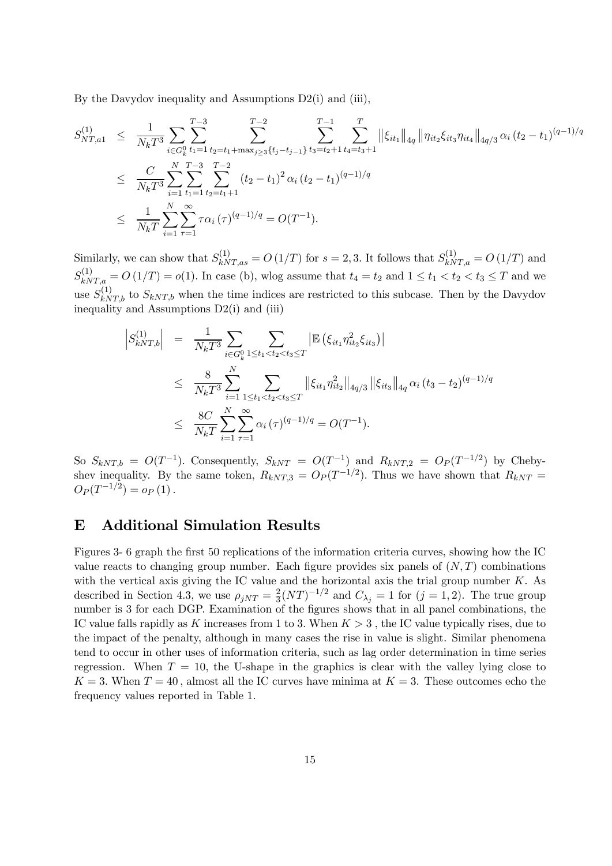By the Davydov inequality and Assumptions D2(i) and (iii),

$$
S_{NT,a1}^{(1)} \leq \frac{1}{N_k T^3} \sum_{i \in G_k^0} \sum_{t_1=1}^{T-3} \sum_{t_2=t_1+\max_{j\geq 3} \{t_j-t_{j-1}\}}^{T-2} \sum_{t_3=t_2+1}^{T-1} \sum_{t_4=t_3+1}^{T} \|\xi_{it_1}\|_{4q} \|\eta_{it_2}\xi_{it_3}\eta_{it_4}\|_{4q/3} \alpha_i (t_2-t_1)^{(q-1)/q}
$$
  

$$
\leq \frac{C}{N_k T^3} \sum_{i=1}^N \sum_{t_1=1}^{T-3} \sum_{t_2=t_1+1}^{T-2} (t_2-t_1)^2 \alpha_i (t_2-t_1)^{(q-1)/q}
$$
  

$$
\leq \frac{1}{N_k T} \sum_{i=1}^N \sum_{\tau=1}^{\infty} \tau \alpha_i (\tau)^{(q-1)/q} = O(T^{-1}).
$$

Similarly, we can show that  $S_{kNT,as}^{(1)} = O(1/T)$  for  $s = 2,3$ . It follows that  $S_{kNT,a}^{(1)} = O(1/T)$  and  $S_{kNT, a}^{(1)} = O(1/T) = o(1)$ . In case (b), wlog assume that  $t_4 = t_2$  and  $1 \le t_1 < t_2 < t_3 \le T$  and we use  $S_{kNT,b}^{(1)}$  to  $S_{kNT,b}$  when the time indices are restricted to this subcase. Then by the Davydov inequality and Assumptions D2(i) and (iii)

$$
\begin{split}\n\left| S_{kNT,b}^{(1)} \right| &= \frac{1}{N_k T^3} \sum_{i \in G_k^0} \sum_{1 \le t_1 < t_2 < t_3 \le T} \left| \mathbb{E} \left( \xi_{it_1} \eta_{it_2}^2 \xi_{it_3} \right) \right| \\
&\le \frac{8}{N_k T^3} \sum_{i=1}^N \sum_{1 \le t_1 < t_2 < t_3 \le T} \left\| \xi_{it_1} \eta_{it_2}^2 \right\|_{4q/3} \left\| \xi_{it_3} \right\|_{4q} \alpha_i \left( t_3 - t_2 \right)^{(q-1)/q} \\
&\le \frac{8C}{N_k T} \sum_{i=1}^N \sum_{\tau=1}^\infty \alpha_i \left( \tau \right)^{(q-1)/q} = O(T^{-1}).\n\end{split}
$$

So  $S_{kNT,b} = O(T^{-1})$ . Consequently,  $S_{kNT} = O(T^{-1})$  and  $R_{kNT,2} = O_P(T^{-1/2})$  by Chebyshev inequality. By the same token,  $R_{kNT,3} = O_P(T^{-1/2})$ . Thus we have shown that  $R_{kNT} =$  $O_P(T^{-1/2}) = o_P(1)$ .

## E Additional Simulation Results

Figures 3- 6 graph the first 50 replications of the information criteria curves, showing how the IC value reacts to changing group number. Each figure provides six panels of  $(N, T)$  combinations with the vertical axis giving the IC value and the horizontal axis the trial group number  $K$ . As described in Section 4.3, we use  $\rho_{jNT} = \frac{2}{3}(NT)^{-1/2}$  and  $C_{\lambda_j} = 1$  for  $(j = 1, 2)$ . The true group number is 3 for each DGP. Examination of the figures shows that in all panel combinations, the IC value falls rapidly as K increases from 1 to 3. When  $K > 3$ , the IC value typically rises, due to the impact of the penalty, although in many cases the rise in value is slight. Similar phenomena tend to occur in other uses of information criteria, such as lag order determination in time series regression. When  $T = 10$ , the U-shape in the graphics is clear with the valley lying close to  $K = 3$ . When  $T = 40$ , almost all the IC curves have minima at  $K = 3$ . These outcomes echo the frequency values reported in Table 1.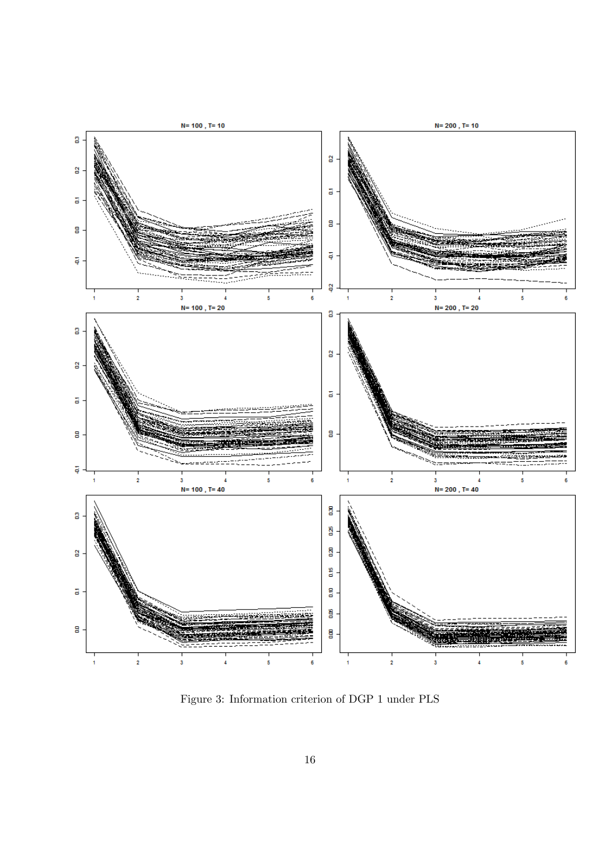

Figure 3: Information criterion of DGP 1 under PLS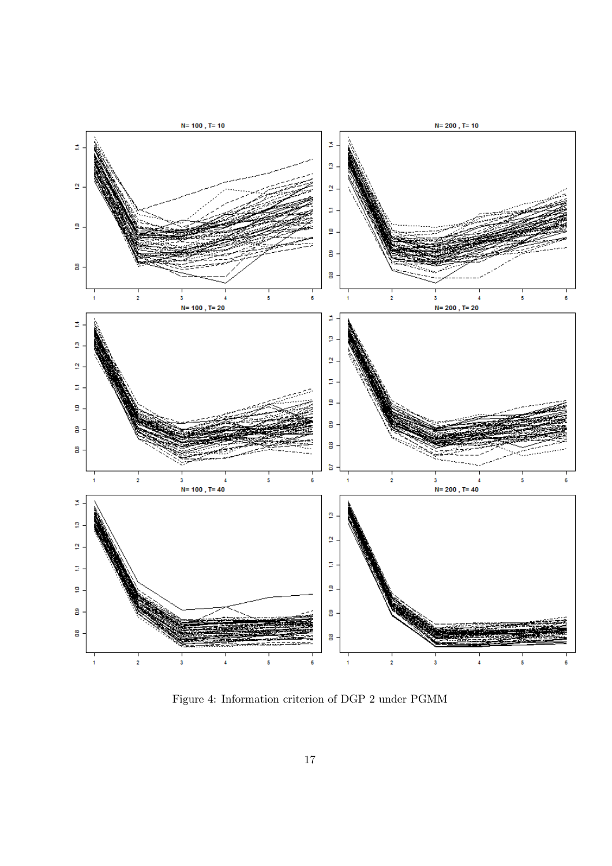

Figure 4: Information criterion of DGP 2 under PGMM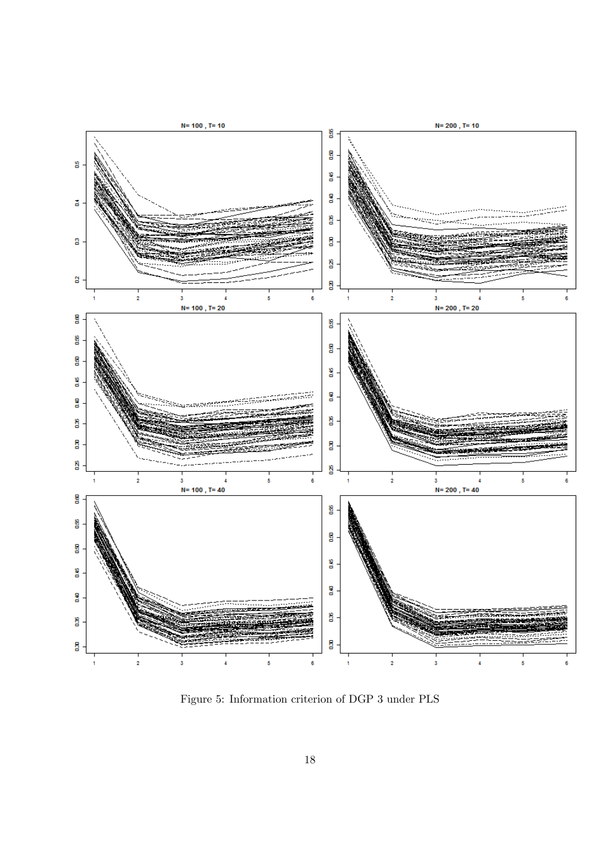

Figure 5: Information criterion of DGP 3 under PLS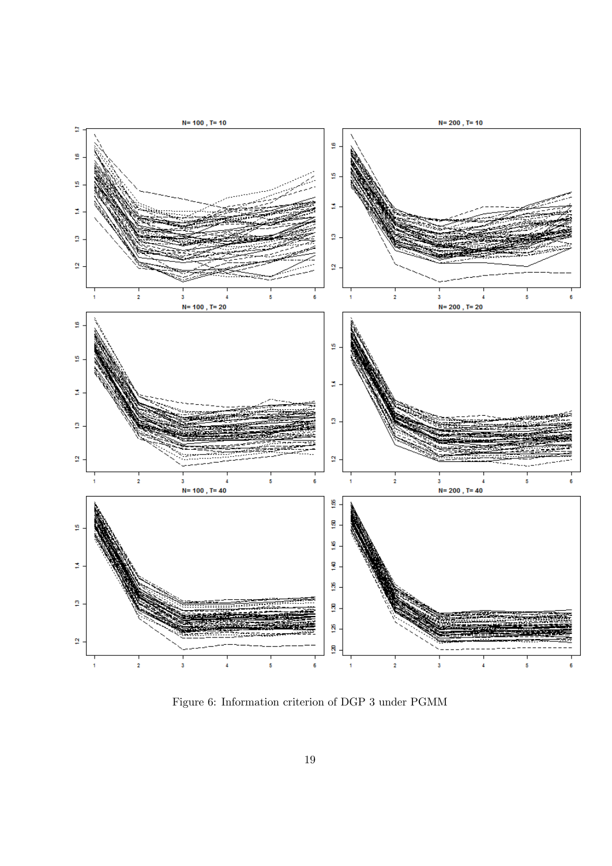

Figure 6: Information criterion of DGP 3 under PGMM